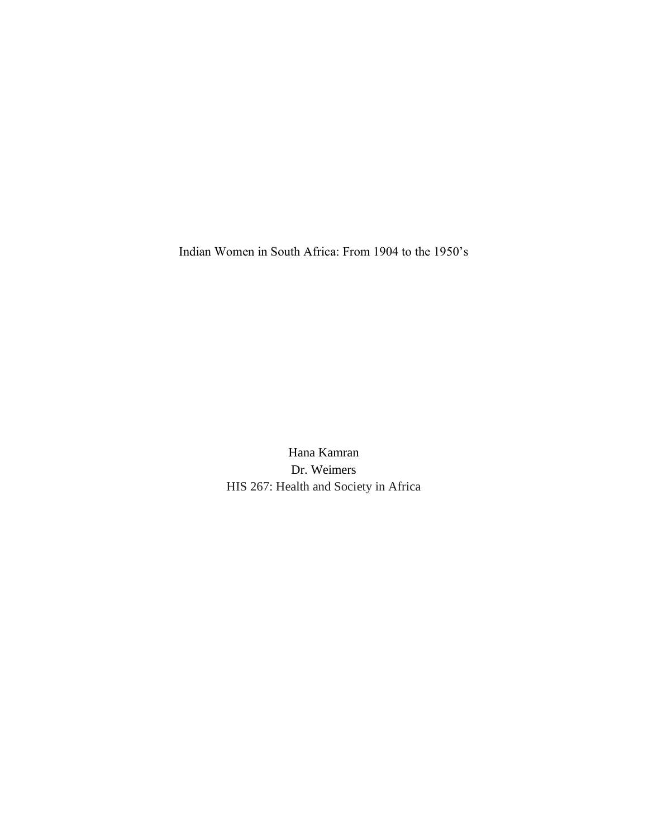Indian Women in South Africa: From 1904 to the 1950's

Hana Kamran Dr. Weimers HIS 267: Health and Society in Africa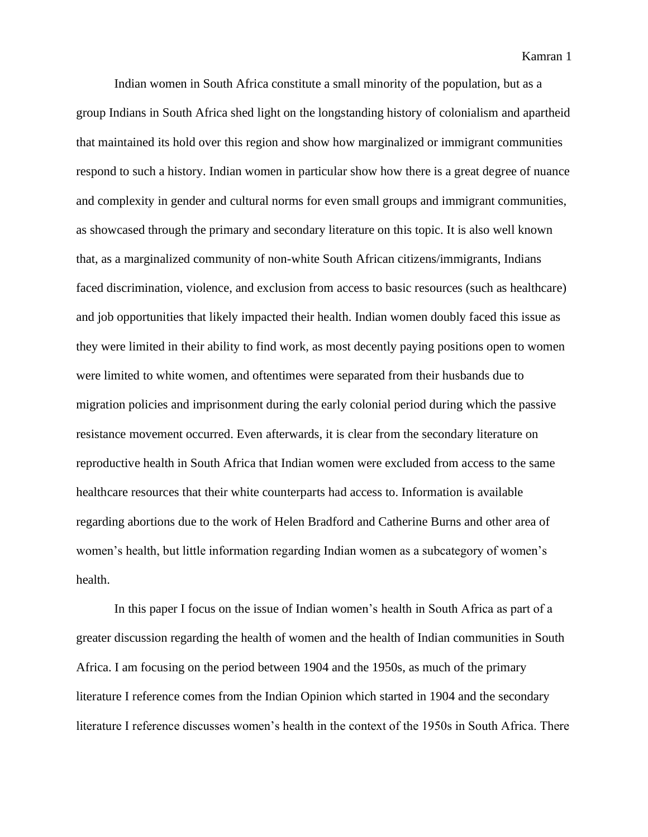Indian women in South Africa constitute a small minority of the population, but as a group Indians in South Africa shed light on the longstanding history of colonialism and apartheid that maintained its hold over this region and show how marginalized or immigrant communities respond to such a history. Indian women in particular show how there is a great degree of nuance and complexity in gender and cultural norms for even small groups and immigrant communities, as showcased through the primary and secondary literature on this topic. It is also well known that, as a marginalized community of non-white South African citizens/immigrants, Indians faced discrimination, violence, and exclusion from access to basic resources (such as healthcare) and job opportunities that likely impacted their health. Indian women doubly faced this issue as they were limited in their ability to find work, as most decently paying positions open to women were limited to white women, and oftentimes were separated from their husbands due to migration policies and imprisonment during the early colonial period during which the passive resistance movement occurred. Even afterwards, it is clear from the secondary literature on reproductive health in South Africa that Indian women were excluded from access to the same healthcare resources that their white counterparts had access to. Information is available regarding abortions due to the work of Helen Bradford and Catherine Burns and other area of women's health, but little information regarding Indian women as a subcategory of women's health.

In this paper I focus on the issue of Indian women's health in South Africa as part of a greater discussion regarding the health of women and the health of Indian communities in South Africa. I am focusing on the period between 1904 and the 1950s, as much of the primary literature I reference comes from the Indian Opinion which started in 1904 and the secondary literature I reference discusses women's health in the context of the 1950s in South Africa. There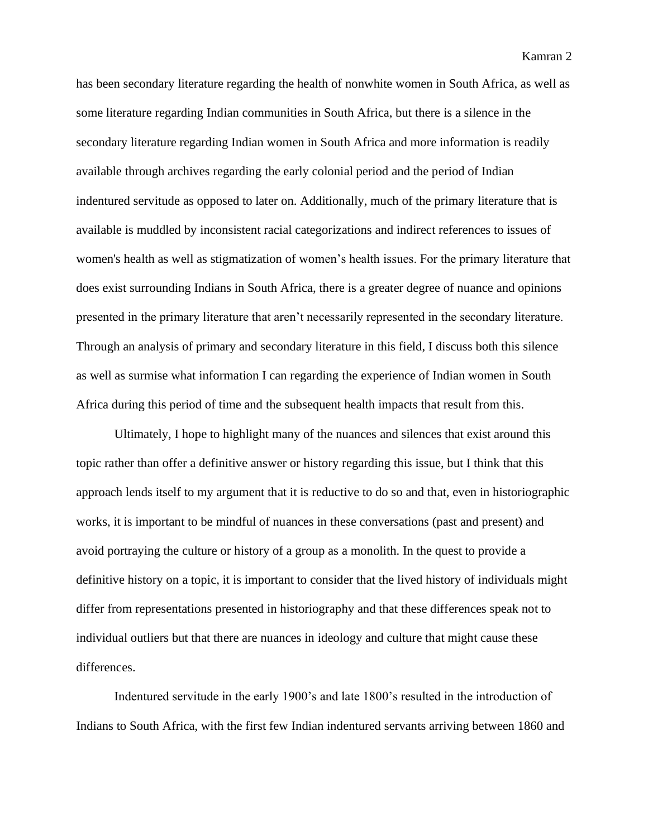has been secondary literature regarding the health of nonwhite women in South Africa, as well as some literature regarding Indian communities in South Africa, but there is a silence in the secondary literature regarding Indian women in South Africa and more information is readily available through archives regarding the early colonial period and the period of Indian indentured servitude as opposed to later on. Additionally, much of the primary literature that is available is muddled by inconsistent racial categorizations and indirect references to issues of women's health as well as stigmatization of women's health issues. For the primary literature that does exist surrounding Indians in South Africa, there is a greater degree of nuance and opinions presented in the primary literature that aren't necessarily represented in the secondary literature. Through an analysis of primary and secondary literature in this field, I discuss both this silence as well as surmise what information I can regarding the experience of Indian women in South Africa during this period of time and the subsequent health impacts that result from this.

Ultimately, I hope to highlight many of the nuances and silences that exist around this topic rather than offer a definitive answer or history regarding this issue, but I think that this approach lends itself to my argument that it is reductive to do so and that, even in historiographic works, it is important to be mindful of nuances in these conversations (past and present) and avoid portraying the culture or history of a group as a monolith. In the quest to provide a definitive history on a topic, it is important to consider that the lived history of individuals might differ from representations presented in historiography and that these differences speak not to individual outliers but that there are nuances in ideology and culture that might cause these differences.

Indentured servitude in the early 1900's and late 1800's resulted in the introduction of Indians to South Africa, with the first few Indian indentured servants arriving between 1860 and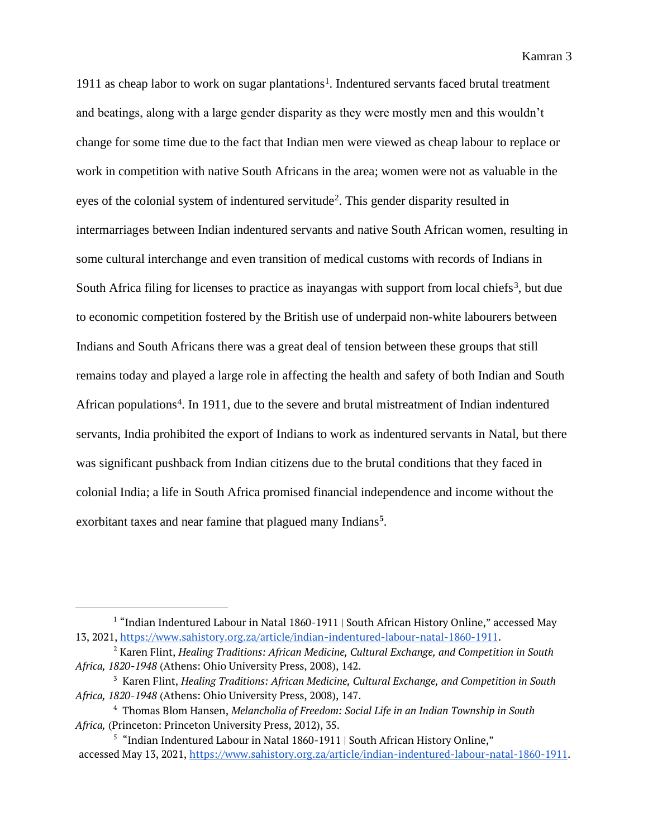1911 as cheap labor to work on sugar plantations<sup>1</sup>. Indentured servants faced brutal treatment and beatings, along with a large gender disparity as they were mostly men and this wouldn't change for some time due to the fact that Indian men were viewed as cheap labour to replace or work in competition with native South Africans in the area; women were not as valuable in the eyes of the colonial system of indentured servitude<sup>2</sup>. This gender disparity resulted in intermarriages between Indian indentured servants and native South African women, resulting in some cultural interchange and even transition of medical customs with records of Indians in South Africa filing for licenses to practice as inayangas with support from local chiefs<sup>3</sup>, but due to economic competition fostered by the British use of underpaid non-white labourers between Indians and South Africans there was a great deal of tension between these groups that still remains today and played a large role in affecting the health and safety of both Indian and South African populations<sup>4</sup>. In 1911, due to the severe and brutal mistreatment of Indian indentured servants, India prohibited the export of Indians to work as indentured servants in Natal, but there was significant pushback from Indian citizens due to the brutal conditions that they faced in colonial India; a life in South Africa promised financial independence and income without the exorbitant taxes and near famine that plagued many Indians**<sup>5</sup>** .

<sup>&</sup>lt;sup>1</sup> "Indian Indentured Labour in Natal 1860-1911 | South African History Online," accessed May 13, 2021, [https://www.sahistory.org.za/article/indian-indentured-labour-natal-1860-1911.](https://www.sahistory.org.za/article/indian-indentured-labour-natal-1860-1911)

<sup>2</sup> Karen Flint, *Healing Traditions: African Medicine, Cultural Exchange, and Competition in South Africa, 1820-1948* (Athens: Ohio University Press, 2008), 142.

<sup>3</sup> Karen Flint, *Healing Traditions: African Medicine, Cultural Exchange, and Competition in South Africa, 1820-1948* (Athens: Ohio University Press, 2008), 147.

<sup>4</sup> Thomas Blom Hansen, *Melancholia of Freedom: Social Life in an Indian Township in South Africa,* (Princeton: Princeton University Press, 2012), 35.

<sup>&</sup>lt;sup>5</sup> "Indian Indentured Labour in Natal 1860-1911 | South African History Online," accessed May 13, 2021, [https://www.sahistory.org.za/article/indian-indentured-labour-natal-1860-1911.](https://www.sahistory.org.za/article/indian-indentured-labour-natal-1860-1911)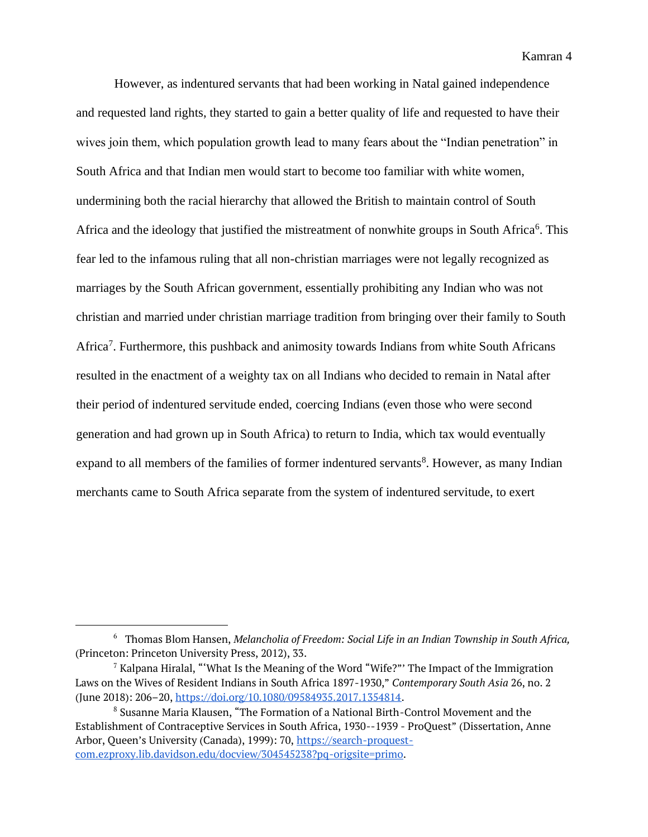Kamran 4

However, as indentured servants that had been working in Natal gained independence and requested land rights, they started to gain a better quality of life and requested to have their wives join them, which population growth lead to many fears about the "Indian penetration" in South Africa and that Indian men would start to become too familiar with white women, undermining both the racial hierarchy that allowed the British to maintain control of South Africa and the ideology that justified the mistreatment of nonwhite groups in South Africa<sup>6</sup>. This fear led to the infamous ruling that all non-christian marriages were not legally recognized as marriages by the South African government, essentially prohibiting any Indian who was not christian and married under christian marriage tradition from bringing over their family to South Africa<sup>7</sup>. Furthermore, this pushback and animosity towards Indians from white South Africans resulted in the enactment of a weighty tax on all Indians who decided to remain in Natal after their period of indentured servitude ended, coercing Indians (even those who were second generation and had grown up in South Africa) to return to India, which tax would eventually expand to all members of the families of former indentured servants<sup>8</sup>. However, as many Indian merchants came to South Africa separate from the system of indentured servitude, to exert

<sup>&</sup>lt;sup>6</sup> Thomas Blom Hansen, *Melancholia of Freedom: Social Life in an Indian Township in South Africa,* (Princeton: Princeton University Press, 2012), 33.

 $7$  Kalpana Hiralal, "What Is the Meaning of the Word "Wife?" The Impact of the Immigration Laws on the Wives of Resident Indians in South Africa 1897-1930," *Contemporary South Asia* 26, no. 2 (June 2018): 206–20[,](https://doi.org/10.1080/09584935.2017.1354814) [https://doi.org/10.1080/09584935.2017.1354814.](https://doi.org/10.1080/09584935.2017.1354814)

<sup>8</sup> Susanne Maria Klausen, "The Formation of a National Birth-Control Movement and the Establishment of Contraceptive Services in South Africa, 1930--1939 - ProQuest" (Dissertation, Anne Arbor, Queen's University (Canada), 1999): 70, [https://search-proquest](https://search-proquest-com.ezproxy.lib.davidson.edu/docview/304545238?pq-origsite=primo)[com.ezproxy.lib.davidson.edu/docview/304545238?pq-origsite=primo.](https://search-proquest-com.ezproxy.lib.davidson.edu/docview/304545238?pq-origsite=primo)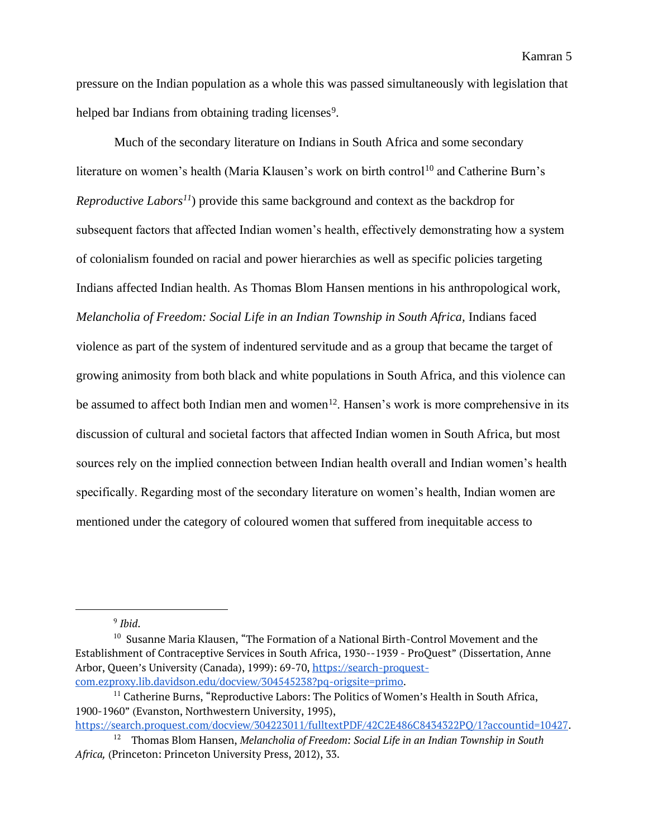pressure on the Indian population as a whole this was passed simultaneously with legislation that helped bar Indians from obtaining trading licenses<sup>9</sup>.

Much of the secondary literature on Indians in South Africa and some secondary literature on women's health (Maria Klausen's work on birth control<sup>10</sup> and Catherine Burn's *Reproductive Labors<sup>11</sup>*) provide this same background and context as the backdrop for subsequent factors that affected Indian women's health, effectively demonstrating how a system of colonialism founded on racial and power hierarchies as well as specific policies targeting Indians affected Indian health. As Thomas Blom Hansen mentions in his anthropological work, *Melancholia of Freedom: Social Life in an Indian Township in South Africa, Indians faced* violence as part of the system of indentured servitude and as a group that became the target of growing animosity from both black and white populations in South Africa, and this violence can be assumed to affect both Indian men and women<sup>12</sup>. Hansen's work is more comprehensive in its discussion of cultural and societal factors that affected Indian women in South Africa, but most sources rely on the implied connection between Indian health overall and Indian women's health specifically. Regarding most of the secondary literature on women's health, Indian women are mentioned under the category of coloured women that suffered from inequitable access to

9 *Ibid*.

<sup>10</sup> Susanne Maria Klausen, "The Formation of a National Birth-Control Movement and the Establishment of Contraceptive Services in South Africa, 1930--1939 - ProQuest" (Dissertation, Anne Arbor, Queen's University (Canada), 1999): 69-70, [https://search-proquest](https://search-proquest-com.ezproxy.lib.davidson.edu/docview/304545238?pq-origsite=primo)[com.ezproxy.lib.davidson.edu/docview/304545238?pq-origsite=primo.](https://search-proquest-com.ezproxy.lib.davidson.edu/docview/304545238?pq-origsite=primo)

[https://search.proquest.com/docview/304223011/fulltextPDF/42C2E486C8434322PQ/1?accountid=10427.](https://search.proquest.com/docview/304223011/fulltextPDF/42C2E486C8434322PQ/1?accountid=10427)

<sup>&</sup>lt;sup>11</sup> Catherine Burns, "Reproductive Labors: The Politics of Women's Health in South Africa, 1900-1960" (Evanston, Northwestern University, 1995)[,](https://search.proquest.com/docview/304223011/fulltextPDF/42C2E486C8434322PQ/1?accountid=10427)

<sup>&</sup>lt;sup>12</sup> Thomas Blom Hansen, *Melancholia of Freedom: Social Life in an Indian Township in South Africa,* (Princeton: Princeton University Press, 2012), 33.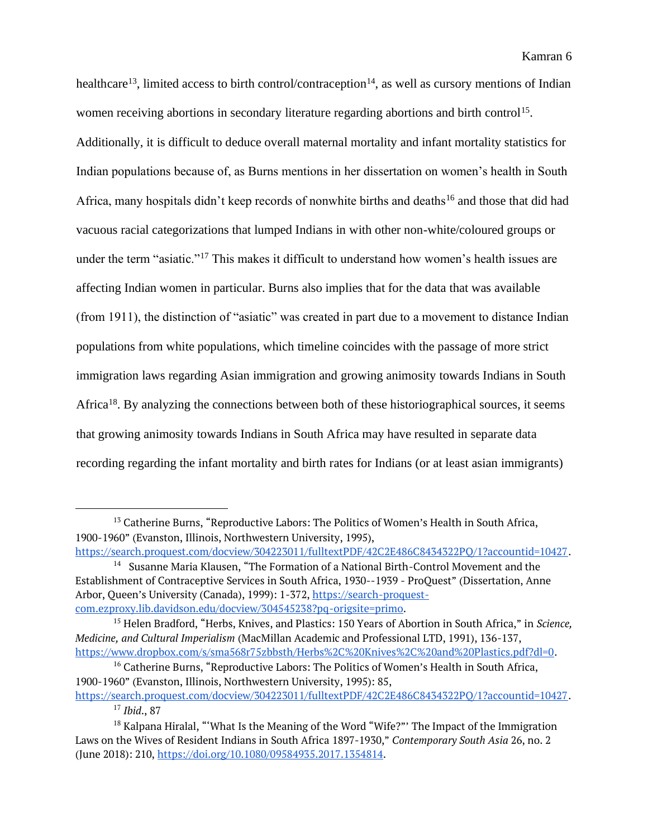healthcare<sup>13</sup>, limited access to birth control/contraception<sup>14</sup>, as well as cursory mentions of Indian women receiving abortions in secondary literature regarding abortions and birth control<sup>15</sup>. Additionally, it is difficult to deduce overall maternal mortality and infant mortality statistics for Indian populations because of, as Burns mentions in her dissertation on women's health in South Africa, many hospitals didn't keep records of nonwhite births and deaths<sup>16</sup> and those that did had vacuous racial categorizations that lumped Indians in with other non-white/coloured groups or under the term "asiatic."<sup>17</sup> This makes it difficult to understand how women's health issues are affecting Indian women in particular. Burns also implies that for the data that was available (from 1911), the distinction of "asiatic" was created in part due to a movement to distance Indian populations from white populations, which timeline coincides with the passage of more strict immigration laws regarding Asian immigration and growing animosity towards Indians in South Africa<sup>18</sup>. By analyzing the connections between both of these historiographical sources, it seems that growing animosity towards Indians in South Africa may have resulted in separate data recording regarding the infant mortality and birth rates for Indians (or at least asian immigrants)

<sup>&</sup>lt;sup>13</sup> Catherine Burns, "Reproductive Labors: The Politics of Women's Health in South Africa, 1900-1960" (Evanston, Illinois, Northwestern University, 1995)[,](https://search.proquest.com/docview/304223011/fulltextPDF/42C2E486C8434322PQ/1?accountid=10427)

[https://search.proquest.com/docview/304223011/fulltextPDF/42C2E486C8434322PQ/1?accountid=10427.](https://search.proquest.com/docview/304223011/fulltextPDF/42C2E486C8434322PQ/1?accountid=10427) <sup>14</sup> Susanne Maria Klausen, "The Formation of a National Birth-Control Movement and the Establishment of Contraceptive Services in South Africa, 1930--1939 - ProQuest" (Dissertation, Anne Arbor, Queen's University (Canada), 1999): 1-372, [https://search-proquest](https://search-proquest-com.ezproxy.lib.davidson.edu/docview/304545238?pq-origsite=primo)[com.ezproxy.lib.davidson.edu/docview/304545238?pq-origsite=primo.](https://search-proquest-com.ezproxy.lib.davidson.edu/docview/304545238?pq-origsite=primo)

<sup>15</sup> Helen Bradford, "Herbs, Knives, and Plastics: 150 Years of Abortion in South Africa," in *Science, Medicine, and Cultural Imperialism* (MacMillan Academic and Professional LTD, 1991), 136-137[,](https://www.dropbox.com/s/sma568r75zbbsth/Herbs%2C%20Knives%2C%20and%20Plastics.pdf?dl=0) [https://www.dropbox.com/s/sma568r75zbbsth/Herbs%2C%20Knives%2C%20and%20Plastics.pdf?dl=0.](https://www.dropbox.com/s/sma568r75zbbsth/Herbs%2C%20Knives%2C%20and%20Plastics.pdf?dl=0)

<sup>&</sup>lt;sup>16</sup> Catherine Burns, "Reproductive Labors: The Politics of Women's Health in South Africa, 1900-1960" (Evanston, Illinois, Northwestern University, 1995): 85,

[https://search.proquest.com/docview/304223011/fulltextPDF/42C2E486C8434322PQ/1?accountid=10427.](https://search.proquest.com/docview/304223011/fulltextPDF/42C2E486C8434322PQ/1?accountid=10427) <sup>17</sup> *Ibid*., 87

 $18$  Kalpana Hiralal, "What Is the Meaning of the Word "Wife?" The Impact of the Immigration Laws on the Wives of Resident Indians in South Africa 1897-1930," *Contemporary South Asia* 26, no. 2 (June 2018): 210[,](https://doi.org/10.1080/09584935.2017.1354814) [https://doi.org/10.1080/09584935.2017.1354814.](https://doi.org/10.1080/09584935.2017.1354814)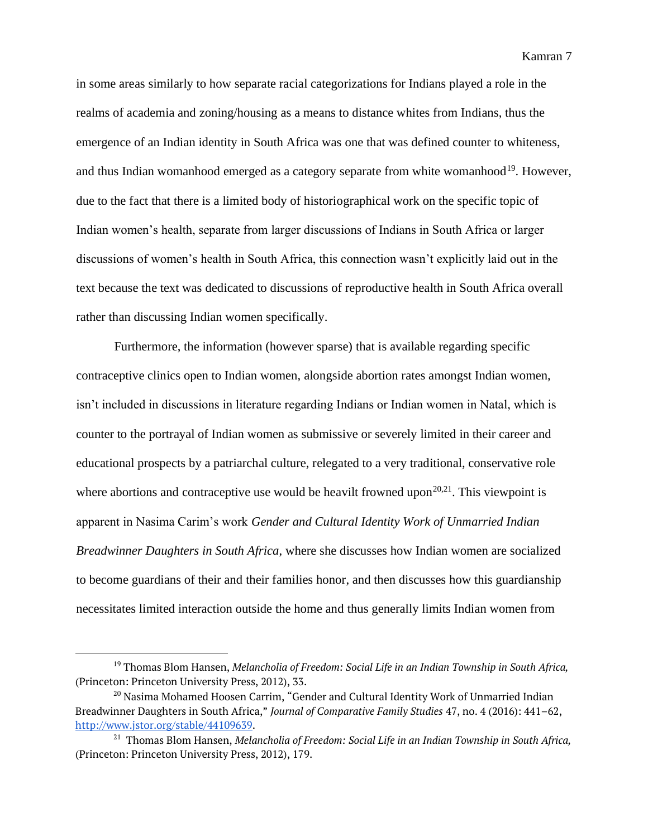in some areas similarly to how separate racial categorizations for Indians played a role in the realms of academia and zoning/housing as a means to distance whites from Indians, thus the emergence of an Indian identity in South Africa was one that was defined counter to whiteness, and thus Indian womanhood emerged as a category separate from white womanhood<sup>19</sup>. However, due to the fact that there is a limited body of historiographical work on the specific topic of Indian women's health, separate from larger discussions of Indians in South Africa or larger discussions of women's health in South Africa, this connection wasn't explicitly laid out in the text because the text was dedicated to discussions of reproductive health in South Africa overall rather than discussing Indian women specifically.

Furthermore, the information (however sparse) that is available regarding specific contraceptive clinics open to Indian women, alongside abortion rates amongst Indian women, isn't included in discussions in literature regarding Indians or Indian women in Natal, which is counter to the portrayal of Indian women as submissive or severely limited in their career and educational prospects by a patriarchal culture, relegated to a very traditional, conservative role where abortions and contraceptive use would be heavilt frowned upon<sup>20,21</sup>. This viewpoint is apparent in Nasima Carim's work *Gender and Cultural Identity Work of Unmarried Indian Breadwinner Daughters in South Africa*, where she discusses how Indian women are socialized to become guardians of their and their families honor, and then discusses how this guardianship necessitates limited interaction outside the home and thus generally limits Indian women from

<sup>19</sup> Thomas Blom Hansen, *Melancholia of Freedom: Social Life in an Indian Township in South Africa,*  (Princeton: Princeton University Press, 2012), 33.

<sup>&</sup>lt;sup>20</sup> Nasima Mohamed Hoosen Carrim, "Gender and Cultural Identity Work of Unmarried Indian Breadwinner Daughters in South Africa," *Journal of Comparative Family Studies* 47, no. 4 (2016): 441–62[,](http://www.jstor.org/stable/44109639) [http://www.jstor.org/stable/44109639.](http://www.jstor.org/stable/44109639)

<sup>&</sup>lt;sup>21</sup> Thomas Blom Hansen, *Melancholia of Freedom: Social Life in an Indian Township in South Africa,* (Princeton: Princeton University Press, 2012), 179.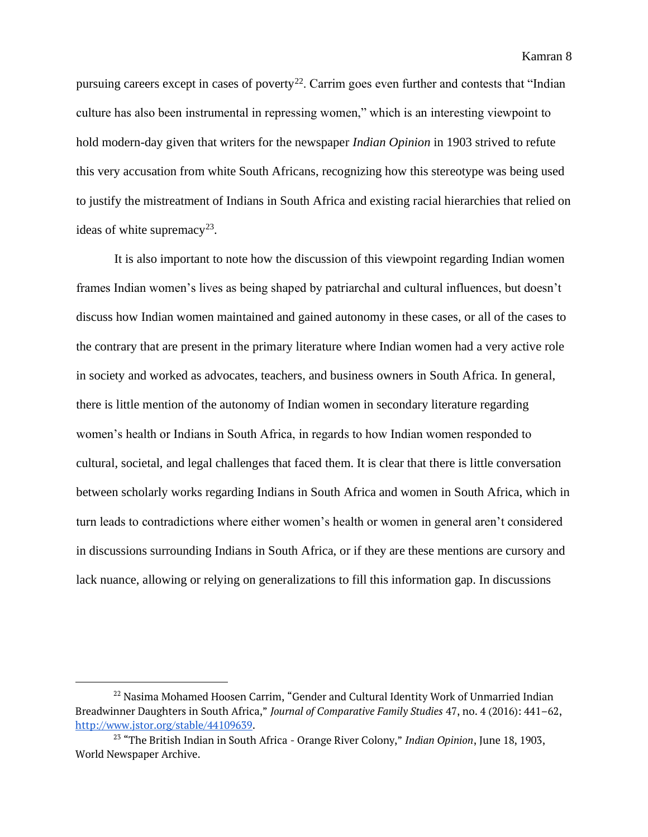pursuing careers except in cases of poverty<sup>22</sup>. Carrim goes even further and contests that "Indian culture has also been instrumental in repressing women," which is an interesting viewpoint to hold modern-day given that writers for the newspaper *Indian Opinion* in 1903 strived to refute this very accusation from white South Africans, recognizing how this stereotype was being used to justify the mistreatment of Indians in South Africa and existing racial hierarchies that relied on ideas of white supremacy<sup>23</sup>.

It is also important to note how the discussion of this viewpoint regarding Indian women frames Indian women's lives as being shaped by patriarchal and cultural influences, but doesn't discuss how Indian women maintained and gained autonomy in these cases, or all of the cases to the contrary that are present in the primary literature where Indian women had a very active role in society and worked as advocates, teachers, and business owners in South Africa. In general, there is little mention of the autonomy of Indian women in secondary literature regarding women's health or Indians in South Africa, in regards to how Indian women responded to cultural, societal, and legal challenges that faced them. It is clear that there is little conversation between scholarly works regarding Indians in South Africa and women in South Africa, which in turn leads to contradictions where either women's health or women in general aren't considered in discussions surrounding Indians in South Africa, or if they are these mentions are cursory and lack nuance, allowing or relying on generalizations to fill this information gap. In discussions

<sup>&</sup>lt;sup>22</sup> Nasima Mohamed Hoosen Carrim, "Gender and Cultural Identity Work of Unmarried Indian Breadwinner Daughters in South Africa," *Journal of Comparative Family Studies* 47, no. 4 (2016): 441–62[,](http://www.jstor.org/stable/44109639) [http://www.jstor.org/stable/44109639.](http://www.jstor.org/stable/44109639)

<sup>23</sup> "The British Indian in South Africa - Orange River Colony," *Indian Opinion*, June 18, 1903, World Newspaper Archive.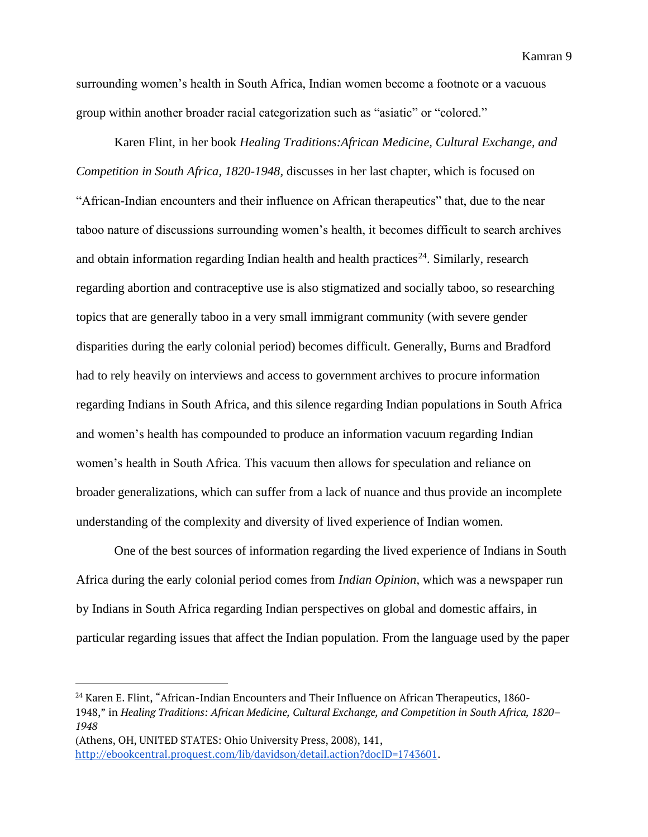surrounding women's health in South Africa, Indian women become a footnote or a vacuous group within another broader racial categorization such as "asiatic" or "colored."

Karen Flint, in her book *Healing Traditions:African Medicine, Cultural Exchange, and Competition in South Africa, 1820-1948,* discusses in her last chapter, which is focused on "African-Indian encounters and their influence on African therapeutics" that, due to the near taboo nature of discussions surrounding women's health, it becomes difficult to search archives and obtain information regarding Indian health and health practices<sup>24</sup>. Similarly, research regarding abortion and contraceptive use is also stigmatized and socially taboo, so researching topics that are generally taboo in a very small immigrant community (with severe gender disparities during the early colonial period) becomes difficult. Generally, Burns and Bradford had to rely heavily on interviews and access to government archives to procure information regarding Indians in South Africa, and this silence regarding Indian populations in South Africa and women's health has compounded to produce an information vacuum regarding Indian women's health in South Africa. This vacuum then allows for speculation and reliance on broader generalizations, which can suffer from a lack of nuance and thus provide an incomplete understanding of the complexity and diversity of lived experience of Indian women.

One of the best sources of information regarding the lived experience of Indians in South Africa during the early colonial period comes from *Indian Opinion*, which was a newspaper run by Indians in South Africa regarding Indian perspectives on global and domestic affairs, in particular regarding issues that affect the Indian population. From the language used by the paper

<sup>&</sup>lt;sup>24</sup> Karen E. Flint, "African-Indian Encounters and Their Influence on African Therapeutics, 1860-1948," in *Healing Traditions: African Medicine, Cultural Exchange, and Competition in South Africa, 1820– 1948*

<sup>(</sup>Athens, OH, UNITED STATES: Ohio University Press, 2008), 141[,](http://ebookcentral.proquest.com/lib/davidson/detail.action?docID=1743601) [http://ebookcentral.proquest.com/lib/davidson/detail.action?docID=1743601.](http://ebookcentral.proquest.com/lib/davidson/detail.action?docID=1743601)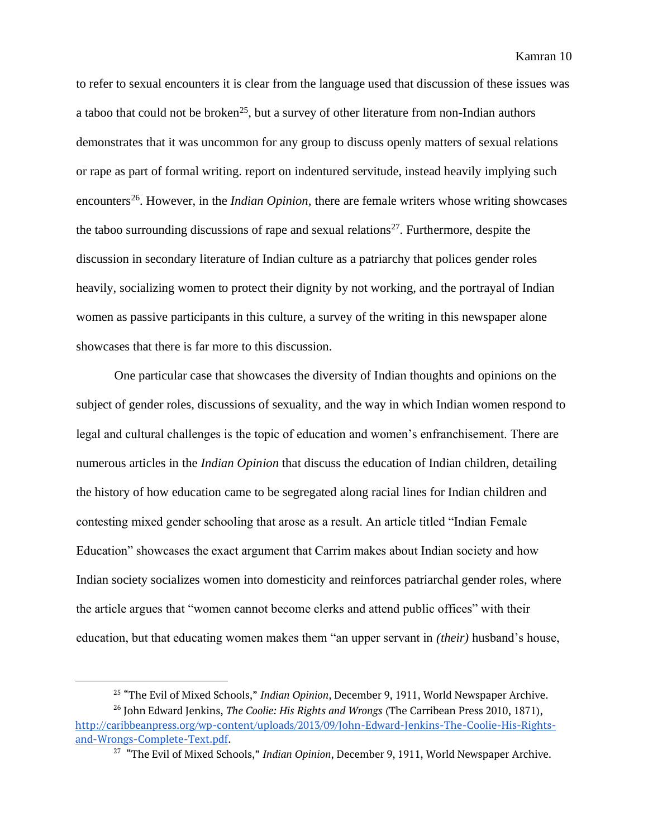to refer to sexual encounters it is clear from the language used that discussion of these issues was a taboo that could not be broken<sup>25</sup>, but a survey of other literature from non-Indian authors demonstrates that it was uncommon for any group to discuss openly matters of sexual relations or rape as part of formal writing. report on indentured servitude, instead heavily implying such encounters<sup>26</sup>. However, in the *Indian Opinion*, there are female writers whose writing showcases the taboo surrounding discussions of rape and sexual relations<sup>27</sup>. Furthermore, despite the discussion in secondary literature of Indian culture as a patriarchy that polices gender roles heavily, socializing women to protect their dignity by not working, and the portrayal of Indian women as passive participants in this culture, a survey of the writing in this newspaper alone showcases that there is far more to this discussion.

One particular case that showcases the diversity of Indian thoughts and opinions on the subject of gender roles, discussions of sexuality, and the way in which Indian women respond to legal and cultural challenges is the topic of education and women's enfranchisement. There are numerous articles in the *Indian Opinion* that discuss the education of Indian children, detailing the history of how education came to be segregated along racial lines for Indian children and contesting mixed gender schooling that arose as a result. An article titled "Indian Female Education" showcases the exact argument that Carrim makes about Indian society and how Indian society socializes women into domesticity and reinforces patriarchal gender roles, where the article argues that "women cannot become clerks and attend public offices" with their education, but that educating women makes them "an upper servant in *(their)* husband's house,

<sup>25</sup> "The Evil of Mixed Schools," *Indian Opinion*, December 9, 1911, World Newspaper Archive.

<sup>26</sup> John Edward Jenkins, *The Coolie: His Rights and Wrongs* (The Carribean Press 2010, 1871)[,](http://caribbeanpress.org/wp-content/uploads/2013/09/John-Edward-Jenkins-The-Coolie-His-Rights-and-Wrongs-Complete-Text.pdf) [http://caribbeanpress.org/wp-content/uploads/2013/09/John-Edward-Jenkins-The-Coolie-His-Rights](http://caribbeanpress.org/wp-content/uploads/2013/09/John-Edward-Jenkins-The-Coolie-His-Rights-and-Wrongs-Complete-Text.pdf)[and-Wrongs-Complete-Text.pdf.](http://caribbeanpress.org/wp-content/uploads/2013/09/John-Edward-Jenkins-The-Coolie-His-Rights-and-Wrongs-Complete-Text.pdf)

<sup>27</sup> "The Evil of Mixed Schools," *Indian Opinion*, December 9, 1911, World Newspaper Archive.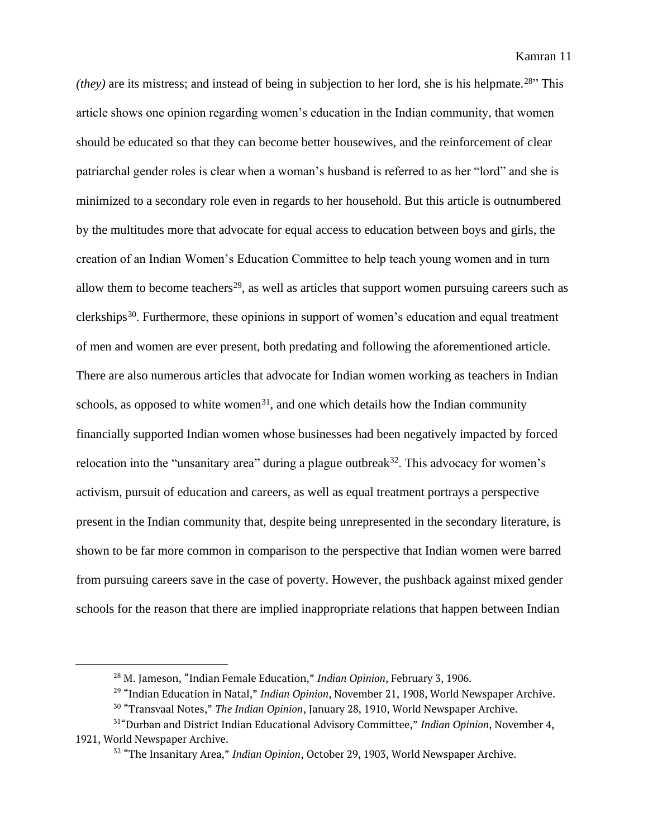*(they)* are its mistress; and instead of being in subjection to her lord, she is his helpmate.<sup>28"</sup> This article shows one opinion regarding women's education in the Indian community, that women should be educated so that they can become better housewives, and the reinforcement of clear patriarchal gender roles is clear when a woman's husband is referred to as her "lord" and she is minimized to a secondary role even in regards to her household. But this article is outnumbered by the multitudes more that advocate for equal access to education between boys and girls, the creation of an Indian Women's Education Committee to help teach young women and in turn allow them to become teachers<sup>29</sup>, as well as articles that support women pursuing careers such as clerkships<sup>30</sup>. Furthermore, these opinions in support of women's education and equal treatment of men and women are ever present, both predating and following the aforementioned article. There are also numerous articles that advocate for Indian women working as teachers in Indian schools, as opposed to white women<sup>31</sup>, and one which details how the Indian community financially supported Indian women whose businesses had been negatively impacted by forced relocation into the "unsanitary area" during a plague outbreak $32$ . This advocacy for women's activism, pursuit of education and careers, as well as equal treatment portrays a perspective present in the Indian community that, despite being unrepresented in the secondary literature, is shown to be far more common in comparison to the perspective that Indian women were barred from pursuing careers save in the case of poverty. However, the pushback against mixed gender schools for the reason that there are implied inappropriate relations that happen between Indian

<sup>28</sup> M. Jameson, "Indian Female Education," *Indian Opinion*, February 3, 1906.

<sup>29</sup> "Indian Education in Natal," *Indian Opinion*, November 21, 1908, World Newspaper Archive.

<sup>30</sup> "Transvaal Notes," *The Indian Opinion*, January 28, 1910, World Newspaper Archive.

<sup>31</sup>"Durban and District Indian Educational Advisory Committee," *Indian Opinion*, November 4, 1921, World Newspaper Archive.

<sup>32</sup> "The Insanitary Area," *Indian Opinion*, October 29, 1903, World Newspaper Archive.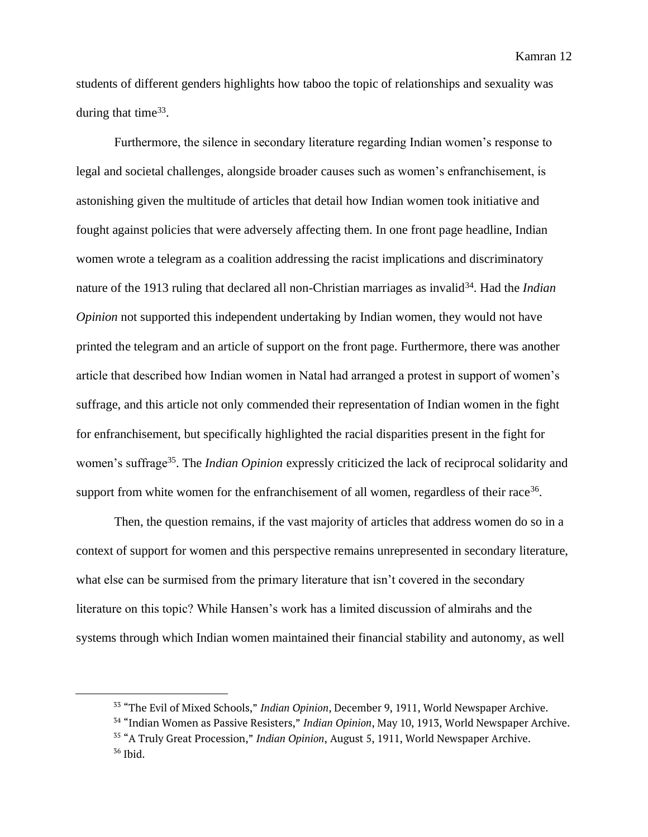students of different genders highlights how taboo the topic of relationships and sexuality was during that time $33$ .

Furthermore, the silence in secondary literature regarding Indian women's response to legal and societal challenges, alongside broader causes such as women's enfranchisement, is astonishing given the multitude of articles that detail how Indian women took initiative and fought against policies that were adversely affecting them. In one front page headline, Indian women wrote a telegram as a coalition addressing the racist implications and discriminatory nature of the 1913 ruling that declared all non-Christian marriages as invalid<sup>34</sup>. Had the *Indian Opinion* not supported this independent undertaking by Indian women, they would not have printed the telegram and an article of support on the front page. Furthermore, there was another article that described how Indian women in Natal had arranged a protest in support of women's suffrage, and this article not only commended their representation of Indian women in the fight for enfranchisement, but specifically highlighted the racial disparities present in the fight for women's suffrage<sup>35</sup>. The *Indian Opinion* expressly criticized the lack of reciprocal solidarity and support from white women for the enfranchisement of all women, regardless of their race<sup>36</sup>.

Then, the question remains, if the vast majority of articles that address women do so in a context of support for women and this perspective remains unrepresented in secondary literature, what else can be surmised from the primary literature that isn't covered in the secondary literature on this topic? While Hansen's work has a limited discussion of almirahs and the systems through which Indian women maintained their financial stability and autonomy, as well

<sup>33</sup> "The Evil of Mixed Schools," *Indian Opinion*, December 9, 1911, World Newspaper Archive.

<sup>34</sup> "Indian Women as Passive Resisters," *Indian Opinion*, May 10, 1913, World Newspaper Archive.

<sup>35</sup> "A Truly Great Procession," *Indian Opinion*, August 5, 1911, World Newspaper Archive.  $36$  Ibid.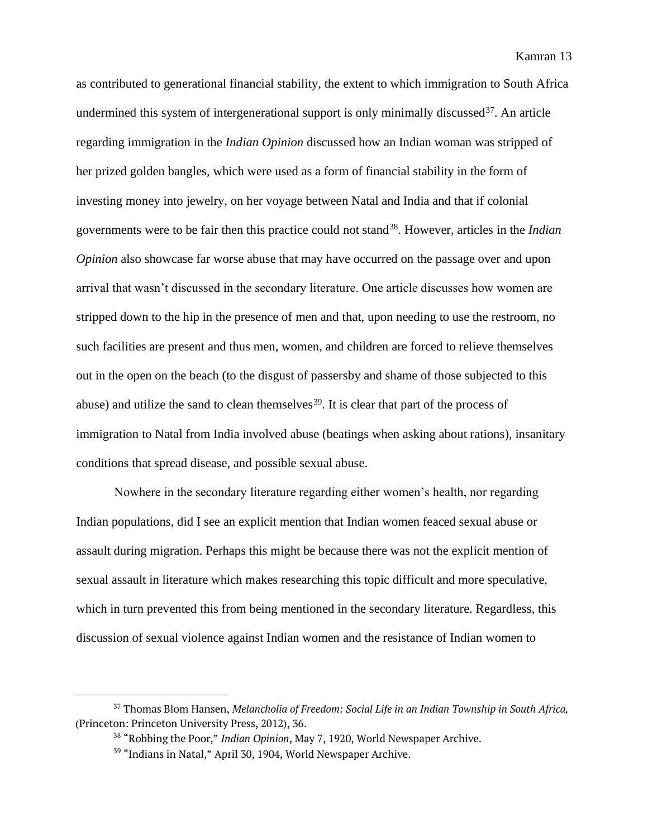as contributed to generational financial stability, the extent to which immigration to South Africa undermined this system of intergenerational support is only minimally discussed  $37$ . An article regarding immigration in the *Indian Opinion* discussed how an Indian woman was stripped of her prized golden bangles, which were used as a form of financial stability in the form of investing money into jewelry, on her voyage between Natal and India and that if colonial governments were to be fair then this practice could not stand<sup>38</sup>. However, articles in the *Indian Opinion* also showcase far worse abuse that may have occurred on the passage over and upon arrival that wasn't discussed in the secondary literature. One article discusses how women are stripped down to the hip in the presence of men and that, upon needing to use the restroom, no such facilities are present and thus men, women, and children are forced to relieve themselves out in the open on the beach (to the disgust of passersby and shame of those subjected to this abuse) and utilize the sand to clean themselves<sup>39</sup>. It is clear that part of the process of immigration to Natal from India involved abuse (beatings when asking about rations), insanitary conditions that spread disease, and possible sexual abuse.

Nowhere in the secondary literature regarding either women's health, nor regarding Indian populations, did I see an explicit mention that Indian women feaced sexual abuse or assault during migration. Perhaps this might be because there was not the explicit mention of sexual assault in literature which makes researching this topic difficult and more speculative, which in turn prevented this from being mentioned in the secondary literature. Regardless, this discussion of sexual violence against Indian women and the resistance of Indian women to

<sup>37</sup> Thomas Blom Hansen, *Melancholia of Freedom: Social Life in an Indian Township in South Africa,*  (Princeton: Princeton University Press, 2012), 36.

<sup>38</sup> "Robbing the Poor," *Indian Opinion*, May 7, 1920, World Newspaper Archive.

<sup>39</sup> "Indians in Natal," April 30, 1904, World Newspaper Archive.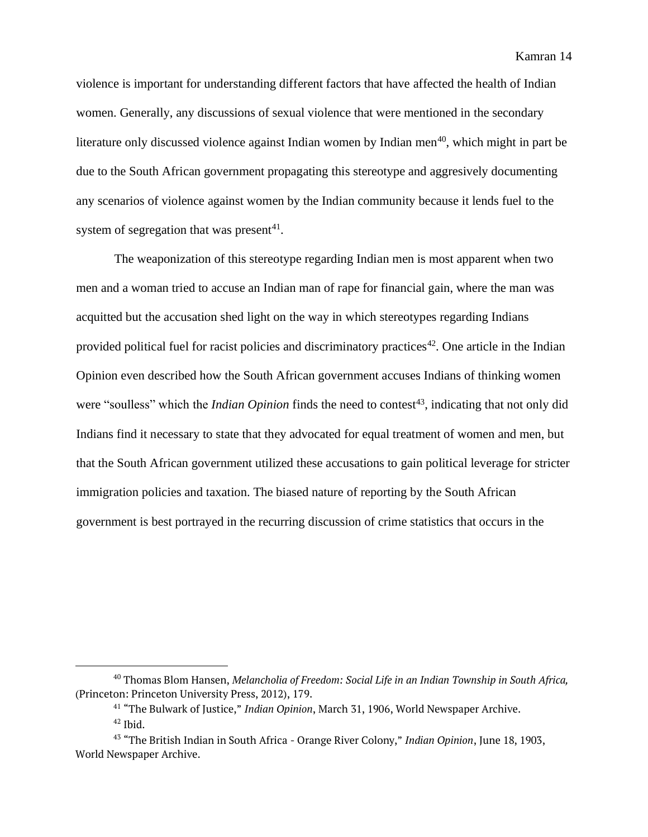violence is important for understanding different factors that have affected the health of Indian women. Generally, any discussions of sexual violence that were mentioned in the secondary literature only discussed violence against Indian women by Indian men<sup>40</sup>, which might in part be due to the South African government propagating this stereotype and aggresively documenting any scenarios of violence against women by the Indian community because it lends fuel to the system of segregation that was present $41$ .

The weaponization of this stereotype regarding Indian men is most apparent when two men and a woman tried to accuse an Indian man of rape for financial gain, where the man was acquitted but the accusation shed light on the way in which stereotypes regarding Indians provided political fuel for racist policies and discriminatory practices<sup>42</sup>. One article in the Indian Opinion even described how the South African government accuses Indians of thinking women were "soulless" which the *Indian Opinion* finds the need to contest<sup>43</sup>, indicating that not only did Indians find it necessary to state that they advocated for equal treatment of women and men, but that the South African government utilized these accusations to gain political leverage for stricter immigration policies and taxation. The biased nature of reporting by the South African government is best portrayed in the recurring discussion of crime statistics that occurs in the

<sup>40</sup> Thomas Blom Hansen, *Melancholia of Freedom: Social Life in an Indian Township in South Africa,*  (Princeton: Princeton University Press, 2012), 179.

<sup>41</sup> "The Bulwark of Justice," *Indian Opinion*, March 31, 1906, World Newspaper Archive.  $42$  Ibid.

<sup>43</sup> "The British Indian in South Africa - Orange River Colony," *Indian Opinion*, June 18, 1903, World Newspaper Archive.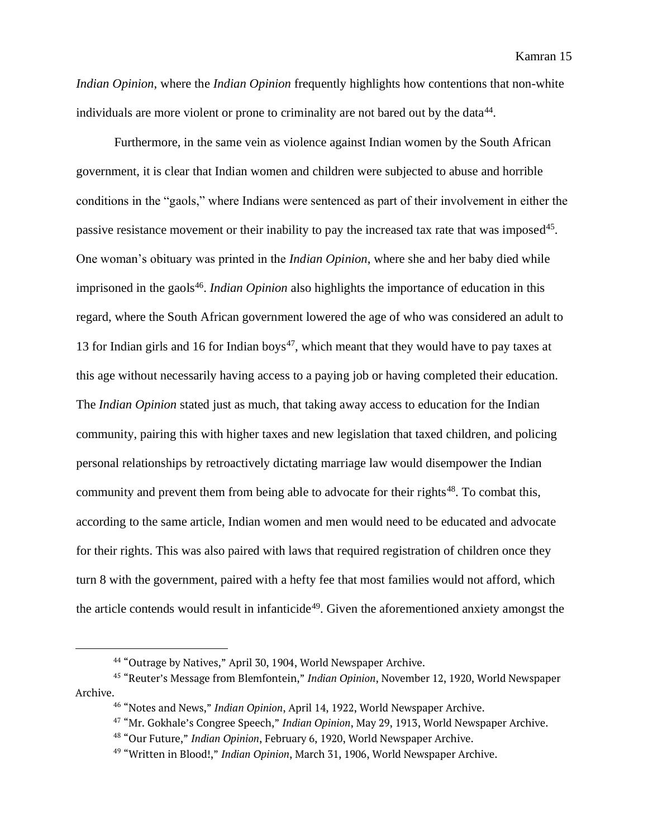*Indian Opinion*, where the *Indian Opinion* frequently highlights how contentions that non-white individuals are more violent or prone to criminality are not bared out by the data<sup>44</sup>.

Furthermore, in the same vein as violence against Indian women by the South African government, it is clear that Indian women and children were subjected to abuse and horrible conditions in the "gaols," where Indians were sentenced as part of their involvement in either the passive resistance movement or their inability to pay the increased tax rate that was imposed<sup>45</sup>. One woman's obituary was printed in the *Indian Opinion*, where she and her baby died while imprisoned in the gaols<sup>46</sup>. *Indian Opinion* also highlights the importance of education in this regard, where the South African government lowered the age of who was considered an adult to 13 for Indian girls and 16 for Indian boys<sup>47</sup>, which meant that they would have to pay taxes at this age without necessarily having access to a paying job or having completed their education. The *Indian Opinion* stated just as much, that taking away access to education for the Indian community, pairing this with higher taxes and new legislation that taxed children, and policing personal relationships by retroactively dictating marriage law would disempower the Indian community and prevent them from being able to advocate for their rights<sup>48</sup>. To combat this, according to the same article, Indian women and men would need to be educated and advocate for their rights. This was also paired with laws that required registration of children once they turn 8 with the government, paired with a hefty fee that most families would not afford, which the article contends would result in infanticide<sup>49</sup>. Given the aforementioned anxiety amongst the

<sup>&</sup>lt;sup>44</sup> "Outrage by Natives," April 30, 1904, World Newspaper Archive.

<sup>45</sup> "Reuter's Message from Blemfontein," *Indian Opinion*, November 12, 1920, World Newspaper Archive.

<sup>46</sup> "Notes and News," *Indian Opinion*, April 14, 1922, World Newspaper Archive.

<sup>47</sup> "Mr. Gokhale's Congree Speech," *Indian Opinion*, May 29, 1913, World Newspaper Archive.

<sup>48</sup> "Our Future," *Indian Opinion*, February 6, 1920, World Newspaper Archive.

<sup>49</sup> "Written in Blood!," *Indian Opinion*, March 31, 1906, World Newspaper Archive.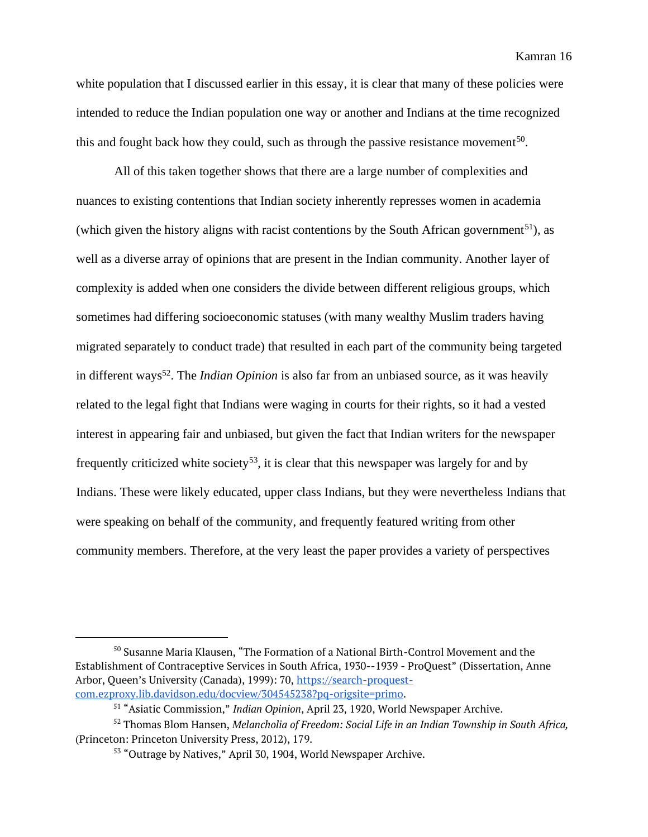white population that I discussed earlier in this essay, it is clear that many of these policies were intended to reduce the Indian population one way or another and Indians at the time recognized this and fought back how they could, such as through the passive resistance movement<sup>50</sup>.

All of this taken together shows that there are a large number of complexities and nuances to existing contentions that Indian society inherently represses women in academia (which given the history aligns with racist contentions by the South African government<sup>51</sup>), as well as a diverse array of opinions that are present in the Indian community. Another layer of complexity is added when one considers the divide between different religious groups, which sometimes had differing socioeconomic statuses (with many wealthy Muslim traders having migrated separately to conduct trade) that resulted in each part of the community being targeted in different ways<sup>52</sup>. The *Indian Opinion* is also far from an unbiased source, as it was heavily related to the legal fight that Indians were waging in courts for their rights, so it had a vested interest in appearing fair and unbiased, but given the fact that Indian writers for the newspaper frequently criticized white society<sup>53</sup>, it is clear that this newspaper was largely for and by Indians. These were likely educated, upper class Indians, but they were nevertheless Indians that were speaking on behalf of the community, and frequently featured writing from other community members. Therefore, at the very least the paper provides a variety of perspectives

<sup>50</sup> Susanne Maria Klausen, "The Formation of a National Birth-Control Movement and the Establishment of Contraceptive Services in South Africa, 1930--1939 - ProQuest" (Dissertation, Anne Arbor, Queen's University (Canada), 1999): 70, [https://search-proquest](https://search-proquest-com.ezproxy.lib.davidson.edu/docview/304545238?pq-origsite=primo)[com.ezproxy.lib.davidson.edu/docview/304545238?pq-origsite=primo.](https://search-proquest-com.ezproxy.lib.davidson.edu/docview/304545238?pq-origsite=primo)

<sup>51</sup> "Asiatic Commission," *Indian Opinion*, April 23, 1920, World Newspaper Archive.

<sup>52</sup> Thomas Blom Hansen, *Melancholia of Freedom: Social Life in an Indian Township in South Africa,*  (Princeton: Princeton University Press, 2012), 179.

<sup>53</sup> "Outrage by Natives," April 30, 1904, World Newspaper Archive.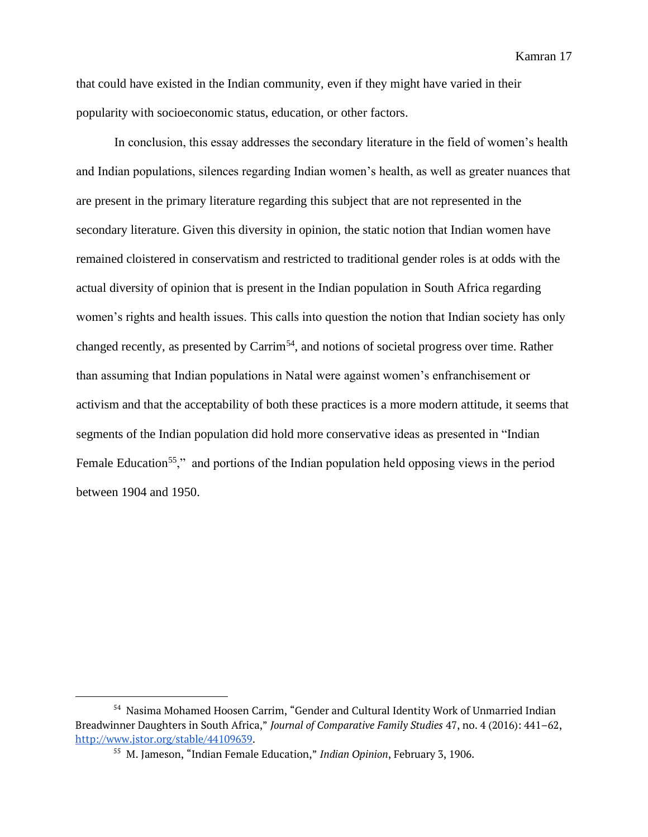that could have existed in the Indian community, even if they might have varied in their popularity with socioeconomic status, education, or other factors.

In conclusion, this essay addresses the secondary literature in the field of women's health and Indian populations, silences regarding Indian women's health, as well as greater nuances that are present in the primary literature regarding this subject that are not represented in the secondary literature. Given this diversity in opinion, the static notion that Indian women have remained cloistered in conservatism and restricted to traditional gender roles is at odds with the actual diversity of opinion that is present in the Indian population in South Africa regarding women's rights and health issues. This calls into question the notion that Indian society has only changed recently, as presented by Carrim<sup>54</sup>, and notions of societal progress over time. Rather than assuming that Indian populations in Natal were against women's enfranchisement or activism and that the acceptability of both these practices is a more modern attitude, it seems that segments of the Indian population did hold more conservative ideas as presented in "Indian Female Education<sup>55</sup>," and portions of the Indian population held opposing views in the period between 1904 and 1950.

<sup>&</sup>lt;sup>54</sup> Nasima Mohamed Hoosen Carrim, "Gender and Cultural Identity Work of Unmarried Indian Breadwinner Daughters in South Africa," *Journal of Comparative Family Studies* 47, no. 4 (2016): 441–62[,](http://www.jstor.org/stable/44109639) [http://www.jstor.org/stable/44109639.](http://www.jstor.org/stable/44109639)

<sup>55</sup> M. Jameson, "Indian Female Education," *Indian Opinion*, February 3, 1906.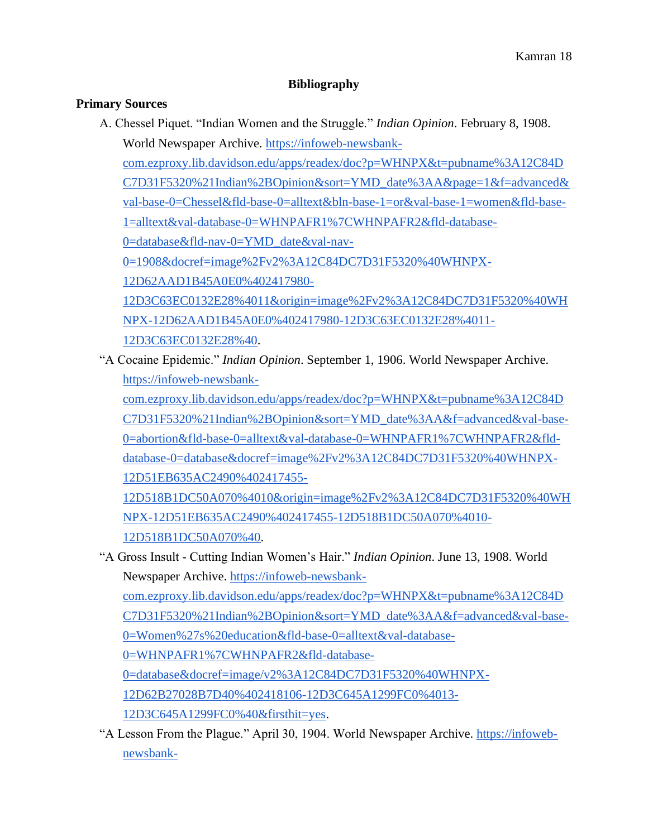### **Bibliography**

#### **Primary Sources**

- A. Chessel Piquet. "Indian Women and the Struggle." *Indian Opinion*. February 8, 1908. World Newspaper Archive. [https://infoweb-newsbank](https://infoweb-newsbank-com.ezproxy.lib.davidson.edu/apps/readex/doc?p=WHNPX&t=pubname%3A12C84DC7D31F5320%21Indian%2BOpinion&sort=YMD_date%3AA&page=1&f=advanced&val-base-0=Chessel&fld-base-0=alltext&bln-base-1=or&val-base-1=women&fld-base-1=alltext&val-database-0=WHNPAFR1%7CWHNPAFR2&fld-database-0=database&fld-nav-0=YMD_date&val-nav-0=1908&docref=image%2Fv2%3A12C84DC7D31F5320%40WHNPX-12D62AAD1B45A0E0%402417980-12D3C63EC0132E28%4011&origin=image%2Fv2%3A12C84DC7D31F5320%40WHNPX-12D62AAD1B45A0E0%402417980-12D3C63EC0132E28%4011-12D3C63EC0132E28%40)[com.ezproxy.lib.davidson.edu/apps/readex/doc?p=WHNPX&t=pubname%3A12C84D](https://infoweb-newsbank-com.ezproxy.lib.davidson.edu/apps/readex/doc?p=WHNPX&t=pubname%3A12C84DC7D31F5320%21Indian%2BOpinion&sort=YMD_date%3AA&page=1&f=advanced&val-base-0=Chessel&fld-base-0=alltext&bln-base-1=or&val-base-1=women&fld-base-1=alltext&val-database-0=WHNPAFR1%7CWHNPAFR2&fld-database-0=database&fld-nav-0=YMD_date&val-nav-0=1908&docref=image%2Fv2%3A12C84DC7D31F5320%40WHNPX-12D62AAD1B45A0E0%402417980-12D3C63EC0132E28%4011&origin=image%2Fv2%3A12C84DC7D31F5320%40WHNPX-12D62AAD1B45A0E0%402417980-12D3C63EC0132E28%4011-12D3C63EC0132E28%40) [C7D31F5320%21Indian%2BOpinion&sort=YMD\\_date%3AA&page=1&f=advanced&](https://infoweb-newsbank-com.ezproxy.lib.davidson.edu/apps/readex/doc?p=WHNPX&t=pubname%3A12C84DC7D31F5320%21Indian%2BOpinion&sort=YMD_date%3AA&page=1&f=advanced&val-base-0=Chessel&fld-base-0=alltext&bln-base-1=or&val-base-1=women&fld-base-1=alltext&val-database-0=WHNPAFR1%7CWHNPAFR2&fld-database-0=database&fld-nav-0=YMD_date&val-nav-0=1908&docref=image%2Fv2%3A12C84DC7D31F5320%40WHNPX-12D62AAD1B45A0E0%402417980-12D3C63EC0132E28%4011&origin=image%2Fv2%3A12C84DC7D31F5320%40WHNPX-12D62AAD1B45A0E0%402417980-12D3C63EC0132E28%4011-12D3C63EC0132E28%40) [val-base-0=Chessel&fld-base-0=alltext&bln-base-1=or&val-base-1=women&fld-base-](https://infoweb-newsbank-com.ezproxy.lib.davidson.edu/apps/readex/doc?p=WHNPX&t=pubname%3A12C84DC7D31F5320%21Indian%2BOpinion&sort=YMD_date%3AA&page=1&f=advanced&val-base-0=Chessel&fld-base-0=alltext&bln-base-1=or&val-base-1=women&fld-base-1=alltext&val-database-0=WHNPAFR1%7CWHNPAFR2&fld-database-0=database&fld-nav-0=YMD_date&val-nav-0=1908&docref=image%2Fv2%3A12C84DC7D31F5320%40WHNPX-12D62AAD1B45A0E0%402417980-12D3C63EC0132E28%4011&origin=image%2Fv2%3A12C84DC7D31F5320%40WHNPX-12D62AAD1B45A0E0%402417980-12D3C63EC0132E28%4011-12D3C63EC0132E28%40)[1=alltext&val-database-0=WHNPAFR1%7CWHNPAFR2&fld-database-](https://infoweb-newsbank-com.ezproxy.lib.davidson.edu/apps/readex/doc?p=WHNPX&t=pubname%3A12C84DC7D31F5320%21Indian%2BOpinion&sort=YMD_date%3AA&page=1&f=advanced&val-base-0=Chessel&fld-base-0=alltext&bln-base-1=or&val-base-1=women&fld-base-1=alltext&val-database-0=WHNPAFR1%7CWHNPAFR2&fld-database-0=database&fld-nav-0=YMD_date&val-nav-0=1908&docref=image%2Fv2%3A12C84DC7D31F5320%40WHNPX-12D62AAD1B45A0E0%402417980-12D3C63EC0132E28%4011&origin=image%2Fv2%3A12C84DC7D31F5320%40WHNPX-12D62AAD1B45A0E0%402417980-12D3C63EC0132E28%4011-12D3C63EC0132E28%40)[0=database&fld-nav-0=YMD\\_date&val-nav-](https://infoweb-newsbank-com.ezproxy.lib.davidson.edu/apps/readex/doc?p=WHNPX&t=pubname%3A12C84DC7D31F5320%21Indian%2BOpinion&sort=YMD_date%3AA&page=1&f=advanced&val-base-0=Chessel&fld-base-0=alltext&bln-base-1=or&val-base-1=women&fld-base-1=alltext&val-database-0=WHNPAFR1%7CWHNPAFR2&fld-database-0=database&fld-nav-0=YMD_date&val-nav-0=1908&docref=image%2Fv2%3A12C84DC7D31F5320%40WHNPX-12D62AAD1B45A0E0%402417980-12D3C63EC0132E28%4011&origin=image%2Fv2%3A12C84DC7D31F5320%40WHNPX-12D62AAD1B45A0E0%402417980-12D3C63EC0132E28%4011-12D3C63EC0132E28%40)[0=1908&docref=image%2Fv2%3A12C84DC7D31F5320%40WHNPX-](https://infoweb-newsbank-com.ezproxy.lib.davidson.edu/apps/readex/doc?p=WHNPX&t=pubname%3A12C84DC7D31F5320%21Indian%2BOpinion&sort=YMD_date%3AA&page=1&f=advanced&val-base-0=Chessel&fld-base-0=alltext&bln-base-1=or&val-base-1=women&fld-base-1=alltext&val-database-0=WHNPAFR1%7CWHNPAFR2&fld-database-0=database&fld-nav-0=YMD_date&val-nav-0=1908&docref=image%2Fv2%3A12C84DC7D31F5320%40WHNPX-12D62AAD1B45A0E0%402417980-12D3C63EC0132E28%4011&origin=image%2Fv2%3A12C84DC7D31F5320%40WHNPX-12D62AAD1B45A0E0%402417980-12D3C63EC0132E28%4011-12D3C63EC0132E28%40)[12D62AAD1B45A0E0%402417980-](https://infoweb-newsbank-com.ezproxy.lib.davidson.edu/apps/readex/doc?p=WHNPX&t=pubname%3A12C84DC7D31F5320%21Indian%2BOpinion&sort=YMD_date%3AA&page=1&f=advanced&val-base-0=Chessel&fld-base-0=alltext&bln-base-1=or&val-base-1=women&fld-base-1=alltext&val-database-0=WHNPAFR1%7CWHNPAFR2&fld-database-0=database&fld-nav-0=YMD_date&val-nav-0=1908&docref=image%2Fv2%3A12C84DC7D31F5320%40WHNPX-12D62AAD1B45A0E0%402417980-12D3C63EC0132E28%4011&origin=image%2Fv2%3A12C84DC7D31F5320%40WHNPX-12D62AAD1B45A0E0%402417980-12D3C63EC0132E28%4011-12D3C63EC0132E28%40) [12D3C63EC0132E28%4011&origin=image%2Fv2%3A12C84DC7D31F5320%40WH](https://infoweb-newsbank-com.ezproxy.lib.davidson.edu/apps/readex/doc?p=WHNPX&t=pubname%3A12C84DC7D31F5320%21Indian%2BOpinion&sort=YMD_date%3AA&page=1&f=advanced&val-base-0=Chessel&fld-base-0=alltext&bln-base-1=or&val-base-1=women&fld-base-1=alltext&val-database-0=WHNPAFR1%7CWHNPAFR2&fld-database-0=database&fld-nav-0=YMD_date&val-nav-0=1908&docref=image%2Fv2%3A12C84DC7D31F5320%40WHNPX-12D62AAD1B45A0E0%402417980-12D3C63EC0132E28%4011&origin=image%2Fv2%3A12C84DC7D31F5320%40WHNPX-12D62AAD1B45A0E0%402417980-12D3C63EC0132E28%4011-12D3C63EC0132E28%40) [NPX-12D62AAD1B45A0E0%402417980-12D3C63EC0132E28%4011-](https://infoweb-newsbank-com.ezproxy.lib.davidson.edu/apps/readex/doc?p=WHNPX&t=pubname%3A12C84DC7D31F5320%21Indian%2BOpinion&sort=YMD_date%3AA&page=1&f=advanced&val-base-0=Chessel&fld-base-0=alltext&bln-base-1=or&val-base-1=women&fld-base-1=alltext&val-database-0=WHNPAFR1%7CWHNPAFR2&fld-database-0=database&fld-nav-0=YMD_date&val-nav-0=1908&docref=image%2Fv2%3A12C84DC7D31F5320%40WHNPX-12D62AAD1B45A0E0%402417980-12D3C63EC0132E28%4011&origin=image%2Fv2%3A12C84DC7D31F5320%40WHNPX-12D62AAD1B45A0E0%402417980-12D3C63EC0132E28%4011-12D3C63EC0132E28%40) [12D3C63EC0132E28%40.](https://infoweb-newsbank-com.ezproxy.lib.davidson.edu/apps/readex/doc?p=WHNPX&t=pubname%3A12C84DC7D31F5320%21Indian%2BOpinion&sort=YMD_date%3AA&page=1&f=advanced&val-base-0=Chessel&fld-base-0=alltext&bln-base-1=or&val-base-1=women&fld-base-1=alltext&val-database-0=WHNPAFR1%7CWHNPAFR2&fld-database-0=database&fld-nav-0=YMD_date&val-nav-0=1908&docref=image%2Fv2%3A12C84DC7D31F5320%40WHNPX-12D62AAD1B45A0E0%402417980-12D3C63EC0132E28%4011&origin=image%2Fv2%3A12C84DC7D31F5320%40WHNPX-12D62AAD1B45A0E0%402417980-12D3C63EC0132E28%4011-12D3C63EC0132E28%40)
- "A Cocaine Epidemic." *Indian Opinion*. September 1, 1906. World Newspaper Archive[.](https://infoweb-newsbank-com.ezproxy.lib.davidson.edu/apps/readex/doc?p=WHNPX&t=pubname%3A12C84DC7D31F5320%21Indian%2BOpinion&sort=YMD_date%3AA&f=advanced&val-base-0=abortion&fld-base-0=alltext&val-database-0=WHNPAFR1%7CWHNPAFR2&fld-database-0=database&docref=image%2Fv2%3A12C84DC7D31F5320%40WHNPX-12D51EB635AC2490%402417455-12D518B1DC50A070%4010&origin=image%2Fv2%3A12C84DC7D31F5320%40WHNPX-12D51EB635AC2490%402417455-12D518B1DC50A070%4010-12D518B1DC50A070%40) [https://infoweb-newsbank-](https://infoweb-newsbank-com.ezproxy.lib.davidson.edu/apps/readex/doc?p=WHNPX&t=pubname%3A12C84DC7D31F5320%21Indian%2BOpinion&sort=YMD_date%3AA&f=advanced&val-base-0=abortion&fld-base-0=alltext&val-database-0=WHNPAFR1%7CWHNPAFR2&fld-database-0=database&docref=image%2Fv2%3A12C84DC7D31F5320%40WHNPX-12D51EB635AC2490%402417455-12D518B1DC50A070%4010&origin=image%2Fv2%3A12C84DC7D31F5320%40WHNPX-12D51EB635AC2490%402417455-12D518B1DC50A070%4010-12D518B1DC50A070%40)

[com.ezproxy.lib.davidson.edu/apps/readex/doc?p=WHNPX&t=pubname%3A12C84D](https://infoweb-newsbank-com.ezproxy.lib.davidson.edu/apps/readex/doc?p=WHNPX&t=pubname%3A12C84DC7D31F5320%21Indian%2BOpinion&sort=YMD_date%3AA&f=advanced&val-base-0=abortion&fld-base-0=alltext&val-database-0=WHNPAFR1%7CWHNPAFR2&fld-database-0=database&docref=image%2Fv2%3A12C84DC7D31F5320%40WHNPX-12D51EB635AC2490%402417455-12D518B1DC50A070%4010&origin=image%2Fv2%3A12C84DC7D31F5320%40WHNPX-12D51EB635AC2490%402417455-12D518B1DC50A070%4010-12D518B1DC50A070%40) [C7D31F5320%21Indian%2BOpinion&sort=YMD\\_date%3AA&f=advanced&val-base-](https://infoweb-newsbank-com.ezproxy.lib.davidson.edu/apps/readex/doc?p=WHNPX&t=pubname%3A12C84DC7D31F5320%21Indian%2BOpinion&sort=YMD_date%3AA&f=advanced&val-base-0=abortion&fld-base-0=alltext&val-database-0=WHNPAFR1%7CWHNPAFR2&fld-database-0=database&docref=image%2Fv2%3A12C84DC7D31F5320%40WHNPX-12D51EB635AC2490%402417455-12D518B1DC50A070%4010&origin=image%2Fv2%3A12C84DC7D31F5320%40WHNPX-12D51EB635AC2490%402417455-12D518B1DC50A070%4010-12D518B1DC50A070%40)[0=abortion&fld-base-0=alltext&val-database-0=WHNPAFR1%7CWHNPAFR2&fld](https://infoweb-newsbank-com.ezproxy.lib.davidson.edu/apps/readex/doc?p=WHNPX&t=pubname%3A12C84DC7D31F5320%21Indian%2BOpinion&sort=YMD_date%3AA&f=advanced&val-base-0=abortion&fld-base-0=alltext&val-database-0=WHNPAFR1%7CWHNPAFR2&fld-database-0=database&docref=image%2Fv2%3A12C84DC7D31F5320%40WHNPX-12D51EB635AC2490%402417455-12D518B1DC50A070%4010&origin=image%2Fv2%3A12C84DC7D31F5320%40WHNPX-12D51EB635AC2490%402417455-12D518B1DC50A070%4010-12D518B1DC50A070%40)[database-0=database&docref=image%2Fv2%3A12C84DC7D31F5320%40WHNPX-](https://infoweb-newsbank-com.ezproxy.lib.davidson.edu/apps/readex/doc?p=WHNPX&t=pubname%3A12C84DC7D31F5320%21Indian%2BOpinion&sort=YMD_date%3AA&f=advanced&val-base-0=abortion&fld-base-0=alltext&val-database-0=WHNPAFR1%7CWHNPAFR2&fld-database-0=database&docref=image%2Fv2%3A12C84DC7D31F5320%40WHNPX-12D51EB635AC2490%402417455-12D518B1DC50A070%4010&origin=image%2Fv2%3A12C84DC7D31F5320%40WHNPX-12D51EB635AC2490%402417455-12D518B1DC50A070%4010-12D518B1DC50A070%40)[12D51EB635AC2490%402417455-](https://infoweb-newsbank-com.ezproxy.lib.davidson.edu/apps/readex/doc?p=WHNPX&t=pubname%3A12C84DC7D31F5320%21Indian%2BOpinion&sort=YMD_date%3AA&f=advanced&val-base-0=abortion&fld-base-0=alltext&val-database-0=WHNPAFR1%7CWHNPAFR2&fld-database-0=database&docref=image%2Fv2%3A12C84DC7D31F5320%40WHNPX-12D51EB635AC2490%402417455-12D518B1DC50A070%4010&origin=image%2Fv2%3A12C84DC7D31F5320%40WHNPX-12D51EB635AC2490%402417455-12D518B1DC50A070%4010-12D518B1DC50A070%40)

[12D518B1DC50A070%4010&origin=image%2Fv2%3A12C84DC7D31F5320%40WH](https://infoweb-newsbank-com.ezproxy.lib.davidson.edu/apps/readex/doc?p=WHNPX&t=pubname%3A12C84DC7D31F5320%21Indian%2BOpinion&sort=YMD_date%3AA&f=advanced&val-base-0=abortion&fld-base-0=alltext&val-database-0=WHNPAFR1%7CWHNPAFR2&fld-database-0=database&docref=image%2Fv2%3A12C84DC7D31F5320%40WHNPX-12D51EB635AC2490%402417455-12D518B1DC50A070%4010&origin=image%2Fv2%3A12C84DC7D31F5320%40WHNPX-12D51EB635AC2490%402417455-12D518B1DC50A070%4010-12D518B1DC50A070%40) [NPX-12D51EB635AC2490%402417455-12D518B1DC50A070%4010-](https://infoweb-newsbank-com.ezproxy.lib.davidson.edu/apps/readex/doc?p=WHNPX&t=pubname%3A12C84DC7D31F5320%21Indian%2BOpinion&sort=YMD_date%3AA&f=advanced&val-base-0=abortion&fld-base-0=alltext&val-database-0=WHNPAFR1%7CWHNPAFR2&fld-database-0=database&docref=image%2Fv2%3A12C84DC7D31F5320%40WHNPX-12D51EB635AC2490%402417455-12D518B1DC50A070%4010&origin=image%2Fv2%3A12C84DC7D31F5320%40WHNPX-12D51EB635AC2490%402417455-12D518B1DC50A070%4010-12D518B1DC50A070%40) [12D518B1DC50A070%40.](https://infoweb-newsbank-com.ezproxy.lib.davidson.edu/apps/readex/doc?p=WHNPX&t=pubname%3A12C84DC7D31F5320%21Indian%2BOpinion&sort=YMD_date%3AA&f=advanced&val-base-0=abortion&fld-base-0=alltext&val-database-0=WHNPAFR1%7CWHNPAFR2&fld-database-0=database&docref=image%2Fv2%3A12C84DC7D31F5320%40WHNPX-12D51EB635AC2490%402417455-12D518B1DC50A070%4010&origin=image%2Fv2%3A12C84DC7D31F5320%40WHNPX-12D51EB635AC2490%402417455-12D518B1DC50A070%4010-12D518B1DC50A070%40)

- "A Gross Insult Cutting Indian Women's Hair." *Indian Opinion*. June 13, 1908. World Newspaper Archive[.](https://infoweb-newsbank-com.ezproxy.lib.davidson.edu/apps/readex/doc?p=WHNPX&t=pubname%3A12C84DC7D31F5320%21Indian%2BOpinion&sort=YMD_date%3AA&f=advanced&val-base-0=Women%27s%20education&fld-base-0=alltext&val-database-0=WHNPAFR1%7CWHNPAFR2&fld-database-0=database&docref=image/v2%3A12C84DC7D31F5320%40WHNPX-12D62B27028B7D40%402418106-12D3C645A1299FC0%4013-12D3C645A1299FC0%40&firsthit=yes) [https://infoweb-newsbank](https://infoweb-newsbank-com.ezproxy.lib.davidson.edu/apps/readex/doc?p=WHNPX&t=pubname%3A12C84DC7D31F5320%21Indian%2BOpinion&sort=YMD_date%3AA&f=advanced&val-base-0=Women%27s%20education&fld-base-0=alltext&val-database-0=WHNPAFR1%7CWHNPAFR2&fld-database-0=database&docref=image/v2%3A12C84DC7D31F5320%40WHNPX-12D62B27028B7D40%402418106-12D3C645A1299FC0%4013-12D3C645A1299FC0%40&firsthit=yes)[com.ezproxy.lib.davidson.edu/apps/readex/doc?p=WHNPX&t=pubname%3A12C84D](https://infoweb-newsbank-com.ezproxy.lib.davidson.edu/apps/readex/doc?p=WHNPX&t=pubname%3A12C84DC7D31F5320%21Indian%2BOpinion&sort=YMD_date%3AA&f=advanced&val-base-0=Women%27s%20education&fld-base-0=alltext&val-database-0=WHNPAFR1%7CWHNPAFR2&fld-database-0=database&docref=image/v2%3A12C84DC7D31F5320%40WHNPX-12D62B27028B7D40%402418106-12D3C645A1299FC0%4013-12D3C645A1299FC0%40&firsthit=yes) [C7D31F5320%21Indian%2BOpinion&sort=YMD\\_date%3AA&f=advanced&val-base-](https://infoweb-newsbank-com.ezproxy.lib.davidson.edu/apps/readex/doc?p=WHNPX&t=pubname%3A12C84DC7D31F5320%21Indian%2BOpinion&sort=YMD_date%3AA&f=advanced&val-base-0=Women%27s%20education&fld-base-0=alltext&val-database-0=WHNPAFR1%7CWHNPAFR2&fld-database-0=database&docref=image/v2%3A12C84DC7D31F5320%40WHNPX-12D62B27028B7D40%402418106-12D3C645A1299FC0%4013-12D3C645A1299FC0%40&firsthit=yes)[0=Women%27s%20education&fld-base-0=alltext&val-database-](https://infoweb-newsbank-com.ezproxy.lib.davidson.edu/apps/readex/doc?p=WHNPX&t=pubname%3A12C84DC7D31F5320%21Indian%2BOpinion&sort=YMD_date%3AA&f=advanced&val-base-0=Women%27s%20education&fld-base-0=alltext&val-database-0=WHNPAFR1%7CWHNPAFR2&fld-database-0=database&docref=image/v2%3A12C84DC7D31F5320%40WHNPX-12D62B27028B7D40%402418106-12D3C645A1299FC0%4013-12D3C645A1299FC0%40&firsthit=yes)[0=WHNPAFR1%7CWHNPAFR2&fld-database-](https://infoweb-newsbank-com.ezproxy.lib.davidson.edu/apps/readex/doc?p=WHNPX&t=pubname%3A12C84DC7D31F5320%21Indian%2BOpinion&sort=YMD_date%3AA&f=advanced&val-base-0=Women%27s%20education&fld-base-0=alltext&val-database-0=WHNPAFR1%7CWHNPAFR2&fld-database-0=database&docref=image/v2%3A12C84DC7D31F5320%40WHNPX-12D62B27028B7D40%402418106-12D3C645A1299FC0%4013-12D3C645A1299FC0%40&firsthit=yes)[0=database&docref=image/v2%3A12C84DC7D31F5320%40WHNPX-](https://infoweb-newsbank-com.ezproxy.lib.davidson.edu/apps/readex/doc?p=WHNPX&t=pubname%3A12C84DC7D31F5320%21Indian%2BOpinion&sort=YMD_date%3AA&f=advanced&val-base-0=Women%27s%20education&fld-base-0=alltext&val-database-0=WHNPAFR1%7CWHNPAFR2&fld-database-0=database&docref=image/v2%3A12C84DC7D31F5320%40WHNPX-12D62B27028B7D40%402418106-12D3C645A1299FC0%4013-12D3C645A1299FC0%40&firsthit=yes)[12D62B27028B7D40%402418106-12D3C645A1299FC0%4013-](https://infoweb-newsbank-com.ezproxy.lib.davidson.edu/apps/readex/doc?p=WHNPX&t=pubname%3A12C84DC7D31F5320%21Indian%2BOpinion&sort=YMD_date%3AA&f=advanced&val-base-0=Women%27s%20education&fld-base-0=alltext&val-database-0=WHNPAFR1%7CWHNPAFR2&fld-database-0=database&docref=image/v2%3A12C84DC7D31F5320%40WHNPX-12D62B27028B7D40%402418106-12D3C645A1299FC0%4013-12D3C645A1299FC0%40&firsthit=yes) [12D3C645A1299FC0%40&firsthit=yes.](https://infoweb-newsbank-com.ezproxy.lib.davidson.edu/apps/readex/doc?p=WHNPX&t=pubname%3A12C84DC7D31F5320%21Indian%2BOpinion&sort=YMD_date%3AA&f=advanced&val-base-0=Women%27s%20education&fld-base-0=alltext&val-database-0=WHNPAFR1%7CWHNPAFR2&fld-database-0=database&docref=image/v2%3A12C84DC7D31F5320%40WHNPX-12D62B27028B7D40%402418106-12D3C645A1299FC0%4013-12D3C645A1299FC0%40&firsthit=yes)
- "A Lesson From the Plague." April 30, 1904. World Newspaper Archive[.](https://infoweb-newsbank-com.ezproxy.lib.davidson.edu/apps/readex/doc?p=WHNPX&t=pubname%3A12C84DC7D31F5320%21Indian%2BOpinion&sort=YMD_date%3AA&f=advanced&val-base-0=rape&fld-base-0=alltext&val-database-0=WHNPAFR1%7CWHNPAFR2&fld-database-0=database&docref=image/v2%3A12C84DC7D31F5320%40WHNPX-12D62C6C9AF732C0%402416601-12D37C888808B788%401-12D37C888808B788%40) [https://infoweb](https://infoweb-newsbank-com.ezproxy.lib.davidson.edu/apps/readex/doc?p=WHNPX&t=pubname%3A12C84DC7D31F5320%21Indian%2BOpinion&sort=YMD_date%3AA&f=advanced&val-base-0=rape&fld-base-0=alltext&val-database-0=WHNPAFR1%7CWHNPAFR2&fld-database-0=database&docref=image/v2%3A12C84DC7D31F5320%40WHNPX-12D62C6C9AF732C0%402416601-12D37C888808B788%401-12D37C888808B788%40)[newsbank-](https://infoweb-newsbank-com.ezproxy.lib.davidson.edu/apps/readex/doc?p=WHNPX&t=pubname%3A12C84DC7D31F5320%21Indian%2BOpinion&sort=YMD_date%3AA&f=advanced&val-base-0=rape&fld-base-0=alltext&val-database-0=WHNPAFR1%7CWHNPAFR2&fld-database-0=database&docref=image/v2%3A12C84DC7D31F5320%40WHNPX-12D62C6C9AF732C0%402416601-12D37C888808B788%401-12D37C888808B788%40)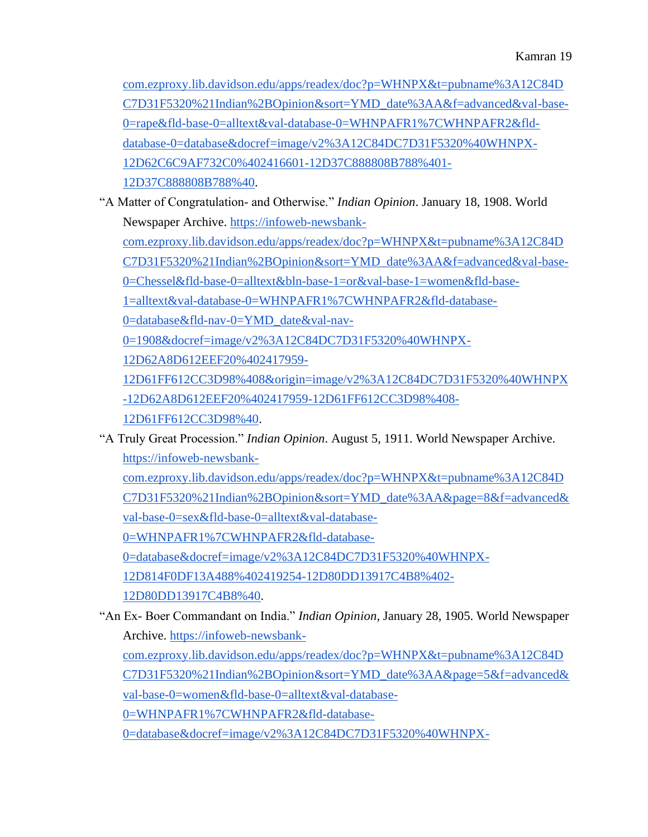[com.ezproxy.lib.davidson.edu/apps/readex/doc?p=WHNPX&t=pubname%3A12C84D](https://infoweb-newsbank-com.ezproxy.lib.davidson.edu/apps/readex/doc?p=WHNPX&t=pubname%3A12C84DC7D31F5320%21Indian%2BOpinion&sort=YMD_date%3AA&f=advanced&val-base-0=rape&fld-base-0=alltext&val-database-0=WHNPAFR1%7CWHNPAFR2&fld-database-0=database&docref=image/v2%3A12C84DC7D31F5320%40WHNPX-12D62C6C9AF732C0%402416601-12D37C888808B788%401-12D37C888808B788%40) [C7D31F5320%21Indian%2BOpinion&sort=YMD\\_date%3AA&f=advanced&val-base-](https://infoweb-newsbank-com.ezproxy.lib.davidson.edu/apps/readex/doc?p=WHNPX&t=pubname%3A12C84DC7D31F5320%21Indian%2BOpinion&sort=YMD_date%3AA&f=advanced&val-base-0=rape&fld-base-0=alltext&val-database-0=WHNPAFR1%7CWHNPAFR2&fld-database-0=database&docref=image/v2%3A12C84DC7D31F5320%40WHNPX-12D62C6C9AF732C0%402416601-12D37C888808B788%401-12D37C888808B788%40)[0=rape&fld-base-0=alltext&val-database-0=WHNPAFR1%7CWHNPAFR2&fld](https://infoweb-newsbank-com.ezproxy.lib.davidson.edu/apps/readex/doc?p=WHNPX&t=pubname%3A12C84DC7D31F5320%21Indian%2BOpinion&sort=YMD_date%3AA&f=advanced&val-base-0=rape&fld-base-0=alltext&val-database-0=WHNPAFR1%7CWHNPAFR2&fld-database-0=database&docref=image/v2%3A12C84DC7D31F5320%40WHNPX-12D62C6C9AF732C0%402416601-12D37C888808B788%401-12D37C888808B788%40)[database-0=database&docref=image/v2%3A12C84DC7D31F5320%40WHNPX-](https://infoweb-newsbank-com.ezproxy.lib.davidson.edu/apps/readex/doc?p=WHNPX&t=pubname%3A12C84DC7D31F5320%21Indian%2BOpinion&sort=YMD_date%3AA&f=advanced&val-base-0=rape&fld-base-0=alltext&val-database-0=WHNPAFR1%7CWHNPAFR2&fld-database-0=database&docref=image/v2%3A12C84DC7D31F5320%40WHNPX-12D62C6C9AF732C0%402416601-12D37C888808B788%401-12D37C888808B788%40)[12D62C6C9AF732C0%402416601-12D37C888808B788%401-](https://infoweb-newsbank-com.ezproxy.lib.davidson.edu/apps/readex/doc?p=WHNPX&t=pubname%3A12C84DC7D31F5320%21Indian%2BOpinion&sort=YMD_date%3AA&f=advanced&val-base-0=rape&fld-base-0=alltext&val-database-0=WHNPAFR1%7CWHNPAFR2&fld-database-0=database&docref=image/v2%3A12C84DC7D31F5320%40WHNPX-12D62C6C9AF732C0%402416601-12D37C888808B788%401-12D37C888808B788%40) [12D37C888808B788%40.](https://infoweb-newsbank-com.ezproxy.lib.davidson.edu/apps/readex/doc?p=WHNPX&t=pubname%3A12C84DC7D31F5320%21Indian%2BOpinion&sort=YMD_date%3AA&f=advanced&val-base-0=rape&fld-base-0=alltext&val-database-0=WHNPAFR1%7CWHNPAFR2&fld-database-0=database&docref=image/v2%3A12C84DC7D31F5320%40WHNPX-12D62C6C9AF732C0%402416601-12D37C888808B788%401-12D37C888808B788%40)

"A Matter of Congratulation- and Otherwise." *Indian Opinion*. January 18, 1908. World Newspaper Archive[.](https://infoweb-newsbank-com.ezproxy.lib.davidson.edu/apps/readex/doc?p=WHNPX&t=pubname%3A12C84DC7D31F5320%21Indian%2BOpinion&sort=YMD_date%3AA&f=advanced&val-base-0=Chessel&fld-base-0=alltext&bln-base-1=or&val-base-1=women&fld-base-1=alltext&val-database-0=WHNPAFR1%7CWHNPAFR2&fld-database-0=database&fld-nav-0=YMD_date&val-nav-0=1908&docref=image/v2%3A12C84DC7D31F5320%40WHNPX-12D62A8D612EEF20%402417959-12D61FF612CC3D98%408&origin=image/v2%3A12C84DC7D31F5320%40WHNPX-12D62A8D612EEF20%402417959-12D61FF612CC3D98%408-12D61FF612CC3D98%40) [https://infoweb-newsbank-](https://infoweb-newsbank-com.ezproxy.lib.davidson.edu/apps/readex/doc?p=WHNPX&t=pubname%3A12C84DC7D31F5320%21Indian%2BOpinion&sort=YMD_date%3AA&f=advanced&val-base-0=Chessel&fld-base-0=alltext&bln-base-1=or&val-base-1=women&fld-base-1=alltext&val-database-0=WHNPAFR1%7CWHNPAFR2&fld-database-0=database&fld-nav-0=YMD_date&val-nav-0=1908&docref=image/v2%3A12C84DC7D31F5320%40WHNPX-12D62A8D612EEF20%402417959-12D61FF612CC3D98%408&origin=image/v2%3A12C84DC7D31F5320%40WHNPX-12D62A8D612EEF20%402417959-12D61FF612CC3D98%408-12D61FF612CC3D98%40)

[com.ezproxy.lib.davidson.edu/apps/readex/doc?p=WHNPX&t=pubname%3A12C84D](https://infoweb-newsbank-com.ezproxy.lib.davidson.edu/apps/readex/doc?p=WHNPX&t=pubname%3A12C84DC7D31F5320%21Indian%2BOpinion&sort=YMD_date%3AA&f=advanced&val-base-0=Chessel&fld-base-0=alltext&bln-base-1=or&val-base-1=women&fld-base-1=alltext&val-database-0=WHNPAFR1%7CWHNPAFR2&fld-database-0=database&fld-nav-0=YMD_date&val-nav-0=1908&docref=image/v2%3A12C84DC7D31F5320%40WHNPX-12D62A8D612EEF20%402417959-12D61FF612CC3D98%408&origin=image/v2%3A12C84DC7D31F5320%40WHNPX-12D62A8D612EEF20%402417959-12D61FF612CC3D98%408-12D61FF612CC3D98%40)

[C7D31F5320%21Indian%2BOpinion&sort=YMD\\_date%3AA&f=advanced&val-base-](https://infoweb-newsbank-com.ezproxy.lib.davidson.edu/apps/readex/doc?p=WHNPX&t=pubname%3A12C84DC7D31F5320%21Indian%2BOpinion&sort=YMD_date%3AA&f=advanced&val-base-0=Chessel&fld-base-0=alltext&bln-base-1=or&val-base-1=women&fld-base-1=alltext&val-database-0=WHNPAFR1%7CWHNPAFR2&fld-database-0=database&fld-nav-0=YMD_date&val-nav-0=1908&docref=image/v2%3A12C84DC7D31F5320%40WHNPX-12D62A8D612EEF20%402417959-12D61FF612CC3D98%408&origin=image/v2%3A12C84DC7D31F5320%40WHNPX-12D62A8D612EEF20%402417959-12D61FF612CC3D98%408-12D61FF612CC3D98%40)

[0=Chessel&fld-base-0=alltext&bln-base-1=or&val-base-1=women&fld-base-](https://infoweb-newsbank-com.ezproxy.lib.davidson.edu/apps/readex/doc?p=WHNPX&t=pubname%3A12C84DC7D31F5320%21Indian%2BOpinion&sort=YMD_date%3AA&f=advanced&val-base-0=Chessel&fld-base-0=alltext&bln-base-1=or&val-base-1=women&fld-base-1=alltext&val-database-0=WHNPAFR1%7CWHNPAFR2&fld-database-0=database&fld-nav-0=YMD_date&val-nav-0=1908&docref=image/v2%3A12C84DC7D31F5320%40WHNPX-12D62A8D612EEF20%402417959-12D61FF612CC3D98%408&origin=image/v2%3A12C84DC7D31F5320%40WHNPX-12D62A8D612EEF20%402417959-12D61FF612CC3D98%408-12D61FF612CC3D98%40)

[1=alltext&val-database-0=WHNPAFR1%7CWHNPAFR2&fld-database-](https://infoweb-newsbank-com.ezproxy.lib.davidson.edu/apps/readex/doc?p=WHNPX&t=pubname%3A12C84DC7D31F5320%21Indian%2BOpinion&sort=YMD_date%3AA&f=advanced&val-base-0=Chessel&fld-base-0=alltext&bln-base-1=or&val-base-1=women&fld-base-1=alltext&val-database-0=WHNPAFR1%7CWHNPAFR2&fld-database-0=database&fld-nav-0=YMD_date&val-nav-0=1908&docref=image/v2%3A12C84DC7D31F5320%40WHNPX-12D62A8D612EEF20%402417959-12D61FF612CC3D98%408&origin=image/v2%3A12C84DC7D31F5320%40WHNPX-12D62A8D612EEF20%402417959-12D61FF612CC3D98%408-12D61FF612CC3D98%40)

[0=database&fld-nav-0=YMD\\_date&val-nav-](https://infoweb-newsbank-com.ezproxy.lib.davidson.edu/apps/readex/doc?p=WHNPX&t=pubname%3A12C84DC7D31F5320%21Indian%2BOpinion&sort=YMD_date%3AA&f=advanced&val-base-0=Chessel&fld-base-0=alltext&bln-base-1=or&val-base-1=women&fld-base-1=alltext&val-database-0=WHNPAFR1%7CWHNPAFR2&fld-database-0=database&fld-nav-0=YMD_date&val-nav-0=1908&docref=image/v2%3A12C84DC7D31F5320%40WHNPX-12D62A8D612EEF20%402417959-12D61FF612CC3D98%408&origin=image/v2%3A12C84DC7D31F5320%40WHNPX-12D62A8D612EEF20%402417959-12D61FF612CC3D98%408-12D61FF612CC3D98%40)

[0=1908&docref=image/v2%3A12C84DC7D31F5320%40WHNPX-](https://infoweb-newsbank-com.ezproxy.lib.davidson.edu/apps/readex/doc?p=WHNPX&t=pubname%3A12C84DC7D31F5320%21Indian%2BOpinion&sort=YMD_date%3AA&f=advanced&val-base-0=Chessel&fld-base-0=alltext&bln-base-1=or&val-base-1=women&fld-base-1=alltext&val-database-0=WHNPAFR1%7CWHNPAFR2&fld-database-0=database&fld-nav-0=YMD_date&val-nav-0=1908&docref=image/v2%3A12C84DC7D31F5320%40WHNPX-12D62A8D612EEF20%402417959-12D61FF612CC3D98%408&origin=image/v2%3A12C84DC7D31F5320%40WHNPX-12D62A8D612EEF20%402417959-12D61FF612CC3D98%408-12D61FF612CC3D98%40)

[12D62A8D612EEF20%402417959-](https://infoweb-newsbank-com.ezproxy.lib.davidson.edu/apps/readex/doc?p=WHNPX&t=pubname%3A12C84DC7D31F5320%21Indian%2BOpinion&sort=YMD_date%3AA&f=advanced&val-base-0=Chessel&fld-base-0=alltext&bln-base-1=or&val-base-1=women&fld-base-1=alltext&val-database-0=WHNPAFR1%7CWHNPAFR2&fld-database-0=database&fld-nav-0=YMD_date&val-nav-0=1908&docref=image/v2%3A12C84DC7D31F5320%40WHNPX-12D62A8D612EEF20%402417959-12D61FF612CC3D98%408&origin=image/v2%3A12C84DC7D31F5320%40WHNPX-12D62A8D612EEF20%402417959-12D61FF612CC3D98%408-12D61FF612CC3D98%40)

[12D61FF612CC3D98%408&origin=image/v2%3A12C84DC7D31F5320%40WHNPX](https://infoweb-newsbank-com.ezproxy.lib.davidson.edu/apps/readex/doc?p=WHNPX&t=pubname%3A12C84DC7D31F5320%21Indian%2BOpinion&sort=YMD_date%3AA&f=advanced&val-base-0=Chessel&fld-base-0=alltext&bln-base-1=or&val-base-1=women&fld-base-1=alltext&val-database-0=WHNPAFR1%7CWHNPAFR2&fld-database-0=database&fld-nav-0=YMD_date&val-nav-0=1908&docref=image/v2%3A12C84DC7D31F5320%40WHNPX-12D62A8D612EEF20%402417959-12D61FF612CC3D98%408&origin=image/v2%3A12C84DC7D31F5320%40WHNPX-12D62A8D612EEF20%402417959-12D61FF612CC3D98%408-12D61FF612CC3D98%40) [-12D62A8D612EEF20%402417959-12D61FF612CC3D98%408-](https://infoweb-newsbank-com.ezproxy.lib.davidson.edu/apps/readex/doc?p=WHNPX&t=pubname%3A12C84DC7D31F5320%21Indian%2BOpinion&sort=YMD_date%3AA&f=advanced&val-base-0=Chessel&fld-base-0=alltext&bln-base-1=or&val-base-1=women&fld-base-1=alltext&val-database-0=WHNPAFR1%7CWHNPAFR2&fld-database-0=database&fld-nav-0=YMD_date&val-nav-0=1908&docref=image/v2%3A12C84DC7D31F5320%40WHNPX-12D62A8D612EEF20%402417959-12D61FF612CC3D98%408&origin=image/v2%3A12C84DC7D31F5320%40WHNPX-12D62A8D612EEF20%402417959-12D61FF612CC3D98%408-12D61FF612CC3D98%40)

[12D61FF612CC3D98%40.](https://infoweb-newsbank-com.ezproxy.lib.davidson.edu/apps/readex/doc?p=WHNPX&t=pubname%3A12C84DC7D31F5320%21Indian%2BOpinion&sort=YMD_date%3AA&f=advanced&val-base-0=Chessel&fld-base-0=alltext&bln-base-1=or&val-base-1=women&fld-base-1=alltext&val-database-0=WHNPAFR1%7CWHNPAFR2&fld-database-0=database&fld-nav-0=YMD_date&val-nav-0=1908&docref=image/v2%3A12C84DC7D31F5320%40WHNPX-12D62A8D612EEF20%402417959-12D61FF612CC3D98%408&origin=image/v2%3A12C84DC7D31F5320%40WHNPX-12D62A8D612EEF20%402417959-12D61FF612CC3D98%408-12D61FF612CC3D98%40)

"A Truly Great Procession." *Indian Opinion*. August 5, 1911. World Newspaper Archive[.](https://infoweb-newsbank-com.ezproxy.lib.davidson.edu/apps/readex/doc?p=WHNPX&t=pubname%3A12C84DC7D31F5320%21Indian%2BOpinion&sort=YMD_date%3AA&page=8&f=advanced&val-base-0=sex&fld-base-0=alltext&val-database-0=WHNPAFR1%7CWHNPAFR2&fld-database-0=database&docref=image/v2%3A12C84DC7D31F5320%40WHNPX-12D814F0DF13A488%402419254-12D80DD13917C4B8%402-12D80DD13917C4B8%40) [https://infoweb-newsbank-](https://infoweb-newsbank-com.ezproxy.lib.davidson.edu/apps/readex/doc?p=WHNPX&t=pubname%3A12C84DC7D31F5320%21Indian%2BOpinion&sort=YMD_date%3AA&page=8&f=advanced&val-base-0=sex&fld-base-0=alltext&val-database-0=WHNPAFR1%7CWHNPAFR2&fld-database-0=database&docref=image/v2%3A12C84DC7D31F5320%40WHNPX-12D814F0DF13A488%402419254-12D80DD13917C4B8%402-12D80DD13917C4B8%40)

[com.ezproxy.lib.davidson.edu/apps/readex/doc?p=WHNPX&t=pubname%3A12C84D](https://infoweb-newsbank-com.ezproxy.lib.davidson.edu/apps/readex/doc?p=WHNPX&t=pubname%3A12C84DC7D31F5320%21Indian%2BOpinion&sort=YMD_date%3AA&page=8&f=advanced&val-base-0=sex&fld-base-0=alltext&val-database-0=WHNPAFR1%7CWHNPAFR2&fld-database-0=database&docref=image/v2%3A12C84DC7D31F5320%40WHNPX-12D814F0DF13A488%402419254-12D80DD13917C4B8%402-12D80DD13917C4B8%40) [C7D31F5320%21Indian%2BOpinion&sort=YMD\\_date%3AA&page=8&f=advanced&](https://infoweb-newsbank-com.ezproxy.lib.davidson.edu/apps/readex/doc?p=WHNPX&t=pubname%3A12C84DC7D31F5320%21Indian%2BOpinion&sort=YMD_date%3AA&page=8&f=advanced&val-base-0=sex&fld-base-0=alltext&val-database-0=WHNPAFR1%7CWHNPAFR2&fld-database-0=database&docref=image/v2%3A12C84DC7D31F5320%40WHNPX-12D814F0DF13A488%402419254-12D80DD13917C4B8%402-12D80DD13917C4B8%40)

[val-base-0=sex&fld-base-0=alltext&val-database-](https://infoweb-newsbank-com.ezproxy.lib.davidson.edu/apps/readex/doc?p=WHNPX&t=pubname%3A12C84DC7D31F5320%21Indian%2BOpinion&sort=YMD_date%3AA&page=8&f=advanced&val-base-0=sex&fld-base-0=alltext&val-database-0=WHNPAFR1%7CWHNPAFR2&fld-database-0=database&docref=image/v2%3A12C84DC7D31F5320%40WHNPX-12D814F0DF13A488%402419254-12D80DD13917C4B8%402-12D80DD13917C4B8%40)

[0=WHNPAFR1%7CWHNPAFR2&fld-database-](https://infoweb-newsbank-com.ezproxy.lib.davidson.edu/apps/readex/doc?p=WHNPX&t=pubname%3A12C84DC7D31F5320%21Indian%2BOpinion&sort=YMD_date%3AA&page=8&f=advanced&val-base-0=sex&fld-base-0=alltext&val-database-0=WHNPAFR1%7CWHNPAFR2&fld-database-0=database&docref=image/v2%3A12C84DC7D31F5320%40WHNPX-12D814F0DF13A488%402419254-12D80DD13917C4B8%402-12D80DD13917C4B8%40)

[0=database&docref=image/v2%3A12C84DC7D31F5320%40WHNPX-](https://infoweb-newsbank-com.ezproxy.lib.davidson.edu/apps/readex/doc?p=WHNPX&t=pubname%3A12C84DC7D31F5320%21Indian%2BOpinion&sort=YMD_date%3AA&page=8&f=advanced&val-base-0=sex&fld-base-0=alltext&val-database-0=WHNPAFR1%7CWHNPAFR2&fld-database-0=database&docref=image/v2%3A12C84DC7D31F5320%40WHNPX-12D814F0DF13A488%402419254-12D80DD13917C4B8%402-12D80DD13917C4B8%40)

[12D814F0DF13A488%402419254-12D80DD13917C4B8%402-](https://infoweb-newsbank-com.ezproxy.lib.davidson.edu/apps/readex/doc?p=WHNPX&t=pubname%3A12C84DC7D31F5320%21Indian%2BOpinion&sort=YMD_date%3AA&page=8&f=advanced&val-base-0=sex&fld-base-0=alltext&val-database-0=WHNPAFR1%7CWHNPAFR2&fld-database-0=database&docref=image/v2%3A12C84DC7D31F5320%40WHNPX-12D814F0DF13A488%402419254-12D80DD13917C4B8%402-12D80DD13917C4B8%40)

[12D80DD13917C4B8%40.](https://infoweb-newsbank-com.ezproxy.lib.davidson.edu/apps/readex/doc?p=WHNPX&t=pubname%3A12C84DC7D31F5320%21Indian%2BOpinion&sort=YMD_date%3AA&page=8&f=advanced&val-base-0=sex&fld-base-0=alltext&val-database-0=WHNPAFR1%7CWHNPAFR2&fld-database-0=database&docref=image/v2%3A12C84DC7D31F5320%40WHNPX-12D814F0DF13A488%402419254-12D80DD13917C4B8%402-12D80DD13917C4B8%40)

"An Ex- Boer Commandant on India." *Indian Opinion*, January 28, 1905. World Newspaper Archive[.](https://infoweb-newsbank-com.ezproxy.lib.davidson.edu/apps/readex/doc?p=WHNPX&t=pubname%3A12C84DC7D31F5320%21Indian%2BOpinion&sort=YMD_date%3AA&page=5&f=advanced&val-base-0=women&fld-base-0=alltext&val-database-0=WHNPAFR1%7CWHNPAFR2&fld-database-0=database&docref=image/v2%3A12C84DC7D31F5320%40WHNPX-12D76A5604436670%402416874-12D3CD6F48607090%405-12D3CD6F48607090%40&firsthit=yes) [https://infoweb-newsbank-](https://infoweb-newsbank-com.ezproxy.lib.davidson.edu/apps/readex/doc?p=WHNPX&t=pubname%3A12C84DC7D31F5320%21Indian%2BOpinion&sort=YMD_date%3AA&page=5&f=advanced&val-base-0=women&fld-base-0=alltext&val-database-0=WHNPAFR1%7CWHNPAFR2&fld-database-0=database&docref=image/v2%3A12C84DC7D31F5320%40WHNPX-12D76A5604436670%402416874-12D3CD6F48607090%405-12D3CD6F48607090%40&firsthit=yes)

[com.ezproxy.lib.davidson.edu/apps/readex/doc?p=WHNPX&t=pubname%3A12C84D](https://infoweb-newsbank-com.ezproxy.lib.davidson.edu/apps/readex/doc?p=WHNPX&t=pubname%3A12C84DC7D31F5320%21Indian%2BOpinion&sort=YMD_date%3AA&page=5&f=advanced&val-base-0=women&fld-base-0=alltext&val-database-0=WHNPAFR1%7CWHNPAFR2&fld-database-0=database&docref=image/v2%3A12C84DC7D31F5320%40WHNPX-12D76A5604436670%402416874-12D3CD6F48607090%405-12D3CD6F48607090%40&firsthit=yes)

[C7D31F5320%21Indian%2BOpinion&sort=YMD\\_date%3AA&page=5&f=advanced&](https://infoweb-newsbank-com.ezproxy.lib.davidson.edu/apps/readex/doc?p=WHNPX&t=pubname%3A12C84DC7D31F5320%21Indian%2BOpinion&sort=YMD_date%3AA&page=5&f=advanced&val-base-0=women&fld-base-0=alltext&val-database-0=WHNPAFR1%7CWHNPAFR2&fld-database-0=database&docref=image/v2%3A12C84DC7D31F5320%40WHNPX-12D76A5604436670%402416874-12D3CD6F48607090%405-12D3CD6F48607090%40&firsthit=yes)

[val-base-0=women&fld-base-0=alltext&val-database-](https://infoweb-newsbank-com.ezproxy.lib.davidson.edu/apps/readex/doc?p=WHNPX&t=pubname%3A12C84DC7D31F5320%21Indian%2BOpinion&sort=YMD_date%3AA&page=5&f=advanced&val-base-0=women&fld-base-0=alltext&val-database-0=WHNPAFR1%7CWHNPAFR2&fld-database-0=database&docref=image/v2%3A12C84DC7D31F5320%40WHNPX-12D76A5604436670%402416874-12D3CD6F48607090%405-12D3CD6F48607090%40&firsthit=yes)

[0=WHNPAFR1%7CWHNPAFR2&fld-database-](https://infoweb-newsbank-com.ezproxy.lib.davidson.edu/apps/readex/doc?p=WHNPX&t=pubname%3A12C84DC7D31F5320%21Indian%2BOpinion&sort=YMD_date%3AA&page=5&f=advanced&val-base-0=women&fld-base-0=alltext&val-database-0=WHNPAFR1%7CWHNPAFR2&fld-database-0=database&docref=image/v2%3A12C84DC7D31F5320%40WHNPX-12D76A5604436670%402416874-12D3CD6F48607090%405-12D3CD6F48607090%40&firsthit=yes)

[0=database&docref=image/v2%3A12C84DC7D31F5320%40WHNPX-](https://infoweb-newsbank-com.ezproxy.lib.davidson.edu/apps/readex/doc?p=WHNPX&t=pubname%3A12C84DC7D31F5320%21Indian%2BOpinion&sort=YMD_date%3AA&page=5&f=advanced&val-base-0=women&fld-base-0=alltext&val-database-0=WHNPAFR1%7CWHNPAFR2&fld-database-0=database&docref=image/v2%3A12C84DC7D31F5320%40WHNPX-12D76A5604436670%402416874-12D3CD6F48607090%405-12D3CD6F48607090%40&firsthit=yes)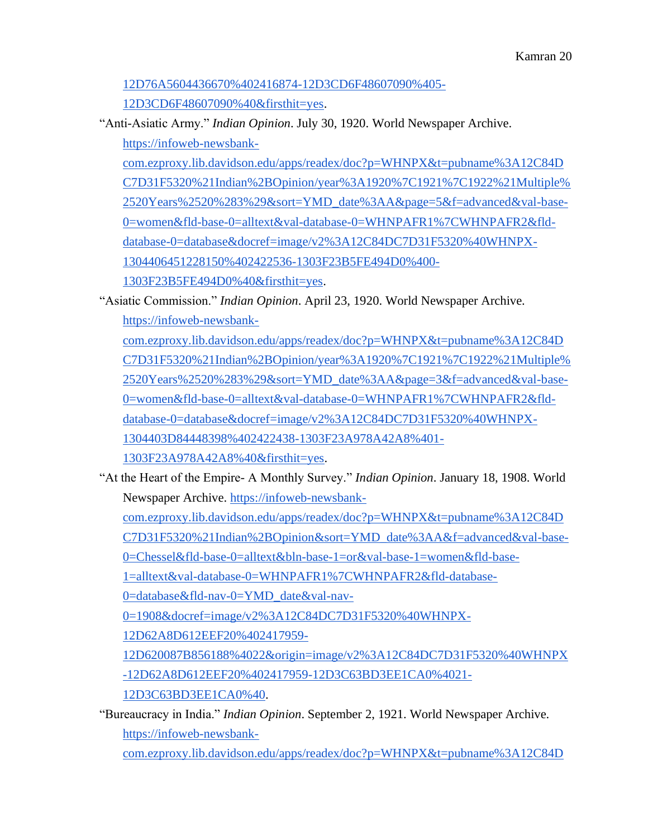### [12D76A5604436670%402416874-12D3CD6F48607090%405-](https://infoweb-newsbank-com.ezproxy.lib.davidson.edu/apps/readex/doc?p=WHNPX&t=pubname%3A12C84DC7D31F5320%21Indian%2BOpinion&sort=YMD_date%3AA&page=5&f=advanced&val-base-0=women&fld-base-0=alltext&val-database-0=WHNPAFR1%7CWHNPAFR2&fld-database-0=database&docref=image/v2%3A12C84DC7D31F5320%40WHNPX-12D76A5604436670%402416874-12D3CD6F48607090%405-12D3CD6F48607090%40&firsthit=yes)

[12D3CD6F48607090%40&firsthit=yes.](https://infoweb-newsbank-com.ezproxy.lib.davidson.edu/apps/readex/doc?p=WHNPX&t=pubname%3A12C84DC7D31F5320%21Indian%2BOpinion&sort=YMD_date%3AA&page=5&f=advanced&val-base-0=women&fld-base-0=alltext&val-database-0=WHNPAFR1%7CWHNPAFR2&fld-database-0=database&docref=image/v2%3A12C84DC7D31F5320%40WHNPX-12D76A5604436670%402416874-12D3CD6F48607090%405-12D3CD6F48607090%40&firsthit=yes)

"Anti-Asiatic Army." *Indian Opinion*. July 30, 1920. World Newspaper Archive[.](https://infoweb-newsbank-com.ezproxy.lib.davidson.edu/apps/readex/doc?p=WHNPX&t=pubname%3A12C84DC7D31F5320%21Indian%2BOpinion/year%3A1920%7C1921%7C1922%21Multiple%2520Years%2520%283%29&sort=YMD_date%3AA&page=5&f=advanced&val-base-0=women&fld-base-0=alltext&val-database-0=WHNPAFR1%7CWHNPAFR2&fld-database-0=database&docref=image/v2%3A12C84DC7D31F5320%40WHNPX-1304406451228150%402422536-1303F23B5FE494D0%400-1303F23B5FE494D0%40&firsthit=yes)

[https://infoweb-newsbank-](https://infoweb-newsbank-com.ezproxy.lib.davidson.edu/apps/readex/doc?p=WHNPX&t=pubname%3A12C84DC7D31F5320%21Indian%2BOpinion/year%3A1920%7C1921%7C1922%21Multiple%2520Years%2520%283%29&sort=YMD_date%3AA&page=5&f=advanced&val-base-0=women&fld-base-0=alltext&val-database-0=WHNPAFR1%7CWHNPAFR2&fld-database-0=database&docref=image/v2%3A12C84DC7D31F5320%40WHNPX-1304406451228150%402422536-1303F23B5FE494D0%400-1303F23B5FE494D0%40&firsthit=yes)

[com.ezproxy.lib.davidson.edu/apps/readex/doc?p=WHNPX&t=pubname%3A12C84D](https://infoweb-newsbank-com.ezproxy.lib.davidson.edu/apps/readex/doc?p=WHNPX&t=pubname%3A12C84DC7D31F5320%21Indian%2BOpinion/year%3A1920%7C1921%7C1922%21Multiple%2520Years%2520%283%29&sort=YMD_date%3AA&page=5&f=advanced&val-base-0=women&fld-base-0=alltext&val-database-0=WHNPAFR1%7CWHNPAFR2&fld-database-0=database&docref=image/v2%3A12C84DC7D31F5320%40WHNPX-1304406451228150%402422536-1303F23B5FE494D0%400-1303F23B5FE494D0%40&firsthit=yes) [C7D31F5320%21Indian%2BOpinion/year%3A1920%7C1921%7C1922%21Multiple%](https://infoweb-newsbank-com.ezproxy.lib.davidson.edu/apps/readex/doc?p=WHNPX&t=pubname%3A12C84DC7D31F5320%21Indian%2BOpinion/year%3A1920%7C1921%7C1922%21Multiple%2520Years%2520%283%29&sort=YMD_date%3AA&page=5&f=advanced&val-base-0=women&fld-base-0=alltext&val-database-0=WHNPAFR1%7CWHNPAFR2&fld-database-0=database&docref=image/v2%3A12C84DC7D31F5320%40WHNPX-1304406451228150%402422536-1303F23B5FE494D0%400-1303F23B5FE494D0%40&firsthit=yes) [2520Years%2520%283%29&sort=YMD\\_date%3AA&page=5&f=advanced&val-base-](https://infoweb-newsbank-com.ezproxy.lib.davidson.edu/apps/readex/doc?p=WHNPX&t=pubname%3A12C84DC7D31F5320%21Indian%2BOpinion/year%3A1920%7C1921%7C1922%21Multiple%2520Years%2520%283%29&sort=YMD_date%3AA&page=5&f=advanced&val-base-0=women&fld-base-0=alltext&val-database-0=WHNPAFR1%7CWHNPAFR2&fld-database-0=database&docref=image/v2%3A12C84DC7D31F5320%40WHNPX-1304406451228150%402422536-1303F23B5FE494D0%400-1303F23B5FE494D0%40&firsthit=yes)[0=women&fld-base-0=alltext&val-database-0=WHNPAFR1%7CWHNPAFR2&fld](https://infoweb-newsbank-com.ezproxy.lib.davidson.edu/apps/readex/doc?p=WHNPX&t=pubname%3A12C84DC7D31F5320%21Indian%2BOpinion/year%3A1920%7C1921%7C1922%21Multiple%2520Years%2520%283%29&sort=YMD_date%3AA&page=5&f=advanced&val-base-0=women&fld-base-0=alltext&val-database-0=WHNPAFR1%7CWHNPAFR2&fld-database-0=database&docref=image/v2%3A12C84DC7D31F5320%40WHNPX-1304406451228150%402422536-1303F23B5FE494D0%400-1303F23B5FE494D0%40&firsthit=yes)[database-0=database&docref=image/v2%3A12C84DC7D31F5320%40WHNPX-](https://infoweb-newsbank-com.ezproxy.lib.davidson.edu/apps/readex/doc?p=WHNPX&t=pubname%3A12C84DC7D31F5320%21Indian%2BOpinion/year%3A1920%7C1921%7C1922%21Multiple%2520Years%2520%283%29&sort=YMD_date%3AA&page=5&f=advanced&val-base-0=women&fld-base-0=alltext&val-database-0=WHNPAFR1%7CWHNPAFR2&fld-database-0=database&docref=image/v2%3A12C84DC7D31F5320%40WHNPX-1304406451228150%402422536-1303F23B5FE494D0%400-1303F23B5FE494D0%40&firsthit=yes)[1304406451228150%402422536-1303F23B5FE494D0%400-](https://infoweb-newsbank-com.ezproxy.lib.davidson.edu/apps/readex/doc?p=WHNPX&t=pubname%3A12C84DC7D31F5320%21Indian%2BOpinion/year%3A1920%7C1921%7C1922%21Multiple%2520Years%2520%283%29&sort=YMD_date%3AA&page=5&f=advanced&val-base-0=women&fld-base-0=alltext&val-database-0=WHNPAFR1%7CWHNPAFR2&fld-database-0=database&docref=image/v2%3A12C84DC7D31F5320%40WHNPX-1304406451228150%402422536-1303F23B5FE494D0%400-1303F23B5FE494D0%40&firsthit=yes)

[1303F23B5FE494D0%40&firsthit=yes.](https://infoweb-newsbank-com.ezproxy.lib.davidson.edu/apps/readex/doc?p=WHNPX&t=pubname%3A12C84DC7D31F5320%21Indian%2BOpinion/year%3A1920%7C1921%7C1922%21Multiple%2520Years%2520%283%29&sort=YMD_date%3AA&page=5&f=advanced&val-base-0=women&fld-base-0=alltext&val-database-0=WHNPAFR1%7CWHNPAFR2&fld-database-0=database&docref=image/v2%3A12C84DC7D31F5320%40WHNPX-1304406451228150%402422536-1303F23B5FE494D0%400-1303F23B5FE494D0%40&firsthit=yes)

"Asiatic Commission." *Indian Opinion*. April 23, 1920. World Newspaper Archive[.](https://infoweb-newsbank-com.ezproxy.lib.davidson.edu/apps/readex/doc?p=WHNPX&t=pubname%3A12C84DC7D31F5320%21Indian%2BOpinion/year%3A1920%7C1921%7C1922%21Multiple%2520Years%2520%283%29&sort=YMD_date%3AA&page=3&f=advanced&val-base-0=women&fld-base-0=alltext&val-database-0=WHNPAFR1%7CWHNPAFR2&fld-database-0=database&docref=image/v2%3A12C84DC7D31F5320%40WHNPX-1304403D84448398%402422438-1303F23A978A42A8%401-1303F23A978A42A8%40&firsthit=yes) [https://infoweb-newsbank-](https://infoweb-newsbank-com.ezproxy.lib.davidson.edu/apps/readex/doc?p=WHNPX&t=pubname%3A12C84DC7D31F5320%21Indian%2BOpinion/year%3A1920%7C1921%7C1922%21Multiple%2520Years%2520%283%29&sort=YMD_date%3AA&page=3&f=advanced&val-base-0=women&fld-base-0=alltext&val-database-0=WHNPAFR1%7CWHNPAFR2&fld-database-0=database&docref=image/v2%3A12C84DC7D31F5320%40WHNPX-1304403D84448398%402422438-1303F23A978A42A8%401-1303F23A978A42A8%40&firsthit=yes)

[com.ezproxy.lib.davidson.edu/apps/readex/doc?p=WHNPX&t=pubname%3A12C84D](https://infoweb-newsbank-com.ezproxy.lib.davidson.edu/apps/readex/doc?p=WHNPX&t=pubname%3A12C84DC7D31F5320%21Indian%2BOpinion/year%3A1920%7C1921%7C1922%21Multiple%2520Years%2520%283%29&sort=YMD_date%3AA&page=3&f=advanced&val-base-0=women&fld-base-0=alltext&val-database-0=WHNPAFR1%7CWHNPAFR2&fld-database-0=database&docref=image/v2%3A12C84DC7D31F5320%40WHNPX-1304403D84448398%402422438-1303F23A978A42A8%401-1303F23A978A42A8%40&firsthit=yes) [C7D31F5320%21Indian%2BOpinion/year%3A1920%7C1921%7C1922%21Multiple%](https://infoweb-newsbank-com.ezproxy.lib.davidson.edu/apps/readex/doc?p=WHNPX&t=pubname%3A12C84DC7D31F5320%21Indian%2BOpinion/year%3A1920%7C1921%7C1922%21Multiple%2520Years%2520%283%29&sort=YMD_date%3AA&page=3&f=advanced&val-base-0=women&fld-base-0=alltext&val-database-0=WHNPAFR1%7CWHNPAFR2&fld-database-0=database&docref=image/v2%3A12C84DC7D31F5320%40WHNPX-1304403D84448398%402422438-1303F23A978A42A8%401-1303F23A978A42A8%40&firsthit=yes) [2520Years%2520%283%29&sort=YMD\\_date%3AA&page=3&f=advanced&val-base-](https://infoweb-newsbank-com.ezproxy.lib.davidson.edu/apps/readex/doc?p=WHNPX&t=pubname%3A12C84DC7D31F5320%21Indian%2BOpinion/year%3A1920%7C1921%7C1922%21Multiple%2520Years%2520%283%29&sort=YMD_date%3AA&page=3&f=advanced&val-base-0=women&fld-base-0=alltext&val-database-0=WHNPAFR1%7CWHNPAFR2&fld-database-0=database&docref=image/v2%3A12C84DC7D31F5320%40WHNPX-1304403D84448398%402422438-1303F23A978A42A8%401-1303F23A978A42A8%40&firsthit=yes)[0=women&fld-base-0=alltext&val-database-0=WHNPAFR1%7CWHNPAFR2&fld](https://infoweb-newsbank-com.ezproxy.lib.davidson.edu/apps/readex/doc?p=WHNPX&t=pubname%3A12C84DC7D31F5320%21Indian%2BOpinion/year%3A1920%7C1921%7C1922%21Multiple%2520Years%2520%283%29&sort=YMD_date%3AA&page=3&f=advanced&val-base-0=women&fld-base-0=alltext&val-database-0=WHNPAFR1%7CWHNPAFR2&fld-database-0=database&docref=image/v2%3A12C84DC7D31F5320%40WHNPX-1304403D84448398%402422438-1303F23A978A42A8%401-1303F23A978A42A8%40&firsthit=yes)[database-0=database&docref=image/v2%3A12C84DC7D31F5320%40WHNPX-](https://infoweb-newsbank-com.ezproxy.lib.davidson.edu/apps/readex/doc?p=WHNPX&t=pubname%3A12C84DC7D31F5320%21Indian%2BOpinion/year%3A1920%7C1921%7C1922%21Multiple%2520Years%2520%283%29&sort=YMD_date%3AA&page=3&f=advanced&val-base-0=women&fld-base-0=alltext&val-database-0=WHNPAFR1%7CWHNPAFR2&fld-database-0=database&docref=image/v2%3A12C84DC7D31F5320%40WHNPX-1304403D84448398%402422438-1303F23A978A42A8%401-1303F23A978A42A8%40&firsthit=yes)[1304403D84448398%402422438-1303F23A978A42A8%401-](https://infoweb-newsbank-com.ezproxy.lib.davidson.edu/apps/readex/doc?p=WHNPX&t=pubname%3A12C84DC7D31F5320%21Indian%2BOpinion/year%3A1920%7C1921%7C1922%21Multiple%2520Years%2520%283%29&sort=YMD_date%3AA&page=3&f=advanced&val-base-0=women&fld-base-0=alltext&val-database-0=WHNPAFR1%7CWHNPAFR2&fld-database-0=database&docref=image/v2%3A12C84DC7D31F5320%40WHNPX-1304403D84448398%402422438-1303F23A978A42A8%401-1303F23A978A42A8%40&firsthit=yes)

[1303F23A978A42A8%40&firsthit=yes.](https://infoweb-newsbank-com.ezproxy.lib.davidson.edu/apps/readex/doc?p=WHNPX&t=pubname%3A12C84DC7D31F5320%21Indian%2BOpinion/year%3A1920%7C1921%7C1922%21Multiple%2520Years%2520%283%29&sort=YMD_date%3AA&page=3&f=advanced&val-base-0=women&fld-base-0=alltext&val-database-0=WHNPAFR1%7CWHNPAFR2&fld-database-0=database&docref=image/v2%3A12C84DC7D31F5320%40WHNPX-1304403D84448398%402422438-1303F23A978A42A8%401-1303F23A978A42A8%40&firsthit=yes)

"At the Heart of the Empire- A Monthly Survey." *Indian Opinion*. January 18, 1908. World Newspaper Archive[.](https://infoweb-newsbank-com.ezproxy.lib.davidson.edu/apps/readex/doc?p=WHNPX&t=pubname%3A12C84DC7D31F5320%21Indian%2BOpinion&sort=YMD_date%3AA&f=advanced&val-base-0=Chessel&fld-base-0=alltext&bln-base-1=or&val-base-1=women&fld-base-1=alltext&val-database-0=WHNPAFR1%7CWHNPAFR2&fld-database-0=database&fld-nav-0=YMD_date&val-nav-0=1908&docref=image/v2%3A12C84DC7D31F5320%40WHNPX-12D62A8D612EEF20%402417959-12D620087B856188%4022&origin=image/v2%3A12C84DC7D31F5320%40WHNPX-12D62A8D612EEF20%402417959-12D3C63BD3EE1CA0%4021-12D3C63BD3EE1CA0%40) [https://infoweb-newsbank-](https://infoweb-newsbank-com.ezproxy.lib.davidson.edu/apps/readex/doc?p=WHNPX&t=pubname%3A12C84DC7D31F5320%21Indian%2BOpinion&sort=YMD_date%3AA&f=advanced&val-base-0=Chessel&fld-base-0=alltext&bln-base-1=or&val-base-1=women&fld-base-1=alltext&val-database-0=WHNPAFR1%7CWHNPAFR2&fld-database-0=database&fld-nav-0=YMD_date&val-nav-0=1908&docref=image/v2%3A12C84DC7D31F5320%40WHNPX-12D62A8D612EEF20%402417959-12D620087B856188%4022&origin=image/v2%3A12C84DC7D31F5320%40WHNPX-12D62A8D612EEF20%402417959-12D3C63BD3EE1CA0%4021-12D3C63BD3EE1CA0%40)

[com.ezproxy.lib.davidson.edu/apps/readex/doc?p=WHNPX&t=pubname%3A12C84D](https://infoweb-newsbank-com.ezproxy.lib.davidson.edu/apps/readex/doc?p=WHNPX&t=pubname%3A12C84DC7D31F5320%21Indian%2BOpinion&sort=YMD_date%3AA&f=advanced&val-base-0=Chessel&fld-base-0=alltext&bln-base-1=or&val-base-1=women&fld-base-1=alltext&val-database-0=WHNPAFR1%7CWHNPAFR2&fld-database-0=database&fld-nav-0=YMD_date&val-nav-0=1908&docref=image/v2%3A12C84DC7D31F5320%40WHNPX-12D62A8D612EEF20%402417959-12D620087B856188%4022&origin=image/v2%3A12C84DC7D31F5320%40WHNPX-12D62A8D612EEF20%402417959-12D3C63BD3EE1CA0%4021-12D3C63BD3EE1CA0%40)

[C7D31F5320%21Indian%2BOpinion&sort=YMD\\_date%3AA&f=advanced&val-base-](https://infoweb-newsbank-com.ezproxy.lib.davidson.edu/apps/readex/doc?p=WHNPX&t=pubname%3A12C84DC7D31F5320%21Indian%2BOpinion&sort=YMD_date%3AA&f=advanced&val-base-0=Chessel&fld-base-0=alltext&bln-base-1=or&val-base-1=women&fld-base-1=alltext&val-database-0=WHNPAFR1%7CWHNPAFR2&fld-database-0=database&fld-nav-0=YMD_date&val-nav-0=1908&docref=image/v2%3A12C84DC7D31F5320%40WHNPX-12D62A8D612EEF20%402417959-12D620087B856188%4022&origin=image/v2%3A12C84DC7D31F5320%40WHNPX-12D62A8D612EEF20%402417959-12D3C63BD3EE1CA0%4021-12D3C63BD3EE1CA0%40)

[0=Chessel&fld-base-0=alltext&bln-base-1=or&val-base-1=women&fld-base-](https://infoweb-newsbank-com.ezproxy.lib.davidson.edu/apps/readex/doc?p=WHNPX&t=pubname%3A12C84DC7D31F5320%21Indian%2BOpinion&sort=YMD_date%3AA&f=advanced&val-base-0=Chessel&fld-base-0=alltext&bln-base-1=or&val-base-1=women&fld-base-1=alltext&val-database-0=WHNPAFR1%7CWHNPAFR2&fld-database-0=database&fld-nav-0=YMD_date&val-nav-0=1908&docref=image/v2%3A12C84DC7D31F5320%40WHNPX-12D62A8D612EEF20%402417959-12D620087B856188%4022&origin=image/v2%3A12C84DC7D31F5320%40WHNPX-12D62A8D612EEF20%402417959-12D3C63BD3EE1CA0%4021-12D3C63BD3EE1CA0%40)

[1=alltext&val-database-0=WHNPAFR1%7CWHNPAFR2&fld-database-](https://infoweb-newsbank-com.ezproxy.lib.davidson.edu/apps/readex/doc?p=WHNPX&t=pubname%3A12C84DC7D31F5320%21Indian%2BOpinion&sort=YMD_date%3AA&f=advanced&val-base-0=Chessel&fld-base-0=alltext&bln-base-1=or&val-base-1=women&fld-base-1=alltext&val-database-0=WHNPAFR1%7CWHNPAFR2&fld-database-0=database&fld-nav-0=YMD_date&val-nav-0=1908&docref=image/v2%3A12C84DC7D31F5320%40WHNPX-12D62A8D612EEF20%402417959-12D620087B856188%4022&origin=image/v2%3A12C84DC7D31F5320%40WHNPX-12D62A8D612EEF20%402417959-12D3C63BD3EE1CA0%4021-12D3C63BD3EE1CA0%40)

[0=database&fld-nav-0=YMD\\_date&val-nav-](https://infoweb-newsbank-com.ezproxy.lib.davidson.edu/apps/readex/doc?p=WHNPX&t=pubname%3A12C84DC7D31F5320%21Indian%2BOpinion&sort=YMD_date%3AA&f=advanced&val-base-0=Chessel&fld-base-0=alltext&bln-base-1=or&val-base-1=women&fld-base-1=alltext&val-database-0=WHNPAFR1%7CWHNPAFR2&fld-database-0=database&fld-nav-0=YMD_date&val-nav-0=1908&docref=image/v2%3A12C84DC7D31F5320%40WHNPX-12D62A8D612EEF20%402417959-12D620087B856188%4022&origin=image/v2%3A12C84DC7D31F5320%40WHNPX-12D62A8D612EEF20%402417959-12D3C63BD3EE1CA0%4021-12D3C63BD3EE1CA0%40)

[0=1908&docref=image/v2%3A12C84DC7D31F5320%40WHNPX-](https://infoweb-newsbank-com.ezproxy.lib.davidson.edu/apps/readex/doc?p=WHNPX&t=pubname%3A12C84DC7D31F5320%21Indian%2BOpinion&sort=YMD_date%3AA&f=advanced&val-base-0=Chessel&fld-base-0=alltext&bln-base-1=or&val-base-1=women&fld-base-1=alltext&val-database-0=WHNPAFR1%7CWHNPAFR2&fld-database-0=database&fld-nav-0=YMD_date&val-nav-0=1908&docref=image/v2%3A12C84DC7D31F5320%40WHNPX-12D62A8D612EEF20%402417959-12D620087B856188%4022&origin=image/v2%3A12C84DC7D31F5320%40WHNPX-12D62A8D612EEF20%402417959-12D3C63BD3EE1CA0%4021-12D3C63BD3EE1CA0%40)

[12D62A8D612EEF20%402417959-](https://infoweb-newsbank-com.ezproxy.lib.davidson.edu/apps/readex/doc?p=WHNPX&t=pubname%3A12C84DC7D31F5320%21Indian%2BOpinion&sort=YMD_date%3AA&f=advanced&val-base-0=Chessel&fld-base-0=alltext&bln-base-1=or&val-base-1=women&fld-base-1=alltext&val-database-0=WHNPAFR1%7CWHNPAFR2&fld-database-0=database&fld-nav-0=YMD_date&val-nav-0=1908&docref=image/v2%3A12C84DC7D31F5320%40WHNPX-12D62A8D612EEF20%402417959-12D620087B856188%4022&origin=image/v2%3A12C84DC7D31F5320%40WHNPX-12D62A8D612EEF20%402417959-12D3C63BD3EE1CA0%4021-12D3C63BD3EE1CA0%40)

[12D620087B856188%4022&origin=image/v2%3A12C84DC7D31F5320%40WHNPX](https://infoweb-newsbank-com.ezproxy.lib.davidson.edu/apps/readex/doc?p=WHNPX&t=pubname%3A12C84DC7D31F5320%21Indian%2BOpinion&sort=YMD_date%3AA&f=advanced&val-base-0=Chessel&fld-base-0=alltext&bln-base-1=or&val-base-1=women&fld-base-1=alltext&val-database-0=WHNPAFR1%7CWHNPAFR2&fld-database-0=database&fld-nav-0=YMD_date&val-nav-0=1908&docref=image/v2%3A12C84DC7D31F5320%40WHNPX-12D62A8D612EEF20%402417959-12D620087B856188%4022&origin=image/v2%3A12C84DC7D31F5320%40WHNPX-12D62A8D612EEF20%402417959-12D3C63BD3EE1CA0%4021-12D3C63BD3EE1CA0%40) [-12D62A8D612EEF20%402417959-12D3C63BD3EE1CA0%4021-](https://infoweb-newsbank-com.ezproxy.lib.davidson.edu/apps/readex/doc?p=WHNPX&t=pubname%3A12C84DC7D31F5320%21Indian%2BOpinion&sort=YMD_date%3AA&f=advanced&val-base-0=Chessel&fld-base-0=alltext&bln-base-1=or&val-base-1=women&fld-base-1=alltext&val-database-0=WHNPAFR1%7CWHNPAFR2&fld-database-0=database&fld-nav-0=YMD_date&val-nav-0=1908&docref=image/v2%3A12C84DC7D31F5320%40WHNPX-12D62A8D612EEF20%402417959-12D620087B856188%4022&origin=image/v2%3A12C84DC7D31F5320%40WHNPX-12D62A8D612EEF20%402417959-12D3C63BD3EE1CA0%4021-12D3C63BD3EE1CA0%40)

[12D3C63BD3EE1CA0%40.](https://infoweb-newsbank-com.ezproxy.lib.davidson.edu/apps/readex/doc?p=WHNPX&t=pubname%3A12C84DC7D31F5320%21Indian%2BOpinion&sort=YMD_date%3AA&f=advanced&val-base-0=Chessel&fld-base-0=alltext&bln-base-1=or&val-base-1=women&fld-base-1=alltext&val-database-0=WHNPAFR1%7CWHNPAFR2&fld-database-0=database&fld-nav-0=YMD_date&val-nav-0=1908&docref=image/v2%3A12C84DC7D31F5320%40WHNPX-12D62A8D612EEF20%402417959-12D620087B856188%4022&origin=image/v2%3A12C84DC7D31F5320%40WHNPX-12D62A8D612EEF20%402417959-12D3C63BD3EE1CA0%4021-12D3C63BD3EE1CA0%40)

"Bureaucracy in India." *Indian Opinion*. September 2, 1921. World Newspaper Archive[.](https://infoweb-newsbank-com.ezproxy.lib.davidson.edu/apps/readex/doc?p=WHNPX&t=pubname%3A12C84DC7D31F5320%21Indian%2BOpinion/year%3A1920%7C1921%7C1922%21Multiple%2520Years%2520%283%29&sort=YMD_date%3AA&page=14&f=advanced&val-base-0=women&fld-base-0=alltext&val-database-0=WHNPAFR1%7CWHNPAFR2&fld-database-0=database&docref=image/v2%3A12C84DC7D31F5320%40WHNPX-13043E3E80DCF668%402422935-1303F3D9A33A6EC0%405-1303F3D9A33A6EC0%40&firsthit=yes) [https://infoweb-newsbank-](https://infoweb-newsbank-com.ezproxy.lib.davidson.edu/apps/readex/doc?p=WHNPX&t=pubname%3A12C84DC7D31F5320%21Indian%2BOpinion/year%3A1920%7C1921%7C1922%21Multiple%2520Years%2520%283%29&sort=YMD_date%3AA&page=14&f=advanced&val-base-0=women&fld-base-0=alltext&val-database-0=WHNPAFR1%7CWHNPAFR2&fld-database-0=database&docref=image/v2%3A12C84DC7D31F5320%40WHNPX-13043E3E80DCF668%402422935-1303F3D9A33A6EC0%405-1303F3D9A33A6EC0%40&firsthit=yes)

[com.ezproxy.lib.davidson.edu/apps/readex/doc?p=WHNPX&t=pubname%3A12C84D](https://infoweb-newsbank-com.ezproxy.lib.davidson.edu/apps/readex/doc?p=WHNPX&t=pubname%3A12C84DC7D31F5320%21Indian%2BOpinion/year%3A1920%7C1921%7C1922%21Multiple%2520Years%2520%283%29&sort=YMD_date%3AA&page=14&f=advanced&val-base-0=women&fld-base-0=alltext&val-database-0=WHNPAFR1%7CWHNPAFR2&fld-database-0=database&docref=image/v2%3A12C84DC7D31F5320%40WHNPX-13043E3E80DCF668%402422935-1303F3D9A33A6EC0%405-1303F3D9A33A6EC0%40&firsthit=yes)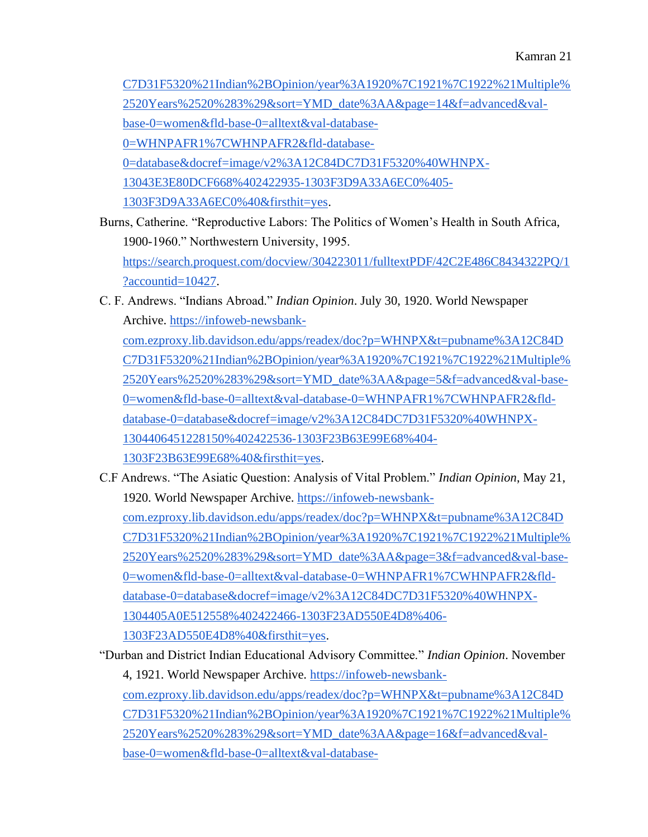[C7D31F5320%21Indian%2BOpinion/year%3A1920%7C1921%7C1922%21Multiple%](https://infoweb-newsbank-com.ezproxy.lib.davidson.edu/apps/readex/doc?p=WHNPX&t=pubname%3A12C84DC7D31F5320%21Indian%2BOpinion/year%3A1920%7C1921%7C1922%21Multiple%2520Years%2520%283%29&sort=YMD_date%3AA&page=14&f=advanced&val-base-0=women&fld-base-0=alltext&val-database-0=WHNPAFR1%7CWHNPAFR2&fld-database-0=database&docref=image/v2%3A12C84DC7D31F5320%40WHNPX-13043E3E80DCF668%402422935-1303F3D9A33A6EC0%405-1303F3D9A33A6EC0%40&firsthit=yes) [2520Years%2520%283%29&sort=YMD\\_date%3AA&page=14&f=advanced&val](https://infoweb-newsbank-com.ezproxy.lib.davidson.edu/apps/readex/doc?p=WHNPX&t=pubname%3A12C84DC7D31F5320%21Indian%2BOpinion/year%3A1920%7C1921%7C1922%21Multiple%2520Years%2520%283%29&sort=YMD_date%3AA&page=14&f=advanced&val-base-0=women&fld-base-0=alltext&val-database-0=WHNPAFR1%7CWHNPAFR2&fld-database-0=database&docref=image/v2%3A12C84DC7D31F5320%40WHNPX-13043E3E80DCF668%402422935-1303F3D9A33A6EC0%405-1303F3D9A33A6EC0%40&firsthit=yes)[base-0=women&fld-base-0=alltext&val-database-](https://infoweb-newsbank-com.ezproxy.lib.davidson.edu/apps/readex/doc?p=WHNPX&t=pubname%3A12C84DC7D31F5320%21Indian%2BOpinion/year%3A1920%7C1921%7C1922%21Multiple%2520Years%2520%283%29&sort=YMD_date%3AA&page=14&f=advanced&val-base-0=women&fld-base-0=alltext&val-database-0=WHNPAFR1%7CWHNPAFR2&fld-database-0=database&docref=image/v2%3A12C84DC7D31F5320%40WHNPX-13043E3E80DCF668%402422935-1303F3D9A33A6EC0%405-1303F3D9A33A6EC0%40&firsthit=yes)[0=WHNPAFR1%7CWHNPAFR2&fld-database-](https://infoweb-newsbank-com.ezproxy.lib.davidson.edu/apps/readex/doc?p=WHNPX&t=pubname%3A12C84DC7D31F5320%21Indian%2BOpinion/year%3A1920%7C1921%7C1922%21Multiple%2520Years%2520%283%29&sort=YMD_date%3AA&page=14&f=advanced&val-base-0=women&fld-base-0=alltext&val-database-0=WHNPAFR1%7CWHNPAFR2&fld-database-0=database&docref=image/v2%3A12C84DC7D31F5320%40WHNPX-13043E3E80DCF668%402422935-1303F3D9A33A6EC0%405-1303F3D9A33A6EC0%40&firsthit=yes)[0=database&docref=image/v2%3A12C84DC7D31F5320%40WHNPX-](https://infoweb-newsbank-com.ezproxy.lib.davidson.edu/apps/readex/doc?p=WHNPX&t=pubname%3A12C84DC7D31F5320%21Indian%2BOpinion/year%3A1920%7C1921%7C1922%21Multiple%2520Years%2520%283%29&sort=YMD_date%3AA&page=14&f=advanced&val-base-0=women&fld-base-0=alltext&val-database-0=WHNPAFR1%7CWHNPAFR2&fld-database-0=database&docref=image/v2%3A12C84DC7D31F5320%40WHNPX-13043E3E80DCF668%402422935-1303F3D9A33A6EC0%405-1303F3D9A33A6EC0%40&firsthit=yes)[13043E3E80DCF668%402422935-1303F3D9A33A6EC0%405-](https://infoweb-newsbank-com.ezproxy.lib.davidson.edu/apps/readex/doc?p=WHNPX&t=pubname%3A12C84DC7D31F5320%21Indian%2BOpinion/year%3A1920%7C1921%7C1922%21Multiple%2520Years%2520%283%29&sort=YMD_date%3AA&page=14&f=advanced&val-base-0=women&fld-base-0=alltext&val-database-0=WHNPAFR1%7CWHNPAFR2&fld-database-0=database&docref=image/v2%3A12C84DC7D31F5320%40WHNPX-13043E3E80DCF668%402422935-1303F3D9A33A6EC0%405-1303F3D9A33A6EC0%40&firsthit=yes) [1303F3D9A33A6EC0%40&firsthit=yes.](https://infoweb-newsbank-com.ezproxy.lib.davidson.edu/apps/readex/doc?p=WHNPX&t=pubname%3A12C84DC7D31F5320%21Indian%2BOpinion/year%3A1920%7C1921%7C1922%21Multiple%2520Years%2520%283%29&sort=YMD_date%3AA&page=14&f=advanced&val-base-0=women&fld-base-0=alltext&val-database-0=WHNPAFR1%7CWHNPAFR2&fld-database-0=database&docref=image/v2%3A12C84DC7D31F5320%40WHNPX-13043E3E80DCF668%402422935-1303F3D9A33A6EC0%405-1303F3D9A33A6EC0%40&firsthit=yes)

Burns, Catherine. "Reproductive Labors: The Politics of Women's Health in South Africa, 1900-1960." Northwestern University, 1995[.](https://search.proquest.com/docview/304223011/fulltextPDF/42C2E486C8434322PQ/1?accountid=10427) [https://search.proquest.com/docview/304223011/fulltextPDF/42C2E486C8434322PQ/1](https://search.proquest.com/docview/304223011/fulltextPDF/42C2E486C8434322PQ/1?accountid=10427)

[?accountid=10427.](https://search.proquest.com/docview/304223011/fulltextPDF/42C2E486C8434322PQ/1?accountid=10427)

C. F. Andrews. "Indians Abroad." *Indian Opinion*. July 30, 1920. World Newspaper Archive[.](https://infoweb-newsbank-com.ezproxy.lib.davidson.edu/apps/readex/doc?p=WHNPX&t=pubname%3A12C84DC7D31F5320%21Indian%2BOpinion/year%3A1920%7C1921%7C1922%21Multiple%2520Years%2520%283%29&sort=YMD_date%3AA&page=5&f=advanced&val-base-0=women&fld-base-0=alltext&val-database-0=WHNPAFR1%7CWHNPAFR2&fld-database-0=database&docref=image/v2%3A12C84DC7D31F5320%40WHNPX-1304406451228150%402422536-1303F23B63E99E68%404-1303F23B63E99E68%40&firsthit=yes) [https://infoweb-newsbank-](https://infoweb-newsbank-com.ezproxy.lib.davidson.edu/apps/readex/doc?p=WHNPX&t=pubname%3A12C84DC7D31F5320%21Indian%2BOpinion/year%3A1920%7C1921%7C1922%21Multiple%2520Years%2520%283%29&sort=YMD_date%3AA&page=5&f=advanced&val-base-0=women&fld-base-0=alltext&val-database-0=WHNPAFR1%7CWHNPAFR2&fld-database-0=database&docref=image/v2%3A12C84DC7D31F5320%40WHNPX-1304406451228150%402422536-1303F23B63E99E68%404-1303F23B63E99E68%40&firsthit=yes)

[com.ezproxy.lib.davidson.edu/apps/readex/doc?p=WHNPX&t=pubname%3A12C84D](https://infoweb-newsbank-com.ezproxy.lib.davidson.edu/apps/readex/doc?p=WHNPX&t=pubname%3A12C84DC7D31F5320%21Indian%2BOpinion/year%3A1920%7C1921%7C1922%21Multiple%2520Years%2520%283%29&sort=YMD_date%3AA&page=5&f=advanced&val-base-0=women&fld-base-0=alltext&val-database-0=WHNPAFR1%7CWHNPAFR2&fld-database-0=database&docref=image/v2%3A12C84DC7D31F5320%40WHNPX-1304406451228150%402422536-1303F23B63E99E68%404-1303F23B63E99E68%40&firsthit=yes) [C7D31F5320%21Indian%2BOpinion/year%3A1920%7C1921%7C1922%21Multiple%](https://infoweb-newsbank-com.ezproxy.lib.davidson.edu/apps/readex/doc?p=WHNPX&t=pubname%3A12C84DC7D31F5320%21Indian%2BOpinion/year%3A1920%7C1921%7C1922%21Multiple%2520Years%2520%283%29&sort=YMD_date%3AA&page=5&f=advanced&val-base-0=women&fld-base-0=alltext&val-database-0=WHNPAFR1%7CWHNPAFR2&fld-database-0=database&docref=image/v2%3A12C84DC7D31F5320%40WHNPX-1304406451228150%402422536-1303F23B63E99E68%404-1303F23B63E99E68%40&firsthit=yes) [2520Years%2520%283%29&sort=YMD\\_date%3AA&page=5&f=advanced&val-base-](https://infoweb-newsbank-com.ezproxy.lib.davidson.edu/apps/readex/doc?p=WHNPX&t=pubname%3A12C84DC7D31F5320%21Indian%2BOpinion/year%3A1920%7C1921%7C1922%21Multiple%2520Years%2520%283%29&sort=YMD_date%3AA&page=5&f=advanced&val-base-0=women&fld-base-0=alltext&val-database-0=WHNPAFR1%7CWHNPAFR2&fld-database-0=database&docref=image/v2%3A12C84DC7D31F5320%40WHNPX-1304406451228150%402422536-1303F23B63E99E68%404-1303F23B63E99E68%40&firsthit=yes)[0=women&fld-base-0=alltext&val-database-0=WHNPAFR1%7CWHNPAFR2&fld](https://infoweb-newsbank-com.ezproxy.lib.davidson.edu/apps/readex/doc?p=WHNPX&t=pubname%3A12C84DC7D31F5320%21Indian%2BOpinion/year%3A1920%7C1921%7C1922%21Multiple%2520Years%2520%283%29&sort=YMD_date%3AA&page=5&f=advanced&val-base-0=women&fld-base-0=alltext&val-database-0=WHNPAFR1%7CWHNPAFR2&fld-database-0=database&docref=image/v2%3A12C84DC7D31F5320%40WHNPX-1304406451228150%402422536-1303F23B63E99E68%404-1303F23B63E99E68%40&firsthit=yes)[database-0=database&docref=image/v2%3A12C84DC7D31F5320%40WHNPX-](https://infoweb-newsbank-com.ezproxy.lib.davidson.edu/apps/readex/doc?p=WHNPX&t=pubname%3A12C84DC7D31F5320%21Indian%2BOpinion/year%3A1920%7C1921%7C1922%21Multiple%2520Years%2520%283%29&sort=YMD_date%3AA&page=5&f=advanced&val-base-0=women&fld-base-0=alltext&val-database-0=WHNPAFR1%7CWHNPAFR2&fld-database-0=database&docref=image/v2%3A12C84DC7D31F5320%40WHNPX-1304406451228150%402422536-1303F23B63E99E68%404-1303F23B63E99E68%40&firsthit=yes)[1304406451228150%402422536-1303F23B63E99E68%404-](https://infoweb-newsbank-com.ezproxy.lib.davidson.edu/apps/readex/doc?p=WHNPX&t=pubname%3A12C84DC7D31F5320%21Indian%2BOpinion/year%3A1920%7C1921%7C1922%21Multiple%2520Years%2520%283%29&sort=YMD_date%3AA&page=5&f=advanced&val-base-0=women&fld-base-0=alltext&val-database-0=WHNPAFR1%7CWHNPAFR2&fld-database-0=database&docref=image/v2%3A12C84DC7D31F5320%40WHNPX-1304406451228150%402422536-1303F23B63E99E68%404-1303F23B63E99E68%40&firsthit=yes)

[1303F23B63E99E68%40&firsthit=yes.](https://infoweb-newsbank-com.ezproxy.lib.davidson.edu/apps/readex/doc?p=WHNPX&t=pubname%3A12C84DC7D31F5320%21Indian%2BOpinion/year%3A1920%7C1921%7C1922%21Multiple%2520Years%2520%283%29&sort=YMD_date%3AA&page=5&f=advanced&val-base-0=women&fld-base-0=alltext&val-database-0=WHNPAFR1%7CWHNPAFR2&fld-database-0=database&docref=image/v2%3A12C84DC7D31F5320%40WHNPX-1304406451228150%402422536-1303F23B63E99E68%404-1303F23B63E99E68%40&firsthit=yes)

- C.F Andrews. "The Asiatic Question: Analysis of Vital Problem." *Indian Opinion*, May 21, 1920. World Newspaper Archive. [https://infoweb-newsbank](https://infoweb-newsbank-com.ezproxy.lib.davidson.edu/apps/readex/doc?p=WHNPX&t=pubname%3A12C84DC7D31F5320%21Indian%2BOpinion/year%3A1920%7C1921%7C1922%21Multiple%2520Years%2520%283%29&sort=YMD_date%3AA&page=3&f=advanced&val-base-0=women&fld-base-0=alltext&val-database-0=WHNPAFR1%7CWHNPAFR2&fld-database-0=database&docref=image/v2%3A12C84DC7D31F5320%40WHNPX-1304405A0E512558%402422466-1303F23AD550E4D8%406-1303F23AD550E4D8%40&firsthit=yes)[com.ezproxy.lib.davidson.edu/apps/readex/doc?p=WHNPX&t=pubname%3A12C84D](https://infoweb-newsbank-com.ezproxy.lib.davidson.edu/apps/readex/doc?p=WHNPX&t=pubname%3A12C84DC7D31F5320%21Indian%2BOpinion/year%3A1920%7C1921%7C1922%21Multiple%2520Years%2520%283%29&sort=YMD_date%3AA&page=3&f=advanced&val-base-0=women&fld-base-0=alltext&val-database-0=WHNPAFR1%7CWHNPAFR2&fld-database-0=database&docref=image/v2%3A12C84DC7D31F5320%40WHNPX-1304405A0E512558%402422466-1303F23AD550E4D8%406-1303F23AD550E4D8%40&firsthit=yes) [C7D31F5320%21Indian%2BOpinion/year%3A1920%7C1921%7C1922%21Multiple%](https://infoweb-newsbank-com.ezproxy.lib.davidson.edu/apps/readex/doc?p=WHNPX&t=pubname%3A12C84DC7D31F5320%21Indian%2BOpinion/year%3A1920%7C1921%7C1922%21Multiple%2520Years%2520%283%29&sort=YMD_date%3AA&page=3&f=advanced&val-base-0=women&fld-base-0=alltext&val-database-0=WHNPAFR1%7CWHNPAFR2&fld-database-0=database&docref=image/v2%3A12C84DC7D31F5320%40WHNPX-1304405A0E512558%402422466-1303F23AD550E4D8%406-1303F23AD550E4D8%40&firsthit=yes) [2520Years%2520%283%29&sort=YMD\\_date%3AA&page=3&f=advanced&val-base-](https://infoweb-newsbank-com.ezproxy.lib.davidson.edu/apps/readex/doc?p=WHNPX&t=pubname%3A12C84DC7D31F5320%21Indian%2BOpinion/year%3A1920%7C1921%7C1922%21Multiple%2520Years%2520%283%29&sort=YMD_date%3AA&page=3&f=advanced&val-base-0=women&fld-base-0=alltext&val-database-0=WHNPAFR1%7CWHNPAFR2&fld-database-0=database&docref=image/v2%3A12C84DC7D31F5320%40WHNPX-1304405A0E512558%402422466-1303F23AD550E4D8%406-1303F23AD550E4D8%40&firsthit=yes)[0=women&fld-base-0=alltext&val-database-0=WHNPAFR1%7CWHNPAFR2&fld](https://infoweb-newsbank-com.ezproxy.lib.davidson.edu/apps/readex/doc?p=WHNPX&t=pubname%3A12C84DC7D31F5320%21Indian%2BOpinion/year%3A1920%7C1921%7C1922%21Multiple%2520Years%2520%283%29&sort=YMD_date%3AA&page=3&f=advanced&val-base-0=women&fld-base-0=alltext&val-database-0=WHNPAFR1%7CWHNPAFR2&fld-database-0=database&docref=image/v2%3A12C84DC7D31F5320%40WHNPX-1304405A0E512558%402422466-1303F23AD550E4D8%406-1303F23AD550E4D8%40&firsthit=yes)[database-0=database&docref=image/v2%3A12C84DC7D31F5320%40WHNPX-](https://infoweb-newsbank-com.ezproxy.lib.davidson.edu/apps/readex/doc?p=WHNPX&t=pubname%3A12C84DC7D31F5320%21Indian%2BOpinion/year%3A1920%7C1921%7C1922%21Multiple%2520Years%2520%283%29&sort=YMD_date%3AA&page=3&f=advanced&val-base-0=women&fld-base-0=alltext&val-database-0=WHNPAFR1%7CWHNPAFR2&fld-database-0=database&docref=image/v2%3A12C84DC7D31F5320%40WHNPX-1304405A0E512558%402422466-1303F23AD550E4D8%406-1303F23AD550E4D8%40&firsthit=yes)[1304405A0E512558%402422466-1303F23AD550E4D8%406-](https://infoweb-newsbank-com.ezproxy.lib.davidson.edu/apps/readex/doc?p=WHNPX&t=pubname%3A12C84DC7D31F5320%21Indian%2BOpinion/year%3A1920%7C1921%7C1922%21Multiple%2520Years%2520%283%29&sort=YMD_date%3AA&page=3&f=advanced&val-base-0=women&fld-base-0=alltext&val-database-0=WHNPAFR1%7CWHNPAFR2&fld-database-0=database&docref=image/v2%3A12C84DC7D31F5320%40WHNPX-1304405A0E512558%402422466-1303F23AD550E4D8%406-1303F23AD550E4D8%40&firsthit=yes) [1303F23AD550E4D8%40&firsthit=yes.](https://infoweb-newsbank-com.ezproxy.lib.davidson.edu/apps/readex/doc?p=WHNPX&t=pubname%3A12C84DC7D31F5320%21Indian%2BOpinion/year%3A1920%7C1921%7C1922%21Multiple%2520Years%2520%283%29&sort=YMD_date%3AA&page=3&f=advanced&val-base-0=women&fld-base-0=alltext&val-database-0=WHNPAFR1%7CWHNPAFR2&fld-database-0=database&docref=image/v2%3A12C84DC7D31F5320%40WHNPX-1304405A0E512558%402422466-1303F23AD550E4D8%406-1303F23AD550E4D8%40&firsthit=yes)
- "Durban and District Indian Educational Advisory Committee." *Indian Opinion*. November 4, 1921. World Newspaper Archive. [https://infoweb-newsbank](https://infoweb-newsbank-com.ezproxy.lib.davidson.edu/apps/readex/doc?p=WHNPX&t=pubname%3A12C84DC7D31F5320%21Indian%2BOpinion/year%3A1920%7C1921%7C1922%21Multiple%2520Years%2520%283%29&sort=YMD_date%3AA&page=16&f=advanced&val-base-0=women&fld-base-0=alltext&val-database-0=WHNPAFR1%7CWHNPAFR2&fld-database-0=database&docref=image/v2%3A12C84DC7D31F5320%40WHNPX-13043E45068A1E38%402422998-1303F3DA1C6CC778%403-1303F3DA1C6CC778%40&firsthit=yes)[com.ezproxy.lib.davidson.edu/apps/readex/doc?p=WHNPX&t=pubname%3A12C84D](https://infoweb-newsbank-com.ezproxy.lib.davidson.edu/apps/readex/doc?p=WHNPX&t=pubname%3A12C84DC7D31F5320%21Indian%2BOpinion/year%3A1920%7C1921%7C1922%21Multiple%2520Years%2520%283%29&sort=YMD_date%3AA&page=16&f=advanced&val-base-0=women&fld-base-0=alltext&val-database-0=WHNPAFR1%7CWHNPAFR2&fld-database-0=database&docref=image/v2%3A12C84DC7D31F5320%40WHNPX-13043E45068A1E38%402422998-1303F3DA1C6CC778%403-1303F3DA1C6CC778%40&firsthit=yes) [C7D31F5320%21Indian%2BOpinion/year%3A1920%7C1921%7C1922%21Multiple%](https://infoweb-newsbank-com.ezproxy.lib.davidson.edu/apps/readex/doc?p=WHNPX&t=pubname%3A12C84DC7D31F5320%21Indian%2BOpinion/year%3A1920%7C1921%7C1922%21Multiple%2520Years%2520%283%29&sort=YMD_date%3AA&page=16&f=advanced&val-base-0=women&fld-base-0=alltext&val-database-0=WHNPAFR1%7CWHNPAFR2&fld-database-0=database&docref=image/v2%3A12C84DC7D31F5320%40WHNPX-13043E45068A1E38%402422998-1303F3DA1C6CC778%403-1303F3DA1C6CC778%40&firsthit=yes) [2520Years%2520%283%29&sort=YMD\\_date%3AA&page=16&f=advanced&val](https://infoweb-newsbank-com.ezproxy.lib.davidson.edu/apps/readex/doc?p=WHNPX&t=pubname%3A12C84DC7D31F5320%21Indian%2BOpinion/year%3A1920%7C1921%7C1922%21Multiple%2520Years%2520%283%29&sort=YMD_date%3AA&page=16&f=advanced&val-base-0=women&fld-base-0=alltext&val-database-0=WHNPAFR1%7CWHNPAFR2&fld-database-0=database&docref=image/v2%3A12C84DC7D31F5320%40WHNPX-13043E45068A1E38%402422998-1303F3DA1C6CC778%403-1303F3DA1C6CC778%40&firsthit=yes)[base-0=women&fld-base-0=alltext&val-database-](https://infoweb-newsbank-com.ezproxy.lib.davidson.edu/apps/readex/doc?p=WHNPX&t=pubname%3A12C84DC7D31F5320%21Indian%2BOpinion/year%3A1920%7C1921%7C1922%21Multiple%2520Years%2520%283%29&sort=YMD_date%3AA&page=16&f=advanced&val-base-0=women&fld-base-0=alltext&val-database-0=WHNPAFR1%7CWHNPAFR2&fld-database-0=database&docref=image/v2%3A12C84DC7D31F5320%40WHNPX-13043E45068A1E38%402422998-1303F3DA1C6CC778%403-1303F3DA1C6CC778%40&firsthit=yes)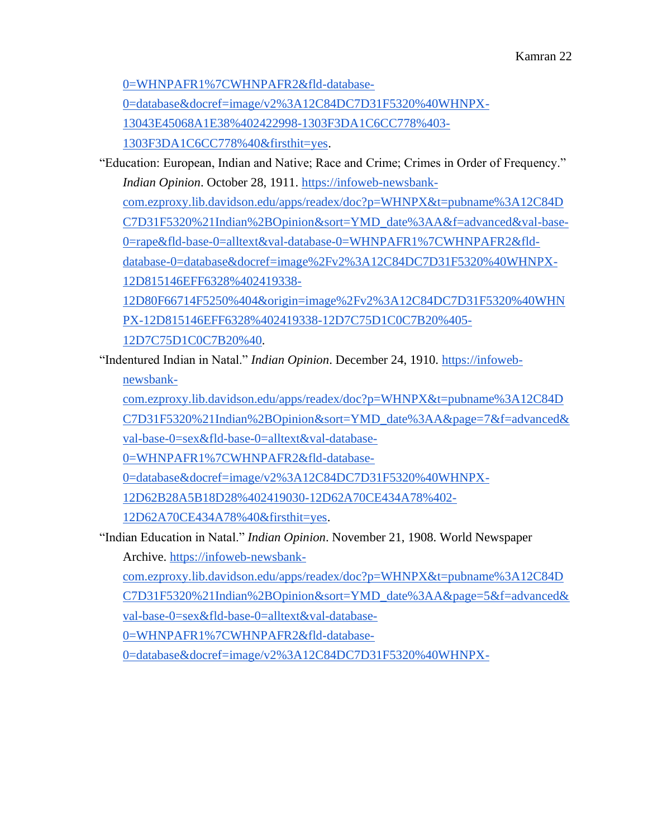[0=WHNPAFR1%7CWHNPAFR2&fld-database-](https://infoweb-newsbank-com.ezproxy.lib.davidson.edu/apps/readex/doc?p=WHNPX&t=pubname%3A12C84DC7D31F5320%21Indian%2BOpinion/year%3A1920%7C1921%7C1922%21Multiple%2520Years%2520%283%29&sort=YMD_date%3AA&page=16&f=advanced&val-base-0=women&fld-base-0=alltext&val-database-0=WHNPAFR1%7CWHNPAFR2&fld-database-0=database&docref=image/v2%3A12C84DC7D31F5320%40WHNPX-13043E45068A1E38%402422998-1303F3DA1C6CC778%403-1303F3DA1C6CC778%40&firsthit=yes)

[0=database&docref=image/v2%3A12C84DC7D31F5320%40WHNPX-](https://infoweb-newsbank-com.ezproxy.lib.davidson.edu/apps/readex/doc?p=WHNPX&t=pubname%3A12C84DC7D31F5320%21Indian%2BOpinion/year%3A1920%7C1921%7C1922%21Multiple%2520Years%2520%283%29&sort=YMD_date%3AA&page=16&f=advanced&val-base-0=women&fld-base-0=alltext&val-database-0=WHNPAFR1%7CWHNPAFR2&fld-database-0=database&docref=image/v2%3A12C84DC7D31F5320%40WHNPX-13043E45068A1E38%402422998-1303F3DA1C6CC778%403-1303F3DA1C6CC778%40&firsthit=yes)

[13043E45068A1E38%402422998-1303F3DA1C6CC778%403-](https://infoweb-newsbank-com.ezproxy.lib.davidson.edu/apps/readex/doc?p=WHNPX&t=pubname%3A12C84DC7D31F5320%21Indian%2BOpinion/year%3A1920%7C1921%7C1922%21Multiple%2520Years%2520%283%29&sort=YMD_date%3AA&page=16&f=advanced&val-base-0=women&fld-base-0=alltext&val-database-0=WHNPAFR1%7CWHNPAFR2&fld-database-0=database&docref=image/v2%3A12C84DC7D31F5320%40WHNPX-13043E45068A1E38%402422998-1303F3DA1C6CC778%403-1303F3DA1C6CC778%40&firsthit=yes)

[1303F3DA1C6CC778%40&firsthit=yes.](https://infoweb-newsbank-com.ezproxy.lib.davidson.edu/apps/readex/doc?p=WHNPX&t=pubname%3A12C84DC7D31F5320%21Indian%2BOpinion/year%3A1920%7C1921%7C1922%21Multiple%2520Years%2520%283%29&sort=YMD_date%3AA&page=16&f=advanced&val-base-0=women&fld-base-0=alltext&val-database-0=WHNPAFR1%7CWHNPAFR2&fld-database-0=database&docref=image/v2%3A12C84DC7D31F5320%40WHNPX-13043E45068A1E38%402422998-1303F3DA1C6CC778%403-1303F3DA1C6CC778%40&firsthit=yes)

"Education: European, Indian and Native; Race and Crime; Crimes in Order of Frequency." *Indian Opinion*. October 28, 1911. [https://infoweb-newsbank-](https://infoweb-newsbank-com.ezproxy.lib.davidson.edu/apps/readex/doc?p=WHNPX&t=pubname%3A12C84DC7D31F5320%21Indian%2BOpinion&sort=YMD_date%3AA&f=advanced&val-base-0=rape&fld-base-0=alltext&val-database-0=WHNPAFR1%7CWHNPAFR2&fld-database-0=database&docref=image%2Fv2%3A12C84DC7D31F5320%40WHNPX-12D815146EFF6328%402419338-12D80F66714F5250%404&origin=image%2Fv2%3A12C84DC7D31F5320%40WHNPX-12D815146EFF6328%402419338-12D7C75D1C0C7B20%405-12D7C75D1C0C7B20%40)

[com.ezproxy.lib.davidson.edu/apps/readex/doc?p=WHNPX&t=pubname%3A12C84D](https://infoweb-newsbank-com.ezproxy.lib.davidson.edu/apps/readex/doc?p=WHNPX&t=pubname%3A12C84DC7D31F5320%21Indian%2BOpinion&sort=YMD_date%3AA&f=advanced&val-base-0=rape&fld-base-0=alltext&val-database-0=WHNPAFR1%7CWHNPAFR2&fld-database-0=database&docref=image%2Fv2%3A12C84DC7D31F5320%40WHNPX-12D815146EFF6328%402419338-12D80F66714F5250%404&origin=image%2Fv2%3A12C84DC7D31F5320%40WHNPX-12D815146EFF6328%402419338-12D7C75D1C0C7B20%405-12D7C75D1C0C7B20%40) [C7D31F5320%21Indian%2BOpinion&sort=YMD\\_date%3AA&f=advanced&val-base-](https://infoweb-newsbank-com.ezproxy.lib.davidson.edu/apps/readex/doc?p=WHNPX&t=pubname%3A12C84DC7D31F5320%21Indian%2BOpinion&sort=YMD_date%3AA&f=advanced&val-base-0=rape&fld-base-0=alltext&val-database-0=WHNPAFR1%7CWHNPAFR2&fld-database-0=database&docref=image%2Fv2%3A12C84DC7D31F5320%40WHNPX-12D815146EFF6328%402419338-12D80F66714F5250%404&origin=image%2Fv2%3A12C84DC7D31F5320%40WHNPX-12D815146EFF6328%402419338-12D7C75D1C0C7B20%405-12D7C75D1C0C7B20%40)[0=rape&fld-base-0=alltext&val-database-0=WHNPAFR1%7CWHNPAFR2&fld](https://infoweb-newsbank-com.ezproxy.lib.davidson.edu/apps/readex/doc?p=WHNPX&t=pubname%3A12C84DC7D31F5320%21Indian%2BOpinion&sort=YMD_date%3AA&f=advanced&val-base-0=rape&fld-base-0=alltext&val-database-0=WHNPAFR1%7CWHNPAFR2&fld-database-0=database&docref=image%2Fv2%3A12C84DC7D31F5320%40WHNPX-12D815146EFF6328%402419338-12D80F66714F5250%404&origin=image%2Fv2%3A12C84DC7D31F5320%40WHNPX-12D815146EFF6328%402419338-12D7C75D1C0C7B20%405-12D7C75D1C0C7B20%40)[database-0=database&docref=image%2Fv2%3A12C84DC7D31F5320%40WHNPX-](https://infoweb-newsbank-com.ezproxy.lib.davidson.edu/apps/readex/doc?p=WHNPX&t=pubname%3A12C84DC7D31F5320%21Indian%2BOpinion&sort=YMD_date%3AA&f=advanced&val-base-0=rape&fld-base-0=alltext&val-database-0=WHNPAFR1%7CWHNPAFR2&fld-database-0=database&docref=image%2Fv2%3A12C84DC7D31F5320%40WHNPX-12D815146EFF6328%402419338-12D80F66714F5250%404&origin=image%2Fv2%3A12C84DC7D31F5320%40WHNPX-12D815146EFF6328%402419338-12D7C75D1C0C7B20%405-12D7C75D1C0C7B20%40)[12D815146EFF6328%402419338-](https://infoweb-newsbank-com.ezproxy.lib.davidson.edu/apps/readex/doc?p=WHNPX&t=pubname%3A12C84DC7D31F5320%21Indian%2BOpinion&sort=YMD_date%3AA&f=advanced&val-base-0=rape&fld-base-0=alltext&val-database-0=WHNPAFR1%7CWHNPAFR2&fld-database-0=database&docref=image%2Fv2%3A12C84DC7D31F5320%40WHNPX-12D815146EFF6328%402419338-12D80F66714F5250%404&origin=image%2Fv2%3A12C84DC7D31F5320%40WHNPX-12D815146EFF6328%402419338-12D7C75D1C0C7B20%405-12D7C75D1C0C7B20%40)

[12D80F66714F5250%404&origin=image%2Fv2%3A12C84DC7D31F5320%40WHN](https://infoweb-newsbank-com.ezproxy.lib.davidson.edu/apps/readex/doc?p=WHNPX&t=pubname%3A12C84DC7D31F5320%21Indian%2BOpinion&sort=YMD_date%3AA&f=advanced&val-base-0=rape&fld-base-0=alltext&val-database-0=WHNPAFR1%7CWHNPAFR2&fld-database-0=database&docref=image%2Fv2%3A12C84DC7D31F5320%40WHNPX-12D815146EFF6328%402419338-12D80F66714F5250%404&origin=image%2Fv2%3A12C84DC7D31F5320%40WHNPX-12D815146EFF6328%402419338-12D7C75D1C0C7B20%405-12D7C75D1C0C7B20%40) [PX-12D815146EFF6328%402419338-12D7C75D1C0C7B20%405-](https://infoweb-newsbank-com.ezproxy.lib.davidson.edu/apps/readex/doc?p=WHNPX&t=pubname%3A12C84DC7D31F5320%21Indian%2BOpinion&sort=YMD_date%3AA&f=advanced&val-base-0=rape&fld-base-0=alltext&val-database-0=WHNPAFR1%7CWHNPAFR2&fld-database-0=database&docref=image%2Fv2%3A12C84DC7D31F5320%40WHNPX-12D815146EFF6328%402419338-12D80F66714F5250%404&origin=image%2Fv2%3A12C84DC7D31F5320%40WHNPX-12D815146EFF6328%402419338-12D7C75D1C0C7B20%405-12D7C75D1C0C7B20%40)

[12D7C75D1C0C7B20%40.](https://infoweb-newsbank-com.ezproxy.lib.davidson.edu/apps/readex/doc?p=WHNPX&t=pubname%3A12C84DC7D31F5320%21Indian%2BOpinion&sort=YMD_date%3AA&f=advanced&val-base-0=rape&fld-base-0=alltext&val-database-0=WHNPAFR1%7CWHNPAFR2&fld-database-0=database&docref=image%2Fv2%3A12C84DC7D31F5320%40WHNPX-12D815146EFF6328%402419338-12D80F66714F5250%404&origin=image%2Fv2%3A12C84DC7D31F5320%40WHNPX-12D815146EFF6328%402419338-12D7C75D1C0C7B20%405-12D7C75D1C0C7B20%40)

"Indentured Indian in Natal." *Indian Opinion*. December 24, 1910[.](https://infoweb-newsbank-com.ezproxy.lib.davidson.edu/apps/readex/doc?p=WHNPX&t=pubname%3A12C84DC7D31F5320%21Indian%2BOpinion&sort=YMD_date%3AA&page=7&f=advanced&val-base-0=sex&fld-base-0=alltext&val-database-0=WHNPAFR1%7CWHNPAFR2&fld-database-0=database&docref=image/v2%3A12C84DC7D31F5320%40WHNPX-12D62B28A5B18D28%402419030-12D62A70CE434A78%402-12D62A70CE434A78%40&firsthit=yes) [https://infoweb](https://infoweb-newsbank-com.ezproxy.lib.davidson.edu/apps/readex/doc?p=WHNPX&t=pubname%3A12C84DC7D31F5320%21Indian%2BOpinion&sort=YMD_date%3AA&page=7&f=advanced&val-base-0=sex&fld-base-0=alltext&val-database-0=WHNPAFR1%7CWHNPAFR2&fld-database-0=database&docref=image/v2%3A12C84DC7D31F5320%40WHNPX-12D62B28A5B18D28%402419030-12D62A70CE434A78%402-12D62A70CE434A78%40&firsthit=yes)[newsbank-](https://infoweb-newsbank-com.ezproxy.lib.davidson.edu/apps/readex/doc?p=WHNPX&t=pubname%3A12C84DC7D31F5320%21Indian%2BOpinion&sort=YMD_date%3AA&page=7&f=advanced&val-base-0=sex&fld-base-0=alltext&val-database-0=WHNPAFR1%7CWHNPAFR2&fld-database-0=database&docref=image/v2%3A12C84DC7D31F5320%40WHNPX-12D62B28A5B18D28%402419030-12D62A70CE434A78%402-12D62A70CE434A78%40&firsthit=yes)

[com.ezproxy.lib.davidson.edu/apps/readex/doc?p=WHNPX&t=pubname%3A12C84D](https://infoweb-newsbank-com.ezproxy.lib.davidson.edu/apps/readex/doc?p=WHNPX&t=pubname%3A12C84DC7D31F5320%21Indian%2BOpinion&sort=YMD_date%3AA&page=7&f=advanced&val-base-0=sex&fld-base-0=alltext&val-database-0=WHNPAFR1%7CWHNPAFR2&fld-database-0=database&docref=image/v2%3A12C84DC7D31F5320%40WHNPX-12D62B28A5B18D28%402419030-12D62A70CE434A78%402-12D62A70CE434A78%40&firsthit=yes)

[C7D31F5320%21Indian%2BOpinion&sort=YMD\\_date%3AA&page=7&f=advanced&](https://infoweb-newsbank-com.ezproxy.lib.davidson.edu/apps/readex/doc?p=WHNPX&t=pubname%3A12C84DC7D31F5320%21Indian%2BOpinion&sort=YMD_date%3AA&page=7&f=advanced&val-base-0=sex&fld-base-0=alltext&val-database-0=WHNPAFR1%7CWHNPAFR2&fld-database-0=database&docref=image/v2%3A12C84DC7D31F5320%40WHNPX-12D62B28A5B18D28%402419030-12D62A70CE434A78%402-12D62A70CE434A78%40&firsthit=yes)

[val-base-0=sex&fld-base-0=alltext&val-database-](https://infoweb-newsbank-com.ezproxy.lib.davidson.edu/apps/readex/doc?p=WHNPX&t=pubname%3A12C84DC7D31F5320%21Indian%2BOpinion&sort=YMD_date%3AA&page=7&f=advanced&val-base-0=sex&fld-base-0=alltext&val-database-0=WHNPAFR1%7CWHNPAFR2&fld-database-0=database&docref=image/v2%3A12C84DC7D31F5320%40WHNPX-12D62B28A5B18D28%402419030-12D62A70CE434A78%402-12D62A70CE434A78%40&firsthit=yes)

[0=WHNPAFR1%7CWHNPAFR2&fld-database-](https://infoweb-newsbank-com.ezproxy.lib.davidson.edu/apps/readex/doc?p=WHNPX&t=pubname%3A12C84DC7D31F5320%21Indian%2BOpinion&sort=YMD_date%3AA&page=7&f=advanced&val-base-0=sex&fld-base-0=alltext&val-database-0=WHNPAFR1%7CWHNPAFR2&fld-database-0=database&docref=image/v2%3A12C84DC7D31F5320%40WHNPX-12D62B28A5B18D28%402419030-12D62A70CE434A78%402-12D62A70CE434A78%40&firsthit=yes)

[0=database&docref=image/v2%3A12C84DC7D31F5320%40WHNPX-](https://infoweb-newsbank-com.ezproxy.lib.davidson.edu/apps/readex/doc?p=WHNPX&t=pubname%3A12C84DC7D31F5320%21Indian%2BOpinion&sort=YMD_date%3AA&page=7&f=advanced&val-base-0=sex&fld-base-0=alltext&val-database-0=WHNPAFR1%7CWHNPAFR2&fld-database-0=database&docref=image/v2%3A12C84DC7D31F5320%40WHNPX-12D62B28A5B18D28%402419030-12D62A70CE434A78%402-12D62A70CE434A78%40&firsthit=yes)

[12D62B28A5B18D28%402419030-12D62A70CE434A78%402-](https://infoweb-newsbank-com.ezproxy.lib.davidson.edu/apps/readex/doc?p=WHNPX&t=pubname%3A12C84DC7D31F5320%21Indian%2BOpinion&sort=YMD_date%3AA&page=7&f=advanced&val-base-0=sex&fld-base-0=alltext&val-database-0=WHNPAFR1%7CWHNPAFR2&fld-database-0=database&docref=image/v2%3A12C84DC7D31F5320%40WHNPX-12D62B28A5B18D28%402419030-12D62A70CE434A78%402-12D62A70CE434A78%40&firsthit=yes)

[12D62A70CE434A78%40&firsthit=yes.](https://infoweb-newsbank-com.ezproxy.lib.davidson.edu/apps/readex/doc?p=WHNPX&t=pubname%3A12C84DC7D31F5320%21Indian%2BOpinion&sort=YMD_date%3AA&page=7&f=advanced&val-base-0=sex&fld-base-0=alltext&val-database-0=WHNPAFR1%7CWHNPAFR2&fld-database-0=database&docref=image/v2%3A12C84DC7D31F5320%40WHNPX-12D62B28A5B18D28%402419030-12D62A70CE434A78%402-12D62A70CE434A78%40&firsthit=yes)

"Indian Education in Natal." *Indian Opinion*. November 21, 1908. World Newspaper

Archive[.](https://infoweb-newsbank-com.ezproxy.lib.davidson.edu/apps/readex/doc?p=WHNPX&t=pubname%3A12C84DC7D31F5320%21Indian%2BOpinion&sort=YMD_date%3AA&page=5&f=advanced&val-base-0=sex&fld-base-0=alltext&val-database-0=WHNPAFR1%7CWHNPAFR2&fld-database-0=database&docref=image/v2%3A12C84DC7D31F5320%40WHNPX-12D5133254B715D8%402418267-12D41C4AA831B7F8%406-12D41C4AA831B7F8%40&firsthit=yes) [https://infoweb-newsbank-](https://infoweb-newsbank-com.ezproxy.lib.davidson.edu/apps/readex/doc?p=WHNPX&t=pubname%3A12C84DC7D31F5320%21Indian%2BOpinion&sort=YMD_date%3AA&page=5&f=advanced&val-base-0=sex&fld-base-0=alltext&val-database-0=WHNPAFR1%7CWHNPAFR2&fld-database-0=database&docref=image/v2%3A12C84DC7D31F5320%40WHNPX-12D5133254B715D8%402418267-12D41C4AA831B7F8%406-12D41C4AA831B7F8%40&firsthit=yes)

[com.ezproxy.lib.davidson.edu/apps/readex/doc?p=WHNPX&t=pubname%3A12C84D](https://infoweb-newsbank-com.ezproxy.lib.davidson.edu/apps/readex/doc?p=WHNPX&t=pubname%3A12C84DC7D31F5320%21Indian%2BOpinion&sort=YMD_date%3AA&page=5&f=advanced&val-base-0=sex&fld-base-0=alltext&val-database-0=WHNPAFR1%7CWHNPAFR2&fld-database-0=database&docref=image/v2%3A12C84DC7D31F5320%40WHNPX-12D5133254B715D8%402418267-12D41C4AA831B7F8%406-12D41C4AA831B7F8%40&firsthit=yes) [C7D31F5320%21Indian%2BOpinion&sort=YMD\\_date%3AA&page=5&f=advanced&](https://infoweb-newsbank-com.ezproxy.lib.davidson.edu/apps/readex/doc?p=WHNPX&t=pubname%3A12C84DC7D31F5320%21Indian%2BOpinion&sort=YMD_date%3AA&page=5&f=advanced&val-base-0=sex&fld-base-0=alltext&val-database-0=WHNPAFR1%7CWHNPAFR2&fld-database-0=database&docref=image/v2%3A12C84DC7D31F5320%40WHNPX-12D5133254B715D8%402418267-12D41C4AA831B7F8%406-12D41C4AA831B7F8%40&firsthit=yes) [val-base-0=sex&fld-base-0=alltext&val-database-](https://infoweb-newsbank-com.ezproxy.lib.davidson.edu/apps/readex/doc?p=WHNPX&t=pubname%3A12C84DC7D31F5320%21Indian%2BOpinion&sort=YMD_date%3AA&page=5&f=advanced&val-base-0=sex&fld-base-0=alltext&val-database-0=WHNPAFR1%7CWHNPAFR2&fld-database-0=database&docref=image/v2%3A12C84DC7D31F5320%40WHNPX-12D5133254B715D8%402418267-12D41C4AA831B7F8%406-12D41C4AA831B7F8%40&firsthit=yes)

[0=WHNPAFR1%7CWHNPAFR2&fld-database-](https://infoweb-newsbank-com.ezproxy.lib.davidson.edu/apps/readex/doc?p=WHNPX&t=pubname%3A12C84DC7D31F5320%21Indian%2BOpinion&sort=YMD_date%3AA&page=5&f=advanced&val-base-0=sex&fld-base-0=alltext&val-database-0=WHNPAFR1%7CWHNPAFR2&fld-database-0=database&docref=image/v2%3A12C84DC7D31F5320%40WHNPX-12D5133254B715D8%402418267-12D41C4AA831B7F8%406-12D41C4AA831B7F8%40&firsthit=yes)

[0=database&docref=image/v2%3A12C84DC7D31F5320%40WHNPX-](https://infoweb-newsbank-com.ezproxy.lib.davidson.edu/apps/readex/doc?p=WHNPX&t=pubname%3A12C84DC7D31F5320%21Indian%2BOpinion&sort=YMD_date%3AA&page=5&f=advanced&val-base-0=sex&fld-base-0=alltext&val-database-0=WHNPAFR1%7CWHNPAFR2&fld-database-0=database&docref=image/v2%3A12C84DC7D31F5320%40WHNPX-12D5133254B715D8%402418267-12D41C4AA831B7F8%406-12D41C4AA831B7F8%40&firsthit=yes)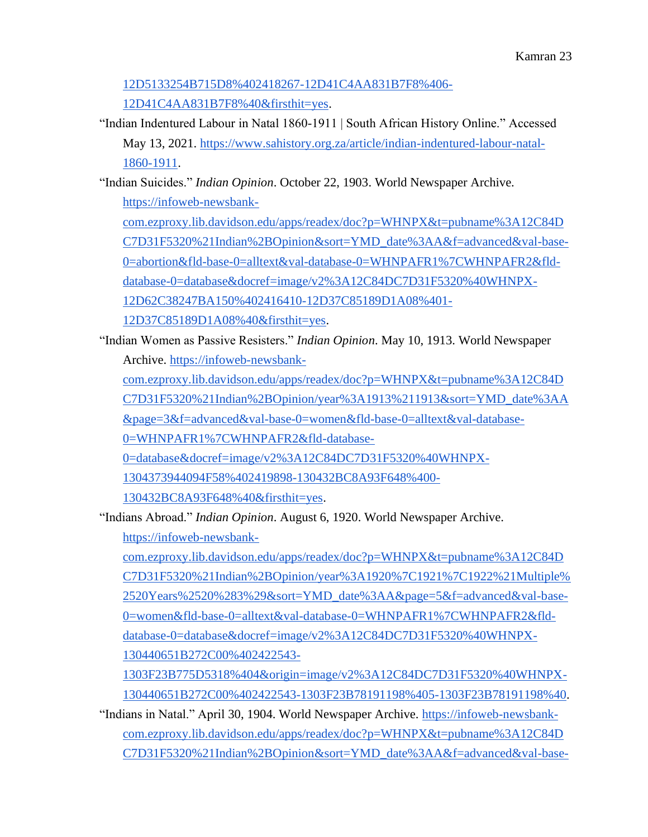[12D5133254B715D8%402418267-12D41C4AA831B7F8%406-](https://infoweb-newsbank-com.ezproxy.lib.davidson.edu/apps/readex/doc?p=WHNPX&t=pubname%3A12C84DC7D31F5320%21Indian%2BOpinion&sort=YMD_date%3AA&page=5&f=advanced&val-base-0=sex&fld-base-0=alltext&val-database-0=WHNPAFR1%7CWHNPAFR2&fld-database-0=database&docref=image/v2%3A12C84DC7D31F5320%40WHNPX-12D5133254B715D8%402418267-12D41C4AA831B7F8%406-12D41C4AA831B7F8%40&firsthit=yes) [12D41C4AA831B7F8%40&firsthit=yes.](https://infoweb-newsbank-com.ezproxy.lib.davidson.edu/apps/readex/doc?p=WHNPX&t=pubname%3A12C84DC7D31F5320%21Indian%2BOpinion&sort=YMD_date%3AA&page=5&f=advanced&val-base-0=sex&fld-base-0=alltext&val-database-0=WHNPAFR1%7CWHNPAFR2&fld-database-0=database&docref=image/v2%3A12C84DC7D31F5320%40WHNPX-12D5133254B715D8%402418267-12D41C4AA831B7F8%406-12D41C4AA831B7F8%40&firsthit=yes)

"Indian Indentured Labour in Natal 1860-1911 | South African History Online." Accessed May 13, 2021[.](https://www.sahistory.org.za/article/indian-indentured-labour-natal-1860-1911) [https://www.sahistory.org.za/article/indian-indentured-labour-natal-](https://www.sahistory.org.za/article/indian-indentured-labour-natal-1860-1911)[1860-1911.](https://www.sahistory.org.za/article/indian-indentured-labour-natal-1860-1911)

"Indian Suicides." *Indian Opinion*. October 22, 1903. World Newspaper Archive[.](https://infoweb-newsbank-com.ezproxy.lib.davidson.edu/apps/readex/doc?p=WHNPX&t=pubname%3A12C84DC7D31F5320%21Indian%2BOpinion&sort=YMD_date%3AA&f=advanced&val-base-0=abortion&fld-base-0=alltext&val-database-0=WHNPAFR1%7CWHNPAFR2&fld-database-0=database&docref=image/v2%3A12C84DC7D31F5320%40WHNPX-12D62C38247BA150%402416410-12D37C85189D1A08%401-12D37C85189D1A08%40&firsthit=yes) [https://infoweb-newsbank](https://infoweb-newsbank-com.ezproxy.lib.davidson.edu/apps/readex/doc?p=WHNPX&t=pubname%3A12C84DC7D31F5320%21Indian%2BOpinion&sort=YMD_date%3AA&f=advanced&val-base-0=abortion&fld-base-0=alltext&val-database-0=WHNPAFR1%7CWHNPAFR2&fld-database-0=database&docref=image/v2%3A12C84DC7D31F5320%40WHNPX-12D62C38247BA150%402416410-12D37C85189D1A08%401-12D37C85189D1A08%40&firsthit=yes)[com.ezproxy.lib.davidson.edu/apps/readex/doc?p=WHNPX&t=pubname%3A12C84D](https://infoweb-newsbank-com.ezproxy.lib.davidson.edu/apps/readex/doc?p=WHNPX&t=pubname%3A12C84DC7D31F5320%21Indian%2BOpinion&sort=YMD_date%3AA&f=advanced&val-base-0=abortion&fld-base-0=alltext&val-database-0=WHNPAFR1%7CWHNPAFR2&fld-database-0=database&docref=image/v2%3A12C84DC7D31F5320%40WHNPX-12D62C38247BA150%402416410-12D37C85189D1A08%401-12D37C85189D1A08%40&firsthit=yes) [C7D31F5320%21Indian%2BOpinion&sort=YMD\\_date%3AA&f=advanced&val-base-](https://infoweb-newsbank-com.ezproxy.lib.davidson.edu/apps/readex/doc?p=WHNPX&t=pubname%3A12C84DC7D31F5320%21Indian%2BOpinion&sort=YMD_date%3AA&f=advanced&val-base-0=abortion&fld-base-0=alltext&val-database-0=WHNPAFR1%7CWHNPAFR2&fld-database-0=database&docref=image/v2%3A12C84DC7D31F5320%40WHNPX-12D62C38247BA150%402416410-12D37C85189D1A08%401-12D37C85189D1A08%40&firsthit=yes)

[0=abortion&fld-base-0=alltext&val-database-0=WHNPAFR1%7CWHNPAFR2&fld-](https://infoweb-newsbank-com.ezproxy.lib.davidson.edu/apps/readex/doc?p=WHNPX&t=pubname%3A12C84DC7D31F5320%21Indian%2BOpinion&sort=YMD_date%3AA&f=advanced&val-base-0=abortion&fld-base-0=alltext&val-database-0=WHNPAFR1%7CWHNPAFR2&fld-database-0=database&docref=image/v2%3A12C84DC7D31F5320%40WHNPX-12D62C38247BA150%402416410-12D37C85189D1A08%401-12D37C85189D1A08%40&firsthit=yes)

[database-0=database&docref=image/v2%3A12C84DC7D31F5320%40WHNPX-](https://infoweb-newsbank-com.ezproxy.lib.davidson.edu/apps/readex/doc?p=WHNPX&t=pubname%3A12C84DC7D31F5320%21Indian%2BOpinion&sort=YMD_date%3AA&f=advanced&val-base-0=abortion&fld-base-0=alltext&val-database-0=WHNPAFR1%7CWHNPAFR2&fld-database-0=database&docref=image/v2%3A12C84DC7D31F5320%40WHNPX-12D62C38247BA150%402416410-12D37C85189D1A08%401-12D37C85189D1A08%40&firsthit=yes)

[12D62C38247BA150%402416410-12D37C85189D1A08%401-](https://infoweb-newsbank-com.ezproxy.lib.davidson.edu/apps/readex/doc?p=WHNPX&t=pubname%3A12C84DC7D31F5320%21Indian%2BOpinion&sort=YMD_date%3AA&f=advanced&val-base-0=abortion&fld-base-0=alltext&val-database-0=WHNPAFR1%7CWHNPAFR2&fld-database-0=database&docref=image/v2%3A12C84DC7D31F5320%40WHNPX-12D62C38247BA150%402416410-12D37C85189D1A08%401-12D37C85189D1A08%40&firsthit=yes)

[12D37C85189D1A08%40&firsthit=yes.](https://infoweb-newsbank-com.ezproxy.lib.davidson.edu/apps/readex/doc?p=WHNPX&t=pubname%3A12C84DC7D31F5320%21Indian%2BOpinion&sort=YMD_date%3AA&f=advanced&val-base-0=abortion&fld-base-0=alltext&val-database-0=WHNPAFR1%7CWHNPAFR2&fld-database-0=database&docref=image/v2%3A12C84DC7D31F5320%40WHNPX-12D62C38247BA150%402416410-12D37C85189D1A08%401-12D37C85189D1A08%40&firsthit=yes)

"Indian Women as Passive Resisters." *Indian Opinion*. May 10, 1913. World Newspaper Archive[.](https://infoweb-newsbank-com.ezproxy.lib.davidson.edu/apps/readex/doc?p=WHNPX&t=pubname%3A12C84DC7D31F5320%21Indian%2BOpinion/year%3A1913%211913&sort=YMD_date%3AA&page=3&f=advanced&val-base-0=women&fld-base-0=alltext&val-database-0=WHNPAFR1%7CWHNPAFR2&fld-database-0=database&docref=image/v2%3A12C84DC7D31F5320%40WHNPX-1304373944094F58%402419898-130432BC8A93F648%400-130432BC8A93F648%40&firsthit=yes) [https://infoweb-newsbank-](https://infoweb-newsbank-com.ezproxy.lib.davidson.edu/apps/readex/doc?p=WHNPX&t=pubname%3A12C84DC7D31F5320%21Indian%2BOpinion/year%3A1913%211913&sort=YMD_date%3AA&page=3&f=advanced&val-base-0=women&fld-base-0=alltext&val-database-0=WHNPAFR1%7CWHNPAFR2&fld-database-0=database&docref=image/v2%3A12C84DC7D31F5320%40WHNPX-1304373944094F58%402419898-130432BC8A93F648%400-130432BC8A93F648%40&firsthit=yes)

[com.ezproxy.lib.davidson.edu/apps/readex/doc?p=WHNPX&t=pubname%3A12C84D](https://infoweb-newsbank-com.ezproxy.lib.davidson.edu/apps/readex/doc?p=WHNPX&t=pubname%3A12C84DC7D31F5320%21Indian%2BOpinion/year%3A1913%211913&sort=YMD_date%3AA&page=3&f=advanced&val-base-0=women&fld-base-0=alltext&val-database-0=WHNPAFR1%7CWHNPAFR2&fld-database-0=database&docref=image/v2%3A12C84DC7D31F5320%40WHNPX-1304373944094F58%402419898-130432BC8A93F648%400-130432BC8A93F648%40&firsthit=yes) [C7D31F5320%21Indian%2BOpinion/year%3A1913%211913&sort=YMD\\_date%3AA](https://infoweb-newsbank-com.ezproxy.lib.davidson.edu/apps/readex/doc?p=WHNPX&t=pubname%3A12C84DC7D31F5320%21Indian%2BOpinion/year%3A1913%211913&sort=YMD_date%3AA&page=3&f=advanced&val-base-0=women&fld-base-0=alltext&val-database-0=WHNPAFR1%7CWHNPAFR2&fld-database-0=database&docref=image/v2%3A12C84DC7D31F5320%40WHNPX-1304373944094F58%402419898-130432BC8A93F648%400-130432BC8A93F648%40&firsthit=yes) [&page=3&f=advanced&val-base-0=women&fld-base-0=alltext&val-database-](https://infoweb-newsbank-com.ezproxy.lib.davidson.edu/apps/readex/doc?p=WHNPX&t=pubname%3A12C84DC7D31F5320%21Indian%2BOpinion/year%3A1913%211913&sort=YMD_date%3AA&page=3&f=advanced&val-base-0=women&fld-base-0=alltext&val-database-0=WHNPAFR1%7CWHNPAFR2&fld-database-0=database&docref=image/v2%3A12C84DC7D31F5320%40WHNPX-1304373944094F58%402419898-130432BC8A93F648%400-130432BC8A93F648%40&firsthit=yes)

[0=WHNPAFR1%7CWHNPAFR2&fld-database-](https://infoweb-newsbank-com.ezproxy.lib.davidson.edu/apps/readex/doc?p=WHNPX&t=pubname%3A12C84DC7D31F5320%21Indian%2BOpinion/year%3A1913%211913&sort=YMD_date%3AA&page=3&f=advanced&val-base-0=women&fld-base-0=alltext&val-database-0=WHNPAFR1%7CWHNPAFR2&fld-database-0=database&docref=image/v2%3A12C84DC7D31F5320%40WHNPX-1304373944094F58%402419898-130432BC8A93F648%400-130432BC8A93F648%40&firsthit=yes)

[0=database&docref=image/v2%3A12C84DC7D31F5320%40WHNPX-](https://infoweb-newsbank-com.ezproxy.lib.davidson.edu/apps/readex/doc?p=WHNPX&t=pubname%3A12C84DC7D31F5320%21Indian%2BOpinion/year%3A1913%211913&sort=YMD_date%3AA&page=3&f=advanced&val-base-0=women&fld-base-0=alltext&val-database-0=WHNPAFR1%7CWHNPAFR2&fld-database-0=database&docref=image/v2%3A12C84DC7D31F5320%40WHNPX-1304373944094F58%402419898-130432BC8A93F648%400-130432BC8A93F648%40&firsthit=yes)

[1304373944094F58%402419898-130432BC8A93F648%400-](https://infoweb-newsbank-com.ezproxy.lib.davidson.edu/apps/readex/doc?p=WHNPX&t=pubname%3A12C84DC7D31F5320%21Indian%2BOpinion/year%3A1913%211913&sort=YMD_date%3AA&page=3&f=advanced&val-base-0=women&fld-base-0=alltext&val-database-0=WHNPAFR1%7CWHNPAFR2&fld-database-0=database&docref=image/v2%3A12C84DC7D31F5320%40WHNPX-1304373944094F58%402419898-130432BC8A93F648%400-130432BC8A93F648%40&firsthit=yes)

[130432BC8A93F648%40&firsthit=yes.](https://infoweb-newsbank-com.ezproxy.lib.davidson.edu/apps/readex/doc?p=WHNPX&t=pubname%3A12C84DC7D31F5320%21Indian%2BOpinion/year%3A1913%211913&sort=YMD_date%3AA&page=3&f=advanced&val-base-0=women&fld-base-0=alltext&val-database-0=WHNPAFR1%7CWHNPAFR2&fld-database-0=database&docref=image/v2%3A12C84DC7D31F5320%40WHNPX-1304373944094F58%402419898-130432BC8A93F648%400-130432BC8A93F648%40&firsthit=yes)

"Indians Abroad." *Indian Opinion*. August 6, 1920. World Newspaper Archive[.](https://infoweb-newsbank-com.ezproxy.lib.davidson.edu/apps/readex/doc?p=WHNPX&t=pubname%3A12C84DC7D31F5320%21Indian%2BOpinion/year%3A1920%7C1921%7C1922%21Multiple%2520Years%2520%283%29&sort=YMD_date%3AA&page=5&f=advanced&val-base-0=women&fld-base-0=alltext&val-database-0=WHNPAFR1%7CWHNPAFR2&fld-database-0=database&docref=image/v2%3A12C84DC7D31F5320%40WHNPX-130440651B272C00%402422543-1303F23B775D5318%404&origin=image/v2%3A12C84DC7D31F5320%40WHNPX-130440651B272C00%402422543-1303F23B78191198%405-1303F23B78191198%40) [https://infoweb-newsbank-](https://infoweb-newsbank-com.ezproxy.lib.davidson.edu/apps/readex/doc?p=WHNPX&t=pubname%3A12C84DC7D31F5320%21Indian%2BOpinion/year%3A1920%7C1921%7C1922%21Multiple%2520Years%2520%283%29&sort=YMD_date%3AA&page=5&f=advanced&val-base-0=women&fld-base-0=alltext&val-database-0=WHNPAFR1%7CWHNPAFR2&fld-database-0=database&docref=image/v2%3A12C84DC7D31F5320%40WHNPX-130440651B272C00%402422543-1303F23B775D5318%404&origin=image/v2%3A12C84DC7D31F5320%40WHNPX-130440651B272C00%402422543-1303F23B78191198%405-1303F23B78191198%40)

[com.ezproxy.lib.davidson.edu/apps/readex/doc?p=WHNPX&t=pubname%3A12C84D](https://infoweb-newsbank-com.ezproxy.lib.davidson.edu/apps/readex/doc?p=WHNPX&t=pubname%3A12C84DC7D31F5320%21Indian%2BOpinion/year%3A1920%7C1921%7C1922%21Multiple%2520Years%2520%283%29&sort=YMD_date%3AA&page=5&f=advanced&val-base-0=women&fld-base-0=alltext&val-database-0=WHNPAFR1%7CWHNPAFR2&fld-database-0=database&docref=image/v2%3A12C84DC7D31F5320%40WHNPX-130440651B272C00%402422543-1303F23B775D5318%404&origin=image/v2%3A12C84DC7D31F5320%40WHNPX-130440651B272C00%402422543-1303F23B78191198%405-1303F23B78191198%40) [C7D31F5320%21Indian%2BOpinion/year%3A1920%7C1921%7C1922%21Multiple%](https://infoweb-newsbank-com.ezproxy.lib.davidson.edu/apps/readex/doc?p=WHNPX&t=pubname%3A12C84DC7D31F5320%21Indian%2BOpinion/year%3A1920%7C1921%7C1922%21Multiple%2520Years%2520%283%29&sort=YMD_date%3AA&page=5&f=advanced&val-base-0=women&fld-base-0=alltext&val-database-0=WHNPAFR1%7CWHNPAFR2&fld-database-0=database&docref=image/v2%3A12C84DC7D31F5320%40WHNPX-130440651B272C00%402422543-1303F23B775D5318%404&origin=image/v2%3A12C84DC7D31F5320%40WHNPX-130440651B272C00%402422543-1303F23B78191198%405-1303F23B78191198%40) [2520Years%2520%283%29&sort=YMD\\_date%3AA&page=5&f=advanced&val-base-](https://infoweb-newsbank-com.ezproxy.lib.davidson.edu/apps/readex/doc?p=WHNPX&t=pubname%3A12C84DC7D31F5320%21Indian%2BOpinion/year%3A1920%7C1921%7C1922%21Multiple%2520Years%2520%283%29&sort=YMD_date%3AA&page=5&f=advanced&val-base-0=women&fld-base-0=alltext&val-database-0=WHNPAFR1%7CWHNPAFR2&fld-database-0=database&docref=image/v2%3A12C84DC7D31F5320%40WHNPX-130440651B272C00%402422543-1303F23B775D5318%404&origin=image/v2%3A12C84DC7D31F5320%40WHNPX-130440651B272C00%402422543-1303F23B78191198%405-1303F23B78191198%40)[0=women&fld-base-0=alltext&val-database-0=WHNPAFR1%7CWHNPAFR2&fld](https://infoweb-newsbank-com.ezproxy.lib.davidson.edu/apps/readex/doc?p=WHNPX&t=pubname%3A12C84DC7D31F5320%21Indian%2BOpinion/year%3A1920%7C1921%7C1922%21Multiple%2520Years%2520%283%29&sort=YMD_date%3AA&page=5&f=advanced&val-base-0=women&fld-base-0=alltext&val-database-0=WHNPAFR1%7CWHNPAFR2&fld-database-0=database&docref=image/v2%3A12C84DC7D31F5320%40WHNPX-130440651B272C00%402422543-1303F23B775D5318%404&origin=image/v2%3A12C84DC7D31F5320%40WHNPX-130440651B272C00%402422543-1303F23B78191198%405-1303F23B78191198%40)[database-0=database&docref=image/v2%3A12C84DC7D31F5320%40WHNPX-](https://infoweb-newsbank-com.ezproxy.lib.davidson.edu/apps/readex/doc?p=WHNPX&t=pubname%3A12C84DC7D31F5320%21Indian%2BOpinion/year%3A1920%7C1921%7C1922%21Multiple%2520Years%2520%283%29&sort=YMD_date%3AA&page=5&f=advanced&val-base-0=women&fld-base-0=alltext&val-database-0=WHNPAFR1%7CWHNPAFR2&fld-database-0=database&docref=image/v2%3A12C84DC7D31F5320%40WHNPX-130440651B272C00%402422543-1303F23B775D5318%404&origin=image/v2%3A12C84DC7D31F5320%40WHNPX-130440651B272C00%402422543-1303F23B78191198%405-1303F23B78191198%40)[130440651B272C00%402422543-](https://infoweb-newsbank-com.ezproxy.lib.davidson.edu/apps/readex/doc?p=WHNPX&t=pubname%3A12C84DC7D31F5320%21Indian%2BOpinion/year%3A1920%7C1921%7C1922%21Multiple%2520Years%2520%283%29&sort=YMD_date%3AA&page=5&f=advanced&val-base-0=women&fld-base-0=alltext&val-database-0=WHNPAFR1%7CWHNPAFR2&fld-database-0=database&docref=image/v2%3A12C84DC7D31F5320%40WHNPX-130440651B272C00%402422543-1303F23B775D5318%404&origin=image/v2%3A12C84DC7D31F5320%40WHNPX-130440651B272C00%402422543-1303F23B78191198%405-1303F23B78191198%40)

[1303F23B775D5318%404&origin=image/v2%3A12C84DC7D31F5320%40WHNPX-](https://infoweb-newsbank-com.ezproxy.lib.davidson.edu/apps/readex/doc?p=WHNPX&t=pubname%3A12C84DC7D31F5320%21Indian%2BOpinion/year%3A1920%7C1921%7C1922%21Multiple%2520Years%2520%283%29&sort=YMD_date%3AA&page=5&f=advanced&val-base-0=women&fld-base-0=alltext&val-database-0=WHNPAFR1%7CWHNPAFR2&fld-database-0=database&docref=image/v2%3A12C84DC7D31F5320%40WHNPX-130440651B272C00%402422543-1303F23B775D5318%404&origin=image/v2%3A12C84DC7D31F5320%40WHNPX-130440651B272C00%402422543-1303F23B78191198%405-1303F23B78191198%40)[130440651B272C00%402422543-1303F23B78191198%405-1303F23B78191198%40.](https://infoweb-newsbank-com.ezproxy.lib.davidson.edu/apps/readex/doc?p=WHNPX&t=pubname%3A12C84DC7D31F5320%21Indian%2BOpinion/year%3A1920%7C1921%7C1922%21Multiple%2520Years%2520%283%29&sort=YMD_date%3AA&page=5&f=advanced&val-base-0=women&fld-base-0=alltext&val-database-0=WHNPAFR1%7CWHNPAFR2&fld-database-0=database&docref=image/v2%3A12C84DC7D31F5320%40WHNPX-130440651B272C00%402422543-1303F23B775D5318%404&origin=image/v2%3A12C84DC7D31F5320%40WHNPX-130440651B272C00%402422543-1303F23B78191198%405-1303F23B78191198%40)

"Indians in Natal." April 30, 1904. World Newspaper Archive. [https://infoweb-newsbank](https://infoweb-newsbank-com.ezproxy.lib.davidson.edu/apps/readex/doc?p=WHNPX&t=pubname%3A12C84DC7D31F5320%21Indian%2BOpinion&sort=YMD_date%3AA&f=advanced&val-base-0=rape&fld-base-0=alltext&val-database-0=WHNPAFR1%7CWHNPAFR2&fld-database-0=database&docref=image/v2%3A12C84DC7D31F5320%40WHNPX-12D62C6C9AF732C0%402416601-12D37C888808B788%401-12D37C888808B788%40)[com.ezproxy.lib.davidson.edu/apps/readex/doc?p=WHNPX&t=pubname%3A12C84D](https://infoweb-newsbank-com.ezproxy.lib.davidson.edu/apps/readex/doc?p=WHNPX&t=pubname%3A12C84DC7D31F5320%21Indian%2BOpinion&sort=YMD_date%3AA&f=advanced&val-base-0=rape&fld-base-0=alltext&val-database-0=WHNPAFR1%7CWHNPAFR2&fld-database-0=database&docref=image/v2%3A12C84DC7D31F5320%40WHNPX-12D62C6C9AF732C0%402416601-12D37C888808B788%401-12D37C888808B788%40) [C7D31F5320%21Indian%2BOpinion&sort=YMD\\_date%3AA&f=advanced&val-base-](https://infoweb-newsbank-com.ezproxy.lib.davidson.edu/apps/readex/doc?p=WHNPX&t=pubname%3A12C84DC7D31F5320%21Indian%2BOpinion&sort=YMD_date%3AA&f=advanced&val-base-0=rape&fld-base-0=alltext&val-database-0=WHNPAFR1%7CWHNPAFR2&fld-database-0=database&docref=image/v2%3A12C84DC7D31F5320%40WHNPX-12D62C6C9AF732C0%402416601-12D37C888808B788%401-12D37C888808B788%40)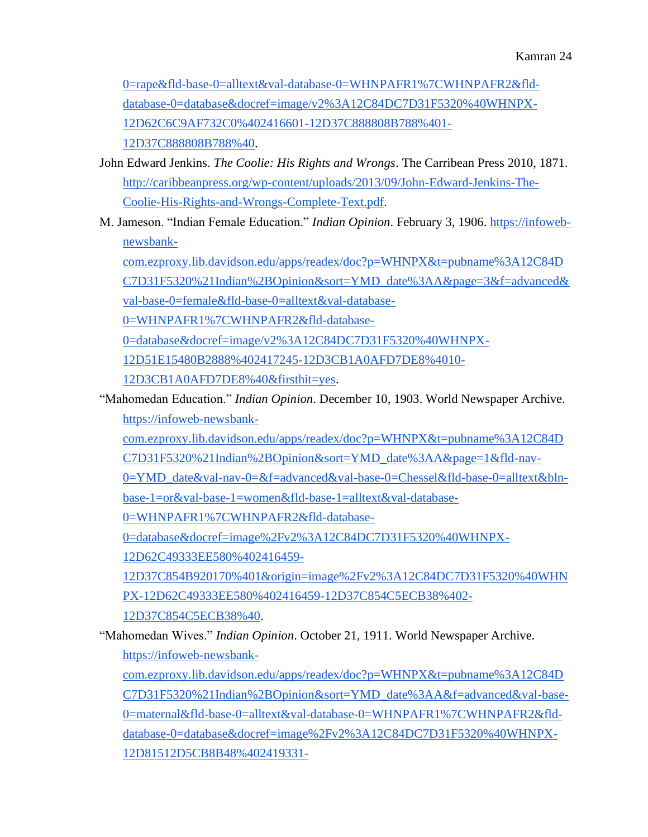[0=rape&fld-base-0=alltext&val-database-0=WHNPAFR1%7CWHNPAFR2&fld](https://infoweb-newsbank-com.ezproxy.lib.davidson.edu/apps/readex/doc?p=WHNPX&t=pubname%3A12C84DC7D31F5320%21Indian%2BOpinion&sort=YMD_date%3AA&f=advanced&val-base-0=rape&fld-base-0=alltext&val-database-0=WHNPAFR1%7CWHNPAFR2&fld-database-0=database&docref=image/v2%3A12C84DC7D31F5320%40WHNPX-12D62C6C9AF732C0%402416601-12D37C888808B788%401-12D37C888808B788%40)[database-0=database&docref=image/v2%3A12C84DC7D31F5320%40WHNPX-](https://infoweb-newsbank-com.ezproxy.lib.davidson.edu/apps/readex/doc?p=WHNPX&t=pubname%3A12C84DC7D31F5320%21Indian%2BOpinion&sort=YMD_date%3AA&f=advanced&val-base-0=rape&fld-base-0=alltext&val-database-0=WHNPAFR1%7CWHNPAFR2&fld-database-0=database&docref=image/v2%3A12C84DC7D31F5320%40WHNPX-12D62C6C9AF732C0%402416601-12D37C888808B788%401-12D37C888808B788%40)[12D62C6C9AF732C0%402416601-12D37C888808B788%401-](https://infoweb-newsbank-com.ezproxy.lib.davidson.edu/apps/readex/doc?p=WHNPX&t=pubname%3A12C84DC7D31F5320%21Indian%2BOpinion&sort=YMD_date%3AA&f=advanced&val-base-0=rape&fld-base-0=alltext&val-database-0=WHNPAFR1%7CWHNPAFR2&fld-database-0=database&docref=image/v2%3A12C84DC7D31F5320%40WHNPX-12D62C6C9AF732C0%402416601-12D37C888808B788%401-12D37C888808B788%40) [12D37C888808B788%40.](https://infoweb-newsbank-com.ezproxy.lib.davidson.edu/apps/readex/doc?p=WHNPX&t=pubname%3A12C84DC7D31F5320%21Indian%2BOpinion&sort=YMD_date%3AA&f=advanced&val-base-0=rape&fld-base-0=alltext&val-database-0=WHNPAFR1%7CWHNPAFR2&fld-database-0=database&docref=image/v2%3A12C84DC7D31F5320%40WHNPX-12D62C6C9AF732C0%402416601-12D37C888808B788%401-12D37C888808B788%40)

- John Edward Jenkins. *The Coolie: His Rights and Wrongs*. The Carribean Press 2010, 1871[.](http://caribbeanpress.org/wp-content/uploads/2013/09/John-Edward-Jenkins-The-Coolie-His-Rights-and-Wrongs-Complete-Text.pdf) [http://caribbeanpress.org/wp-content/uploads/2013/09/John-Edward-Jenkins-The-](http://caribbeanpress.org/wp-content/uploads/2013/09/John-Edward-Jenkins-The-Coolie-His-Rights-and-Wrongs-Complete-Text.pdf)[Coolie-His-Rights-and-Wrongs-Complete-Text.pdf.](http://caribbeanpress.org/wp-content/uploads/2013/09/John-Edward-Jenkins-The-Coolie-His-Rights-and-Wrongs-Complete-Text.pdf)
- M. Jameson. "Indian Female Education." *Indian Opinion*. February 3, 1906. [https://infoweb](https://infoweb-newsbank-com.ezproxy.lib.davidson.edu/apps/readex/doc?p=WHNPX&t=pubname%3A12C84DC7D31F5320%21Indian%2BOpinion&sort=YMD_date%3AA&page=3&f=advanced&val-base-0=female&fld-base-0=alltext&val-database-0=WHNPAFR1%7CWHNPAFR2&fld-database-0=database&docref=image/v2%3A12C84DC7D31F5320%40WHNPX-12D51E15480B2888%402417245-12D3CB1A0AFD7DE8%4010-12D3CB1A0AFD7DE8%40&firsthit=yes)[newsbank-](https://infoweb-newsbank-com.ezproxy.lib.davidson.edu/apps/readex/doc?p=WHNPX&t=pubname%3A12C84DC7D31F5320%21Indian%2BOpinion&sort=YMD_date%3AA&page=3&f=advanced&val-base-0=female&fld-base-0=alltext&val-database-0=WHNPAFR1%7CWHNPAFR2&fld-database-0=database&docref=image/v2%3A12C84DC7D31F5320%40WHNPX-12D51E15480B2888%402417245-12D3CB1A0AFD7DE8%4010-12D3CB1A0AFD7DE8%40&firsthit=yes)

[com.ezproxy.lib.davidson.edu/apps/readex/doc?p=WHNPX&t=pubname%3A12C84D](https://infoweb-newsbank-com.ezproxy.lib.davidson.edu/apps/readex/doc?p=WHNPX&t=pubname%3A12C84DC7D31F5320%21Indian%2BOpinion&sort=YMD_date%3AA&page=3&f=advanced&val-base-0=female&fld-base-0=alltext&val-database-0=WHNPAFR1%7CWHNPAFR2&fld-database-0=database&docref=image/v2%3A12C84DC7D31F5320%40WHNPX-12D51E15480B2888%402417245-12D3CB1A0AFD7DE8%4010-12D3CB1A0AFD7DE8%40&firsthit=yes) [C7D31F5320%21Indian%2BOpinion&sort=YMD\\_date%3AA&page=3&f=advanced&](https://infoweb-newsbank-com.ezproxy.lib.davidson.edu/apps/readex/doc?p=WHNPX&t=pubname%3A12C84DC7D31F5320%21Indian%2BOpinion&sort=YMD_date%3AA&page=3&f=advanced&val-base-0=female&fld-base-0=alltext&val-database-0=WHNPAFR1%7CWHNPAFR2&fld-database-0=database&docref=image/v2%3A12C84DC7D31F5320%40WHNPX-12D51E15480B2888%402417245-12D3CB1A0AFD7DE8%4010-12D3CB1A0AFD7DE8%40&firsthit=yes) [val-base-0=female&fld-base-0=alltext&val-database-](https://infoweb-newsbank-com.ezproxy.lib.davidson.edu/apps/readex/doc?p=WHNPX&t=pubname%3A12C84DC7D31F5320%21Indian%2BOpinion&sort=YMD_date%3AA&page=3&f=advanced&val-base-0=female&fld-base-0=alltext&val-database-0=WHNPAFR1%7CWHNPAFR2&fld-database-0=database&docref=image/v2%3A12C84DC7D31F5320%40WHNPX-12D51E15480B2888%402417245-12D3CB1A0AFD7DE8%4010-12D3CB1A0AFD7DE8%40&firsthit=yes)

[0=WHNPAFR1%7CWHNPAFR2&fld-database-](https://infoweb-newsbank-com.ezproxy.lib.davidson.edu/apps/readex/doc?p=WHNPX&t=pubname%3A12C84DC7D31F5320%21Indian%2BOpinion&sort=YMD_date%3AA&page=3&f=advanced&val-base-0=female&fld-base-0=alltext&val-database-0=WHNPAFR1%7CWHNPAFR2&fld-database-0=database&docref=image/v2%3A12C84DC7D31F5320%40WHNPX-12D51E15480B2888%402417245-12D3CB1A0AFD7DE8%4010-12D3CB1A0AFD7DE8%40&firsthit=yes)

[0=database&docref=image/v2%3A12C84DC7D31F5320%40WHNPX-](https://infoweb-newsbank-com.ezproxy.lib.davidson.edu/apps/readex/doc?p=WHNPX&t=pubname%3A12C84DC7D31F5320%21Indian%2BOpinion&sort=YMD_date%3AA&page=3&f=advanced&val-base-0=female&fld-base-0=alltext&val-database-0=WHNPAFR1%7CWHNPAFR2&fld-database-0=database&docref=image/v2%3A12C84DC7D31F5320%40WHNPX-12D51E15480B2888%402417245-12D3CB1A0AFD7DE8%4010-12D3CB1A0AFD7DE8%40&firsthit=yes)

[12D51E15480B2888%402417245-12D3CB1A0AFD7DE8%4010-](https://infoweb-newsbank-com.ezproxy.lib.davidson.edu/apps/readex/doc?p=WHNPX&t=pubname%3A12C84DC7D31F5320%21Indian%2BOpinion&sort=YMD_date%3AA&page=3&f=advanced&val-base-0=female&fld-base-0=alltext&val-database-0=WHNPAFR1%7CWHNPAFR2&fld-database-0=database&docref=image/v2%3A12C84DC7D31F5320%40WHNPX-12D51E15480B2888%402417245-12D3CB1A0AFD7DE8%4010-12D3CB1A0AFD7DE8%40&firsthit=yes)

[12D3CB1A0AFD7DE8%40&firsthit=yes.](https://infoweb-newsbank-com.ezproxy.lib.davidson.edu/apps/readex/doc?p=WHNPX&t=pubname%3A12C84DC7D31F5320%21Indian%2BOpinion&sort=YMD_date%3AA&page=3&f=advanced&val-base-0=female&fld-base-0=alltext&val-database-0=WHNPAFR1%7CWHNPAFR2&fld-database-0=database&docref=image/v2%3A12C84DC7D31F5320%40WHNPX-12D51E15480B2888%402417245-12D3CB1A0AFD7DE8%4010-12D3CB1A0AFD7DE8%40&firsthit=yes)

- "Mahomedan Education." *Indian Opinion*. December 10, 1903. World Newspaper Archive[.](https://infoweb-newsbank-com.ezproxy.lib.davidson.edu/apps/readex/doc?p=WHNPX&t=pubname%3A12C84DC7D31F5320%21Indian%2BOpinion&sort=YMD_date%3AA&page=1&fld-nav-0=YMD_date&val-nav-0=&f=advanced&val-base-0=Chessel&fld-base-0=alltext&bln-base-1=or&val-base-1=women&fld-base-1=alltext&val-database-0=WHNPAFR1%7CWHNPAFR2&fld-database-0=database&docref=image%2Fv2%3A12C84DC7D31F5320%40WHNPX-12D62C49333EE580%402416459-12D37C854B920170%401&origin=image%2Fv2%3A12C84DC7D31F5320%40WHNPX-12D62C49333EE580%402416459-12D37C854C5ECB38%402-12D37C854C5ECB38%40) [https://infoweb-newsbank](https://infoweb-newsbank-com.ezproxy.lib.davidson.edu/apps/readex/doc?p=WHNPX&t=pubname%3A12C84DC7D31F5320%21Indian%2BOpinion&sort=YMD_date%3AA&page=1&fld-nav-0=YMD_date&val-nav-0=&f=advanced&val-base-0=Chessel&fld-base-0=alltext&bln-base-1=or&val-base-1=women&fld-base-1=alltext&val-database-0=WHNPAFR1%7CWHNPAFR2&fld-database-0=database&docref=image%2Fv2%3A12C84DC7D31F5320%40WHNPX-12D62C49333EE580%402416459-12D37C854B920170%401&origin=image%2Fv2%3A12C84DC7D31F5320%40WHNPX-12D62C49333EE580%402416459-12D37C854C5ECB38%402-12D37C854C5ECB38%40)
	- [com.ezproxy.lib.davidson.edu/apps/readex/doc?p=WHNPX&t=pubname%3A12C84D](https://infoweb-newsbank-com.ezproxy.lib.davidson.edu/apps/readex/doc?p=WHNPX&t=pubname%3A12C84DC7D31F5320%21Indian%2BOpinion&sort=YMD_date%3AA&page=1&fld-nav-0=YMD_date&val-nav-0=&f=advanced&val-base-0=Chessel&fld-base-0=alltext&bln-base-1=or&val-base-1=women&fld-base-1=alltext&val-database-0=WHNPAFR1%7CWHNPAFR2&fld-database-0=database&docref=image%2Fv2%3A12C84DC7D31F5320%40WHNPX-12D62C49333EE580%402416459-12D37C854B920170%401&origin=image%2Fv2%3A12C84DC7D31F5320%40WHNPX-12D62C49333EE580%402416459-12D37C854C5ECB38%402-12D37C854C5ECB38%40)
	- [C7D31F5320%21Indian%2BOpinion&sort=YMD\\_date%3AA&page=1&fld-nav-](https://infoweb-newsbank-com.ezproxy.lib.davidson.edu/apps/readex/doc?p=WHNPX&t=pubname%3A12C84DC7D31F5320%21Indian%2BOpinion&sort=YMD_date%3AA&page=1&fld-nav-0=YMD_date&val-nav-0=&f=advanced&val-base-0=Chessel&fld-base-0=alltext&bln-base-1=or&val-base-1=women&fld-base-1=alltext&val-database-0=WHNPAFR1%7CWHNPAFR2&fld-database-0=database&docref=image%2Fv2%3A12C84DC7D31F5320%40WHNPX-12D62C49333EE580%402416459-12D37C854B920170%401&origin=image%2Fv2%3A12C84DC7D31F5320%40WHNPX-12D62C49333EE580%402416459-12D37C854C5ECB38%402-12D37C854C5ECB38%40)

[0=YMD\\_date&val-nav-0=&f=advanced&val-base-0=Chessel&fld-base-0=alltext&bln-](https://infoweb-newsbank-com.ezproxy.lib.davidson.edu/apps/readex/doc?p=WHNPX&t=pubname%3A12C84DC7D31F5320%21Indian%2BOpinion&sort=YMD_date%3AA&page=1&fld-nav-0=YMD_date&val-nav-0=&f=advanced&val-base-0=Chessel&fld-base-0=alltext&bln-base-1=or&val-base-1=women&fld-base-1=alltext&val-database-0=WHNPAFR1%7CWHNPAFR2&fld-database-0=database&docref=image%2Fv2%3A12C84DC7D31F5320%40WHNPX-12D62C49333EE580%402416459-12D37C854B920170%401&origin=image%2Fv2%3A12C84DC7D31F5320%40WHNPX-12D62C49333EE580%402416459-12D37C854C5ECB38%402-12D37C854C5ECB38%40)

[base-1=or&val-base-1=women&fld-base-1=alltext&val-database-](https://infoweb-newsbank-com.ezproxy.lib.davidson.edu/apps/readex/doc?p=WHNPX&t=pubname%3A12C84DC7D31F5320%21Indian%2BOpinion&sort=YMD_date%3AA&page=1&fld-nav-0=YMD_date&val-nav-0=&f=advanced&val-base-0=Chessel&fld-base-0=alltext&bln-base-1=or&val-base-1=women&fld-base-1=alltext&val-database-0=WHNPAFR1%7CWHNPAFR2&fld-database-0=database&docref=image%2Fv2%3A12C84DC7D31F5320%40WHNPX-12D62C49333EE580%402416459-12D37C854B920170%401&origin=image%2Fv2%3A12C84DC7D31F5320%40WHNPX-12D62C49333EE580%402416459-12D37C854C5ECB38%402-12D37C854C5ECB38%40)

[0=WHNPAFR1%7CWHNPAFR2&fld-database-](https://infoweb-newsbank-com.ezproxy.lib.davidson.edu/apps/readex/doc?p=WHNPX&t=pubname%3A12C84DC7D31F5320%21Indian%2BOpinion&sort=YMD_date%3AA&page=1&fld-nav-0=YMD_date&val-nav-0=&f=advanced&val-base-0=Chessel&fld-base-0=alltext&bln-base-1=or&val-base-1=women&fld-base-1=alltext&val-database-0=WHNPAFR1%7CWHNPAFR2&fld-database-0=database&docref=image%2Fv2%3A12C84DC7D31F5320%40WHNPX-12D62C49333EE580%402416459-12D37C854B920170%401&origin=image%2Fv2%3A12C84DC7D31F5320%40WHNPX-12D62C49333EE580%402416459-12D37C854C5ECB38%402-12D37C854C5ECB38%40)

[0=database&docref=image%2Fv2%3A12C84DC7D31F5320%40WHNPX-](https://infoweb-newsbank-com.ezproxy.lib.davidson.edu/apps/readex/doc?p=WHNPX&t=pubname%3A12C84DC7D31F5320%21Indian%2BOpinion&sort=YMD_date%3AA&page=1&fld-nav-0=YMD_date&val-nav-0=&f=advanced&val-base-0=Chessel&fld-base-0=alltext&bln-base-1=or&val-base-1=women&fld-base-1=alltext&val-database-0=WHNPAFR1%7CWHNPAFR2&fld-database-0=database&docref=image%2Fv2%3A12C84DC7D31F5320%40WHNPX-12D62C49333EE580%402416459-12D37C854B920170%401&origin=image%2Fv2%3A12C84DC7D31F5320%40WHNPX-12D62C49333EE580%402416459-12D37C854C5ECB38%402-12D37C854C5ECB38%40)

[12D62C49333EE580%402416459-](https://infoweb-newsbank-com.ezproxy.lib.davidson.edu/apps/readex/doc?p=WHNPX&t=pubname%3A12C84DC7D31F5320%21Indian%2BOpinion&sort=YMD_date%3AA&page=1&fld-nav-0=YMD_date&val-nav-0=&f=advanced&val-base-0=Chessel&fld-base-0=alltext&bln-base-1=or&val-base-1=women&fld-base-1=alltext&val-database-0=WHNPAFR1%7CWHNPAFR2&fld-database-0=database&docref=image%2Fv2%3A12C84DC7D31F5320%40WHNPX-12D62C49333EE580%402416459-12D37C854B920170%401&origin=image%2Fv2%3A12C84DC7D31F5320%40WHNPX-12D62C49333EE580%402416459-12D37C854C5ECB38%402-12D37C854C5ECB38%40)

[12D37C854B920170%401&origin=image%2Fv2%3A12C84DC7D31F5320%40WHN](https://infoweb-newsbank-com.ezproxy.lib.davidson.edu/apps/readex/doc?p=WHNPX&t=pubname%3A12C84DC7D31F5320%21Indian%2BOpinion&sort=YMD_date%3AA&page=1&fld-nav-0=YMD_date&val-nav-0=&f=advanced&val-base-0=Chessel&fld-base-0=alltext&bln-base-1=or&val-base-1=women&fld-base-1=alltext&val-database-0=WHNPAFR1%7CWHNPAFR2&fld-database-0=database&docref=image%2Fv2%3A12C84DC7D31F5320%40WHNPX-12D62C49333EE580%402416459-12D37C854B920170%401&origin=image%2Fv2%3A12C84DC7D31F5320%40WHNPX-12D62C49333EE580%402416459-12D37C854C5ECB38%402-12D37C854C5ECB38%40) [PX-12D62C49333EE580%402416459-12D37C854C5ECB38%402-](https://infoweb-newsbank-com.ezproxy.lib.davidson.edu/apps/readex/doc?p=WHNPX&t=pubname%3A12C84DC7D31F5320%21Indian%2BOpinion&sort=YMD_date%3AA&page=1&fld-nav-0=YMD_date&val-nav-0=&f=advanced&val-base-0=Chessel&fld-base-0=alltext&bln-base-1=or&val-base-1=women&fld-base-1=alltext&val-database-0=WHNPAFR1%7CWHNPAFR2&fld-database-0=database&docref=image%2Fv2%3A12C84DC7D31F5320%40WHNPX-12D62C49333EE580%402416459-12D37C854B920170%401&origin=image%2Fv2%3A12C84DC7D31F5320%40WHNPX-12D62C49333EE580%402416459-12D37C854C5ECB38%402-12D37C854C5ECB38%40)

[12D37C854C5ECB38%40.](https://infoweb-newsbank-com.ezproxy.lib.davidson.edu/apps/readex/doc?p=WHNPX&t=pubname%3A12C84DC7D31F5320%21Indian%2BOpinion&sort=YMD_date%3AA&page=1&fld-nav-0=YMD_date&val-nav-0=&f=advanced&val-base-0=Chessel&fld-base-0=alltext&bln-base-1=or&val-base-1=women&fld-base-1=alltext&val-database-0=WHNPAFR1%7CWHNPAFR2&fld-database-0=database&docref=image%2Fv2%3A12C84DC7D31F5320%40WHNPX-12D62C49333EE580%402416459-12D37C854B920170%401&origin=image%2Fv2%3A12C84DC7D31F5320%40WHNPX-12D62C49333EE580%402416459-12D37C854C5ECB38%402-12D37C854C5ECB38%40)

"Mahomedan Wives." *Indian Opinion*. October 21, 1911. World Newspaper Archive[.](https://infoweb-newsbank-com.ezproxy.lib.davidson.edu/apps/readex/doc?p=WHNPX&t=pubname%3A12C84DC7D31F5320%21Indian%2BOpinion&sort=YMD_date%3AA&f=advanced&val-base-0=maternal&fld-base-0=alltext&val-database-0=WHNPAFR1%7CWHNPAFR2&fld-database-0=database&docref=image%2Fv2%3A12C84DC7D31F5320%40WHNPX-12D81512D5CB8B48%402419331-12D80F4856475A98%406&origin=image%2Fv2%3A12C84DC7D31F5320%40WHNPX-12D81512D5CB8B48%402419331-12D80F4856475A98%406-12D80F4856475A98%40) [https://infoweb-newsbank-](https://infoweb-newsbank-com.ezproxy.lib.davidson.edu/apps/readex/doc?p=WHNPX&t=pubname%3A12C84DC7D31F5320%21Indian%2BOpinion&sort=YMD_date%3AA&f=advanced&val-base-0=maternal&fld-base-0=alltext&val-database-0=WHNPAFR1%7CWHNPAFR2&fld-database-0=database&docref=image%2Fv2%3A12C84DC7D31F5320%40WHNPX-12D81512D5CB8B48%402419331-12D80F4856475A98%406&origin=image%2Fv2%3A12C84DC7D31F5320%40WHNPX-12D81512D5CB8B48%402419331-12D80F4856475A98%406-12D80F4856475A98%40)

[com.ezproxy.lib.davidson.edu/apps/readex/doc?p=WHNPX&t=pubname%3A12C84D](https://infoweb-newsbank-com.ezproxy.lib.davidson.edu/apps/readex/doc?p=WHNPX&t=pubname%3A12C84DC7D31F5320%21Indian%2BOpinion&sort=YMD_date%3AA&f=advanced&val-base-0=maternal&fld-base-0=alltext&val-database-0=WHNPAFR1%7CWHNPAFR2&fld-database-0=database&docref=image%2Fv2%3A12C84DC7D31F5320%40WHNPX-12D81512D5CB8B48%402419331-12D80F4856475A98%406&origin=image%2Fv2%3A12C84DC7D31F5320%40WHNPX-12D81512D5CB8B48%402419331-12D80F4856475A98%406-12D80F4856475A98%40) [C7D31F5320%21Indian%2BOpinion&sort=YMD\\_date%3AA&f=advanced&val-base-](https://infoweb-newsbank-com.ezproxy.lib.davidson.edu/apps/readex/doc?p=WHNPX&t=pubname%3A12C84DC7D31F5320%21Indian%2BOpinion&sort=YMD_date%3AA&f=advanced&val-base-0=maternal&fld-base-0=alltext&val-database-0=WHNPAFR1%7CWHNPAFR2&fld-database-0=database&docref=image%2Fv2%3A12C84DC7D31F5320%40WHNPX-12D81512D5CB8B48%402419331-12D80F4856475A98%406&origin=image%2Fv2%3A12C84DC7D31F5320%40WHNPX-12D81512D5CB8B48%402419331-12D80F4856475A98%406-12D80F4856475A98%40)[0=maternal&fld-base-0=alltext&val-database-0=WHNPAFR1%7CWHNPAFR2&fld](https://infoweb-newsbank-com.ezproxy.lib.davidson.edu/apps/readex/doc?p=WHNPX&t=pubname%3A12C84DC7D31F5320%21Indian%2BOpinion&sort=YMD_date%3AA&f=advanced&val-base-0=maternal&fld-base-0=alltext&val-database-0=WHNPAFR1%7CWHNPAFR2&fld-database-0=database&docref=image%2Fv2%3A12C84DC7D31F5320%40WHNPX-12D81512D5CB8B48%402419331-12D80F4856475A98%406&origin=image%2Fv2%3A12C84DC7D31F5320%40WHNPX-12D81512D5CB8B48%402419331-12D80F4856475A98%406-12D80F4856475A98%40)[database-0=database&docref=image%2Fv2%3A12C84DC7D31F5320%40WHNPX-](https://infoweb-newsbank-com.ezproxy.lib.davidson.edu/apps/readex/doc?p=WHNPX&t=pubname%3A12C84DC7D31F5320%21Indian%2BOpinion&sort=YMD_date%3AA&f=advanced&val-base-0=maternal&fld-base-0=alltext&val-database-0=WHNPAFR1%7CWHNPAFR2&fld-database-0=database&docref=image%2Fv2%3A12C84DC7D31F5320%40WHNPX-12D81512D5CB8B48%402419331-12D80F4856475A98%406&origin=image%2Fv2%3A12C84DC7D31F5320%40WHNPX-12D81512D5CB8B48%402419331-12D80F4856475A98%406-12D80F4856475A98%40)[12D81512D5CB8B48%402419331-](https://infoweb-newsbank-com.ezproxy.lib.davidson.edu/apps/readex/doc?p=WHNPX&t=pubname%3A12C84DC7D31F5320%21Indian%2BOpinion&sort=YMD_date%3AA&f=advanced&val-base-0=maternal&fld-base-0=alltext&val-database-0=WHNPAFR1%7CWHNPAFR2&fld-database-0=database&docref=image%2Fv2%3A12C84DC7D31F5320%40WHNPX-12D81512D5CB8B48%402419331-12D80F4856475A98%406&origin=image%2Fv2%3A12C84DC7D31F5320%40WHNPX-12D81512D5CB8B48%402419331-12D80F4856475A98%406-12D80F4856475A98%40)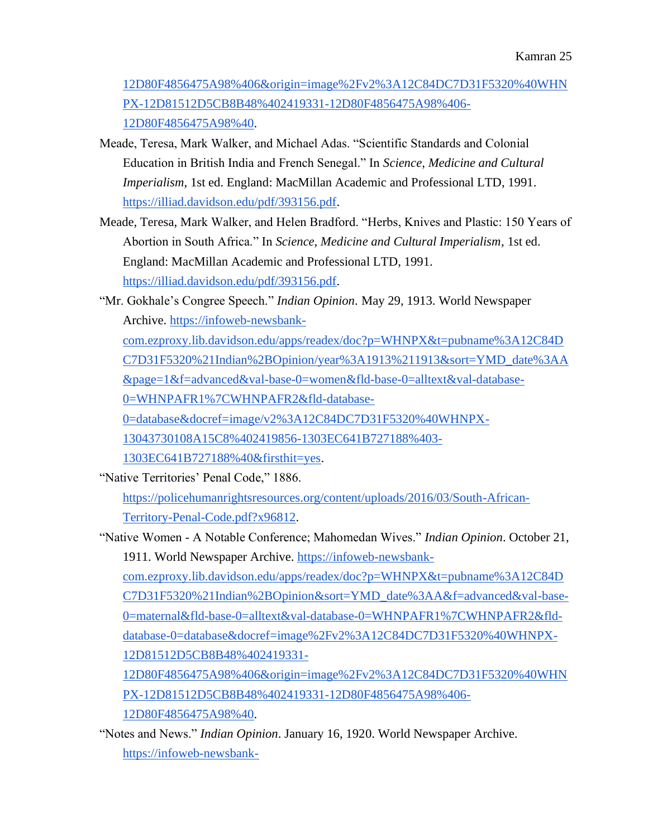[12D80F4856475A98%406&origin=image%2Fv2%3A12C84DC7D31F5320%40WHN](https://infoweb-newsbank-com.ezproxy.lib.davidson.edu/apps/readex/doc?p=WHNPX&t=pubname%3A12C84DC7D31F5320%21Indian%2BOpinion&sort=YMD_date%3AA&f=advanced&val-base-0=maternal&fld-base-0=alltext&val-database-0=WHNPAFR1%7CWHNPAFR2&fld-database-0=database&docref=image%2Fv2%3A12C84DC7D31F5320%40WHNPX-12D81512D5CB8B48%402419331-12D80F4856475A98%406&origin=image%2Fv2%3A12C84DC7D31F5320%40WHNPX-12D81512D5CB8B48%402419331-12D80F4856475A98%406-12D80F4856475A98%40) [PX-12D81512D5CB8B48%402419331-12D80F4856475A98%406-](https://infoweb-newsbank-com.ezproxy.lib.davidson.edu/apps/readex/doc?p=WHNPX&t=pubname%3A12C84DC7D31F5320%21Indian%2BOpinion&sort=YMD_date%3AA&f=advanced&val-base-0=maternal&fld-base-0=alltext&val-database-0=WHNPAFR1%7CWHNPAFR2&fld-database-0=database&docref=image%2Fv2%3A12C84DC7D31F5320%40WHNPX-12D81512D5CB8B48%402419331-12D80F4856475A98%406&origin=image%2Fv2%3A12C84DC7D31F5320%40WHNPX-12D81512D5CB8B48%402419331-12D80F4856475A98%406-12D80F4856475A98%40) [12D80F4856475A98%40.](https://infoweb-newsbank-com.ezproxy.lib.davidson.edu/apps/readex/doc?p=WHNPX&t=pubname%3A12C84DC7D31F5320%21Indian%2BOpinion&sort=YMD_date%3AA&f=advanced&val-base-0=maternal&fld-base-0=alltext&val-database-0=WHNPAFR1%7CWHNPAFR2&fld-database-0=database&docref=image%2Fv2%3A12C84DC7D31F5320%40WHNPX-12D81512D5CB8B48%402419331-12D80F4856475A98%406&origin=image%2Fv2%3A12C84DC7D31F5320%40WHNPX-12D81512D5CB8B48%402419331-12D80F4856475A98%406-12D80F4856475A98%40)

- Meade, Teresa, Mark Walker, and Michael Adas. "Scientific Standards and Colonial Education in British India and French Senegal." In *Science, Medicine and Cultural Imperialism*, 1st ed. England: MacMillan Academic and Professional LTD, 1991[.](https://illiad.davidson.edu/pdf/393156.pdf) [https://illiad.davidson.edu/pdf/393156.pdf.](https://illiad.davidson.edu/pdf/393156.pdf)
- Meade, Teresa, Mark Walker, and Helen Bradford. "Herbs, Knives and Plastic: 150 Years of Abortion in South Africa." In *Science, Medicine and Cultural Imperialism*, 1st ed. England: MacMillan Academic and Professional LTD, 1991[.](https://illiad.davidson.edu/pdf/393156.pdf) [https://illiad.davidson.edu/pdf/393156.pdf.](https://illiad.davidson.edu/pdf/393156.pdf)
- "Mr. Gokhale's Congree Speech." *Indian Opinion*. May 29, 1913. World Newspaper Archive[.](https://infoweb-newsbank-com.ezproxy.lib.davidson.edu/apps/readex/doc?p=WHNPX&t=pubname%3A12C84DC7D31F5320%21Indian%2BOpinion/year%3A1913%211913&sort=YMD_date%3AA&page=1&f=advanced&val-base-0=women&fld-base-0=alltext&val-database-0=WHNPAFR1%7CWHNPAFR2&fld-database-0=database&docref=image/v2%3A12C84DC7D31F5320%40WHNPX-13043730108A15C8%402419856-1303EC641B727188%403-1303EC641B727188%40&firsthit=yes) [https://infoweb-newsbank-](https://infoweb-newsbank-com.ezproxy.lib.davidson.edu/apps/readex/doc?p=WHNPX&t=pubname%3A12C84DC7D31F5320%21Indian%2BOpinion/year%3A1913%211913&sort=YMD_date%3AA&page=1&f=advanced&val-base-0=women&fld-base-0=alltext&val-database-0=WHNPAFR1%7CWHNPAFR2&fld-database-0=database&docref=image/v2%3A12C84DC7D31F5320%40WHNPX-13043730108A15C8%402419856-1303EC641B727188%403-1303EC641B727188%40&firsthit=yes)

[com.ezproxy.lib.davidson.edu/apps/readex/doc?p=WHNPX&t=pubname%3A12C84D](https://infoweb-newsbank-com.ezproxy.lib.davidson.edu/apps/readex/doc?p=WHNPX&t=pubname%3A12C84DC7D31F5320%21Indian%2BOpinion/year%3A1913%211913&sort=YMD_date%3AA&page=1&f=advanced&val-base-0=women&fld-base-0=alltext&val-database-0=WHNPAFR1%7CWHNPAFR2&fld-database-0=database&docref=image/v2%3A12C84DC7D31F5320%40WHNPX-13043730108A15C8%402419856-1303EC641B727188%403-1303EC641B727188%40&firsthit=yes) [C7D31F5320%21Indian%2BOpinion/year%3A1913%211913&sort=YMD\\_date%3AA](https://infoweb-newsbank-com.ezproxy.lib.davidson.edu/apps/readex/doc?p=WHNPX&t=pubname%3A12C84DC7D31F5320%21Indian%2BOpinion/year%3A1913%211913&sort=YMD_date%3AA&page=1&f=advanced&val-base-0=women&fld-base-0=alltext&val-database-0=WHNPAFR1%7CWHNPAFR2&fld-database-0=database&docref=image/v2%3A12C84DC7D31F5320%40WHNPX-13043730108A15C8%402419856-1303EC641B727188%403-1303EC641B727188%40&firsthit=yes) [&page=1&f=advanced&val-base-0=women&fld-base-0=alltext&val-database-](https://infoweb-newsbank-com.ezproxy.lib.davidson.edu/apps/readex/doc?p=WHNPX&t=pubname%3A12C84DC7D31F5320%21Indian%2BOpinion/year%3A1913%211913&sort=YMD_date%3AA&page=1&f=advanced&val-base-0=women&fld-base-0=alltext&val-database-0=WHNPAFR1%7CWHNPAFR2&fld-database-0=database&docref=image/v2%3A12C84DC7D31F5320%40WHNPX-13043730108A15C8%402419856-1303EC641B727188%403-1303EC641B727188%40&firsthit=yes)

[0=WHNPAFR1%7CWHNPAFR2&fld-database-](https://infoweb-newsbank-com.ezproxy.lib.davidson.edu/apps/readex/doc?p=WHNPX&t=pubname%3A12C84DC7D31F5320%21Indian%2BOpinion/year%3A1913%211913&sort=YMD_date%3AA&page=1&f=advanced&val-base-0=women&fld-base-0=alltext&val-database-0=WHNPAFR1%7CWHNPAFR2&fld-database-0=database&docref=image/v2%3A12C84DC7D31F5320%40WHNPX-13043730108A15C8%402419856-1303EC641B727188%403-1303EC641B727188%40&firsthit=yes)

[0=database&docref=image/v2%3A12C84DC7D31F5320%40WHNPX-](https://infoweb-newsbank-com.ezproxy.lib.davidson.edu/apps/readex/doc?p=WHNPX&t=pubname%3A12C84DC7D31F5320%21Indian%2BOpinion/year%3A1913%211913&sort=YMD_date%3AA&page=1&f=advanced&val-base-0=women&fld-base-0=alltext&val-database-0=WHNPAFR1%7CWHNPAFR2&fld-database-0=database&docref=image/v2%3A12C84DC7D31F5320%40WHNPX-13043730108A15C8%402419856-1303EC641B727188%403-1303EC641B727188%40&firsthit=yes)

[13043730108A15C8%402419856-1303EC641B727188%403-](https://infoweb-newsbank-com.ezproxy.lib.davidson.edu/apps/readex/doc?p=WHNPX&t=pubname%3A12C84DC7D31F5320%21Indian%2BOpinion/year%3A1913%211913&sort=YMD_date%3AA&page=1&f=advanced&val-base-0=women&fld-base-0=alltext&val-database-0=WHNPAFR1%7CWHNPAFR2&fld-database-0=database&docref=image/v2%3A12C84DC7D31F5320%40WHNPX-13043730108A15C8%402419856-1303EC641B727188%403-1303EC641B727188%40&firsthit=yes)

[1303EC641B727188%40&firsthit=yes.](https://infoweb-newsbank-com.ezproxy.lib.davidson.edu/apps/readex/doc?p=WHNPX&t=pubname%3A12C84DC7D31F5320%21Indian%2BOpinion/year%3A1913%211913&sort=YMD_date%3AA&page=1&f=advanced&val-base-0=women&fld-base-0=alltext&val-database-0=WHNPAFR1%7CWHNPAFR2&fld-database-0=database&docref=image/v2%3A12C84DC7D31F5320%40WHNPX-13043730108A15C8%402419856-1303EC641B727188%403-1303EC641B727188%40&firsthit=yes)

"Native Territories' Penal Code," 1886[.](https://policehumanrightsresources.org/content/uploads/2016/03/South-African-Territory-Penal-Code.pdf?x96812)

[https://policehumanrightsresources.org/content/uploads/2016/03/South-African-](https://policehumanrightsresources.org/content/uploads/2016/03/South-African-Territory-Penal-Code.pdf?x96812)[Territory-Penal-Code.pdf?x96812.](https://policehumanrightsresources.org/content/uploads/2016/03/South-African-Territory-Penal-Code.pdf?x96812)

"Native Women - A Notable Conference; Mahomedan Wives." *Indian Opinion*. October 21, 1911. World Newspaper Archive. [https://infoweb-newsbank](https://infoweb-newsbank-com.ezproxy.lib.davidson.edu/apps/readex/doc?p=WHNPX&t=pubname%3A12C84DC7D31F5320%21Indian%2BOpinion&sort=YMD_date%3AA&f=advanced&val-base-0=maternal&fld-base-0=alltext&val-database-0=WHNPAFR1%7CWHNPAFR2&fld-database-0=database&docref=image%2Fv2%3A12C84DC7D31F5320%40WHNPX-12D81512D5CB8B48%402419331-12D80F4856475A98%406&origin=image%2Fv2%3A12C84DC7D31F5320%40WHNPX-12D81512D5CB8B48%402419331-12D80F4856475A98%406-12D80F4856475A98%40)[com.ezproxy.lib.davidson.edu/apps/readex/doc?p=WHNPX&t=pubname%3A12C84D](https://infoweb-newsbank-com.ezproxy.lib.davidson.edu/apps/readex/doc?p=WHNPX&t=pubname%3A12C84DC7D31F5320%21Indian%2BOpinion&sort=YMD_date%3AA&f=advanced&val-base-0=maternal&fld-base-0=alltext&val-database-0=WHNPAFR1%7CWHNPAFR2&fld-database-0=database&docref=image%2Fv2%3A12C84DC7D31F5320%40WHNPX-12D81512D5CB8B48%402419331-12D80F4856475A98%406&origin=image%2Fv2%3A12C84DC7D31F5320%40WHNPX-12D81512D5CB8B48%402419331-12D80F4856475A98%406-12D80F4856475A98%40) [C7D31F5320%21Indian%2BOpinion&sort=YMD\\_date%3AA&f=advanced&val-base-](https://infoweb-newsbank-com.ezproxy.lib.davidson.edu/apps/readex/doc?p=WHNPX&t=pubname%3A12C84DC7D31F5320%21Indian%2BOpinion&sort=YMD_date%3AA&f=advanced&val-base-0=maternal&fld-base-0=alltext&val-database-0=WHNPAFR1%7CWHNPAFR2&fld-database-0=database&docref=image%2Fv2%3A12C84DC7D31F5320%40WHNPX-12D81512D5CB8B48%402419331-12D80F4856475A98%406&origin=image%2Fv2%3A12C84DC7D31F5320%40WHNPX-12D81512D5CB8B48%402419331-12D80F4856475A98%406-12D80F4856475A98%40)[0=maternal&fld-base-0=alltext&val-database-0=WHNPAFR1%7CWHNPAFR2&fld](https://infoweb-newsbank-com.ezproxy.lib.davidson.edu/apps/readex/doc?p=WHNPX&t=pubname%3A12C84DC7D31F5320%21Indian%2BOpinion&sort=YMD_date%3AA&f=advanced&val-base-0=maternal&fld-base-0=alltext&val-database-0=WHNPAFR1%7CWHNPAFR2&fld-database-0=database&docref=image%2Fv2%3A12C84DC7D31F5320%40WHNPX-12D81512D5CB8B48%402419331-12D80F4856475A98%406&origin=image%2Fv2%3A12C84DC7D31F5320%40WHNPX-12D81512D5CB8B48%402419331-12D80F4856475A98%406-12D80F4856475A98%40)[database-0=database&docref=image%2Fv2%3A12C84DC7D31F5320%40WHNPX-](https://infoweb-newsbank-com.ezproxy.lib.davidson.edu/apps/readex/doc?p=WHNPX&t=pubname%3A12C84DC7D31F5320%21Indian%2BOpinion&sort=YMD_date%3AA&f=advanced&val-base-0=maternal&fld-base-0=alltext&val-database-0=WHNPAFR1%7CWHNPAFR2&fld-database-0=database&docref=image%2Fv2%3A12C84DC7D31F5320%40WHNPX-12D81512D5CB8B48%402419331-12D80F4856475A98%406&origin=image%2Fv2%3A12C84DC7D31F5320%40WHNPX-12D81512D5CB8B48%402419331-12D80F4856475A98%406-12D80F4856475A98%40)[12D81512D5CB8B48%402419331-](https://infoweb-newsbank-com.ezproxy.lib.davidson.edu/apps/readex/doc?p=WHNPX&t=pubname%3A12C84DC7D31F5320%21Indian%2BOpinion&sort=YMD_date%3AA&f=advanced&val-base-0=maternal&fld-base-0=alltext&val-database-0=WHNPAFR1%7CWHNPAFR2&fld-database-0=database&docref=image%2Fv2%3A12C84DC7D31F5320%40WHNPX-12D81512D5CB8B48%402419331-12D80F4856475A98%406&origin=image%2Fv2%3A12C84DC7D31F5320%40WHNPX-12D81512D5CB8B48%402419331-12D80F4856475A98%406-12D80F4856475A98%40) [12D80F4856475A98%406&origin=image%2Fv2%3A12C84DC7D31F5320%40WHN](https://infoweb-newsbank-com.ezproxy.lib.davidson.edu/apps/readex/doc?p=WHNPX&t=pubname%3A12C84DC7D31F5320%21Indian%2BOpinion&sort=YMD_date%3AA&f=advanced&val-base-0=maternal&fld-base-0=alltext&val-database-0=WHNPAFR1%7CWHNPAFR2&fld-database-0=database&docref=image%2Fv2%3A12C84DC7D31F5320%40WHNPX-12D81512D5CB8B48%402419331-12D80F4856475A98%406&origin=image%2Fv2%3A12C84DC7D31F5320%40WHNPX-12D81512D5CB8B48%402419331-12D80F4856475A98%406-12D80F4856475A98%40) [PX-12D81512D5CB8B48%402419331-12D80F4856475A98%406-](https://infoweb-newsbank-com.ezproxy.lib.davidson.edu/apps/readex/doc?p=WHNPX&t=pubname%3A12C84DC7D31F5320%21Indian%2BOpinion&sort=YMD_date%3AA&f=advanced&val-base-0=maternal&fld-base-0=alltext&val-database-0=WHNPAFR1%7CWHNPAFR2&fld-database-0=database&docref=image%2Fv2%3A12C84DC7D31F5320%40WHNPX-12D81512D5CB8B48%402419331-12D80F4856475A98%406&origin=image%2Fv2%3A12C84DC7D31F5320%40WHNPX-12D81512D5CB8B48%402419331-12D80F4856475A98%406-12D80F4856475A98%40) [12D80F4856475A98%40.](https://infoweb-newsbank-com.ezproxy.lib.davidson.edu/apps/readex/doc?p=WHNPX&t=pubname%3A12C84DC7D31F5320%21Indian%2BOpinion&sort=YMD_date%3AA&f=advanced&val-base-0=maternal&fld-base-0=alltext&val-database-0=WHNPAFR1%7CWHNPAFR2&fld-database-0=database&docref=image%2Fv2%3A12C84DC7D31F5320%40WHNPX-12D81512D5CB8B48%402419331-12D80F4856475A98%406&origin=image%2Fv2%3A12C84DC7D31F5320%40WHNPX-12D81512D5CB8B48%402419331-12D80F4856475A98%406-12D80F4856475A98%40)

"Notes and News." *Indian Opinion*. January 16, 1920. World Newspaper Archive[.](https://infoweb-newsbank-com.ezproxy.lib.davidson.edu/apps/readex/doc?p=WHNPX&t=pubname%3A12C84DC7D31F5320%21Indian%2BOpinion/year%3A1920%7C1921%7C1922%21Multiple%2520Years%2520%283%29&sort=YMD_date%3AA&f=advanced&val-base-0=women&fld-base-0=alltext&val-database-0=WHNPAFR1%7CWHNPAFR2&fld-database-0=database&docref=image/v2%3A12C84DC7D31F5320%40WHNPX-130440229F2A8400%402422340-1303F236260B97F0%400-1303F236260B97F0%40&firsthit=yes) [https://infoweb-newsbank-](https://infoweb-newsbank-com.ezproxy.lib.davidson.edu/apps/readex/doc?p=WHNPX&t=pubname%3A12C84DC7D31F5320%21Indian%2BOpinion/year%3A1920%7C1921%7C1922%21Multiple%2520Years%2520%283%29&sort=YMD_date%3AA&f=advanced&val-base-0=women&fld-base-0=alltext&val-database-0=WHNPAFR1%7CWHNPAFR2&fld-database-0=database&docref=image/v2%3A12C84DC7D31F5320%40WHNPX-130440229F2A8400%402422340-1303F236260B97F0%400-1303F236260B97F0%40&firsthit=yes)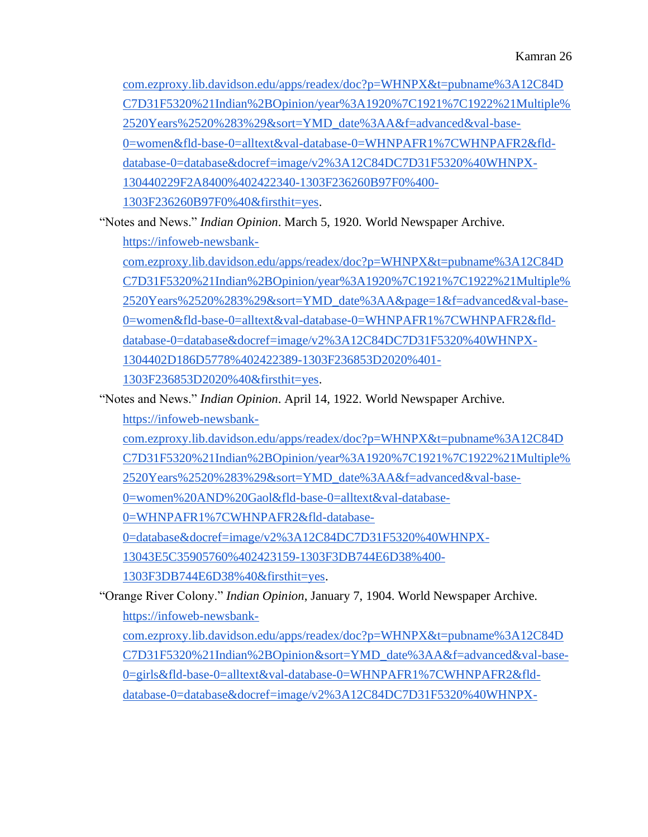[com.ezproxy.lib.davidson.edu/apps/readex/doc?p=WHNPX&t=pubname%3A12C84D](https://infoweb-newsbank-com.ezproxy.lib.davidson.edu/apps/readex/doc?p=WHNPX&t=pubname%3A12C84DC7D31F5320%21Indian%2BOpinion/year%3A1920%7C1921%7C1922%21Multiple%2520Years%2520%283%29&sort=YMD_date%3AA&f=advanced&val-base-0=women&fld-base-0=alltext&val-database-0=WHNPAFR1%7CWHNPAFR2&fld-database-0=database&docref=image/v2%3A12C84DC7D31F5320%40WHNPX-130440229F2A8400%402422340-1303F236260B97F0%400-1303F236260B97F0%40&firsthit=yes) [C7D31F5320%21Indian%2BOpinion/year%3A1920%7C1921%7C1922%21Multiple%](https://infoweb-newsbank-com.ezproxy.lib.davidson.edu/apps/readex/doc?p=WHNPX&t=pubname%3A12C84DC7D31F5320%21Indian%2BOpinion/year%3A1920%7C1921%7C1922%21Multiple%2520Years%2520%283%29&sort=YMD_date%3AA&f=advanced&val-base-0=women&fld-base-0=alltext&val-database-0=WHNPAFR1%7CWHNPAFR2&fld-database-0=database&docref=image/v2%3A12C84DC7D31F5320%40WHNPX-130440229F2A8400%402422340-1303F236260B97F0%400-1303F236260B97F0%40&firsthit=yes) [2520Years%2520%283%29&sort=YMD\\_date%3AA&f=advanced&val-base-](https://infoweb-newsbank-com.ezproxy.lib.davidson.edu/apps/readex/doc?p=WHNPX&t=pubname%3A12C84DC7D31F5320%21Indian%2BOpinion/year%3A1920%7C1921%7C1922%21Multiple%2520Years%2520%283%29&sort=YMD_date%3AA&f=advanced&val-base-0=women&fld-base-0=alltext&val-database-0=WHNPAFR1%7CWHNPAFR2&fld-database-0=database&docref=image/v2%3A12C84DC7D31F5320%40WHNPX-130440229F2A8400%402422340-1303F236260B97F0%400-1303F236260B97F0%40&firsthit=yes)[0=women&fld-base-0=alltext&val-database-0=WHNPAFR1%7CWHNPAFR2&fld](https://infoweb-newsbank-com.ezproxy.lib.davidson.edu/apps/readex/doc?p=WHNPX&t=pubname%3A12C84DC7D31F5320%21Indian%2BOpinion/year%3A1920%7C1921%7C1922%21Multiple%2520Years%2520%283%29&sort=YMD_date%3AA&f=advanced&val-base-0=women&fld-base-0=alltext&val-database-0=WHNPAFR1%7CWHNPAFR2&fld-database-0=database&docref=image/v2%3A12C84DC7D31F5320%40WHNPX-130440229F2A8400%402422340-1303F236260B97F0%400-1303F236260B97F0%40&firsthit=yes)[database-0=database&docref=image/v2%3A12C84DC7D31F5320%40WHNPX-](https://infoweb-newsbank-com.ezproxy.lib.davidson.edu/apps/readex/doc?p=WHNPX&t=pubname%3A12C84DC7D31F5320%21Indian%2BOpinion/year%3A1920%7C1921%7C1922%21Multiple%2520Years%2520%283%29&sort=YMD_date%3AA&f=advanced&val-base-0=women&fld-base-0=alltext&val-database-0=WHNPAFR1%7CWHNPAFR2&fld-database-0=database&docref=image/v2%3A12C84DC7D31F5320%40WHNPX-130440229F2A8400%402422340-1303F236260B97F0%400-1303F236260B97F0%40&firsthit=yes)[130440229F2A8400%402422340-1303F236260B97F0%400-](https://infoweb-newsbank-com.ezproxy.lib.davidson.edu/apps/readex/doc?p=WHNPX&t=pubname%3A12C84DC7D31F5320%21Indian%2BOpinion/year%3A1920%7C1921%7C1922%21Multiple%2520Years%2520%283%29&sort=YMD_date%3AA&f=advanced&val-base-0=women&fld-base-0=alltext&val-database-0=WHNPAFR1%7CWHNPAFR2&fld-database-0=database&docref=image/v2%3A12C84DC7D31F5320%40WHNPX-130440229F2A8400%402422340-1303F236260B97F0%400-1303F236260B97F0%40&firsthit=yes) [1303F236260B97F0%40&firsthit=yes.](https://infoweb-newsbank-com.ezproxy.lib.davidson.edu/apps/readex/doc?p=WHNPX&t=pubname%3A12C84DC7D31F5320%21Indian%2BOpinion/year%3A1920%7C1921%7C1922%21Multiple%2520Years%2520%283%29&sort=YMD_date%3AA&f=advanced&val-base-0=women&fld-base-0=alltext&val-database-0=WHNPAFR1%7CWHNPAFR2&fld-database-0=database&docref=image/v2%3A12C84DC7D31F5320%40WHNPX-130440229F2A8400%402422340-1303F236260B97F0%400-1303F236260B97F0%40&firsthit=yes)

"Notes and News." *Indian Opinion*. March 5, 1920. World Newspaper Archive[.](https://infoweb-newsbank-com.ezproxy.lib.davidson.edu/apps/readex/doc?p=WHNPX&t=pubname%3A12C84DC7D31F5320%21Indian%2BOpinion/year%3A1920%7C1921%7C1922%21Multiple%2520Years%2520%283%29&sort=YMD_date%3AA&page=1&f=advanced&val-base-0=women&fld-base-0=alltext&val-database-0=WHNPAFR1%7CWHNPAFR2&fld-database-0=database&docref=image/v2%3A12C84DC7D31F5320%40WHNPX-1304402D186D5778%402422389-1303F236853D2020%401-1303F236853D2020%40&firsthit=yes) [https://infoweb-newsbank-](https://infoweb-newsbank-com.ezproxy.lib.davidson.edu/apps/readex/doc?p=WHNPX&t=pubname%3A12C84DC7D31F5320%21Indian%2BOpinion/year%3A1920%7C1921%7C1922%21Multiple%2520Years%2520%283%29&sort=YMD_date%3AA&page=1&f=advanced&val-base-0=women&fld-base-0=alltext&val-database-0=WHNPAFR1%7CWHNPAFR2&fld-database-0=database&docref=image/v2%3A12C84DC7D31F5320%40WHNPX-1304402D186D5778%402422389-1303F236853D2020%401-1303F236853D2020%40&firsthit=yes)

[com.ezproxy.lib.davidson.edu/apps/readex/doc?p=WHNPX&t=pubname%3A12C84D](https://infoweb-newsbank-com.ezproxy.lib.davidson.edu/apps/readex/doc?p=WHNPX&t=pubname%3A12C84DC7D31F5320%21Indian%2BOpinion/year%3A1920%7C1921%7C1922%21Multiple%2520Years%2520%283%29&sort=YMD_date%3AA&page=1&f=advanced&val-base-0=women&fld-base-0=alltext&val-database-0=WHNPAFR1%7CWHNPAFR2&fld-database-0=database&docref=image/v2%3A12C84DC7D31F5320%40WHNPX-1304402D186D5778%402422389-1303F236853D2020%401-1303F236853D2020%40&firsthit=yes) [C7D31F5320%21Indian%2BOpinion/year%3A1920%7C1921%7C1922%21Multiple%](https://infoweb-newsbank-com.ezproxy.lib.davidson.edu/apps/readex/doc?p=WHNPX&t=pubname%3A12C84DC7D31F5320%21Indian%2BOpinion/year%3A1920%7C1921%7C1922%21Multiple%2520Years%2520%283%29&sort=YMD_date%3AA&page=1&f=advanced&val-base-0=women&fld-base-0=alltext&val-database-0=WHNPAFR1%7CWHNPAFR2&fld-database-0=database&docref=image/v2%3A12C84DC7D31F5320%40WHNPX-1304402D186D5778%402422389-1303F236853D2020%401-1303F236853D2020%40&firsthit=yes) [2520Years%2520%283%29&sort=YMD\\_date%3AA&page=1&f=advanced&val-base-](https://infoweb-newsbank-com.ezproxy.lib.davidson.edu/apps/readex/doc?p=WHNPX&t=pubname%3A12C84DC7D31F5320%21Indian%2BOpinion/year%3A1920%7C1921%7C1922%21Multiple%2520Years%2520%283%29&sort=YMD_date%3AA&page=1&f=advanced&val-base-0=women&fld-base-0=alltext&val-database-0=WHNPAFR1%7CWHNPAFR2&fld-database-0=database&docref=image/v2%3A12C84DC7D31F5320%40WHNPX-1304402D186D5778%402422389-1303F236853D2020%401-1303F236853D2020%40&firsthit=yes)[0=women&fld-base-0=alltext&val-database-0=WHNPAFR1%7CWHNPAFR2&fld](https://infoweb-newsbank-com.ezproxy.lib.davidson.edu/apps/readex/doc?p=WHNPX&t=pubname%3A12C84DC7D31F5320%21Indian%2BOpinion/year%3A1920%7C1921%7C1922%21Multiple%2520Years%2520%283%29&sort=YMD_date%3AA&page=1&f=advanced&val-base-0=women&fld-base-0=alltext&val-database-0=WHNPAFR1%7CWHNPAFR2&fld-database-0=database&docref=image/v2%3A12C84DC7D31F5320%40WHNPX-1304402D186D5778%402422389-1303F236853D2020%401-1303F236853D2020%40&firsthit=yes)[database-0=database&docref=image/v2%3A12C84DC7D31F5320%40WHNPX-](https://infoweb-newsbank-com.ezproxy.lib.davidson.edu/apps/readex/doc?p=WHNPX&t=pubname%3A12C84DC7D31F5320%21Indian%2BOpinion/year%3A1920%7C1921%7C1922%21Multiple%2520Years%2520%283%29&sort=YMD_date%3AA&page=1&f=advanced&val-base-0=women&fld-base-0=alltext&val-database-0=WHNPAFR1%7CWHNPAFR2&fld-database-0=database&docref=image/v2%3A12C84DC7D31F5320%40WHNPX-1304402D186D5778%402422389-1303F236853D2020%401-1303F236853D2020%40&firsthit=yes)[1304402D186D5778%402422389-1303F236853D2020%401-](https://infoweb-newsbank-com.ezproxy.lib.davidson.edu/apps/readex/doc?p=WHNPX&t=pubname%3A12C84DC7D31F5320%21Indian%2BOpinion/year%3A1920%7C1921%7C1922%21Multiple%2520Years%2520%283%29&sort=YMD_date%3AA&page=1&f=advanced&val-base-0=women&fld-base-0=alltext&val-database-0=WHNPAFR1%7CWHNPAFR2&fld-database-0=database&docref=image/v2%3A12C84DC7D31F5320%40WHNPX-1304402D186D5778%402422389-1303F236853D2020%401-1303F236853D2020%40&firsthit=yes)

[1303F236853D2020%40&firsthit=yes.](https://infoweb-newsbank-com.ezproxy.lib.davidson.edu/apps/readex/doc?p=WHNPX&t=pubname%3A12C84DC7D31F5320%21Indian%2BOpinion/year%3A1920%7C1921%7C1922%21Multiple%2520Years%2520%283%29&sort=YMD_date%3AA&page=1&f=advanced&val-base-0=women&fld-base-0=alltext&val-database-0=WHNPAFR1%7CWHNPAFR2&fld-database-0=database&docref=image/v2%3A12C84DC7D31F5320%40WHNPX-1304402D186D5778%402422389-1303F236853D2020%401-1303F236853D2020%40&firsthit=yes)

"Notes and News." *Indian Opinion*. April 14, 1922. World Newspaper Archive[.](https://infoweb-newsbank-com.ezproxy.lib.davidson.edu/apps/readex/doc?p=WHNPX&t=pubname%3A12C84DC7D31F5320%21Indian%2BOpinion/year%3A1920%7C1921%7C1922%21Multiple%2520Years%2520%283%29&sort=YMD_date%3AA&f=advanced&val-base-0=women%20AND%20Gaol&fld-base-0=alltext&val-database-0=WHNPAFR1%7CWHNPAFR2&fld-database-0=database&docref=image/v2%3A12C84DC7D31F5320%40WHNPX-13043E5C35905760%402423159-1303F3DB744E6D38%400-1303F3DB744E6D38%40&firsthit=yes)

[https://infoweb-newsbank-](https://infoweb-newsbank-com.ezproxy.lib.davidson.edu/apps/readex/doc?p=WHNPX&t=pubname%3A12C84DC7D31F5320%21Indian%2BOpinion/year%3A1920%7C1921%7C1922%21Multiple%2520Years%2520%283%29&sort=YMD_date%3AA&f=advanced&val-base-0=women%20AND%20Gaol&fld-base-0=alltext&val-database-0=WHNPAFR1%7CWHNPAFR2&fld-database-0=database&docref=image/v2%3A12C84DC7D31F5320%40WHNPX-13043E5C35905760%402423159-1303F3DB744E6D38%400-1303F3DB744E6D38%40&firsthit=yes)

[com.ezproxy.lib.davidson.edu/apps/readex/doc?p=WHNPX&t=pubname%3A12C84D](https://infoweb-newsbank-com.ezproxy.lib.davidson.edu/apps/readex/doc?p=WHNPX&t=pubname%3A12C84DC7D31F5320%21Indian%2BOpinion/year%3A1920%7C1921%7C1922%21Multiple%2520Years%2520%283%29&sort=YMD_date%3AA&f=advanced&val-base-0=women%20AND%20Gaol&fld-base-0=alltext&val-database-0=WHNPAFR1%7CWHNPAFR2&fld-database-0=database&docref=image/v2%3A12C84DC7D31F5320%40WHNPX-13043E5C35905760%402423159-1303F3DB744E6D38%400-1303F3DB744E6D38%40&firsthit=yes)

[C7D31F5320%21Indian%2BOpinion/year%3A1920%7C1921%7C1922%21Multiple%](https://infoweb-newsbank-com.ezproxy.lib.davidson.edu/apps/readex/doc?p=WHNPX&t=pubname%3A12C84DC7D31F5320%21Indian%2BOpinion/year%3A1920%7C1921%7C1922%21Multiple%2520Years%2520%283%29&sort=YMD_date%3AA&f=advanced&val-base-0=women%20AND%20Gaol&fld-base-0=alltext&val-database-0=WHNPAFR1%7CWHNPAFR2&fld-database-0=database&docref=image/v2%3A12C84DC7D31F5320%40WHNPX-13043E5C35905760%402423159-1303F3DB744E6D38%400-1303F3DB744E6D38%40&firsthit=yes)

[2520Years%2520%283%29&sort=YMD\\_date%3AA&f=advanced&val-base-](https://infoweb-newsbank-com.ezproxy.lib.davidson.edu/apps/readex/doc?p=WHNPX&t=pubname%3A12C84DC7D31F5320%21Indian%2BOpinion/year%3A1920%7C1921%7C1922%21Multiple%2520Years%2520%283%29&sort=YMD_date%3AA&f=advanced&val-base-0=women%20AND%20Gaol&fld-base-0=alltext&val-database-0=WHNPAFR1%7CWHNPAFR2&fld-database-0=database&docref=image/v2%3A12C84DC7D31F5320%40WHNPX-13043E5C35905760%402423159-1303F3DB744E6D38%400-1303F3DB744E6D38%40&firsthit=yes)

[0=women%20AND%20Gaol&fld-base-0=alltext&val-database-](https://infoweb-newsbank-com.ezproxy.lib.davidson.edu/apps/readex/doc?p=WHNPX&t=pubname%3A12C84DC7D31F5320%21Indian%2BOpinion/year%3A1920%7C1921%7C1922%21Multiple%2520Years%2520%283%29&sort=YMD_date%3AA&f=advanced&val-base-0=women%20AND%20Gaol&fld-base-0=alltext&val-database-0=WHNPAFR1%7CWHNPAFR2&fld-database-0=database&docref=image/v2%3A12C84DC7D31F5320%40WHNPX-13043E5C35905760%402423159-1303F3DB744E6D38%400-1303F3DB744E6D38%40&firsthit=yes)

[0=WHNPAFR1%7CWHNPAFR2&fld-database-](https://infoweb-newsbank-com.ezproxy.lib.davidson.edu/apps/readex/doc?p=WHNPX&t=pubname%3A12C84DC7D31F5320%21Indian%2BOpinion/year%3A1920%7C1921%7C1922%21Multiple%2520Years%2520%283%29&sort=YMD_date%3AA&f=advanced&val-base-0=women%20AND%20Gaol&fld-base-0=alltext&val-database-0=WHNPAFR1%7CWHNPAFR2&fld-database-0=database&docref=image/v2%3A12C84DC7D31F5320%40WHNPX-13043E5C35905760%402423159-1303F3DB744E6D38%400-1303F3DB744E6D38%40&firsthit=yes)

[0=database&docref=image/v2%3A12C84DC7D31F5320%40WHNPX-](https://infoweb-newsbank-com.ezproxy.lib.davidson.edu/apps/readex/doc?p=WHNPX&t=pubname%3A12C84DC7D31F5320%21Indian%2BOpinion/year%3A1920%7C1921%7C1922%21Multiple%2520Years%2520%283%29&sort=YMD_date%3AA&f=advanced&val-base-0=women%20AND%20Gaol&fld-base-0=alltext&val-database-0=WHNPAFR1%7CWHNPAFR2&fld-database-0=database&docref=image/v2%3A12C84DC7D31F5320%40WHNPX-13043E5C35905760%402423159-1303F3DB744E6D38%400-1303F3DB744E6D38%40&firsthit=yes)

[13043E5C35905760%402423159-1303F3DB744E6D38%400-](https://infoweb-newsbank-com.ezproxy.lib.davidson.edu/apps/readex/doc?p=WHNPX&t=pubname%3A12C84DC7D31F5320%21Indian%2BOpinion/year%3A1920%7C1921%7C1922%21Multiple%2520Years%2520%283%29&sort=YMD_date%3AA&f=advanced&val-base-0=women%20AND%20Gaol&fld-base-0=alltext&val-database-0=WHNPAFR1%7CWHNPAFR2&fld-database-0=database&docref=image/v2%3A12C84DC7D31F5320%40WHNPX-13043E5C35905760%402423159-1303F3DB744E6D38%400-1303F3DB744E6D38%40&firsthit=yes)

[1303F3DB744E6D38%40&firsthit=yes.](https://infoweb-newsbank-com.ezproxy.lib.davidson.edu/apps/readex/doc?p=WHNPX&t=pubname%3A12C84DC7D31F5320%21Indian%2BOpinion/year%3A1920%7C1921%7C1922%21Multiple%2520Years%2520%283%29&sort=YMD_date%3AA&f=advanced&val-base-0=women%20AND%20Gaol&fld-base-0=alltext&val-database-0=WHNPAFR1%7CWHNPAFR2&fld-database-0=database&docref=image/v2%3A12C84DC7D31F5320%40WHNPX-13043E5C35905760%402423159-1303F3DB744E6D38%400-1303F3DB744E6D38%40&firsthit=yes)

"Orange River Colony." *Indian Opinion*, January 7, 1904. World Newspaper Archive[.](https://infoweb-newsbank-com.ezproxy.lib.davidson.edu/apps/readex/doc?p=WHNPX&t=pubname%3A12C84DC7D31F5320%21Indian%2BOpinion&sort=YMD_date%3AA&f=advanced&val-base-0=girls&fld-base-0=alltext&val-database-0=WHNPAFR1%7CWHNPAFR2&fld-database-0=database&docref=image/v2%3A12C84DC7D31F5320%40WHNPX-12D62C51BB7B0918%402416487-12D37C88136EA7B8%402-12D37C88136EA7B8%40&firsthit=yes) [https://infoweb-newsbank-](https://infoweb-newsbank-com.ezproxy.lib.davidson.edu/apps/readex/doc?p=WHNPX&t=pubname%3A12C84DC7D31F5320%21Indian%2BOpinion&sort=YMD_date%3AA&f=advanced&val-base-0=girls&fld-base-0=alltext&val-database-0=WHNPAFR1%7CWHNPAFR2&fld-database-0=database&docref=image/v2%3A12C84DC7D31F5320%40WHNPX-12D62C51BB7B0918%402416487-12D37C88136EA7B8%402-12D37C88136EA7B8%40&firsthit=yes)

[com.ezproxy.lib.davidson.edu/apps/readex/doc?p=WHNPX&t=pubname%3A12C84D](https://infoweb-newsbank-com.ezproxy.lib.davidson.edu/apps/readex/doc?p=WHNPX&t=pubname%3A12C84DC7D31F5320%21Indian%2BOpinion&sort=YMD_date%3AA&f=advanced&val-base-0=girls&fld-base-0=alltext&val-database-0=WHNPAFR1%7CWHNPAFR2&fld-database-0=database&docref=image/v2%3A12C84DC7D31F5320%40WHNPX-12D62C51BB7B0918%402416487-12D37C88136EA7B8%402-12D37C88136EA7B8%40&firsthit=yes) [C7D31F5320%21Indian%2BOpinion&sort=YMD\\_date%3AA&f=advanced&val-base-](https://infoweb-newsbank-com.ezproxy.lib.davidson.edu/apps/readex/doc?p=WHNPX&t=pubname%3A12C84DC7D31F5320%21Indian%2BOpinion&sort=YMD_date%3AA&f=advanced&val-base-0=girls&fld-base-0=alltext&val-database-0=WHNPAFR1%7CWHNPAFR2&fld-database-0=database&docref=image/v2%3A12C84DC7D31F5320%40WHNPX-12D62C51BB7B0918%402416487-12D37C88136EA7B8%402-12D37C88136EA7B8%40&firsthit=yes)[0=girls&fld-base-0=alltext&val-database-0=WHNPAFR1%7CWHNPAFR2&fld](https://infoweb-newsbank-com.ezproxy.lib.davidson.edu/apps/readex/doc?p=WHNPX&t=pubname%3A12C84DC7D31F5320%21Indian%2BOpinion&sort=YMD_date%3AA&f=advanced&val-base-0=girls&fld-base-0=alltext&val-database-0=WHNPAFR1%7CWHNPAFR2&fld-database-0=database&docref=image/v2%3A12C84DC7D31F5320%40WHNPX-12D62C51BB7B0918%402416487-12D37C88136EA7B8%402-12D37C88136EA7B8%40&firsthit=yes)[database-0=database&docref=image/v2%3A12C84DC7D31F5320%40WHNPX-](https://infoweb-newsbank-com.ezproxy.lib.davidson.edu/apps/readex/doc?p=WHNPX&t=pubname%3A12C84DC7D31F5320%21Indian%2BOpinion&sort=YMD_date%3AA&f=advanced&val-base-0=girls&fld-base-0=alltext&val-database-0=WHNPAFR1%7CWHNPAFR2&fld-database-0=database&docref=image/v2%3A12C84DC7D31F5320%40WHNPX-12D62C51BB7B0918%402416487-12D37C88136EA7B8%402-12D37C88136EA7B8%40&firsthit=yes)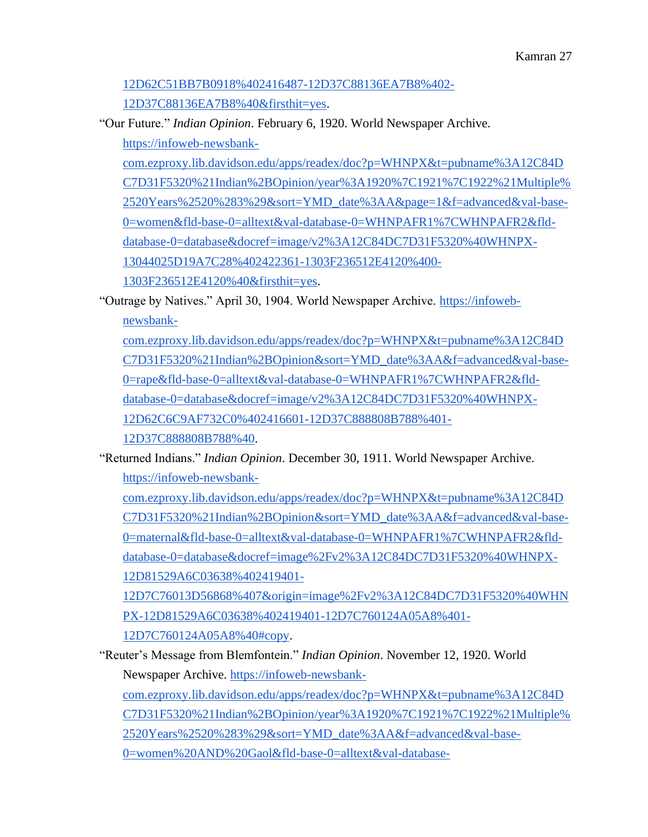# [12D62C51BB7B0918%402416487-12D37C88136EA7B8%402-](https://infoweb-newsbank-com.ezproxy.lib.davidson.edu/apps/readex/doc?p=WHNPX&t=pubname%3A12C84DC7D31F5320%21Indian%2BOpinion&sort=YMD_date%3AA&f=advanced&val-base-0=girls&fld-base-0=alltext&val-database-0=WHNPAFR1%7CWHNPAFR2&fld-database-0=database&docref=image/v2%3A12C84DC7D31F5320%40WHNPX-12D62C51BB7B0918%402416487-12D37C88136EA7B8%402-12D37C88136EA7B8%40&firsthit=yes) [12D37C88136EA7B8%40&firsthit=yes.](https://infoweb-newsbank-com.ezproxy.lib.davidson.edu/apps/readex/doc?p=WHNPX&t=pubname%3A12C84DC7D31F5320%21Indian%2BOpinion&sort=YMD_date%3AA&f=advanced&val-base-0=girls&fld-base-0=alltext&val-database-0=WHNPAFR1%7CWHNPAFR2&fld-database-0=database&docref=image/v2%3A12C84DC7D31F5320%40WHNPX-12D62C51BB7B0918%402416487-12D37C88136EA7B8%402-12D37C88136EA7B8%40&firsthit=yes)

"Our Future." *Indian Opinion*. February 6, 1920. World Newspaper Archive[.](https://infoweb-newsbank-com.ezproxy.lib.davidson.edu/apps/readex/doc?p=WHNPX&t=pubname%3A12C84DC7D31F5320%21Indian%2BOpinion/year%3A1920%7C1921%7C1922%21Multiple%2520Years%2520%283%29&sort=YMD_date%3AA&page=1&f=advanced&val-base-0=women&fld-base-0=alltext&val-database-0=WHNPAFR1%7CWHNPAFR2&fld-database-0=database&docref=image/v2%3A12C84DC7D31F5320%40WHNPX-13044025D19A7C28%402422361-1303F236512E4120%400-1303F236512E4120%40&firsthit=yes)

[https://infoweb-newsbank-](https://infoweb-newsbank-com.ezproxy.lib.davidson.edu/apps/readex/doc?p=WHNPX&t=pubname%3A12C84DC7D31F5320%21Indian%2BOpinion/year%3A1920%7C1921%7C1922%21Multiple%2520Years%2520%283%29&sort=YMD_date%3AA&page=1&f=advanced&val-base-0=women&fld-base-0=alltext&val-database-0=WHNPAFR1%7CWHNPAFR2&fld-database-0=database&docref=image/v2%3A12C84DC7D31F5320%40WHNPX-13044025D19A7C28%402422361-1303F236512E4120%400-1303F236512E4120%40&firsthit=yes)

[com.ezproxy.lib.davidson.edu/apps/readex/doc?p=WHNPX&t=pubname%3A12C84D](https://infoweb-newsbank-com.ezproxy.lib.davidson.edu/apps/readex/doc?p=WHNPX&t=pubname%3A12C84DC7D31F5320%21Indian%2BOpinion/year%3A1920%7C1921%7C1922%21Multiple%2520Years%2520%283%29&sort=YMD_date%3AA&page=1&f=advanced&val-base-0=women&fld-base-0=alltext&val-database-0=WHNPAFR1%7CWHNPAFR2&fld-database-0=database&docref=image/v2%3A12C84DC7D31F5320%40WHNPX-13044025D19A7C28%402422361-1303F236512E4120%400-1303F236512E4120%40&firsthit=yes) [C7D31F5320%21Indian%2BOpinion/year%3A1920%7C1921%7C1922%21Multiple%](https://infoweb-newsbank-com.ezproxy.lib.davidson.edu/apps/readex/doc?p=WHNPX&t=pubname%3A12C84DC7D31F5320%21Indian%2BOpinion/year%3A1920%7C1921%7C1922%21Multiple%2520Years%2520%283%29&sort=YMD_date%3AA&page=1&f=advanced&val-base-0=women&fld-base-0=alltext&val-database-0=WHNPAFR1%7CWHNPAFR2&fld-database-0=database&docref=image/v2%3A12C84DC7D31F5320%40WHNPX-13044025D19A7C28%402422361-1303F236512E4120%400-1303F236512E4120%40&firsthit=yes) [2520Years%2520%283%29&sort=YMD\\_date%3AA&page=1&f=advanced&val-base-](https://infoweb-newsbank-com.ezproxy.lib.davidson.edu/apps/readex/doc?p=WHNPX&t=pubname%3A12C84DC7D31F5320%21Indian%2BOpinion/year%3A1920%7C1921%7C1922%21Multiple%2520Years%2520%283%29&sort=YMD_date%3AA&page=1&f=advanced&val-base-0=women&fld-base-0=alltext&val-database-0=WHNPAFR1%7CWHNPAFR2&fld-database-0=database&docref=image/v2%3A12C84DC7D31F5320%40WHNPX-13044025D19A7C28%402422361-1303F236512E4120%400-1303F236512E4120%40&firsthit=yes)[0=women&fld-base-0=alltext&val-database-0=WHNPAFR1%7CWHNPAFR2&fld](https://infoweb-newsbank-com.ezproxy.lib.davidson.edu/apps/readex/doc?p=WHNPX&t=pubname%3A12C84DC7D31F5320%21Indian%2BOpinion/year%3A1920%7C1921%7C1922%21Multiple%2520Years%2520%283%29&sort=YMD_date%3AA&page=1&f=advanced&val-base-0=women&fld-base-0=alltext&val-database-0=WHNPAFR1%7CWHNPAFR2&fld-database-0=database&docref=image/v2%3A12C84DC7D31F5320%40WHNPX-13044025D19A7C28%402422361-1303F236512E4120%400-1303F236512E4120%40&firsthit=yes)[database-0=database&docref=image/v2%3A12C84DC7D31F5320%40WHNPX-](https://infoweb-newsbank-com.ezproxy.lib.davidson.edu/apps/readex/doc?p=WHNPX&t=pubname%3A12C84DC7D31F5320%21Indian%2BOpinion/year%3A1920%7C1921%7C1922%21Multiple%2520Years%2520%283%29&sort=YMD_date%3AA&page=1&f=advanced&val-base-0=women&fld-base-0=alltext&val-database-0=WHNPAFR1%7CWHNPAFR2&fld-database-0=database&docref=image/v2%3A12C84DC7D31F5320%40WHNPX-13044025D19A7C28%402422361-1303F236512E4120%400-1303F236512E4120%40&firsthit=yes)[13044025D19A7C28%402422361-1303F236512E4120%400-](https://infoweb-newsbank-com.ezproxy.lib.davidson.edu/apps/readex/doc?p=WHNPX&t=pubname%3A12C84DC7D31F5320%21Indian%2BOpinion/year%3A1920%7C1921%7C1922%21Multiple%2520Years%2520%283%29&sort=YMD_date%3AA&page=1&f=advanced&val-base-0=women&fld-base-0=alltext&val-database-0=WHNPAFR1%7CWHNPAFR2&fld-database-0=database&docref=image/v2%3A12C84DC7D31F5320%40WHNPX-13044025D19A7C28%402422361-1303F236512E4120%400-1303F236512E4120%40&firsthit=yes) [1303F236512E4120%40&firsthit=yes.](https://infoweb-newsbank-com.ezproxy.lib.davidson.edu/apps/readex/doc?p=WHNPX&t=pubname%3A12C84DC7D31F5320%21Indian%2BOpinion/year%3A1920%7C1921%7C1922%21Multiple%2520Years%2520%283%29&sort=YMD_date%3AA&page=1&f=advanced&val-base-0=women&fld-base-0=alltext&val-database-0=WHNPAFR1%7CWHNPAFR2&fld-database-0=database&docref=image/v2%3A12C84DC7D31F5320%40WHNPX-13044025D19A7C28%402422361-1303F236512E4120%400-1303F236512E4120%40&firsthit=yes)

"Outrage by Natives." April 30, 1904. World Newspaper Archive. [https://infoweb](https://infoweb-newsbank-com.ezproxy.lib.davidson.edu/apps/readex/doc?p=WHNPX&t=pubname%3A12C84DC7D31F5320%21Indian%2BOpinion&sort=YMD_date%3AA&f=advanced&val-base-0=rape&fld-base-0=alltext&val-database-0=WHNPAFR1%7CWHNPAFR2&fld-database-0=database&docref=image/v2%3A12C84DC7D31F5320%40WHNPX-12D62C6C9AF732C0%402416601-12D37C888808B788%401-12D37C888808B788%40)[newsbank-](https://infoweb-newsbank-com.ezproxy.lib.davidson.edu/apps/readex/doc?p=WHNPX&t=pubname%3A12C84DC7D31F5320%21Indian%2BOpinion&sort=YMD_date%3AA&f=advanced&val-base-0=rape&fld-base-0=alltext&val-database-0=WHNPAFR1%7CWHNPAFR2&fld-database-0=database&docref=image/v2%3A12C84DC7D31F5320%40WHNPX-12D62C6C9AF732C0%402416601-12D37C888808B788%401-12D37C888808B788%40)

[com.ezproxy.lib.davidson.edu/apps/readex/doc?p=WHNPX&t=pubname%3A12C84D](https://infoweb-newsbank-com.ezproxy.lib.davidson.edu/apps/readex/doc?p=WHNPX&t=pubname%3A12C84DC7D31F5320%21Indian%2BOpinion&sort=YMD_date%3AA&f=advanced&val-base-0=rape&fld-base-0=alltext&val-database-0=WHNPAFR1%7CWHNPAFR2&fld-database-0=database&docref=image/v2%3A12C84DC7D31F5320%40WHNPX-12D62C6C9AF732C0%402416601-12D37C888808B788%401-12D37C888808B788%40) [C7D31F5320%21Indian%2BOpinion&sort=YMD\\_date%3AA&f=advanced&val-base-](https://infoweb-newsbank-com.ezproxy.lib.davidson.edu/apps/readex/doc?p=WHNPX&t=pubname%3A12C84DC7D31F5320%21Indian%2BOpinion&sort=YMD_date%3AA&f=advanced&val-base-0=rape&fld-base-0=alltext&val-database-0=WHNPAFR1%7CWHNPAFR2&fld-database-0=database&docref=image/v2%3A12C84DC7D31F5320%40WHNPX-12D62C6C9AF732C0%402416601-12D37C888808B788%401-12D37C888808B788%40)[0=rape&fld-base-0=alltext&val-database-0=WHNPAFR1%7CWHNPAFR2&fld](https://infoweb-newsbank-com.ezproxy.lib.davidson.edu/apps/readex/doc?p=WHNPX&t=pubname%3A12C84DC7D31F5320%21Indian%2BOpinion&sort=YMD_date%3AA&f=advanced&val-base-0=rape&fld-base-0=alltext&val-database-0=WHNPAFR1%7CWHNPAFR2&fld-database-0=database&docref=image/v2%3A12C84DC7D31F5320%40WHNPX-12D62C6C9AF732C0%402416601-12D37C888808B788%401-12D37C888808B788%40)[database-0=database&docref=image/v2%3A12C84DC7D31F5320%40WHNPX-](https://infoweb-newsbank-com.ezproxy.lib.davidson.edu/apps/readex/doc?p=WHNPX&t=pubname%3A12C84DC7D31F5320%21Indian%2BOpinion&sort=YMD_date%3AA&f=advanced&val-base-0=rape&fld-base-0=alltext&val-database-0=WHNPAFR1%7CWHNPAFR2&fld-database-0=database&docref=image/v2%3A12C84DC7D31F5320%40WHNPX-12D62C6C9AF732C0%402416601-12D37C888808B788%401-12D37C888808B788%40)[12D62C6C9AF732C0%402416601-12D37C888808B788%401-](https://infoweb-newsbank-com.ezproxy.lib.davidson.edu/apps/readex/doc?p=WHNPX&t=pubname%3A12C84DC7D31F5320%21Indian%2BOpinion&sort=YMD_date%3AA&f=advanced&val-base-0=rape&fld-base-0=alltext&val-database-0=WHNPAFR1%7CWHNPAFR2&fld-database-0=database&docref=image/v2%3A12C84DC7D31F5320%40WHNPX-12D62C6C9AF732C0%402416601-12D37C888808B788%401-12D37C888808B788%40) [12D37C888808B788%40.](https://infoweb-newsbank-com.ezproxy.lib.davidson.edu/apps/readex/doc?p=WHNPX&t=pubname%3A12C84DC7D31F5320%21Indian%2BOpinion&sort=YMD_date%3AA&f=advanced&val-base-0=rape&fld-base-0=alltext&val-database-0=WHNPAFR1%7CWHNPAFR2&fld-database-0=database&docref=image/v2%3A12C84DC7D31F5320%40WHNPX-12D62C6C9AF732C0%402416601-12D37C888808B788%401-12D37C888808B788%40)

"Returned Indians." *Indian Opinion*. December 30, 1911. World Newspaper Archive[.](https://infoweb-newsbank-com.ezproxy.lib.davidson.edu/apps/readex/doc?p=WHNPX&t=pubname%3A12C84DC7D31F5320%21Indian%2BOpinion&sort=YMD_date%3AA&f=advanced&val-base-0=maternal&fld-base-0=alltext&val-database-0=WHNPAFR1%7CWHNPAFR2&fld-database-0=database&docref=image%2Fv2%3A12C84DC7D31F5320%40WHNPX-12D81529A6C03638%402419401-12D7C76013D56868%407&origin=image%2Fv2%3A12C84DC7D31F5320%40WHNPX-12D81529A6C03638%402419401-12D7C760124A05A8%401-12D7C760124A05A8%40#copy) [https://infoweb-newsbank-](https://infoweb-newsbank-com.ezproxy.lib.davidson.edu/apps/readex/doc?p=WHNPX&t=pubname%3A12C84DC7D31F5320%21Indian%2BOpinion&sort=YMD_date%3AA&f=advanced&val-base-0=maternal&fld-base-0=alltext&val-database-0=WHNPAFR1%7CWHNPAFR2&fld-database-0=database&docref=image%2Fv2%3A12C84DC7D31F5320%40WHNPX-12D81529A6C03638%402419401-12D7C76013D56868%407&origin=image%2Fv2%3A12C84DC7D31F5320%40WHNPX-12D81529A6C03638%402419401-12D7C760124A05A8%401-12D7C760124A05A8%40#copy)

[com.ezproxy.lib.davidson.edu/apps/readex/doc?p=WHNPX&t=pubname%3A12C84D](https://infoweb-newsbank-com.ezproxy.lib.davidson.edu/apps/readex/doc?p=WHNPX&t=pubname%3A12C84DC7D31F5320%21Indian%2BOpinion&sort=YMD_date%3AA&f=advanced&val-base-0=maternal&fld-base-0=alltext&val-database-0=WHNPAFR1%7CWHNPAFR2&fld-database-0=database&docref=image%2Fv2%3A12C84DC7D31F5320%40WHNPX-12D81529A6C03638%402419401-12D7C76013D56868%407&origin=image%2Fv2%3A12C84DC7D31F5320%40WHNPX-12D81529A6C03638%402419401-12D7C760124A05A8%401-12D7C760124A05A8%40#copy) [C7D31F5320%21Indian%2BOpinion&sort=YMD\\_date%3AA&f=advanced&val-base-](https://infoweb-newsbank-com.ezproxy.lib.davidson.edu/apps/readex/doc?p=WHNPX&t=pubname%3A12C84DC7D31F5320%21Indian%2BOpinion&sort=YMD_date%3AA&f=advanced&val-base-0=maternal&fld-base-0=alltext&val-database-0=WHNPAFR1%7CWHNPAFR2&fld-database-0=database&docref=image%2Fv2%3A12C84DC7D31F5320%40WHNPX-12D81529A6C03638%402419401-12D7C76013D56868%407&origin=image%2Fv2%3A12C84DC7D31F5320%40WHNPX-12D81529A6C03638%402419401-12D7C760124A05A8%401-12D7C760124A05A8%40#copy)[0=maternal&fld-base-0=alltext&val-database-0=WHNPAFR1%7CWHNPAFR2&fld](https://infoweb-newsbank-com.ezproxy.lib.davidson.edu/apps/readex/doc?p=WHNPX&t=pubname%3A12C84DC7D31F5320%21Indian%2BOpinion&sort=YMD_date%3AA&f=advanced&val-base-0=maternal&fld-base-0=alltext&val-database-0=WHNPAFR1%7CWHNPAFR2&fld-database-0=database&docref=image%2Fv2%3A12C84DC7D31F5320%40WHNPX-12D81529A6C03638%402419401-12D7C76013D56868%407&origin=image%2Fv2%3A12C84DC7D31F5320%40WHNPX-12D81529A6C03638%402419401-12D7C760124A05A8%401-12D7C760124A05A8%40#copy)[database-0=database&docref=image%2Fv2%3A12C84DC7D31F5320%40WHNPX-](https://infoweb-newsbank-com.ezproxy.lib.davidson.edu/apps/readex/doc?p=WHNPX&t=pubname%3A12C84DC7D31F5320%21Indian%2BOpinion&sort=YMD_date%3AA&f=advanced&val-base-0=maternal&fld-base-0=alltext&val-database-0=WHNPAFR1%7CWHNPAFR2&fld-database-0=database&docref=image%2Fv2%3A12C84DC7D31F5320%40WHNPX-12D81529A6C03638%402419401-12D7C76013D56868%407&origin=image%2Fv2%3A12C84DC7D31F5320%40WHNPX-12D81529A6C03638%402419401-12D7C760124A05A8%401-12D7C760124A05A8%40#copy)[12D81529A6C03638%402419401-](https://infoweb-newsbank-com.ezproxy.lib.davidson.edu/apps/readex/doc?p=WHNPX&t=pubname%3A12C84DC7D31F5320%21Indian%2BOpinion&sort=YMD_date%3AA&f=advanced&val-base-0=maternal&fld-base-0=alltext&val-database-0=WHNPAFR1%7CWHNPAFR2&fld-database-0=database&docref=image%2Fv2%3A12C84DC7D31F5320%40WHNPX-12D81529A6C03638%402419401-12D7C76013D56868%407&origin=image%2Fv2%3A12C84DC7D31F5320%40WHNPX-12D81529A6C03638%402419401-12D7C760124A05A8%401-12D7C760124A05A8%40#copy)

[12D7C76013D56868%407&origin=image%2Fv2%3A12C84DC7D31F5320%40WHN](https://infoweb-newsbank-com.ezproxy.lib.davidson.edu/apps/readex/doc?p=WHNPX&t=pubname%3A12C84DC7D31F5320%21Indian%2BOpinion&sort=YMD_date%3AA&f=advanced&val-base-0=maternal&fld-base-0=alltext&val-database-0=WHNPAFR1%7CWHNPAFR2&fld-database-0=database&docref=image%2Fv2%3A12C84DC7D31F5320%40WHNPX-12D81529A6C03638%402419401-12D7C76013D56868%407&origin=image%2Fv2%3A12C84DC7D31F5320%40WHNPX-12D81529A6C03638%402419401-12D7C760124A05A8%401-12D7C760124A05A8%40#copy) [PX-12D81529A6C03638%402419401-12D7C760124A05A8%401-](https://infoweb-newsbank-com.ezproxy.lib.davidson.edu/apps/readex/doc?p=WHNPX&t=pubname%3A12C84DC7D31F5320%21Indian%2BOpinion&sort=YMD_date%3AA&f=advanced&val-base-0=maternal&fld-base-0=alltext&val-database-0=WHNPAFR1%7CWHNPAFR2&fld-database-0=database&docref=image%2Fv2%3A12C84DC7D31F5320%40WHNPX-12D81529A6C03638%402419401-12D7C76013D56868%407&origin=image%2Fv2%3A12C84DC7D31F5320%40WHNPX-12D81529A6C03638%402419401-12D7C760124A05A8%401-12D7C760124A05A8%40#copy) [12D7C760124A05A8%40#copy.](https://infoweb-newsbank-com.ezproxy.lib.davidson.edu/apps/readex/doc?p=WHNPX&t=pubname%3A12C84DC7D31F5320%21Indian%2BOpinion&sort=YMD_date%3AA&f=advanced&val-base-0=maternal&fld-base-0=alltext&val-database-0=WHNPAFR1%7CWHNPAFR2&fld-database-0=database&docref=image%2Fv2%3A12C84DC7D31F5320%40WHNPX-12D81529A6C03638%402419401-12D7C76013D56868%407&origin=image%2Fv2%3A12C84DC7D31F5320%40WHNPX-12D81529A6C03638%402419401-12D7C760124A05A8%401-12D7C760124A05A8%40#copy)

"Reuter's Message from Blemfontein." *Indian Opinion*. November 12, 1920. World Newspaper Archive[.](https://infoweb-newsbank-com.ezproxy.lib.davidson.edu/apps/readex/doc?p=WHNPX&t=pubname%3A12C84DC7D31F5320%21Indian%2BOpinion/year%3A1920%7C1921%7C1922%21Multiple%2520Years%2520%283%29&sort=YMD_date%3AA&f=advanced&val-base-0=women%20AND%20Gaol&fld-base-0=alltext&val-database-0=WHNPAFR1%7CWHNPAFR2&fld-database-0=database&docref=image/v2%3A12C84DC7D31F5320%40WHNPX-13043E145ED3C110%402422641-1303F3D3D2450850%400-1303F3D3D2450850%40&firsthit=yes) [https://infoweb-newsbank-](https://infoweb-newsbank-com.ezproxy.lib.davidson.edu/apps/readex/doc?p=WHNPX&t=pubname%3A12C84DC7D31F5320%21Indian%2BOpinion/year%3A1920%7C1921%7C1922%21Multiple%2520Years%2520%283%29&sort=YMD_date%3AA&f=advanced&val-base-0=women%20AND%20Gaol&fld-base-0=alltext&val-database-0=WHNPAFR1%7CWHNPAFR2&fld-database-0=database&docref=image/v2%3A12C84DC7D31F5320%40WHNPX-13043E145ED3C110%402422641-1303F3D3D2450850%400-1303F3D3D2450850%40&firsthit=yes)

[com.ezproxy.lib.davidson.edu/apps/readex/doc?p=WHNPX&t=pubname%3A12C84D](https://infoweb-newsbank-com.ezproxy.lib.davidson.edu/apps/readex/doc?p=WHNPX&t=pubname%3A12C84DC7D31F5320%21Indian%2BOpinion/year%3A1920%7C1921%7C1922%21Multiple%2520Years%2520%283%29&sort=YMD_date%3AA&f=advanced&val-base-0=women%20AND%20Gaol&fld-base-0=alltext&val-database-0=WHNPAFR1%7CWHNPAFR2&fld-database-0=database&docref=image/v2%3A12C84DC7D31F5320%40WHNPX-13043E145ED3C110%402422641-1303F3D3D2450850%400-1303F3D3D2450850%40&firsthit=yes) [C7D31F5320%21Indian%2BOpinion/year%3A1920%7C1921%7C1922%21Multiple%](https://infoweb-newsbank-com.ezproxy.lib.davidson.edu/apps/readex/doc?p=WHNPX&t=pubname%3A12C84DC7D31F5320%21Indian%2BOpinion/year%3A1920%7C1921%7C1922%21Multiple%2520Years%2520%283%29&sort=YMD_date%3AA&f=advanced&val-base-0=women%20AND%20Gaol&fld-base-0=alltext&val-database-0=WHNPAFR1%7CWHNPAFR2&fld-database-0=database&docref=image/v2%3A12C84DC7D31F5320%40WHNPX-13043E145ED3C110%402422641-1303F3D3D2450850%400-1303F3D3D2450850%40&firsthit=yes) [2520Years%2520%283%29&sort=YMD\\_date%3AA&f=advanced&val-base-](https://infoweb-newsbank-com.ezproxy.lib.davidson.edu/apps/readex/doc?p=WHNPX&t=pubname%3A12C84DC7D31F5320%21Indian%2BOpinion/year%3A1920%7C1921%7C1922%21Multiple%2520Years%2520%283%29&sort=YMD_date%3AA&f=advanced&val-base-0=women%20AND%20Gaol&fld-base-0=alltext&val-database-0=WHNPAFR1%7CWHNPAFR2&fld-database-0=database&docref=image/v2%3A12C84DC7D31F5320%40WHNPX-13043E145ED3C110%402422641-1303F3D3D2450850%400-1303F3D3D2450850%40&firsthit=yes)

[0=women%20AND%20Gaol&fld-base-0=alltext&val-database-](https://infoweb-newsbank-com.ezproxy.lib.davidson.edu/apps/readex/doc?p=WHNPX&t=pubname%3A12C84DC7D31F5320%21Indian%2BOpinion/year%3A1920%7C1921%7C1922%21Multiple%2520Years%2520%283%29&sort=YMD_date%3AA&f=advanced&val-base-0=women%20AND%20Gaol&fld-base-0=alltext&val-database-0=WHNPAFR1%7CWHNPAFR2&fld-database-0=database&docref=image/v2%3A12C84DC7D31F5320%40WHNPX-13043E145ED3C110%402422641-1303F3D3D2450850%400-1303F3D3D2450850%40&firsthit=yes)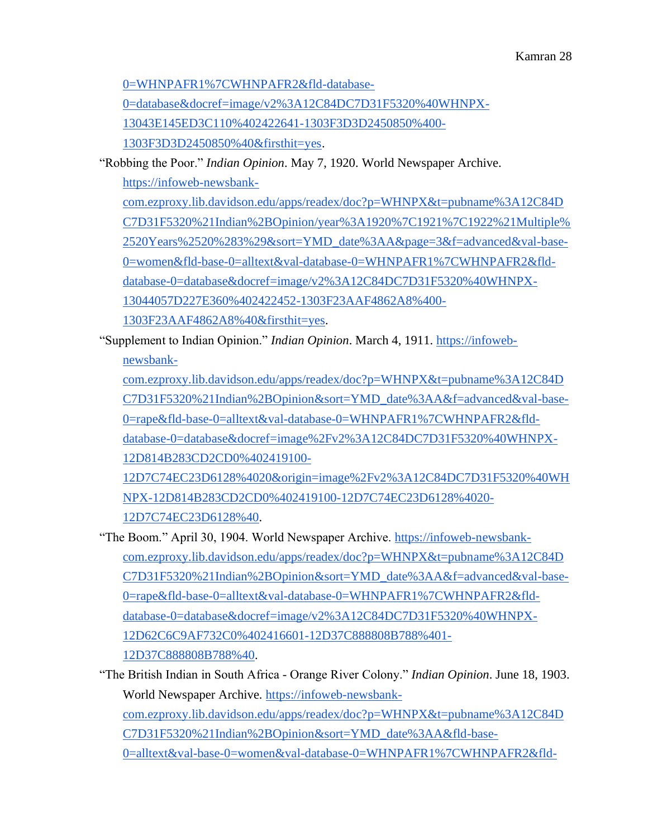[0=WHNPAFR1%7CWHNPAFR2&fld-database-](https://infoweb-newsbank-com.ezproxy.lib.davidson.edu/apps/readex/doc?p=WHNPX&t=pubname%3A12C84DC7D31F5320%21Indian%2BOpinion/year%3A1920%7C1921%7C1922%21Multiple%2520Years%2520%283%29&sort=YMD_date%3AA&f=advanced&val-base-0=women%20AND%20Gaol&fld-base-0=alltext&val-database-0=WHNPAFR1%7CWHNPAFR2&fld-database-0=database&docref=image/v2%3A12C84DC7D31F5320%40WHNPX-13043E145ED3C110%402422641-1303F3D3D2450850%400-1303F3D3D2450850%40&firsthit=yes)

[0=database&docref=image/v2%3A12C84DC7D31F5320%40WHNPX-](https://infoweb-newsbank-com.ezproxy.lib.davidson.edu/apps/readex/doc?p=WHNPX&t=pubname%3A12C84DC7D31F5320%21Indian%2BOpinion/year%3A1920%7C1921%7C1922%21Multiple%2520Years%2520%283%29&sort=YMD_date%3AA&f=advanced&val-base-0=women%20AND%20Gaol&fld-base-0=alltext&val-database-0=WHNPAFR1%7CWHNPAFR2&fld-database-0=database&docref=image/v2%3A12C84DC7D31F5320%40WHNPX-13043E145ED3C110%402422641-1303F3D3D2450850%400-1303F3D3D2450850%40&firsthit=yes)

[13043E145ED3C110%402422641-1303F3D3D2450850%400-](https://infoweb-newsbank-com.ezproxy.lib.davidson.edu/apps/readex/doc?p=WHNPX&t=pubname%3A12C84DC7D31F5320%21Indian%2BOpinion/year%3A1920%7C1921%7C1922%21Multiple%2520Years%2520%283%29&sort=YMD_date%3AA&f=advanced&val-base-0=women%20AND%20Gaol&fld-base-0=alltext&val-database-0=WHNPAFR1%7CWHNPAFR2&fld-database-0=database&docref=image/v2%3A12C84DC7D31F5320%40WHNPX-13043E145ED3C110%402422641-1303F3D3D2450850%400-1303F3D3D2450850%40&firsthit=yes)

[1303F3D3D2450850%40&firsthit=yes.](https://infoweb-newsbank-com.ezproxy.lib.davidson.edu/apps/readex/doc?p=WHNPX&t=pubname%3A12C84DC7D31F5320%21Indian%2BOpinion/year%3A1920%7C1921%7C1922%21Multiple%2520Years%2520%283%29&sort=YMD_date%3AA&f=advanced&val-base-0=women%20AND%20Gaol&fld-base-0=alltext&val-database-0=WHNPAFR1%7CWHNPAFR2&fld-database-0=database&docref=image/v2%3A12C84DC7D31F5320%40WHNPX-13043E145ED3C110%402422641-1303F3D3D2450850%400-1303F3D3D2450850%40&firsthit=yes)

"Robbing the Poor." *Indian Opinion*. May 7, 1920. World Newspaper Archive[.](https://infoweb-newsbank-com.ezproxy.lib.davidson.edu/apps/readex/doc?p=WHNPX&t=pubname%3A12C84DC7D31F5320%21Indian%2BOpinion/year%3A1920%7C1921%7C1922%21Multiple%2520Years%2520%283%29&sort=YMD_date%3AA&page=3&f=advanced&val-base-0=women&fld-base-0=alltext&val-database-0=WHNPAFR1%7CWHNPAFR2&fld-database-0=database&docref=image/v2%3A12C84DC7D31F5320%40WHNPX-13044057D227E360%402422452-1303F23AAF4862A8%400-1303F23AAF4862A8%40&firsthit=yes)

[https://infoweb-newsbank-](https://infoweb-newsbank-com.ezproxy.lib.davidson.edu/apps/readex/doc?p=WHNPX&t=pubname%3A12C84DC7D31F5320%21Indian%2BOpinion/year%3A1920%7C1921%7C1922%21Multiple%2520Years%2520%283%29&sort=YMD_date%3AA&page=3&f=advanced&val-base-0=women&fld-base-0=alltext&val-database-0=WHNPAFR1%7CWHNPAFR2&fld-database-0=database&docref=image/v2%3A12C84DC7D31F5320%40WHNPX-13044057D227E360%402422452-1303F23AAF4862A8%400-1303F23AAF4862A8%40&firsthit=yes)

[com.ezproxy.lib.davidson.edu/apps/readex/doc?p=WHNPX&t=pubname%3A12C84D](https://infoweb-newsbank-com.ezproxy.lib.davidson.edu/apps/readex/doc?p=WHNPX&t=pubname%3A12C84DC7D31F5320%21Indian%2BOpinion/year%3A1920%7C1921%7C1922%21Multiple%2520Years%2520%283%29&sort=YMD_date%3AA&page=3&f=advanced&val-base-0=women&fld-base-0=alltext&val-database-0=WHNPAFR1%7CWHNPAFR2&fld-database-0=database&docref=image/v2%3A12C84DC7D31F5320%40WHNPX-13044057D227E360%402422452-1303F23AAF4862A8%400-1303F23AAF4862A8%40&firsthit=yes) [C7D31F5320%21Indian%2BOpinion/year%3A1920%7C1921%7C1922%21Multiple%](https://infoweb-newsbank-com.ezproxy.lib.davidson.edu/apps/readex/doc?p=WHNPX&t=pubname%3A12C84DC7D31F5320%21Indian%2BOpinion/year%3A1920%7C1921%7C1922%21Multiple%2520Years%2520%283%29&sort=YMD_date%3AA&page=3&f=advanced&val-base-0=women&fld-base-0=alltext&val-database-0=WHNPAFR1%7CWHNPAFR2&fld-database-0=database&docref=image/v2%3A12C84DC7D31F5320%40WHNPX-13044057D227E360%402422452-1303F23AAF4862A8%400-1303F23AAF4862A8%40&firsthit=yes) [2520Years%2520%283%29&sort=YMD\\_date%3AA&page=3&f=advanced&val-base-](https://infoweb-newsbank-com.ezproxy.lib.davidson.edu/apps/readex/doc?p=WHNPX&t=pubname%3A12C84DC7D31F5320%21Indian%2BOpinion/year%3A1920%7C1921%7C1922%21Multiple%2520Years%2520%283%29&sort=YMD_date%3AA&page=3&f=advanced&val-base-0=women&fld-base-0=alltext&val-database-0=WHNPAFR1%7CWHNPAFR2&fld-database-0=database&docref=image/v2%3A12C84DC7D31F5320%40WHNPX-13044057D227E360%402422452-1303F23AAF4862A8%400-1303F23AAF4862A8%40&firsthit=yes)[0=women&fld-base-0=alltext&val-database-0=WHNPAFR1%7CWHNPAFR2&fld](https://infoweb-newsbank-com.ezproxy.lib.davidson.edu/apps/readex/doc?p=WHNPX&t=pubname%3A12C84DC7D31F5320%21Indian%2BOpinion/year%3A1920%7C1921%7C1922%21Multiple%2520Years%2520%283%29&sort=YMD_date%3AA&page=3&f=advanced&val-base-0=women&fld-base-0=alltext&val-database-0=WHNPAFR1%7CWHNPAFR2&fld-database-0=database&docref=image/v2%3A12C84DC7D31F5320%40WHNPX-13044057D227E360%402422452-1303F23AAF4862A8%400-1303F23AAF4862A8%40&firsthit=yes)[database-0=database&docref=image/v2%3A12C84DC7D31F5320%40WHNPX-](https://infoweb-newsbank-com.ezproxy.lib.davidson.edu/apps/readex/doc?p=WHNPX&t=pubname%3A12C84DC7D31F5320%21Indian%2BOpinion/year%3A1920%7C1921%7C1922%21Multiple%2520Years%2520%283%29&sort=YMD_date%3AA&page=3&f=advanced&val-base-0=women&fld-base-0=alltext&val-database-0=WHNPAFR1%7CWHNPAFR2&fld-database-0=database&docref=image/v2%3A12C84DC7D31F5320%40WHNPX-13044057D227E360%402422452-1303F23AAF4862A8%400-1303F23AAF4862A8%40&firsthit=yes)[13044057D227E360%402422452-1303F23AAF4862A8%400-](https://infoweb-newsbank-com.ezproxy.lib.davidson.edu/apps/readex/doc?p=WHNPX&t=pubname%3A12C84DC7D31F5320%21Indian%2BOpinion/year%3A1920%7C1921%7C1922%21Multiple%2520Years%2520%283%29&sort=YMD_date%3AA&page=3&f=advanced&val-base-0=women&fld-base-0=alltext&val-database-0=WHNPAFR1%7CWHNPAFR2&fld-database-0=database&docref=image/v2%3A12C84DC7D31F5320%40WHNPX-13044057D227E360%402422452-1303F23AAF4862A8%400-1303F23AAF4862A8%40&firsthit=yes) [1303F23AAF4862A8%40&firsthit=yes.](https://infoweb-newsbank-com.ezproxy.lib.davidson.edu/apps/readex/doc?p=WHNPX&t=pubname%3A12C84DC7D31F5320%21Indian%2BOpinion/year%3A1920%7C1921%7C1922%21Multiple%2520Years%2520%283%29&sort=YMD_date%3AA&page=3&f=advanced&val-base-0=women&fld-base-0=alltext&val-database-0=WHNPAFR1%7CWHNPAFR2&fld-database-0=database&docref=image/v2%3A12C84DC7D31F5320%40WHNPX-13044057D227E360%402422452-1303F23AAF4862A8%400-1303F23AAF4862A8%40&firsthit=yes)

"Supplement to Indian Opinion." *Indian Opinion*. March 4, 1911. [https://infoweb](https://infoweb-newsbank-com.ezproxy.lib.davidson.edu/apps/readex/doc?p=WHNPX&t=pubname%3A12C84DC7D31F5320%21Indian%2BOpinion&sort=YMD_date%3AA&f=advanced&val-base-0=rape&fld-base-0=alltext&val-database-0=WHNPAFR1%7CWHNPAFR2&fld-database-0=database&docref=image%2Fv2%3A12C84DC7D31F5320%40WHNPX-12D814B283CD2CD0%402419100-12D7C74EC23D6128%4020&origin=image%2Fv2%3A12C84DC7D31F5320%40WHNPX-12D814B283CD2CD0%402419100-12D7C74EC23D6128%4020-12D7C74EC23D6128%40)[newsbank-](https://infoweb-newsbank-com.ezproxy.lib.davidson.edu/apps/readex/doc?p=WHNPX&t=pubname%3A12C84DC7D31F5320%21Indian%2BOpinion&sort=YMD_date%3AA&f=advanced&val-base-0=rape&fld-base-0=alltext&val-database-0=WHNPAFR1%7CWHNPAFR2&fld-database-0=database&docref=image%2Fv2%3A12C84DC7D31F5320%40WHNPX-12D814B283CD2CD0%402419100-12D7C74EC23D6128%4020&origin=image%2Fv2%3A12C84DC7D31F5320%40WHNPX-12D814B283CD2CD0%402419100-12D7C74EC23D6128%4020-12D7C74EC23D6128%40)

[com.ezproxy.lib.davidson.edu/apps/readex/doc?p=WHNPX&t=pubname%3A12C84D](https://infoweb-newsbank-com.ezproxy.lib.davidson.edu/apps/readex/doc?p=WHNPX&t=pubname%3A12C84DC7D31F5320%21Indian%2BOpinion&sort=YMD_date%3AA&f=advanced&val-base-0=rape&fld-base-0=alltext&val-database-0=WHNPAFR1%7CWHNPAFR2&fld-database-0=database&docref=image%2Fv2%3A12C84DC7D31F5320%40WHNPX-12D814B283CD2CD0%402419100-12D7C74EC23D6128%4020&origin=image%2Fv2%3A12C84DC7D31F5320%40WHNPX-12D814B283CD2CD0%402419100-12D7C74EC23D6128%4020-12D7C74EC23D6128%40) [C7D31F5320%21Indian%2BOpinion&sort=YMD\\_date%3AA&f=advanced&val-base-](https://infoweb-newsbank-com.ezproxy.lib.davidson.edu/apps/readex/doc?p=WHNPX&t=pubname%3A12C84DC7D31F5320%21Indian%2BOpinion&sort=YMD_date%3AA&f=advanced&val-base-0=rape&fld-base-0=alltext&val-database-0=WHNPAFR1%7CWHNPAFR2&fld-database-0=database&docref=image%2Fv2%3A12C84DC7D31F5320%40WHNPX-12D814B283CD2CD0%402419100-12D7C74EC23D6128%4020&origin=image%2Fv2%3A12C84DC7D31F5320%40WHNPX-12D814B283CD2CD0%402419100-12D7C74EC23D6128%4020-12D7C74EC23D6128%40)[0=rape&fld-base-0=alltext&val-database-0=WHNPAFR1%7CWHNPAFR2&fld](https://infoweb-newsbank-com.ezproxy.lib.davidson.edu/apps/readex/doc?p=WHNPX&t=pubname%3A12C84DC7D31F5320%21Indian%2BOpinion&sort=YMD_date%3AA&f=advanced&val-base-0=rape&fld-base-0=alltext&val-database-0=WHNPAFR1%7CWHNPAFR2&fld-database-0=database&docref=image%2Fv2%3A12C84DC7D31F5320%40WHNPX-12D814B283CD2CD0%402419100-12D7C74EC23D6128%4020&origin=image%2Fv2%3A12C84DC7D31F5320%40WHNPX-12D814B283CD2CD0%402419100-12D7C74EC23D6128%4020-12D7C74EC23D6128%40)[database-0=database&docref=image%2Fv2%3A12C84DC7D31F5320%40WHNPX-](https://infoweb-newsbank-com.ezproxy.lib.davidson.edu/apps/readex/doc?p=WHNPX&t=pubname%3A12C84DC7D31F5320%21Indian%2BOpinion&sort=YMD_date%3AA&f=advanced&val-base-0=rape&fld-base-0=alltext&val-database-0=WHNPAFR1%7CWHNPAFR2&fld-database-0=database&docref=image%2Fv2%3A12C84DC7D31F5320%40WHNPX-12D814B283CD2CD0%402419100-12D7C74EC23D6128%4020&origin=image%2Fv2%3A12C84DC7D31F5320%40WHNPX-12D814B283CD2CD0%402419100-12D7C74EC23D6128%4020-12D7C74EC23D6128%40)[12D814B283CD2CD0%402419100-](https://infoweb-newsbank-com.ezproxy.lib.davidson.edu/apps/readex/doc?p=WHNPX&t=pubname%3A12C84DC7D31F5320%21Indian%2BOpinion&sort=YMD_date%3AA&f=advanced&val-base-0=rape&fld-base-0=alltext&val-database-0=WHNPAFR1%7CWHNPAFR2&fld-database-0=database&docref=image%2Fv2%3A12C84DC7D31F5320%40WHNPX-12D814B283CD2CD0%402419100-12D7C74EC23D6128%4020&origin=image%2Fv2%3A12C84DC7D31F5320%40WHNPX-12D814B283CD2CD0%402419100-12D7C74EC23D6128%4020-12D7C74EC23D6128%40)

[12D7C74EC23D6128%4020&origin=image%2Fv2%3A12C84DC7D31F5320%40WH](https://infoweb-newsbank-com.ezproxy.lib.davidson.edu/apps/readex/doc?p=WHNPX&t=pubname%3A12C84DC7D31F5320%21Indian%2BOpinion&sort=YMD_date%3AA&f=advanced&val-base-0=rape&fld-base-0=alltext&val-database-0=WHNPAFR1%7CWHNPAFR2&fld-database-0=database&docref=image%2Fv2%3A12C84DC7D31F5320%40WHNPX-12D814B283CD2CD0%402419100-12D7C74EC23D6128%4020&origin=image%2Fv2%3A12C84DC7D31F5320%40WHNPX-12D814B283CD2CD0%402419100-12D7C74EC23D6128%4020-12D7C74EC23D6128%40) [NPX-12D814B283CD2CD0%402419100-12D7C74EC23D6128%4020-](https://infoweb-newsbank-com.ezproxy.lib.davidson.edu/apps/readex/doc?p=WHNPX&t=pubname%3A12C84DC7D31F5320%21Indian%2BOpinion&sort=YMD_date%3AA&f=advanced&val-base-0=rape&fld-base-0=alltext&val-database-0=WHNPAFR1%7CWHNPAFR2&fld-database-0=database&docref=image%2Fv2%3A12C84DC7D31F5320%40WHNPX-12D814B283CD2CD0%402419100-12D7C74EC23D6128%4020&origin=image%2Fv2%3A12C84DC7D31F5320%40WHNPX-12D814B283CD2CD0%402419100-12D7C74EC23D6128%4020-12D7C74EC23D6128%40) [12D7C74EC23D6128%40.](https://infoweb-newsbank-com.ezproxy.lib.davidson.edu/apps/readex/doc?p=WHNPX&t=pubname%3A12C84DC7D31F5320%21Indian%2BOpinion&sort=YMD_date%3AA&f=advanced&val-base-0=rape&fld-base-0=alltext&val-database-0=WHNPAFR1%7CWHNPAFR2&fld-database-0=database&docref=image%2Fv2%3A12C84DC7D31F5320%40WHNPX-12D814B283CD2CD0%402419100-12D7C74EC23D6128%4020&origin=image%2Fv2%3A12C84DC7D31F5320%40WHNPX-12D814B283CD2CD0%402419100-12D7C74EC23D6128%4020-12D7C74EC23D6128%40)

- "The Boom." April 30, 1904. World Newspaper Archive. [https://infoweb-newsbank](https://infoweb-newsbank-com.ezproxy.lib.davidson.edu/apps/readex/doc?p=WHNPX&t=pubname%3A12C84DC7D31F5320%21Indian%2BOpinion&sort=YMD_date%3AA&f=advanced&val-base-0=rape&fld-base-0=alltext&val-database-0=WHNPAFR1%7CWHNPAFR2&fld-database-0=database&docref=image/v2%3A12C84DC7D31F5320%40WHNPX-12D62C6C9AF732C0%402416601-12D37C888808B788%401-12D37C888808B788%40)[com.ezproxy.lib.davidson.edu/apps/readex/doc?p=WHNPX&t=pubname%3A12C84D](https://infoweb-newsbank-com.ezproxy.lib.davidson.edu/apps/readex/doc?p=WHNPX&t=pubname%3A12C84DC7D31F5320%21Indian%2BOpinion&sort=YMD_date%3AA&f=advanced&val-base-0=rape&fld-base-0=alltext&val-database-0=WHNPAFR1%7CWHNPAFR2&fld-database-0=database&docref=image/v2%3A12C84DC7D31F5320%40WHNPX-12D62C6C9AF732C0%402416601-12D37C888808B788%401-12D37C888808B788%40) [C7D31F5320%21Indian%2BOpinion&sort=YMD\\_date%3AA&f=advanced&val-base-](https://infoweb-newsbank-com.ezproxy.lib.davidson.edu/apps/readex/doc?p=WHNPX&t=pubname%3A12C84DC7D31F5320%21Indian%2BOpinion&sort=YMD_date%3AA&f=advanced&val-base-0=rape&fld-base-0=alltext&val-database-0=WHNPAFR1%7CWHNPAFR2&fld-database-0=database&docref=image/v2%3A12C84DC7D31F5320%40WHNPX-12D62C6C9AF732C0%402416601-12D37C888808B788%401-12D37C888808B788%40)[0=rape&fld-base-0=alltext&val-database-0=WHNPAFR1%7CWHNPAFR2&fld](https://infoweb-newsbank-com.ezproxy.lib.davidson.edu/apps/readex/doc?p=WHNPX&t=pubname%3A12C84DC7D31F5320%21Indian%2BOpinion&sort=YMD_date%3AA&f=advanced&val-base-0=rape&fld-base-0=alltext&val-database-0=WHNPAFR1%7CWHNPAFR2&fld-database-0=database&docref=image/v2%3A12C84DC7D31F5320%40WHNPX-12D62C6C9AF732C0%402416601-12D37C888808B788%401-12D37C888808B788%40)[database-0=database&docref=image/v2%3A12C84DC7D31F5320%40WHNPX-](https://infoweb-newsbank-com.ezproxy.lib.davidson.edu/apps/readex/doc?p=WHNPX&t=pubname%3A12C84DC7D31F5320%21Indian%2BOpinion&sort=YMD_date%3AA&f=advanced&val-base-0=rape&fld-base-0=alltext&val-database-0=WHNPAFR1%7CWHNPAFR2&fld-database-0=database&docref=image/v2%3A12C84DC7D31F5320%40WHNPX-12D62C6C9AF732C0%402416601-12D37C888808B788%401-12D37C888808B788%40)[12D62C6C9AF732C0%402416601-12D37C888808B788%401-](https://infoweb-newsbank-com.ezproxy.lib.davidson.edu/apps/readex/doc?p=WHNPX&t=pubname%3A12C84DC7D31F5320%21Indian%2BOpinion&sort=YMD_date%3AA&f=advanced&val-base-0=rape&fld-base-0=alltext&val-database-0=WHNPAFR1%7CWHNPAFR2&fld-database-0=database&docref=image/v2%3A12C84DC7D31F5320%40WHNPX-12D62C6C9AF732C0%402416601-12D37C888808B788%401-12D37C888808B788%40) [12D37C888808B788%40.](https://infoweb-newsbank-com.ezproxy.lib.davidson.edu/apps/readex/doc?p=WHNPX&t=pubname%3A12C84DC7D31F5320%21Indian%2BOpinion&sort=YMD_date%3AA&f=advanced&val-base-0=rape&fld-base-0=alltext&val-database-0=WHNPAFR1%7CWHNPAFR2&fld-database-0=database&docref=image/v2%3A12C84DC7D31F5320%40WHNPX-12D62C6C9AF732C0%402416601-12D37C888808B788%401-12D37C888808B788%40)
- "The British Indian in South Africa Orange River Colony." *Indian Opinion*. June 18, 1903. World Newspaper Archive. [https://infoweb-newsbank](https://infoweb-newsbank-com.ezproxy.lib.davidson.edu/apps/readex/doc?p=WHNPX&t=pubname%3A12C84DC7D31F5320%21Indian%2BOpinion&sort=YMD_date%3AA&fld-base-0=alltext&val-base-0=women&val-database-0=WHNPAFR1%7CWHNPAFR2&fld-database-0=database&fld-nav-0=YMD_date&val-nav-0=&docref=image/v2%3A12C84DC7D31F5320%40WHNPX-12D62B92891DCD20%402416284-12D37C81DFF22960%401-12D37C81DFF22960%40&firsthit=yes)[com.ezproxy.lib.davidson.edu/apps/readex/doc?p=WHNPX&t=pubname%3A12C84D](https://infoweb-newsbank-com.ezproxy.lib.davidson.edu/apps/readex/doc?p=WHNPX&t=pubname%3A12C84DC7D31F5320%21Indian%2BOpinion&sort=YMD_date%3AA&fld-base-0=alltext&val-base-0=women&val-database-0=WHNPAFR1%7CWHNPAFR2&fld-database-0=database&fld-nav-0=YMD_date&val-nav-0=&docref=image/v2%3A12C84DC7D31F5320%40WHNPX-12D62B92891DCD20%402416284-12D37C81DFF22960%401-12D37C81DFF22960%40&firsthit=yes) [C7D31F5320%21Indian%2BOpinion&sort=YMD\\_date%3AA&fld-base-](https://infoweb-newsbank-com.ezproxy.lib.davidson.edu/apps/readex/doc?p=WHNPX&t=pubname%3A12C84DC7D31F5320%21Indian%2BOpinion&sort=YMD_date%3AA&fld-base-0=alltext&val-base-0=women&val-database-0=WHNPAFR1%7CWHNPAFR2&fld-database-0=database&fld-nav-0=YMD_date&val-nav-0=&docref=image/v2%3A12C84DC7D31F5320%40WHNPX-12D62B92891DCD20%402416284-12D37C81DFF22960%401-12D37C81DFF22960%40&firsthit=yes)[0=alltext&val-base-0=women&val-database-0=WHNPAFR1%7CWHNPAFR2&fld-](https://infoweb-newsbank-com.ezproxy.lib.davidson.edu/apps/readex/doc?p=WHNPX&t=pubname%3A12C84DC7D31F5320%21Indian%2BOpinion&sort=YMD_date%3AA&fld-base-0=alltext&val-base-0=women&val-database-0=WHNPAFR1%7CWHNPAFR2&fld-database-0=database&fld-nav-0=YMD_date&val-nav-0=&docref=image/v2%3A12C84DC7D31F5320%40WHNPX-12D62B92891DCD20%402416284-12D37C81DFF22960%401-12D37C81DFF22960%40&firsthit=yes)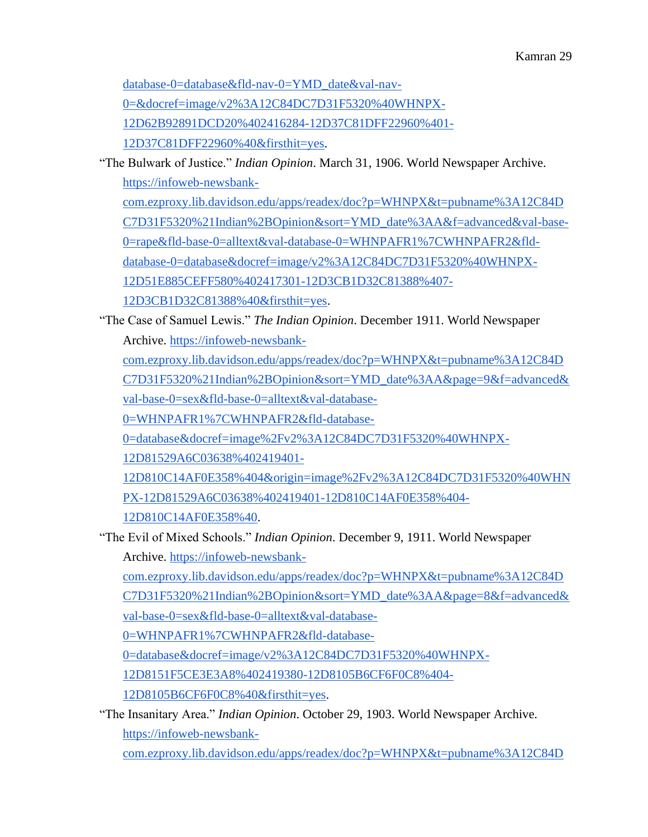[database-0=database&fld-nav-0=YMD\\_date&val-nav-](https://infoweb-newsbank-com.ezproxy.lib.davidson.edu/apps/readex/doc?p=WHNPX&t=pubname%3A12C84DC7D31F5320%21Indian%2BOpinion&sort=YMD_date%3AA&fld-base-0=alltext&val-base-0=women&val-database-0=WHNPAFR1%7CWHNPAFR2&fld-database-0=database&fld-nav-0=YMD_date&val-nav-0=&docref=image/v2%3A12C84DC7D31F5320%40WHNPX-12D62B92891DCD20%402416284-12D37C81DFF22960%401-12D37C81DFF22960%40&firsthit=yes)

[0=&docref=image/v2%3A12C84DC7D31F5320%40WHNPX-](https://infoweb-newsbank-com.ezproxy.lib.davidson.edu/apps/readex/doc?p=WHNPX&t=pubname%3A12C84DC7D31F5320%21Indian%2BOpinion&sort=YMD_date%3AA&fld-base-0=alltext&val-base-0=women&val-database-0=WHNPAFR1%7CWHNPAFR2&fld-database-0=database&fld-nav-0=YMD_date&val-nav-0=&docref=image/v2%3A12C84DC7D31F5320%40WHNPX-12D62B92891DCD20%402416284-12D37C81DFF22960%401-12D37C81DFF22960%40&firsthit=yes)

[12D62B92891DCD20%402416284-12D37C81DFF22960%401-](https://infoweb-newsbank-com.ezproxy.lib.davidson.edu/apps/readex/doc?p=WHNPX&t=pubname%3A12C84DC7D31F5320%21Indian%2BOpinion&sort=YMD_date%3AA&fld-base-0=alltext&val-base-0=women&val-database-0=WHNPAFR1%7CWHNPAFR2&fld-database-0=database&fld-nav-0=YMD_date&val-nav-0=&docref=image/v2%3A12C84DC7D31F5320%40WHNPX-12D62B92891DCD20%402416284-12D37C81DFF22960%401-12D37C81DFF22960%40&firsthit=yes)

[12D37C81DFF22960%40&firsthit=yes.](https://infoweb-newsbank-com.ezproxy.lib.davidson.edu/apps/readex/doc?p=WHNPX&t=pubname%3A12C84DC7D31F5320%21Indian%2BOpinion&sort=YMD_date%3AA&fld-base-0=alltext&val-base-0=women&val-database-0=WHNPAFR1%7CWHNPAFR2&fld-database-0=database&fld-nav-0=YMD_date&val-nav-0=&docref=image/v2%3A12C84DC7D31F5320%40WHNPX-12D62B92891DCD20%402416284-12D37C81DFF22960%401-12D37C81DFF22960%40&firsthit=yes)

"The Bulwark of Justice." *Indian Opinion*. March 31, 1906. World Newspaper Archive[.](https://infoweb-newsbank-com.ezproxy.lib.davidson.edu/apps/readex/doc?p=WHNPX&t=pubname%3A12C84DC7D31F5320%21Indian%2BOpinion&sort=YMD_date%3AA&f=advanced&val-base-0=rape&fld-base-0=alltext&val-database-0=WHNPAFR1%7CWHNPAFR2&fld-database-0=database&docref=image/v2%3A12C84DC7D31F5320%40WHNPX-12D51E885CEFF580%402417301-12D3CB1D32C81388%407-12D3CB1D32C81388%40&firsthit=yes) [https://infoweb-newsbank-](https://infoweb-newsbank-com.ezproxy.lib.davidson.edu/apps/readex/doc?p=WHNPX&t=pubname%3A12C84DC7D31F5320%21Indian%2BOpinion&sort=YMD_date%3AA&f=advanced&val-base-0=rape&fld-base-0=alltext&val-database-0=WHNPAFR1%7CWHNPAFR2&fld-database-0=database&docref=image/v2%3A12C84DC7D31F5320%40WHNPX-12D51E885CEFF580%402417301-12D3CB1D32C81388%407-12D3CB1D32C81388%40&firsthit=yes)

[com.ezproxy.lib.davidson.edu/apps/readex/doc?p=WHNPX&t=pubname%3A12C84D](https://infoweb-newsbank-com.ezproxy.lib.davidson.edu/apps/readex/doc?p=WHNPX&t=pubname%3A12C84DC7D31F5320%21Indian%2BOpinion&sort=YMD_date%3AA&f=advanced&val-base-0=rape&fld-base-0=alltext&val-database-0=WHNPAFR1%7CWHNPAFR2&fld-database-0=database&docref=image/v2%3A12C84DC7D31F5320%40WHNPX-12D51E885CEFF580%402417301-12D3CB1D32C81388%407-12D3CB1D32C81388%40&firsthit=yes) [C7D31F5320%21Indian%2BOpinion&sort=YMD\\_date%3AA&f=advanced&val-base-](https://infoweb-newsbank-com.ezproxy.lib.davidson.edu/apps/readex/doc?p=WHNPX&t=pubname%3A12C84DC7D31F5320%21Indian%2BOpinion&sort=YMD_date%3AA&f=advanced&val-base-0=rape&fld-base-0=alltext&val-database-0=WHNPAFR1%7CWHNPAFR2&fld-database-0=database&docref=image/v2%3A12C84DC7D31F5320%40WHNPX-12D51E885CEFF580%402417301-12D3CB1D32C81388%407-12D3CB1D32C81388%40&firsthit=yes)[0=rape&fld-base-0=alltext&val-database-0=WHNPAFR1%7CWHNPAFR2&fld-](https://infoweb-newsbank-com.ezproxy.lib.davidson.edu/apps/readex/doc?p=WHNPX&t=pubname%3A12C84DC7D31F5320%21Indian%2BOpinion&sort=YMD_date%3AA&f=advanced&val-base-0=rape&fld-base-0=alltext&val-database-0=WHNPAFR1%7CWHNPAFR2&fld-database-0=database&docref=image/v2%3A12C84DC7D31F5320%40WHNPX-12D51E885CEFF580%402417301-12D3CB1D32C81388%407-12D3CB1D32C81388%40&firsthit=yes)

[database-0=database&docref=image/v2%3A12C84DC7D31F5320%40WHNPX-](https://infoweb-newsbank-com.ezproxy.lib.davidson.edu/apps/readex/doc?p=WHNPX&t=pubname%3A12C84DC7D31F5320%21Indian%2BOpinion&sort=YMD_date%3AA&f=advanced&val-base-0=rape&fld-base-0=alltext&val-database-0=WHNPAFR1%7CWHNPAFR2&fld-database-0=database&docref=image/v2%3A12C84DC7D31F5320%40WHNPX-12D51E885CEFF580%402417301-12D3CB1D32C81388%407-12D3CB1D32C81388%40&firsthit=yes)

[12D51E885CEFF580%402417301-12D3CB1D32C81388%407-](https://infoweb-newsbank-com.ezproxy.lib.davidson.edu/apps/readex/doc?p=WHNPX&t=pubname%3A12C84DC7D31F5320%21Indian%2BOpinion&sort=YMD_date%3AA&f=advanced&val-base-0=rape&fld-base-0=alltext&val-database-0=WHNPAFR1%7CWHNPAFR2&fld-database-0=database&docref=image/v2%3A12C84DC7D31F5320%40WHNPX-12D51E885CEFF580%402417301-12D3CB1D32C81388%407-12D3CB1D32C81388%40&firsthit=yes)

[12D3CB1D32C81388%40&firsthit=yes.](https://infoweb-newsbank-com.ezproxy.lib.davidson.edu/apps/readex/doc?p=WHNPX&t=pubname%3A12C84DC7D31F5320%21Indian%2BOpinion&sort=YMD_date%3AA&f=advanced&val-base-0=rape&fld-base-0=alltext&val-database-0=WHNPAFR1%7CWHNPAFR2&fld-database-0=database&docref=image/v2%3A12C84DC7D31F5320%40WHNPX-12D51E885CEFF580%402417301-12D3CB1D32C81388%407-12D3CB1D32C81388%40&firsthit=yes)

"The Case of Samuel Lewis." *The Indian Opinion*. December 1911. World Newspaper

Archive[.](https://infoweb-newsbank-com.ezproxy.lib.davidson.edu/apps/readex/doc?p=WHNPX&t=pubname%3A12C84DC7D31F5320%21Indian%2BOpinion&sort=YMD_date%3AA&page=9&f=advanced&val-base-0=sex&fld-base-0=alltext&val-database-0=WHNPAFR1%7CWHNPAFR2&fld-database-0=database&docref=image%2Fv2%3A12C84DC7D31F5320%40WHNPX-12D81529A6C03638%402419401-12D810C14AF0E358%404&origin=image%2Fv2%3A12C84DC7D31F5320%40WHNPX-12D81529A6C03638%402419401-12D810C14AF0E358%404-12D810C14AF0E358%40) [https://infoweb-newsbank-](https://infoweb-newsbank-com.ezproxy.lib.davidson.edu/apps/readex/doc?p=WHNPX&t=pubname%3A12C84DC7D31F5320%21Indian%2BOpinion&sort=YMD_date%3AA&page=9&f=advanced&val-base-0=sex&fld-base-0=alltext&val-database-0=WHNPAFR1%7CWHNPAFR2&fld-database-0=database&docref=image%2Fv2%3A12C84DC7D31F5320%40WHNPX-12D81529A6C03638%402419401-12D810C14AF0E358%404&origin=image%2Fv2%3A12C84DC7D31F5320%40WHNPX-12D81529A6C03638%402419401-12D810C14AF0E358%404-12D810C14AF0E358%40)

[com.ezproxy.lib.davidson.edu/apps/readex/doc?p=WHNPX&t=pubname%3A12C84D](https://infoweb-newsbank-com.ezproxy.lib.davidson.edu/apps/readex/doc?p=WHNPX&t=pubname%3A12C84DC7D31F5320%21Indian%2BOpinion&sort=YMD_date%3AA&page=9&f=advanced&val-base-0=sex&fld-base-0=alltext&val-database-0=WHNPAFR1%7CWHNPAFR2&fld-database-0=database&docref=image%2Fv2%3A12C84DC7D31F5320%40WHNPX-12D81529A6C03638%402419401-12D810C14AF0E358%404&origin=image%2Fv2%3A12C84DC7D31F5320%40WHNPX-12D81529A6C03638%402419401-12D810C14AF0E358%404-12D810C14AF0E358%40)

[C7D31F5320%21Indian%2BOpinion&sort=YMD\\_date%3AA&page=9&f=advanced&](https://infoweb-newsbank-com.ezproxy.lib.davidson.edu/apps/readex/doc?p=WHNPX&t=pubname%3A12C84DC7D31F5320%21Indian%2BOpinion&sort=YMD_date%3AA&page=9&f=advanced&val-base-0=sex&fld-base-0=alltext&val-database-0=WHNPAFR1%7CWHNPAFR2&fld-database-0=database&docref=image%2Fv2%3A12C84DC7D31F5320%40WHNPX-12D81529A6C03638%402419401-12D810C14AF0E358%404&origin=image%2Fv2%3A12C84DC7D31F5320%40WHNPX-12D81529A6C03638%402419401-12D810C14AF0E358%404-12D810C14AF0E358%40)

[val-base-0=sex&fld-base-0=alltext&val-database-](https://infoweb-newsbank-com.ezproxy.lib.davidson.edu/apps/readex/doc?p=WHNPX&t=pubname%3A12C84DC7D31F5320%21Indian%2BOpinion&sort=YMD_date%3AA&page=9&f=advanced&val-base-0=sex&fld-base-0=alltext&val-database-0=WHNPAFR1%7CWHNPAFR2&fld-database-0=database&docref=image%2Fv2%3A12C84DC7D31F5320%40WHNPX-12D81529A6C03638%402419401-12D810C14AF0E358%404&origin=image%2Fv2%3A12C84DC7D31F5320%40WHNPX-12D81529A6C03638%402419401-12D810C14AF0E358%404-12D810C14AF0E358%40)

[0=WHNPAFR1%7CWHNPAFR2&fld-database-](https://infoweb-newsbank-com.ezproxy.lib.davidson.edu/apps/readex/doc?p=WHNPX&t=pubname%3A12C84DC7D31F5320%21Indian%2BOpinion&sort=YMD_date%3AA&page=9&f=advanced&val-base-0=sex&fld-base-0=alltext&val-database-0=WHNPAFR1%7CWHNPAFR2&fld-database-0=database&docref=image%2Fv2%3A12C84DC7D31F5320%40WHNPX-12D81529A6C03638%402419401-12D810C14AF0E358%404&origin=image%2Fv2%3A12C84DC7D31F5320%40WHNPX-12D81529A6C03638%402419401-12D810C14AF0E358%404-12D810C14AF0E358%40)

[0=database&docref=image%2Fv2%3A12C84DC7D31F5320%40WHNPX-](https://infoweb-newsbank-com.ezproxy.lib.davidson.edu/apps/readex/doc?p=WHNPX&t=pubname%3A12C84DC7D31F5320%21Indian%2BOpinion&sort=YMD_date%3AA&page=9&f=advanced&val-base-0=sex&fld-base-0=alltext&val-database-0=WHNPAFR1%7CWHNPAFR2&fld-database-0=database&docref=image%2Fv2%3A12C84DC7D31F5320%40WHNPX-12D81529A6C03638%402419401-12D810C14AF0E358%404&origin=image%2Fv2%3A12C84DC7D31F5320%40WHNPX-12D81529A6C03638%402419401-12D810C14AF0E358%404-12D810C14AF0E358%40)

[12D81529A6C03638%402419401-](https://infoweb-newsbank-com.ezproxy.lib.davidson.edu/apps/readex/doc?p=WHNPX&t=pubname%3A12C84DC7D31F5320%21Indian%2BOpinion&sort=YMD_date%3AA&page=9&f=advanced&val-base-0=sex&fld-base-0=alltext&val-database-0=WHNPAFR1%7CWHNPAFR2&fld-database-0=database&docref=image%2Fv2%3A12C84DC7D31F5320%40WHNPX-12D81529A6C03638%402419401-12D810C14AF0E358%404&origin=image%2Fv2%3A12C84DC7D31F5320%40WHNPX-12D81529A6C03638%402419401-12D810C14AF0E358%404-12D810C14AF0E358%40)

[12D810C14AF0E358%404&origin=image%2Fv2%3A12C84DC7D31F5320%40WHN](https://infoweb-newsbank-com.ezproxy.lib.davidson.edu/apps/readex/doc?p=WHNPX&t=pubname%3A12C84DC7D31F5320%21Indian%2BOpinion&sort=YMD_date%3AA&page=9&f=advanced&val-base-0=sex&fld-base-0=alltext&val-database-0=WHNPAFR1%7CWHNPAFR2&fld-database-0=database&docref=image%2Fv2%3A12C84DC7D31F5320%40WHNPX-12D81529A6C03638%402419401-12D810C14AF0E358%404&origin=image%2Fv2%3A12C84DC7D31F5320%40WHNPX-12D81529A6C03638%402419401-12D810C14AF0E358%404-12D810C14AF0E358%40) [PX-12D81529A6C03638%402419401-12D810C14AF0E358%404-](https://infoweb-newsbank-com.ezproxy.lib.davidson.edu/apps/readex/doc?p=WHNPX&t=pubname%3A12C84DC7D31F5320%21Indian%2BOpinion&sort=YMD_date%3AA&page=9&f=advanced&val-base-0=sex&fld-base-0=alltext&val-database-0=WHNPAFR1%7CWHNPAFR2&fld-database-0=database&docref=image%2Fv2%3A12C84DC7D31F5320%40WHNPX-12D81529A6C03638%402419401-12D810C14AF0E358%404&origin=image%2Fv2%3A12C84DC7D31F5320%40WHNPX-12D81529A6C03638%402419401-12D810C14AF0E358%404-12D810C14AF0E358%40)

[12D810C14AF0E358%40.](https://infoweb-newsbank-com.ezproxy.lib.davidson.edu/apps/readex/doc?p=WHNPX&t=pubname%3A12C84DC7D31F5320%21Indian%2BOpinion&sort=YMD_date%3AA&page=9&f=advanced&val-base-0=sex&fld-base-0=alltext&val-database-0=WHNPAFR1%7CWHNPAFR2&fld-database-0=database&docref=image%2Fv2%3A12C84DC7D31F5320%40WHNPX-12D81529A6C03638%402419401-12D810C14AF0E358%404&origin=image%2Fv2%3A12C84DC7D31F5320%40WHNPX-12D81529A6C03638%402419401-12D810C14AF0E358%404-12D810C14AF0E358%40)

"The Evil of Mixed Schools." *Indian Opinion*. December 9, 1911. World Newspaper

Archive[.](https://infoweb-newsbank-com.ezproxy.lib.davidson.edu/apps/readex/doc?p=WHNPX&t=pubname%3A12C84DC7D31F5320%21Indian%2BOpinion&sort=YMD_date%3AA&page=8&f=advanced&val-base-0=sex&fld-base-0=alltext&val-database-0=WHNPAFR1%7CWHNPAFR2&fld-database-0=database&docref=image/v2%3A12C84DC7D31F5320%40WHNPX-12D8151F5CE3E3A8%402419380-12D8105B6CF6F0C8%404-12D8105B6CF6F0C8%40&firsthit=yes) [https://infoweb-newsbank-](https://infoweb-newsbank-com.ezproxy.lib.davidson.edu/apps/readex/doc?p=WHNPX&t=pubname%3A12C84DC7D31F5320%21Indian%2BOpinion&sort=YMD_date%3AA&page=8&f=advanced&val-base-0=sex&fld-base-0=alltext&val-database-0=WHNPAFR1%7CWHNPAFR2&fld-database-0=database&docref=image/v2%3A12C84DC7D31F5320%40WHNPX-12D8151F5CE3E3A8%402419380-12D8105B6CF6F0C8%404-12D8105B6CF6F0C8%40&firsthit=yes)

[com.ezproxy.lib.davidson.edu/apps/readex/doc?p=WHNPX&t=pubname%3A12C84D](https://infoweb-newsbank-com.ezproxy.lib.davidson.edu/apps/readex/doc?p=WHNPX&t=pubname%3A12C84DC7D31F5320%21Indian%2BOpinion&sort=YMD_date%3AA&page=8&f=advanced&val-base-0=sex&fld-base-0=alltext&val-database-0=WHNPAFR1%7CWHNPAFR2&fld-database-0=database&docref=image/v2%3A12C84DC7D31F5320%40WHNPX-12D8151F5CE3E3A8%402419380-12D8105B6CF6F0C8%404-12D8105B6CF6F0C8%40&firsthit=yes) [C7D31F5320%21Indian%2BOpinion&sort=YMD\\_date%3AA&page=8&f=advanced&](https://infoweb-newsbank-com.ezproxy.lib.davidson.edu/apps/readex/doc?p=WHNPX&t=pubname%3A12C84DC7D31F5320%21Indian%2BOpinion&sort=YMD_date%3AA&page=8&f=advanced&val-base-0=sex&fld-base-0=alltext&val-database-0=WHNPAFR1%7CWHNPAFR2&fld-database-0=database&docref=image/v2%3A12C84DC7D31F5320%40WHNPX-12D8151F5CE3E3A8%402419380-12D8105B6CF6F0C8%404-12D8105B6CF6F0C8%40&firsthit=yes) [val-base-0=sex&fld-base-0=alltext&val-database-](https://infoweb-newsbank-com.ezproxy.lib.davidson.edu/apps/readex/doc?p=WHNPX&t=pubname%3A12C84DC7D31F5320%21Indian%2BOpinion&sort=YMD_date%3AA&page=8&f=advanced&val-base-0=sex&fld-base-0=alltext&val-database-0=WHNPAFR1%7CWHNPAFR2&fld-database-0=database&docref=image/v2%3A12C84DC7D31F5320%40WHNPX-12D8151F5CE3E3A8%402419380-12D8105B6CF6F0C8%404-12D8105B6CF6F0C8%40&firsthit=yes)

[0=WHNPAFR1%7CWHNPAFR2&fld-database-](https://infoweb-newsbank-com.ezproxy.lib.davidson.edu/apps/readex/doc?p=WHNPX&t=pubname%3A12C84DC7D31F5320%21Indian%2BOpinion&sort=YMD_date%3AA&page=8&f=advanced&val-base-0=sex&fld-base-0=alltext&val-database-0=WHNPAFR1%7CWHNPAFR2&fld-database-0=database&docref=image/v2%3A12C84DC7D31F5320%40WHNPX-12D8151F5CE3E3A8%402419380-12D8105B6CF6F0C8%404-12D8105B6CF6F0C8%40&firsthit=yes)

[0=database&docref=image/v2%3A12C84DC7D31F5320%40WHNPX-](https://infoweb-newsbank-com.ezproxy.lib.davidson.edu/apps/readex/doc?p=WHNPX&t=pubname%3A12C84DC7D31F5320%21Indian%2BOpinion&sort=YMD_date%3AA&page=8&f=advanced&val-base-0=sex&fld-base-0=alltext&val-database-0=WHNPAFR1%7CWHNPAFR2&fld-database-0=database&docref=image/v2%3A12C84DC7D31F5320%40WHNPX-12D8151F5CE3E3A8%402419380-12D8105B6CF6F0C8%404-12D8105B6CF6F0C8%40&firsthit=yes)

[12D8151F5CE3E3A8%402419380-12D8105B6CF6F0C8%404-](https://infoweb-newsbank-com.ezproxy.lib.davidson.edu/apps/readex/doc?p=WHNPX&t=pubname%3A12C84DC7D31F5320%21Indian%2BOpinion&sort=YMD_date%3AA&page=8&f=advanced&val-base-0=sex&fld-base-0=alltext&val-database-0=WHNPAFR1%7CWHNPAFR2&fld-database-0=database&docref=image/v2%3A12C84DC7D31F5320%40WHNPX-12D8151F5CE3E3A8%402419380-12D8105B6CF6F0C8%404-12D8105B6CF6F0C8%40&firsthit=yes)

[12D8105B6CF6F0C8%40&firsthit=yes.](https://infoweb-newsbank-com.ezproxy.lib.davidson.edu/apps/readex/doc?p=WHNPX&t=pubname%3A12C84DC7D31F5320%21Indian%2BOpinion&sort=YMD_date%3AA&page=8&f=advanced&val-base-0=sex&fld-base-0=alltext&val-database-0=WHNPAFR1%7CWHNPAFR2&fld-database-0=database&docref=image/v2%3A12C84DC7D31F5320%40WHNPX-12D8151F5CE3E3A8%402419380-12D8105B6CF6F0C8%404-12D8105B6CF6F0C8%40&firsthit=yes)

"The Insanitary Area." *Indian Opinion*. October 29, 1903. World Newspaper Archive[.](https://infoweb-newsbank-com.ezproxy.lib.davidson.edu/apps/readex/doc?p=WHNPX&t=pubname%3A12C84DC7D31F5320%21Indian%2BOpinion&sort=YMD_date%3AA&page=1&fld-nav-0=YMD_date&val-nav-0=&f=advanced&val-base-0=Chessel&fld-base-0=alltext&bln-base-1=or&val-base-1=women&fld-base-1=alltext&val-database-0=WHNPAFR1%7CWHNPAFR2&fld-database-0=database&docref=image/v2%3A12C84DC7D31F5320%40WHNPX-12D62C39D3C222D0%402416417-12D37C851FEBD448%402-12D37C851FEBD448%40) [https://infoweb-newsbank-](https://infoweb-newsbank-com.ezproxy.lib.davidson.edu/apps/readex/doc?p=WHNPX&t=pubname%3A12C84DC7D31F5320%21Indian%2BOpinion&sort=YMD_date%3AA&page=1&fld-nav-0=YMD_date&val-nav-0=&f=advanced&val-base-0=Chessel&fld-base-0=alltext&bln-base-1=or&val-base-1=women&fld-base-1=alltext&val-database-0=WHNPAFR1%7CWHNPAFR2&fld-database-0=database&docref=image/v2%3A12C84DC7D31F5320%40WHNPX-12D62C39D3C222D0%402416417-12D37C851FEBD448%402-12D37C851FEBD448%40)

[com.ezproxy.lib.davidson.edu/apps/readex/doc?p=WHNPX&t=pubname%3A12C84D](https://infoweb-newsbank-com.ezproxy.lib.davidson.edu/apps/readex/doc?p=WHNPX&t=pubname%3A12C84DC7D31F5320%21Indian%2BOpinion&sort=YMD_date%3AA&page=1&fld-nav-0=YMD_date&val-nav-0=&f=advanced&val-base-0=Chessel&fld-base-0=alltext&bln-base-1=or&val-base-1=women&fld-base-1=alltext&val-database-0=WHNPAFR1%7CWHNPAFR2&fld-database-0=database&docref=image/v2%3A12C84DC7D31F5320%40WHNPX-12D62C39D3C222D0%402416417-12D37C851FEBD448%402-12D37C851FEBD448%40)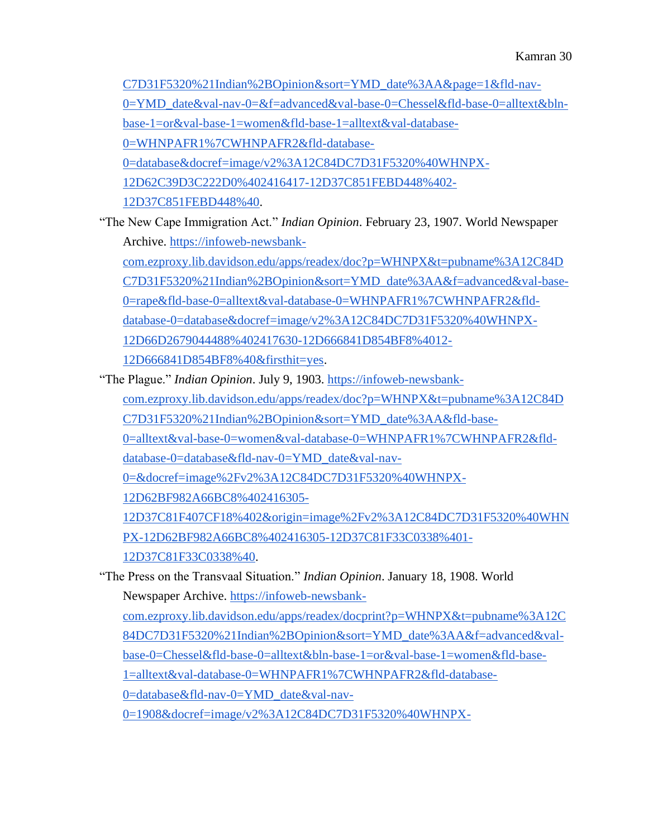[C7D31F5320%21Indian%2BOpinion&sort=YMD\\_date%3AA&page=1&fld-nav-](https://infoweb-newsbank-com.ezproxy.lib.davidson.edu/apps/readex/doc?p=WHNPX&t=pubname%3A12C84DC7D31F5320%21Indian%2BOpinion&sort=YMD_date%3AA&page=1&fld-nav-0=YMD_date&val-nav-0=&f=advanced&val-base-0=Chessel&fld-base-0=alltext&bln-base-1=or&val-base-1=women&fld-base-1=alltext&val-database-0=WHNPAFR1%7CWHNPAFR2&fld-database-0=database&docref=image/v2%3A12C84DC7D31F5320%40WHNPX-12D62C39D3C222D0%402416417-12D37C851FEBD448%402-12D37C851FEBD448%40)[0=YMD\\_date&val-nav-0=&f=advanced&val-base-0=Chessel&fld-base-0=alltext&bln](https://infoweb-newsbank-com.ezproxy.lib.davidson.edu/apps/readex/doc?p=WHNPX&t=pubname%3A12C84DC7D31F5320%21Indian%2BOpinion&sort=YMD_date%3AA&page=1&fld-nav-0=YMD_date&val-nav-0=&f=advanced&val-base-0=Chessel&fld-base-0=alltext&bln-base-1=or&val-base-1=women&fld-base-1=alltext&val-database-0=WHNPAFR1%7CWHNPAFR2&fld-database-0=database&docref=image/v2%3A12C84DC7D31F5320%40WHNPX-12D62C39D3C222D0%402416417-12D37C851FEBD448%402-12D37C851FEBD448%40)[base-1=or&val-base-1=women&fld-base-1=alltext&val-database-](https://infoweb-newsbank-com.ezproxy.lib.davidson.edu/apps/readex/doc?p=WHNPX&t=pubname%3A12C84DC7D31F5320%21Indian%2BOpinion&sort=YMD_date%3AA&page=1&fld-nav-0=YMD_date&val-nav-0=&f=advanced&val-base-0=Chessel&fld-base-0=alltext&bln-base-1=or&val-base-1=women&fld-base-1=alltext&val-database-0=WHNPAFR1%7CWHNPAFR2&fld-database-0=database&docref=image/v2%3A12C84DC7D31F5320%40WHNPX-12D62C39D3C222D0%402416417-12D37C851FEBD448%402-12D37C851FEBD448%40)[0=WHNPAFR1%7CWHNPAFR2&fld-database-](https://infoweb-newsbank-com.ezproxy.lib.davidson.edu/apps/readex/doc?p=WHNPX&t=pubname%3A12C84DC7D31F5320%21Indian%2BOpinion&sort=YMD_date%3AA&page=1&fld-nav-0=YMD_date&val-nav-0=&f=advanced&val-base-0=Chessel&fld-base-0=alltext&bln-base-1=or&val-base-1=women&fld-base-1=alltext&val-database-0=WHNPAFR1%7CWHNPAFR2&fld-database-0=database&docref=image/v2%3A12C84DC7D31F5320%40WHNPX-12D62C39D3C222D0%402416417-12D37C851FEBD448%402-12D37C851FEBD448%40)[0=database&docref=image/v2%3A12C84DC7D31F5320%40WHNPX-](https://infoweb-newsbank-com.ezproxy.lib.davidson.edu/apps/readex/doc?p=WHNPX&t=pubname%3A12C84DC7D31F5320%21Indian%2BOpinion&sort=YMD_date%3AA&page=1&fld-nav-0=YMD_date&val-nav-0=&f=advanced&val-base-0=Chessel&fld-base-0=alltext&bln-base-1=or&val-base-1=women&fld-base-1=alltext&val-database-0=WHNPAFR1%7CWHNPAFR2&fld-database-0=database&docref=image/v2%3A12C84DC7D31F5320%40WHNPX-12D62C39D3C222D0%402416417-12D37C851FEBD448%402-12D37C851FEBD448%40)[12D62C39D3C222D0%402416417-12D37C851FEBD448%402-](https://infoweb-newsbank-com.ezproxy.lib.davidson.edu/apps/readex/doc?p=WHNPX&t=pubname%3A12C84DC7D31F5320%21Indian%2BOpinion&sort=YMD_date%3AA&page=1&fld-nav-0=YMD_date&val-nav-0=&f=advanced&val-base-0=Chessel&fld-base-0=alltext&bln-base-1=or&val-base-1=women&fld-base-1=alltext&val-database-0=WHNPAFR1%7CWHNPAFR2&fld-database-0=database&docref=image/v2%3A12C84DC7D31F5320%40WHNPX-12D62C39D3C222D0%402416417-12D37C851FEBD448%402-12D37C851FEBD448%40) [12D37C851FEBD448%40.](https://infoweb-newsbank-com.ezproxy.lib.davidson.edu/apps/readex/doc?p=WHNPX&t=pubname%3A12C84DC7D31F5320%21Indian%2BOpinion&sort=YMD_date%3AA&page=1&fld-nav-0=YMD_date&val-nav-0=&f=advanced&val-base-0=Chessel&fld-base-0=alltext&bln-base-1=or&val-base-1=women&fld-base-1=alltext&val-database-0=WHNPAFR1%7CWHNPAFR2&fld-database-0=database&docref=image/v2%3A12C84DC7D31F5320%40WHNPX-12D62C39D3C222D0%402416417-12D37C851FEBD448%402-12D37C851FEBD448%40)

"The New Cape Immigration Act." *Indian Opinion*. February 23, 1907. World Newspaper Archive[.](https://infoweb-newsbank-com.ezproxy.lib.davidson.edu/apps/readex/doc?p=WHNPX&t=pubname%3A12C84DC7D31F5320%21Indian%2BOpinion&sort=YMD_date%3AA&f=advanced&val-base-0=rape&fld-base-0=alltext&val-database-0=WHNPAFR1%7CWHNPAFR2&fld-database-0=database&docref=image/v2%3A12C84DC7D31F5320%40WHNPX-12D66D2679044488%402417630-12D666841D854BF8%4012-12D666841D854BF8%40&firsthit=yes) [https://infoweb-newsbank](https://infoweb-newsbank-com.ezproxy.lib.davidson.edu/apps/readex/doc?p=WHNPX&t=pubname%3A12C84DC7D31F5320%21Indian%2BOpinion&sort=YMD_date%3AA&f=advanced&val-base-0=rape&fld-base-0=alltext&val-database-0=WHNPAFR1%7CWHNPAFR2&fld-database-0=database&docref=image/v2%3A12C84DC7D31F5320%40WHNPX-12D66D2679044488%402417630-12D666841D854BF8%4012-12D666841D854BF8%40&firsthit=yes)[com.ezproxy.lib.davidson.edu/apps/readex/doc?p=WHNPX&t=pubname%3A12C84D](https://infoweb-newsbank-com.ezproxy.lib.davidson.edu/apps/readex/doc?p=WHNPX&t=pubname%3A12C84DC7D31F5320%21Indian%2BOpinion&sort=YMD_date%3AA&f=advanced&val-base-0=rape&fld-base-0=alltext&val-database-0=WHNPAFR1%7CWHNPAFR2&fld-database-0=database&docref=image/v2%3A12C84DC7D31F5320%40WHNPX-12D66D2679044488%402417630-12D666841D854BF8%4012-12D666841D854BF8%40&firsthit=yes)

[C7D31F5320%21Indian%2BOpinion&sort=YMD\\_date%3AA&f=advanced&val-base-](https://infoweb-newsbank-com.ezproxy.lib.davidson.edu/apps/readex/doc?p=WHNPX&t=pubname%3A12C84DC7D31F5320%21Indian%2BOpinion&sort=YMD_date%3AA&f=advanced&val-base-0=rape&fld-base-0=alltext&val-database-0=WHNPAFR1%7CWHNPAFR2&fld-database-0=database&docref=image/v2%3A12C84DC7D31F5320%40WHNPX-12D66D2679044488%402417630-12D666841D854BF8%4012-12D666841D854BF8%40&firsthit=yes)

[0=rape&fld-base-0=alltext&val-database-0=WHNPAFR1%7CWHNPAFR2&fld-](https://infoweb-newsbank-com.ezproxy.lib.davidson.edu/apps/readex/doc?p=WHNPX&t=pubname%3A12C84DC7D31F5320%21Indian%2BOpinion&sort=YMD_date%3AA&f=advanced&val-base-0=rape&fld-base-0=alltext&val-database-0=WHNPAFR1%7CWHNPAFR2&fld-database-0=database&docref=image/v2%3A12C84DC7D31F5320%40WHNPX-12D66D2679044488%402417630-12D666841D854BF8%4012-12D666841D854BF8%40&firsthit=yes)

[database-0=database&docref=image/v2%3A12C84DC7D31F5320%40WHNPX-](https://infoweb-newsbank-com.ezproxy.lib.davidson.edu/apps/readex/doc?p=WHNPX&t=pubname%3A12C84DC7D31F5320%21Indian%2BOpinion&sort=YMD_date%3AA&f=advanced&val-base-0=rape&fld-base-0=alltext&val-database-0=WHNPAFR1%7CWHNPAFR2&fld-database-0=database&docref=image/v2%3A12C84DC7D31F5320%40WHNPX-12D66D2679044488%402417630-12D666841D854BF8%4012-12D666841D854BF8%40&firsthit=yes)

[12D66D2679044488%402417630-12D666841D854BF8%4012-](https://infoweb-newsbank-com.ezproxy.lib.davidson.edu/apps/readex/doc?p=WHNPX&t=pubname%3A12C84DC7D31F5320%21Indian%2BOpinion&sort=YMD_date%3AA&f=advanced&val-base-0=rape&fld-base-0=alltext&val-database-0=WHNPAFR1%7CWHNPAFR2&fld-database-0=database&docref=image/v2%3A12C84DC7D31F5320%40WHNPX-12D66D2679044488%402417630-12D666841D854BF8%4012-12D666841D854BF8%40&firsthit=yes)

[12D666841D854BF8%40&firsthit=yes.](https://infoweb-newsbank-com.ezproxy.lib.davidson.edu/apps/readex/doc?p=WHNPX&t=pubname%3A12C84DC7D31F5320%21Indian%2BOpinion&sort=YMD_date%3AA&f=advanced&val-base-0=rape&fld-base-0=alltext&val-database-0=WHNPAFR1%7CWHNPAFR2&fld-database-0=database&docref=image/v2%3A12C84DC7D31F5320%40WHNPX-12D66D2679044488%402417630-12D666841D854BF8%4012-12D666841D854BF8%40&firsthit=yes)

"The Plague." *Indian Opinion*. July 9, 1903[.](https://infoweb-newsbank-com.ezproxy.lib.davidson.edu/apps/readex/doc?p=WHNPX&t=pubname%3A12C84DC7D31F5320%21Indian%2BOpinion&sort=YMD_date%3AA&fld-base-0=alltext&val-base-0=women&val-database-0=WHNPAFR1%7CWHNPAFR2&fld-database-0=database&fld-nav-0=YMD_date&val-nav-0=&docref=image%2Fv2%3A12C84DC7D31F5320%40WHNPX-12D62BF982A66BC8%402416305-12D37C81F407CF18%402&origin=image%2Fv2%3A12C84DC7D31F5320%40WHNPX-12D62BF982A66BC8%402416305-12D37C81F33C0338%401-12D37C81F33C0338%40) [https://infoweb-newsbank-](https://infoweb-newsbank-com.ezproxy.lib.davidson.edu/apps/readex/doc?p=WHNPX&t=pubname%3A12C84DC7D31F5320%21Indian%2BOpinion&sort=YMD_date%3AA&fld-base-0=alltext&val-base-0=women&val-database-0=WHNPAFR1%7CWHNPAFR2&fld-database-0=database&fld-nav-0=YMD_date&val-nav-0=&docref=image%2Fv2%3A12C84DC7D31F5320%40WHNPX-12D62BF982A66BC8%402416305-12D37C81F407CF18%402&origin=image%2Fv2%3A12C84DC7D31F5320%40WHNPX-12D62BF982A66BC8%402416305-12D37C81F33C0338%401-12D37C81F33C0338%40)

[com.ezproxy.lib.davidson.edu/apps/readex/doc?p=WHNPX&t=pubname%3A12C84D](https://infoweb-newsbank-com.ezproxy.lib.davidson.edu/apps/readex/doc?p=WHNPX&t=pubname%3A12C84DC7D31F5320%21Indian%2BOpinion&sort=YMD_date%3AA&fld-base-0=alltext&val-base-0=women&val-database-0=WHNPAFR1%7CWHNPAFR2&fld-database-0=database&fld-nav-0=YMD_date&val-nav-0=&docref=image%2Fv2%3A12C84DC7D31F5320%40WHNPX-12D62BF982A66BC8%402416305-12D37C81F407CF18%402&origin=image%2Fv2%3A12C84DC7D31F5320%40WHNPX-12D62BF982A66BC8%402416305-12D37C81F33C0338%401-12D37C81F33C0338%40)

[C7D31F5320%21Indian%2BOpinion&sort=YMD\\_date%3AA&fld-base-](https://infoweb-newsbank-com.ezproxy.lib.davidson.edu/apps/readex/doc?p=WHNPX&t=pubname%3A12C84DC7D31F5320%21Indian%2BOpinion&sort=YMD_date%3AA&fld-base-0=alltext&val-base-0=women&val-database-0=WHNPAFR1%7CWHNPAFR2&fld-database-0=database&fld-nav-0=YMD_date&val-nav-0=&docref=image%2Fv2%3A12C84DC7D31F5320%40WHNPX-12D62BF982A66BC8%402416305-12D37C81F407CF18%402&origin=image%2Fv2%3A12C84DC7D31F5320%40WHNPX-12D62BF982A66BC8%402416305-12D37C81F33C0338%401-12D37C81F33C0338%40)

[0=alltext&val-base-0=women&val-database-0=WHNPAFR1%7CWHNPAFR2&fld-](https://infoweb-newsbank-com.ezproxy.lib.davidson.edu/apps/readex/doc?p=WHNPX&t=pubname%3A12C84DC7D31F5320%21Indian%2BOpinion&sort=YMD_date%3AA&fld-base-0=alltext&val-base-0=women&val-database-0=WHNPAFR1%7CWHNPAFR2&fld-database-0=database&fld-nav-0=YMD_date&val-nav-0=&docref=image%2Fv2%3A12C84DC7D31F5320%40WHNPX-12D62BF982A66BC8%402416305-12D37C81F407CF18%402&origin=image%2Fv2%3A12C84DC7D31F5320%40WHNPX-12D62BF982A66BC8%402416305-12D37C81F33C0338%401-12D37C81F33C0338%40)

[database-0=database&fld-nav-0=YMD\\_date&val-nav-](https://infoweb-newsbank-com.ezproxy.lib.davidson.edu/apps/readex/doc?p=WHNPX&t=pubname%3A12C84DC7D31F5320%21Indian%2BOpinion&sort=YMD_date%3AA&fld-base-0=alltext&val-base-0=women&val-database-0=WHNPAFR1%7CWHNPAFR2&fld-database-0=database&fld-nav-0=YMD_date&val-nav-0=&docref=image%2Fv2%3A12C84DC7D31F5320%40WHNPX-12D62BF982A66BC8%402416305-12D37C81F407CF18%402&origin=image%2Fv2%3A12C84DC7D31F5320%40WHNPX-12D62BF982A66BC8%402416305-12D37C81F33C0338%401-12D37C81F33C0338%40)

[0=&docref=image%2Fv2%3A12C84DC7D31F5320%40WHNPX-](https://infoweb-newsbank-com.ezproxy.lib.davidson.edu/apps/readex/doc?p=WHNPX&t=pubname%3A12C84DC7D31F5320%21Indian%2BOpinion&sort=YMD_date%3AA&fld-base-0=alltext&val-base-0=women&val-database-0=WHNPAFR1%7CWHNPAFR2&fld-database-0=database&fld-nav-0=YMD_date&val-nav-0=&docref=image%2Fv2%3A12C84DC7D31F5320%40WHNPX-12D62BF982A66BC8%402416305-12D37C81F407CF18%402&origin=image%2Fv2%3A12C84DC7D31F5320%40WHNPX-12D62BF982A66BC8%402416305-12D37C81F33C0338%401-12D37C81F33C0338%40)

[12D62BF982A66BC8%402416305-](https://infoweb-newsbank-com.ezproxy.lib.davidson.edu/apps/readex/doc?p=WHNPX&t=pubname%3A12C84DC7D31F5320%21Indian%2BOpinion&sort=YMD_date%3AA&fld-base-0=alltext&val-base-0=women&val-database-0=WHNPAFR1%7CWHNPAFR2&fld-database-0=database&fld-nav-0=YMD_date&val-nav-0=&docref=image%2Fv2%3A12C84DC7D31F5320%40WHNPX-12D62BF982A66BC8%402416305-12D37C81F407CF18%402&origin=image%2Fv2%3A12C84DC7D31F5320%40WHNPX-12D62BF982A66BC8%402416305-12D37C81F33C0338%401-12D37C81F33C0338%40)

[12D37C81F407CF18%402&origin=image%2Fv2%3A12C84DC7D31F5320%40WHN](https://infoweb-newsbank-com.ezproxy.lib.davidson.edu/apps/readex/doc?p=WHNPX&t=pubname%3A12C84DC7D31F5320%21Indian%2BOpinion&sort=YMD_date%3AA&fld-base-0=alltext&val-base-0=women&val-database-0=WHNPAFR1%7CWHNPAFR2&fld-database-0=database&fld-nav-0=YMD_date&val-nav-0=&docref=image%2Fv2%3A12C84DC7D31F5320%40WHNPX-12D62BF982A66BC8%402416305-12D37C81F407CF18%402&origin=image%2Fv2%3A12C84DC7D31F5320%40WHNPX-12D62BF982A66BC8%402416305-12D37C81F33C0338%401-12D37C81F33C0338%40) [PX-12D62BF982A66BC8%402416305-12D37C81F33C0338%401-](https://infoweb-newsbank-com.ezproxy.lib.davidson.edu/apps/readex/doc?p=WHNPX&t=pubname%3A12C84DC7D31F5320%21Indian%2BOpinion&sort=YMD_date%3AA&fld-base-0=alltext&val-base-0=women&val-database-0=WHNPAFR1%7CWHNPAFR2&fld-database-0=database&fld-nav-0=YMD_date&val-nav-0=&docref=image%2Fv2%3A12C84DC7D31F5320%40WHNPX-12D62BF982A66BC8%402416305-12D37C81F407CF18%402&origin=image%2Fv2%3A12C84DC7D31F5320%40WHNPX-12D62BF982A66BC8%402416305-12D37C81F33C0338%401-12D37C81F33C0338%40)

[12D37C81F33C0338%40.](https://infoweb-newsbank-com.ezproxy.lib.davidson.edu/apps/readex/doc?p=WHNPX&t=pubname%3A12C84DC7D31F5320%21Indian%2BOpinion&sort=YMD_date%3AA&fld-base-0=alltext&val-base-0=women&val-database-0=WHNPAFR1%7CWHNPAFR2&fld-database-0=database&fld-nav-0=YMD_date&val-nav-0=&docref=image%2Fv2%3A12C84DC7D31F5320%40WHNPX-12D62BF982A66BC8%402416305-12D37C81F407CF18%402&origin=image%2Fv2%3A12C84DC7D31F5320%40WHNPX-12D62BF982A66BC8%402416305-12D37C81F33C0338%401-12D37C81F33C0338%40)

"The Press on the Transvaal Situation." *Indian Opinion*. January 18, 1908. World Newspaper Archive[.](https://infoweb-newsbank-com.ezproxy.lib.davidson.edu/apps/readex/docprint?p=WHNPX&t=pubname%3A12C84DC7D31F5320%21Indian%2BOpinion&sort=YMD_date%3AA&f=advanced&val-base-0=Chessel&fld-base-0=alltext&bln-base-1=or&val-base-1=women&fld-base-1=alltext&val-database-0=WHNPAFR1%7CWHNPAFR2&fld-database-0=database&fld-nav-0=YMD_date&val-nav-0=1908&docref=image/v2%3A12C84DC7D31F5320%40WHNPX-12D62A8D612EEF20%402417959-12D61FF8D0DC5090%4010-12D61FF8D0DC5090%40) [https://infoweb-newsbank-](https://infoweb-newsbank-com.ezproxy.lib.davidson.edu/apps/readex/docprint?p=WHNPX&t=pubname%3A12C84DC7D31F5320%21Indian%2BOpinion&sort=YMD_date%3AA&f=advanced&val-base-0=Chessel&fld-base-0=alltext&bln-base-1=or&val-base-1=women&fld-base-1=alltext&val-database-0=WHNPAFR1%7CWHNPAFR2&fld-database-0=database&fld-nav-0=YMD_date&val-nav-0=1908&docref=image/v2%3A12C84DC7D31F5320%40WHNPX-12D62A8D612EEF20%402417959-12D61FF8D0DC5090%4010-12D61FF8D0DC5090%40)

[com.ezproxy.lib.davidson.edu/apps/readex/docprint?p=WHNPX&t=pubname%3A12C](https://infoweb-newsbank-com.ezproxy.lib.davidson.edu/apps/readex/docprint?p=WHNPX&t=pubname%3A12C84DC7D31F5320%21Indian%2BOpinion&sort=YMD_date%3AA&f=advanced&val-base-0=Chessel&fld-base-0=alltext&bln-base-1=or&val-base-1=women&fld-base-1=alltext&val-database-0=WHNPAFR1%7CWHNPAFR2&fld-database-0=database&fld-nav-0=YMD_date&val-nav-0=1908&docref=image/v2%3A12C84DC7D31F5320%40WHNPX-12D62A8D612EEF20%402417959-12D61FF8D0DC5090%4010-12D61FF8D0DC5090%40) [84DC7D31F5320%21Indian%2BOpinion&sort=YMD\\_date%3AA&f=advanced&val-](https://infoweb-newsbank-com.ezproxy.lib.davidson.edu/apps/readex/docprint?p=WHNPX&t=pubname%3A12C84DC7D31F5320%21Indian%2BOpinion&sort=YMD_date%3AA&f=advanced&val-base-0=Chessel&fld-base-0=alltext&bln-base-1=or&val-base-1=women&fld-base-1=alltext&val-database-0=WHNPAFR1%7CWHNPAFR2&fld-database-0=database&fld-nav-0=YMD_date&val-nav-0=1908&docref=image/v2%3A12C84DC7D31F5320%40WHNPX-12D62A8D612EEF20%402417959-12D61FF8D0DC5090%4010-12D61FF8D0DC5090%40)

[base-0=Chessel&fld-base-0=alltext&bln-base-1=or&val-base-1=women&fld-base-](https://infoweb-newsbank-com.ezproxy.lib.davidson.edu/apps/readex/docprint?p=WHNPX&t=pubname%3A12C84DC7D31F5320%21Indian%2BOpinion&sort=YMD_date%3AA&f=advanced&val-base-0=Chessel&fld-base-0=alltext&bln-base-1=or&val-base-1=women&fld-base-1=alltext&val-database-0=WHNPAFR1%7CWHNPAFR2&fld-database-0=database&fld-nav-0=YMD_date&val-nav-0=1908&docref=image/v2%3A12C84DC7D31F5320%40WHNPX-12D62A8D612EEF20%402417959-12D61FF8D0DC5090%4010-12D61FF8D0DC5090%40)

[1=alltext&val-database-0=WHNPAFR1%7CWHNPAFR2&fld-database-](https://infoweb-newsbank-com.ezproxy.lib.davidson.edu/apps/readex/docprint?p=WHNPX&t=pubname%3A12C84DC7D31F5320%21Indian%2BOpinion&sort=YMD_date%3AA&f=advanced&val-base-0=Chessel&fld-base-0=alltext&bln-base-1=or&val-base-1=women&fld-base-1=alltext&val-database-0=WHNPAFR1%7CWHNPAFR2&fld-database-0=database&fld-nav-0=YMD_date&val-nav-0=1908&docref=image/v2%3A12C84DC7D31F5320%40WHNPX-12D62A8D612EEF20%402417959-12D61FF8D0DC5090%4010-12D61FF8D0DC5090%40)

[0=database&fld-nav-0=YMD\\_date&val-nav-](https://infoweb-newsbank-com.ezproxy.lib.davidson.edu/apps/readex/docprint?p=WHNPX&t=pubname%3A12C84DC7D31F5320%21Indian%2BOpinion&sort=YMD_date%3AA&f=advanced&val-base-0=Chessel&fld-base-0=alltext&bln-base-1=or&val-base-1=women&fld-base-1=alltext&val-database-0=WHNPAFR1%7CWHNPAFR2&fld-database-0=database&fld-nav-0=YMD_date&val-nav-0=1908&docref=image/v2%3A12C84DC7D31F5320%40WHNPX-12D62A8D612EEF20%402417959-12D61FF8D0DC5090%4010-12D61FF8D0DC5090%40)

[0=1908&docref=image/v2%3A12C84DC7D31F5320%40WHNPX-](https://infoweb-newsbank-com.ezproxy.lib.davidson.edu/apps/readex/docprint?p=WHNPX&t=pubname%3A12C84DC7D31F5320%21Indian%2BOpinion&sort=YMD_date%3AA&f=advanced&val-base-0=Chessel&fld-base-0=alltext&bln-base-1=or&val-base-1=women&fld-base-1=alltext&val-database-0=WHNPAFR1%7CWHNPAFR2&fld-database-0=database&fld-nav-0=YMD_date&val-nav-0=1908&docref=image/v2%3A12C84DC7D31F5320%40WHNPX-12D62A8D612EEF20%402417959-12D61FF8D0DC5090%4010-12D61FF8D0DC5090%40)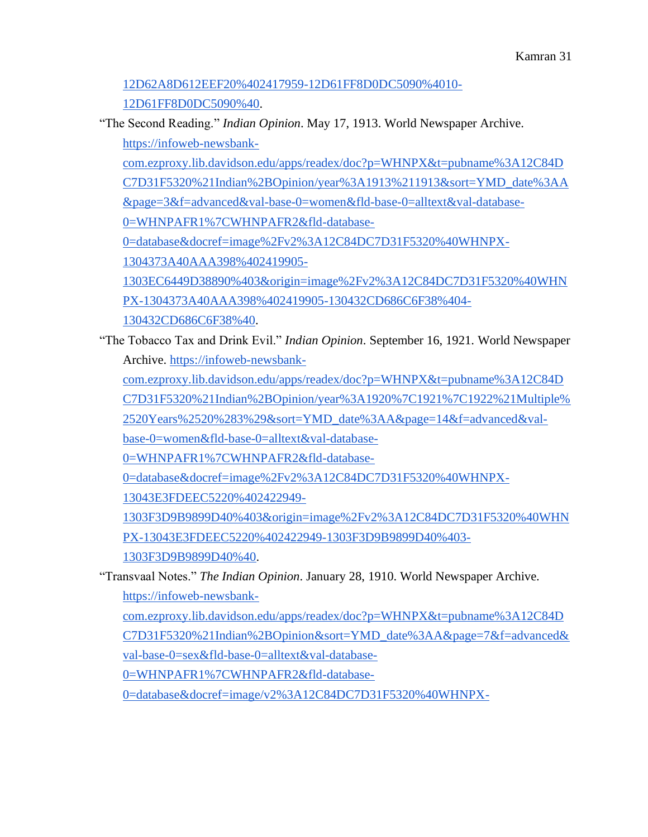[12D62A8D612EEF20%402417959-12D61FF8D0DC5090%4010-](https://infoweb-newsbank-com.ezproxy.lib.davidson.edu/apps/readex/docprint?p=WHNPX&t=pubname%3A12C84DC7D31F5320%21Indian%2BOpinion&sort=YMD_date%3AA&f=advanced&val-base-0=Chessel&fld-base-0=alltext&bln-base-1=or&val-base-1=women&fld-base-1=alltext&val-database-0=WHNPAFR1%7CWHNPAFR2&fld-database-0=database&fld-nav-0=YMD_date&val-nav-0=1908&docref=image/v2%3A12C84DC7D31F5320%40WHNPX-12D62A8D612EEF20%402417959-12D61FF8D0DC5090%4010-12D61FF8D0DC5090%40) [12D61FF8D0DC5090%40.](https://infoweb-newsbank-com.ezproxy.lib.davidson.edu/apps/readex/docprint?p=WHNPX&t=pubname%3A12C84DC7D31F5320%21Indian%2BOpinion&sort=YMD_date%3AA&f=advanced&val-base-0=Chessel&fld-base-0=alltext&bln-base-1=or&val-base-1=women&fld-base-1=alltext&val-database-0=WHNPAFR1%7CWHNPAFR2&fld-database-0=database&fld-nav-0=YMD_date&val-nav-0=1908&docref=image/v2%3A12C84DC7D31F5320%40WHNPX-12D62A8D612EEF20%402417959-12D61FF8D0DC5090%4010-12D61FF8D0DC5090%40)

"The Second Reading." *Indian Opinion*. May 17, 1913. World Newspaper Archive[.](https://infoweb-newsbank-com.ezproxy.lib.davidson.edu/apps/readex/doc?p=WHNPX&t=pubname%3A12C84DC7D31F5320%21Indian%2BOpinion/year%3A1913%211913&sort=YMD_date%3AA&page=3&f=advanced&val-base-0=women&fld-base-0=alltext&val-database-0=WHNPAFR1%7CWHNPAFR2&fld-database-0=database&docref=image%2Fv2%3A12C84DC7D31F5320%40WHNPX-1304373A40AAA398%402419905-1303EC6449D38890%403&origin=image%2Fv2%3A12C84DC7D31F5320%40WHNPX-1304373A40AAA398%402419905-130432CD686C6F38%404-130432CD686C6F38%40) [https://infoweb-newsbank-](https://infoweb-newsbank-com.ezproxy.lib.davidson.edu/apps/readex/doc?p=WHNPX&t=pubname%3A12C84DC7D31F5320%21Indian%2BOpinion/year%3A1913%211913&sort=YMD_date%3AA&page=3&f=advanced&val-base-0=women&fld-base-0=alltext&val-database-0=WHNPAFR1%7CWHNPAFR2&fld-database-0=database&docref=image%2Fv2%3A12C84DC7D31F5320%40WHNPX-1304373A40AAA398%402419905-1303EC6449D38890%403&origin=image%2Fv2%3A12C84DC7D31F5320%40WHNPX-1304373A40AAA398%402419905-130432CD686C6F38%404-130432CD686C6F38%40)

[com.ezproxy.lib.davidson.edu/apps/readex/doc?p=WHNPX&t=pubname%3A12C84D](https://infoweb-newsbank-com.ezproxy.lib.davidson.edu/apps/readex/doc?p=WHNPX&t=pubname%3A12C84DC7D31F5320%21Indian%2BOpinion/year%3A1913%211913&sort=YMD_date%3AA&page=3&f=advanced&val-base-0=women&fld-base-0=alltext&val-database-0=WHNPAFR1%7CWHNPAFR2&fld-database-0=database&docref=image%2Fv2%3A12C84DC7D31F5320%40WHNPX-1304373A40AAA398%402419905-1303EC6449D38890%403&origin=image%2Fv2%3A12C84DC7D31F5320%40WHNPX-1304373A40AAA398%402419905-130432CD686C6F38%404-130432CD686C6F38%40) [C7D31F5320%21Indian%2BOpinion/year%3A1913%211913&sort=YMD\\_date%3AA](https://infoweb-newsbank-com.ezproxy.lib.davidson.edu/apps/readex/doc?p=WHNPX&t=pubname%3A12C84DC7D31F5320%21Indian%2BOpinion/year%3A1913%211913&sort=YMD_date%3AA&page=3&f=advanced&val-base-0=women&fld-base-0=alltext&val-database-0=WHNPAFR1%7CWHNPAFR2&fld-database-0=database&docref=image%2Fv2%3A12C84DC7D31F5320%40WHNPX-1304373A40AAA398%402419905-1303EC6449D38890%403&origin=image%2Fv2%3A12C84DC7D31F5320%40WHNPX-1304373A40AAA398%402419905-130432CD686C6F38%404-130432CD686C6F38%40) [&page=3&f=advanced&val-base-0=women&fld-base-0=alltext&val-database-](https://infoweb-newsbank-com.ezproxy.lib.davidson.edu/apps/readex/doc?p=WHNPX&t=pubname%3A12C84DC7D31F5320%21Indian%2BOpinion/year%3A1913%211913&sort=YMD_date%3AA&page=3&f=advanced&val-base-0=women&fld-base-0=alltext&val-database-0=WHNPAFR1%7CWHNPAFR2&fld-database-0=database&docref=image%2Fv2%3A12C84DC7D31F5320%40WHNPX-1304373A40AAA398%402419905-1303EC6449D38890%403&origin=image%2Fv2%3A12C84DC7D31F5320%40WHNPX-1304373A40AAA398%402419905-130432CD686C6F38%404-130432CD686C6F38%40)[0=WHNPAFR1%7CWHNPAFR2&fld-database-](https://infoweb-newsbank-com.ezproxy.lib.davidson.edu/apps/readex/doc?p=WHNPX&t=pubname%3A12C84DC7D31F5320%21Indian%2BOpinion/year%3A1913%211913&sort=YMD_date%3AA&page=3&f=advanced&val-base-0=women&fld-base-0=alltext&val-database-0=WHNPAFR1%7CWHNPAFR2&fld-database-0=database&docref=image%2Fv2%3A12C84DC7D31F5320%40WHNPX-1304373A40AAA398%402419905-1303EC6449D38890%403&origin=image%2Fv2%3A12C84DC7D31F5320%40WHNPX-1304373A40AAA398%402419905-130432CD686C6F38%404-130432CD686C6F38%40)[0=database&docref=image%2Fv2%3A12C84DC7D31F5320%40WHNPX-](https://infoweb-newsbank-com.ezproxy.lib.davidson.edu/apps/readex/doc?p=WHNPX&t=pubname%3A12C84DC7D31F5320%21Indian%2BOpinion/year%3A1913%211913&sort=YMD_date%3AA&page=3&f=advanced&val-base-0=women&fld-base-0=alltext&val-database-0=WHNPAFR1%7CWHNPAFR2&fld-database-0=database&docref=image%2Fv2%3A12C84DC7D31F5320%40WHNPX-1304373A40AAA398%402419905-1303EC6449D38890%403&origin=image%2Fv2%3A12C84DC7D31F5320%40WHNPX-1304373A40AAA398%402419905-130432CD686C6F38%404-130432CD686C6F38%40)

[1304373A40AAA398%402419905-](https://infoweb-newsbank-com.ezproxy.lib.davidson.edu/apps/readex/doc?p=WHNPX&t=pubname%3A12C84DC7D31F5320%21Indian%2BOpinion/year%3A1913%211913&sort=YMD_date%3AA&page=3&f=advanced&val-base-0=women&fld-base-0=alltext&val-database-0=WHNPAFR1%7CWHNPAFR2&fld-database-0=database&docref=image%2Fv2%3A12C84DC7D31F5320%40WHNPX-1304373A40AAA398%402419905-1303EC6449D38890%403&origin=image%2Fv2%3A12C84DC7D31F5320%40WHNPX-1304373A40AAA398%402419905-130432CD686C6F38%404-130432CD686C6F38%40)

[1303EC6449D38890%403&origin=image%2Fv2%3A12C84DC7D31F5320%40WHN](https://infoweb-newsbank-com.ezproxy.lib.davidson.edu/apps/readex/doc?p=WHNPX&t=pubname%3A12C84DC7D31F5320%21Indian%2BOpinion/year%3A1913%211913&sort=YMD_date%3AA&page=3&f=advanced&val-base-0=women&fld-base-0=alltext&val-database-0=WHNPAFR1%7CWHNPAFR2&fld-database-0=database&docref=image%2Fv2%3A12C84DC7D31F5320%40WHNPX-1304373A40AAA398%402419905-1303EC6449D38890%403&origin=image%2Fv2%3A12C84DC7D31F5320%40WHNPX-1304373A40AAA398%402419905-130432CD686C6F38%404-130432CD686C6F38%40) [PX-1304373A40AAA398%402419905-130432CD686C6F38%404-](https://infoweb-newsbank-com.ezproxy.lib.davidson.edu/apps/readex/doc?p=WHNPX&t=pubname%3A12C84DC7D31F5320%21Indian%2BOpinion/year%3A1913%211913&sort=YMD_date%3AA&page=3&f=advanced&val-base-0=women&fld-base-0=alltext&val-database-0=WHNPAFR1%7CWHNPAFR2&fld-database-0=database&docref=image%2Fv2%3A12C84DC7D31F5320%40WHNPX-1304373A40AAA398%402419905-1303EC6449D38890%403&origin=image%2Fv2%3A12C84DC7D31F5320%40WHNPX-1304373A40AAA398%402419905-130432CD686C6F38%404-130432CD686C6F38%40)

[130432CD686C6F38%40.](https://infoweb-newsbank-com.ezproxy.lib.davidson.edu/apps/readex/doc?p=WHNPX&t=pubname%3A12C84DC7D31F5320%21Indian%2BOpinion/year%3A1913%211913&sort=YMD_date%3AA&page=3&f=advanced&val-base-0=women&fld-base-0=alltext&val-database-0=WHNPAFR1%7CWHNPAFR2&fld-database-0=database&docref=image%2Fv2%3A12C84DC7D31F5320%40WHNPX-1304373A40AAA398%402419905-1303EC6449D38890%403&origin=image%2Fv2%3A12C84DC7D31F5320%40WHNPX-1304373A40AAA398%402419905-130432CD686C6F38%404-130432CD686C6F38%40)

"The Tobacco Tax and Drink Evil." *Indian Opinion*. September 16, 1921. World Newspaper Archive[.](https://infoweb-newsbank-com.ezproxy.lib.davidson.edu/apps/readex/doc?p=WHNPX&t=pubname%3A12C84DC7D31F5320%21Indian%2BOpinion/year%3A1920%7C1921%7C1922%21Multiple%2520Years%2520%283%29&sort=YMD_date%3AA&page=14&f=advanced&val-base-0=women&fld-base-0=alltext&val-database-0=WHNPAFR1%7CWHNPAFR2&fld-database-0=database&docref=image%2Fv2%3A12C84DC7D31F5320%40WHNPX-13043E3FDEEC5220%402422949-1303F3D9B9899D40%403&origin=image%2Fv2%3A12C84DC7D31F5320%40WHNPX-13043E3FDEEC5220%402422949-1303F3D9B9899D40%403-1303F3D9B9899D40%40) [https://infoweb-newsbank-](https://infoweb-newsbank-com.ezproxy.lib.davidson.edu/apps/readex/doc?p=WHNPX&t=pubname%3A12C84DC7D31F5320%21Indian%2BOpinion/year%3A1920%7C1921%7C1922%21Multiple%2520Years%2520%283%29&sort=YMD_date%3AA&page=14&f=advanced&val-base-0=women&fld-base-0=alltext&val-database-0=WHNPAFR1%7CWHNPAFR2&fld-database-0=database&docref=image%2Fv2%3A12C84DC7D31F5320%40WHNPX-13043E3FDEEC5220%402422949-1303F3D9B9899D40%403&origin=image%2Fv2%3A12C84DC7D31F5320%40WHNPX-13043E3FDEEC5220%402422949-1303F3D9B9899D40%403-1303F3D9B9899D40%40)

[com.ezproxy.lib.davidson.edu/apps/readex/doc?p=WHNPX&t=pubname%3A12C84D](https://infoweb-newsbank-com.ezproxy.lib.davidson.edu/apps/readex/doc?p=WHNPX&t=pubname%3A12C84DC7D31F5320%21Indian%2BOpinion/year%3A1920%7C1921%7C1922%21Multiple%2520Years%2520%283%29&sort=YMD_date%3AA&page=14&f=advanced&val-base-0=women&fld-base-0=alltext&val-database-0=WHNPAFR1%7CWHNPAFR2&fld-database-0=database&docref=image%2Fv2%3A12C84DC7D31F5320%40WHNPX-13043E3FDEEC5220%402422949-1303F3D9B9899D40%403&origin=image%2Fv2%3A12C84DC7D31F5320%40WHNPX-13043E3FDEEC5220%402422949-1303F3D9B9899D40%403-1303F3D9B9899D40%40)

[C7D31F5320%21Indian%2BOpinion/year%3A1920%7C1921%7C1922%21Multiple%](https://infoweb-newsbank-com.ezproxy.lib.davidson.edu/apps/readex/doc?p=WHNPX&t=pubname%3A12C84DC7D31F5320%21Indian%2BOpinion/year%3A1920%7C1921%7C1922%21Multiple%2520Years%2520%283%29&sort=YMD_date%3AA&page=14&f=advanced&val-base-0=women&fld-base-0=alltext&val-database-0=WHNPAFR1%7CWHNPAFR2&fld-database-0=database&docref=image%2Fv2%3A12C84DC7D31F5320%40WHNPX-13043E3FDEEC5220%402422949-1303F3D9B9899D40%403&origin=image%2Fv2%3A12C84DC7D31F5320%40WHNPX-13043E3FDEEC5220%402422949-1303F3D9B9899D40%403-1303F3D9B9899D40%40)

[2520Years%2520%283%29&sort=YMD\\_date%3AA&page=14&f=advanced&val-](https://infoweb-newsbank-com.ezproxy.lib.davidson.edu/apps/readex/doc?p=WHNPX&t=pubname%3A12C84DC7D31F5320%21Indian%2BOpinion/year%3A1920%7C1921%7C1922%21Multiple%2520Years%2520%283%29&sort=YMD_date%3AA&page=14&f=advanced&val-base-0=women&fld-base-0=alltext&val-database-0=WHNPAFR1%7CWHNPAFR2&fld-database-0=database&docref=image%2Fv2%3A12C84DC7D31F5320%40WHNPX-13043E3FDEEC5220%402422949-1303F3D9B9899D40%403&origin=image%2Fv2%3A12C84DC7D31F5320%40WHNPX-13043E3FDEEC5220%402422949-1303F3D9B9899D40%403-1303F3D9B9899D40%40)

[base-0=women&fld-base-0=alltext&val-database-](https://infoweb-newsbank-com.ezproxy.lib.davidson.edu/apps/readex/doc?p=WHNPX&t=pubname%3A12C84DC7D31F5320%21Indian%2BOpinion/year%3A1920%7C1921%7C1922%21Multiple%2520Years%2520%283%29&sort=YMD_date%3AA&page=14&f=advanced&val-base-0=women&fld-base-0=alltext&val-database-0=WHNPAFR1%7CWHNPAFR2&fld-database-0=database&docref=image%2Fv2%3A12C84DC7D31F5320%40WHNPX-13043E3FDEEC5220%402422949-1303F3D9B9899D40%403&origin=image%2Fv2%3A12C84DC7D31F5320%40WHNPX-13043E3FDEEC5220%402422949-1303F3D9B9899D40%403-1303F3D9B9899D40%40)

[0=WHNPAFR1%7CWHNPAFR2&fld-database-](https://infoweb-newsbank-com.ezproxy.lib.davidson.edu/apps/readex/doc?p=WHNPX&t=pubname%3A12C84DC7D31F5320%21Indian%2BOpinion/year%3A1920%7C1921%7C1922%21Multiple%2520Years%2520%283%29&sort=YMD_date%3AA&page=14&f=advanced&val-base-0=women&fld-base-0=alltext&val-database-0=WHNPAFR1%7CWHNPAFR2&fld-database-0=database&docref=image%2Fv2%3A12C84DC7D31F5320%40WHNPX-13043E3FDEEC5220%402422949-1303F3D9B9899D40%403&origin=image%2Fv2%3A12C84DC7D31F5320%40WHNPX-13043E3FDEEC5220%402422949-1303F3D9B9899D40%403-1303F3D9B9899D40%40)

[0=database&docref=image%2Fv2%3A12C84DC7D31F5320%40WHNPX-](https://infoweb-newsbank-com.ezproxy.lib.davidson.edu/apps/readex/doc?p=WHNPX&t=pubname%3A12C84DC7D31F5320%21Indian%2BOpinion/year%3A1920%7C1921%7C1922%21Multiple%2520Years%2520%283%29&sort=YMD_date%3AA&page=14&f=advanced&val-base-0=women&fld-base-0=alltext&val-database-0=WHNPAFR1%7CWHNPAFR2&fld-database-0=database&docref=image%2Fv2%3A12C84DC7D31F5320%40WHNPX-13043E3FDEEC5220%402422949-1303F3D9B9899D40%403&origin=image%2Fv2%3A12C84DC7D31F5320%40WHNPX-13043E3FDEEC5220%402422949-1303F3D9B9899D40%403-1303F3D9B9899D40%40)

[13043E3FDEEC5220%402422949-](https://infoweb-newsbank-com.ezproxy.lib.davidson.edu/apps/readex/doc?p=WHNPX&t=pubname%3A12C84DC7D31F5320%21Indian%2BOpinion/year%3A1920%7C1921%7C1922%21Multiple%2520Years%2520%283%29&sort=YMD_date%3AA&page=14&f=advanced&val-base-0=women&fld-base-0=alltext&val-database-0=WHNPAFR1%7CWHNPAFR2&fld-database-0=database&docref=image%2Fv2%3A12C84DC7D31F5320%40WHNPX-13043E3FDEEC5220%402422949-1303F3D9B9899D40%403&origin=image%2Fv2%3A12C84DC7D31F5320%40WHNPX-13043E3FDEEC5220%402422949-1303F3D9B9899D40%403-1303F3D9B9899D40%40)

[1303F3D9B9899D40%403&origin=image%2Fv2%3A12C84DC7D31F5320%40WHN](https://infoweb-newsbank-com.ezproxy.lib.davidson.edu/apps/readex/doc?p=WHNPX&t=pubname%3A12C84DC7D31F5320%21Indian%2BOpinion/year%3A1920%7C1921%7C1922%21Multiple%2520Years%2520%283%29&sort=YMD_date%3AA&page=14&f=advanced&val-base-0=women&fld-base-0=alltext&val-database-0=WHNPAFR1%7CWHNPAFR2&fld-database-0=database&docref=image%2Fv2%3A12C84DC7D31F5320%40WHNPX-13043E3FDEEC5220%402422949-1303F3D9B9899D40%403&origin=image%2Fv2%3A12C84DC7D31F5320%40WHNPX-13043E3FDEEC5220%402422949-1303F3D9B9899D40%403-1303F3D9B9899D40%40) [PX-13043E3FDEEC5220%402422949-1303F3D9B9899D40%403-](https://infoweb-newsbank-com.ezproxy.lib.davidson.edu/apps/readex/doc?p=WHNPX&t=pubname%3A12C84DC7D31F5320%21Indian%2BOpinion/year%3A1920%7C1921%7C1922%21Multiple%2520Years%2520%283%29&sort=YMD_date%3AA&page=14&f=advanced&val-base-0=women&fld-base-0=alltext&val-database-0=WHNPAFR1%7CWHNPAFR2&fld-database-0=database&docref=image%2Fv2%3A12C84DC7D31F5320%40WHNPX-13043E3FDEEC5220%402422949-1303F3D9B9899D40%403&origin=image%2Fv2%3A12C84DC7D31F5320%40WHNPX-13043E3FDEEC5220%402422949-1303F3D9B9899D40%403-1303F3D9B9899D40%40)

[1303F3D9B9899D40%40.](https://infoweb-newsbank-com.ezproxy.lib.davidson.edu/apps/readex/doc?p=WHNPX&t=pubname%3A12C84DC7D31F5320%21Indian%2BOpinion/year%3A1920%7C1921%7C1922%21Multiple%2520Years%2520%283%29&sort=YMD_date%3AA&page=14&f=advanced&val-base-0=women&fld-base-0=alltext&val-database-0=WHNPAFR1%7CWHNPAFR2&fld-database-0=database&docref=image%2Fv2%3A12C84DC7D31F5320%40WHNPX-13043E3FDEEC5220%402422949-1303F3D9B9899D40%403&origin=image%2Fv2%3A12C84DC7D31F5320%40WHNPX-13043E3FDEEC5220%402422949-1303F3D9B9899D40%403-1303F3D9B9899D40%40)

"Transvaal Notes." *The Indian Opinion*. January 28, 1910. World Newspaper Archive[.](https://infoweb-newsbank-com.ezproxy.lib.davidson.edu/apps/readex/doc?p=WHNPX&t=pubname%3A12C84DC7D31F5320%21Indian%2BOpinion&sort=YMD_date%3AA&page=7&f=advanced&val-base-0=sex&fld-base-0=alltext&val-database-0=WHNPAFR1%7CWHNPAFR2&fld-database-0=database&docref=image/v2%3A12C84DC7D31F5320%40WHNPX-12D814916D125868%402419065-12D7C74E858B9DE0%405-12D7C74E858B9DE0%40&firsthit=yes) [https://infoweb-newsbank-](https://infoweb-newsbank-com.ezproxy.lib.davidson.edu/apps/readex/doc?p=WHNPX&t=pubname%3A12C84DC7D31F5320%21Indian%2BOpinion&sort=YMD_date%3AA&page=7&f=advanced&val-base-0=sex&fld-base-0=alltext&val-database-0=WHNPAFR1%7CWHNPAFR2&fld-database-0=database&docref=image/v2%3A12C84DC7D31F5320%40WHNPX-12D814916D125868%402419065-12D7C74E858B9DE0%405-12D7C74E858B9DE0%40&firsthit=yes)

[com.ezproxy.lib.davidson.edu/apps/readex/doc?p=WHNPX&t=pubname%3A12C84D](https://infoweb-newsbank-com.ezproxy.lib.davidson.edu/apps/readex/doc?p=WHNPX&t=pubname%3A12C84DC7D31F5320%21Indian%2BOpinion&sort=YMD_date%3AA&page=7&f=advanced&val-base-0=sex&fld-base-0=alltext&val-database-0=WHNPAFR1%7CWHNPAFR2&fld-database-0=database&docref=image/v2%3A12C84DC7D31F5320%40WHNPX-12D814916D125868%402419065-12D7C74E858B9DE0%405-12D7C74E858B9DE0%40&firsthit=yes) [C7D31F5320%21Indian%2BOpinion&sort=YMD\\_date%3AA&page=7&f=advanced&](https://infoweb-newsbank-com.ezproxy.lib.davidson.edu/apps/readex/doc?p=WHNPX&t=pubname%3A12C84DC7D31F5320%21Indian%2BOpinion&sort=YMD_date%3AA&page=7&f=advanced&val-base-0=sex&fld-base-0=alltext&val-database-0=WHNPAFR1%7CWHNPAFR2&fld-database-0=database&docref=image/v2%3A12C84DC7D31F5320%40WHNPX-12D814916D125868%402419065-12D7C74E858B9DE0%405-12D7C74E858B9DE0%40&firsthit=yes)

[val-base-0=sex&fld-base-0=alltext&val-database-](https://infoweb-newsbank-com.ezproxy.lib.davidson.edu/apps/readex/doc?p=WHNPX&t=pubname%3A12C84DC7D31F5320%21Indian%2BOpinion&sort=YMD_date%3AA&page=7&f=advanced&val-base-0=sex&fld-base-0=alltext&val-database-0=WHNPAFR1%7CWHNPAFR2&fld-database-0=database&docref=image/v2%3A12C84DC7D31F5320%40WHNPX-12D814916D125868%402419065-12D7C74E858B9DE0%405-12D7C74E858B9DE0%40&firsthit=yes)

[0=WHNPAFR1%7CWHNPAFR2&fld-database-](https://infoweb-newsbank-com.ezproxy.lib.davidson.edu/apps/readex/doc?p=WHNPX&t=pubname%3A12C84DC7D31F5320%21Indian%2BOpinion&sort=YMD_date%3AA&page=7&f=advanced&val-base-0=sex&fld-base-0=alltext&val-database-0=WHNPAFR1%7CWHNPAFR2&fld-database-0=database&docref=image/v2%3A12C84DC7D31F5320%40WHNPX-12D814916D125868%402419065-12D7C74E858B9DE0%405-12D7C74E858B9DE0%40&firsthit=yes)

[0=database&docref=image/v2%3A12C84DC7D31F5320%40WHNPX-](https://infoweb-newsbank-com.ezproxy.lib.davidson.edu/apps/readex/doc?p=WHNPX&t=pubname%3A12C84DC7D31F5320%21Indian%2BOpinion&sort=YMD_date%3AA&page=7&f=advanced&val-base-0=sex&fld-base-0=alltext&val-database-0=WHNPAFR1%7CWHNPAFR2&fld-database-0=database&docref=image/v2%3A12C84DC7D31F5320%40WHNPX-12D814916D125868%402419065-12D7C74E858B9DE0%405-12D7C74E858B9DE0%40&firsthit=yes)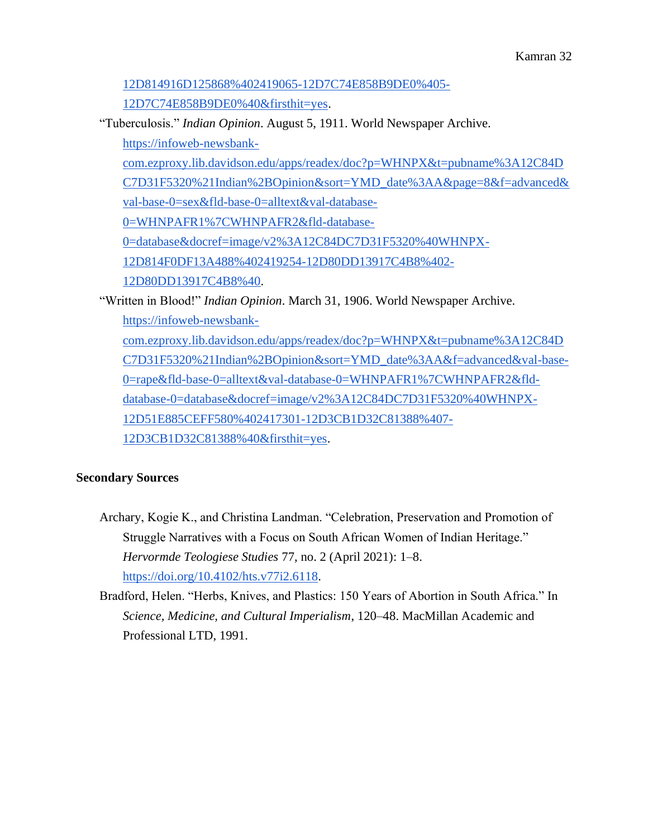# [12D814916D125868%402419065-12D7C74E858B9DE0%405-](https://infoweb-newsbank-com.ezproxy.lib.davidson.edu/apps/readex/doc?p=WHNPX&t=pubname%3A12C84DC7D31F5320%21Indian%2BOpinion&sort=YMD_date%3AA&page=7&f=advanced&val-base-0=sex&fld-base-0=alltext&val-database-0=WHNPAFR1%7CWHNPAFR2&fld-database-0=database&docref=image/v2%3A12C84DC7D31F5320%40WHNPX-12D814916D125868%402419065-12D7C74E858B9DE0%405-12D7C74E858B9DE0%40&firsthit=yes)

[12D7C74E858B9DE0%40&firsthit=yes.](https://infoweb-newsbank-com.ezproxy.lib.davidson.edu/apps/readex/doc?p=WHNPX&t=pubname%3A12C84DC7D31F5320%21Indian%2BOpinion&sort=YMD_date%3AA&page=7&f=advanced&val-base-0=sex&fld-base-0=alltext&val-database-0=WHNPAFR1%7CWHNPAFR2&fld-database-0=database&docref=image/v2%3A12C84DC7D31F5320%40WHNPX-12D814916D125868%402419065-12D7C74E858B9DE0%405-12D7C74E858B9DE0%40&firsthit=yes)

"Tuberculosis." *Indian Opinion*. August 5, 1911. World Newspaper Archive[.](https://infoweb-newsbank-com.ezproxy.lib.davidson.edu/apps/readex/doc?p=WHNPX&t=pubname%3A12C84DC7D31F5320%21Indian%2BOpinion&sort=YMD_date%3AA&page=8&f=advanced&val-base-0=sex&fld-base-0=alltext&val-database-0=WHNPAFR1%7CWHNPAFR2&fld-database-0=database&docref=image/v2%3A12C84DC7D31F5320%40WHNPX-12D814F0DF13A488%402419254-12D80DD13917C4B8%402-12D80DD13917C4B8%40)

[https://infoweb-newsbank-](https://infoweb-newsbank-com.ezproxy.lib.davidson.edu/apps/readex/doc?p=WHNPX&t=pubname%3A12C84DC7D31F5320%21Indian%2BOpinion&sort=YMD_date%3AA&page=8&f=advanced&val-base-0=sex&fld-base-0=alltext&val-database-0=WHNPAFR1%7CWHNPAFR2&fld-database-0=database&docref=image/v2%3A12C84DC7D31F5320%40WHNPX-12D814F0DF13A488%402419254-12D80DD13917C4B8%402-12D80DD13917C4B8%40)

[com.ezproxy.lib.davidson.edu/apps/readex/doc?p=WHNPX&t=pubname%3A12C84D](https://infoweb-newsbank-com.ezproxy.lib.davidson.edu/apps/readex/doc?p=WHNPX&t=pubname%3A12C84DC7D31F5320%21Indian%2BOpinion&sort=YMD_date%3AA&page=8&f=advanced&val-base-0=sex&fld-base-0=alltext&val-database-0=WHNPAFR1%7CWHNPAFR2&fld-database-0=database&docref=image/v2%3A12C84DC7D31F5320%40WHNPX-12D814F0DF13A488%402419254-12D80DD13917C4B8%402-12D80DD13917C4B8%40)

[C7D31F5320%21Indian%2BOpinion&sort=YMD\\_date%3AA&page=8&f=advanced&](https://infoweb-newsbank-com.ezproxy.lib.davidson.edu/apps/readex/doc?p=WHNPX&t=pubname%3A12C84DC7D31F5320%21Indian%2BOpinion&sort=YMD_date%3AA&page=8&f=advanced&val-base-0=sex&fld-base-0=alltext&val-database-0=WHNPAFR1%7CWHNPAFR2&fld-database-0=database&docref=image/v2%3A12C84DC7D31F5320%40WHNPX-12D814F0DF13A488%402419254-12D80DD13917C4B8%402-12D80DD13917C4B8%40)

[val-base-0=sex&fld-base-0=alltext&val-database-](https://infoweb-newsbank-com.ezproxy.lib.davidson.edu/apps/readex/doc?p=WHNPX&t=pubname%3A12C84DC7D31F5320%21Indian%2BOpinion&sort=YMD_date%3AA&page=8&f=advanced&val-base-0=sex&fld-base-0=alltext&val-database-0=WHNPAFR1%7CWHNPAFR2&fld-database-0=database&docref=image/v2%3A12C84DC7D31F5320%40WHNPX-12D814F0DF13A488%402419254-12D80DD13917C4B8%402-12D80DD13917C4B8%40)

[0=WHNPAFR1%7CWHNPAFR2&fld-database-](https://infoweb-newsbank-com.ezproxy.lib.davidson.edu/apps/readex/doc?p=WHNPX&t=pubname%3A12C84DC7D31F5320%21Indian%2BOpinion&sort=YMD_date%3AA&page=8&f=advanced&val-base-0=sex&fld-base-0=alltext&val-database-0=WHNPAFR1%7CWHNPAFR2&fld-database-0=database&docref=image/v2%3A12C84DC7D31F5320%40WHNPX-12D814F0DF13A488%402419254-12D80DD13917C4B8%402-12D80DD13917C4B8%40)

[0=database&docref=image/v2%3A12C84DC7D31F5320%40WHNPX-](https://infoweb-newsbank-com.ezproxy.lib.davidson.edu/apps/readex/doc?p=WHNPX&t=pubname%3A12C84DC7D31F5320%21Indian%2BOpinion&sort=YMD_date%3AA&page=8&f=advanced&val-base-0=sex&fld-base-0=alltext&val-database-0=WHNPAFR1%7CWHNPAFR2&fld-database-0=database&docref=image/v2%3A12C84DC7D31F5320%40WHNPX-12D814F0DF13A488%402419254-12D80DD13917C4B8%402-12D80DD13917C4B8%40)

[12D814F0DF13A488%402419254-12D80DD13917C4B8%402-](https://infoweb-newsbank-com.ezproxy.lib.davidson.edu/apps/readex/doc?p=WHNPX&t=pubname%3A12C84DC7D31F5320%21Indian%2BOpinion&sort=YMD_date%3AA&page=8&f=advanced&val-base-0=sex&fld-base-0=alltext&val-database-0=WHNPAFR1%7CWHNPAFR2&fld-database-0=database&docref=image/v2%3A12C84DC7D31F5320%40WHNPX-12D814F0DF13A488%402419254-12D80DD13917C4B8%402-12D80DD13917C4B8%40)

[12D80DD13917C4B8%40.](https://infoweb-newsbank-com.ezproxy.lib.davidson.edu/apps/readex/doc?p=WHNPX&t=pubname%3A12C84DC7D31F5320%21Indian%2BOpinion&sort=YMD_date%3AA&page=8&f=advanced&val-base-0=sex&fld-base-0=alltext&val-database-0=WHNPAFR1%7CWHNPAFR2&fld-database-0=database&docref=image/v2%3A12C84DC7D31F5320%40WHNPX-12D814F0DF13A488%402419254-12D80DD13917C4B8%402-12D80DD13917C4B8%40)

"Written in Blood!" *Indian Opinion*. March 31, 1906. World Newspaper Archive[.](https://infoweb-newsbank-com.ezproxy.lib.davidson.edu/apps/readex/doc?p=WHNPX&t=pubname%3A12C84DC7D31F5320%21Indian%2BOpinion&sort=YMD_date%3AA&f=advanced&val-base-0=rape&fld-base-0=alltext&val-database-0=WHNPAFR1%7CWHNPAFR2&fld-database-0=database&docref=image/v2%3A12C84DC7D31F5320%40WHNPX-12D51E885CEFF580%402417301-12D3CB1D32C81388%407-12D3CB1D32C81388%40&firsthit=yes) [https://infoweb-newsbank](https://infoweb-newsbank-com.ezproxy.lib.davidson.edu/apps/readex/doc?p=WHNPX&t=pubname%3A12C84DC7D31F5320%21Indian%2BOpinion&sort=YMD_date%3AA&f=advanced&val-base-0=rape&fld-base-0=alltext&val-database-0=WHNPAFR1%7CWHNPAFR2&fld-database-0=database&docref=image/v2%3A12C84DC7D31F5320%40WHNPX-12D51E885CEFF580%402417301-12D3CB1D32C81388%407-12D3CB1D32C81388%40&firsthit=yes)[com.ezproxy.lib.davidson.edu/apps/readex/doc?p=WHNPX&t=pubname%3A12C84D](https://infoweb-newsbank-com.ezproxy.lib.davidson.edu/apps/readex/doc?p=WHNPX&t=pubname%3A12C84DC7D31F5320%21Indian%2BOpinion&sort=YMD_date%3AA&f=advanced&val-base-0=rape&fld-base-0=alltext&val-database-0=WHNPAFR1%7CWHNPAFR2&fld-database-0=database&docref=image/v2%3A12C84DC7D31F5320%40WHNPX-12D51E885CEFF580%402417301-12D3CB1D32C81388%407-12D3CB1D32C81388%40&firsthit=yes) [C7D31F5320%21Indian%2BOpinion&sort=YMD\\_date%3AA&f=advanced&val-base-](https://infoweb-newsbank-com.ezproxy.lib.davidson.edu/apps/readex/doc?p=WHNPX&t=pubname%3A12C84DC7D31F5320%21Indian%2BOpinion&sort=YMD_date%3AA&f=advanced&val-base-0=rape&fld-base-0=alltext&val-database-0=WHNPAFR1%7CWHNPAFR2&fld-database-0=database&docref=image/v2%3A12C84DC7D31F5320%40WHNPX-12D51E885CEFF580%402417301-12D3CB1D32C81388%407-12D3CB1D32C81388%40&firsthit=yes)[0=rape&fld-base-0=alltext&val-database-0=WHNPAFR1%7CWHNPAFR2&fld](https://infoweb-newsbank-com.ezproxy.lib.davidson.edu/apps/readex/doc?p=WHNPX&t=pubname%3A12C84DC7D31F5320%21Indian%2BOpinion&sort=YMD_date%3AA&f=advanced&val-base-0=rape&fld-base-0=alltext&val-database-0=WHNPAFR1%7CWHNPAFR2&fld-database-0=database&docref=image/v2%3A12C84DC7D31F5320%40WHNPX-12D51E885CEFF580%402417301-12D3CB1D32C81388%407-12D3CB1D32C81388%40&firsthit=yes)[database-0=database&docref=image/v2%3A12C84DC7D31F5320%40WHNPX-](https://infoweb-newsbank-com.ezproxy.lib.davidson.edu/apps/readex/doc?p=WHNPX&t=pubname%3A12C84DC7D31F5320%21Indian%2BOpinion&sort=YMD_date%3AA&f=advanced&val-base-0=rape&fld-base-0=alltext&val-database-0=WHNPAFR1%7CWHNPAFR2&fld-database-0=database&docref=image/v2%3A12C84DC7D31F5320%40WHNPX-12D51E885CEFF580%402417301-12D3CB1D32C81388%407-12D3CB1D32C81388%40&firsthit=yes)[12D51E885CEFF580%402417301-12D3CB1D32C81388%407-](https://infoweb-newsbank-com.ezproxy.lib.davidson.edu/apps/readex/doc?p=WHNPX&t=pubname%3A12C84DC7D31F5320%21Indian%2BOpinion&sort=YMD_date%3AA&f=advanced&val-base-0=rape&fld-base-0=alltext&val-database-0=WHNPAFR1%7CWHNPAFR2&fld-database-0=database&docref=image/v2%3A12C84DC7D31F5320%40WHNPX-12D51E885CEFF580%402417301-12D3CB1D32C81388%407-12D3CB1D32C81388%40&firsthit=yes) [12D3CB1D32C81388%40&firsthit=yes.](https://infoweb-newsbank-com.ezproxy.lib.davidson.edu/apps/readex/doc?p=WHNPX&t=pubname%3A12C84DC7D31F5320%21Indian%2BOpinion&sort=YMD_date%3AA&f=advanced&val-base-0=rape&fld-base-0=alltext&val-database-0=WHNPAFR1%7CWHNPAFR2&fld-database-0=database&docref=image/v2%3A12C84DC7D31F5320%40WHNPX-12D51E885CEFF580%402417301-12D3CB1D32C81388%407-12D3CB1D32C81388%40&firsthit=yes)

### **Secondary Sources**

Archary, Kogie K., and Christina Landman. "Celebration, Preservation and Promotion of Struggle Narratives with a Focus on South African Women of Indian Heritage." *Hervormde Teologiese Studies* 77, no. 2 (April 2021): 1–8[.](https://doi.org/10.4102/hts.v77i2.6118) [https://doi.org/10.4102/hts.v77i2.6118.](https://doi.org/10.4102/hts.v77i2.6118)

Bradford, Helen. "Herbs, Knives, and Plastics: 150 Years of Abortion in South Africa." In *Science, Medicine, and Cultural Imperialism*, 120–48. MacMillan Academic and Professional LTD, 1991[.](https://www.dropbox.com/s/sma568r75zbbsth/Herbs%2C%20Knives%2C%20and%20Plastics.pdf?dl=0)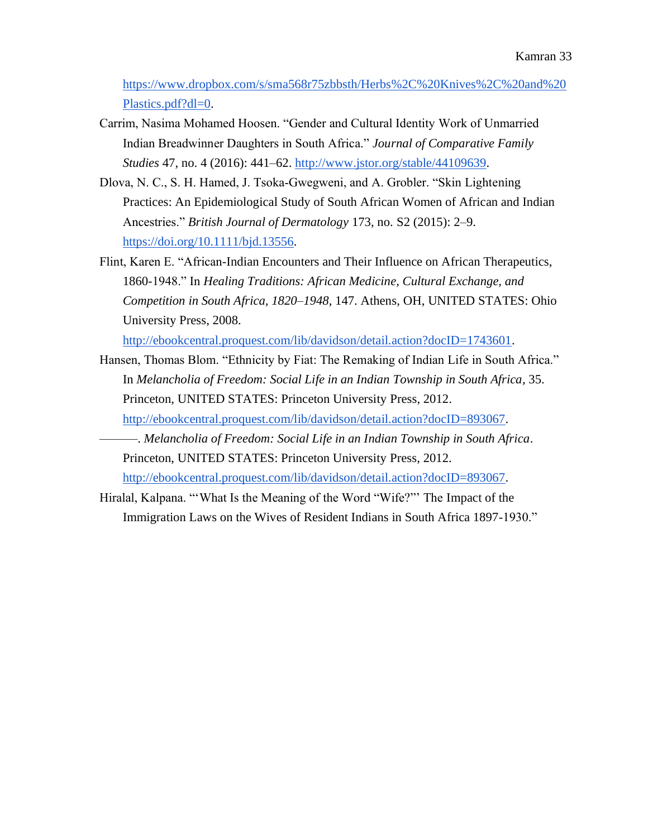[https://www.dropbox.com/s/sma568r75zbbsth/Herbs%2C%20Knives%2C%20and%20](https://www.dropbox.com/s/sma568r75zbbsth/Herbs%2C%20Knives%2C%20and%20Plastics.pdf?dl=0) [Plastics.pdf?dl=0.](https://www.dropbox.com/s/sma568r75zbbsth/Herbs%2C%20Knives%2C%20and%20Plastics.pdf?dl=0)

- Carrim, Nasima Mohamed Hoosen. "Gender and Cultural Identity Work of Unmarried Indian Breadwinner Daughters in South Africa." *Journal of Comparative Family Studies* 47, no. 4 (2016): 441–62. [http://www.jstor.org/stable/44109639.](http://www.jstor.org/stable/44109639)
- Dlova, N. C., S. H. Hamed, J. Tsoka‐Gwegweni, and A. Grobler. "Skin Lightening Practices: An Epidemiological Study of South African Women of African and Indian Ancestries." *British Journal of Dermatology* 173, no. S2 (2015): 2–9[.](https://doi.org/10.1111/bjd.13556) [https://doi.org/10.1111/bjd.13556.](https://doi.org/10.1111/bjd.13556)
- Flint, Karen E. "African-Indian Encounters and Their Influence on African Therapeutics, 1860-1948." In *Healing Traditions: African Medicine, Cultural Exchange, and Competition in South Africa, 1820–1948*, 147. Athens, OH, UNITED STATES: Ohio University Press, 2008[.](http://ebookcentral.proquest.com/lib/davidson/detail.action?docID=1743601)

[http://ebookcentral.proquest.com/lib/davidson/detail.action?docID=1743601.](http://ebookcentral.proquest.com/lib/davidson/detail.action?docID=1743601)

- Hansen, Thomas Blom. "Ethnicity by Fiat: The Remaking of Indian Life in South Africa." In *Melancholia of Freedom: Social Life in an Indian Township in South Africa*, 35. Princeton, UNITED STATES: Princeton University Press, 2012[.](http://ebookcentral.proquest.com/lib/davidson/detail.action?docID=893067) [http://ebookcentral.proquest.com/lib/davidson/detail.action?docID=893067.](http://ebookcentral.proquest.com/lib/davidson/detail.action?docID=893067)
- ———. *Melancholia of Freedom: Social Life in an Indian Township in South Africa*. Princeton, UNITED STATES: Princeton University Press, 2012[.](http://ebookcentral.proquest.com/lib/davidson/detail.action?docID=893067) [http://ebookcentral.proquest.com/lib/davidson/detail.action?docID=893067.](http://ebookcentral.proquest.com/lib/davidson/detail.action?docID=893067)
- Hiralal, Kalpana. "'What Is the Meaning of the Word "Wife?"' The Impact of the Immigration Laws on the Wives of Resident Indians in South Africa 1897-1930."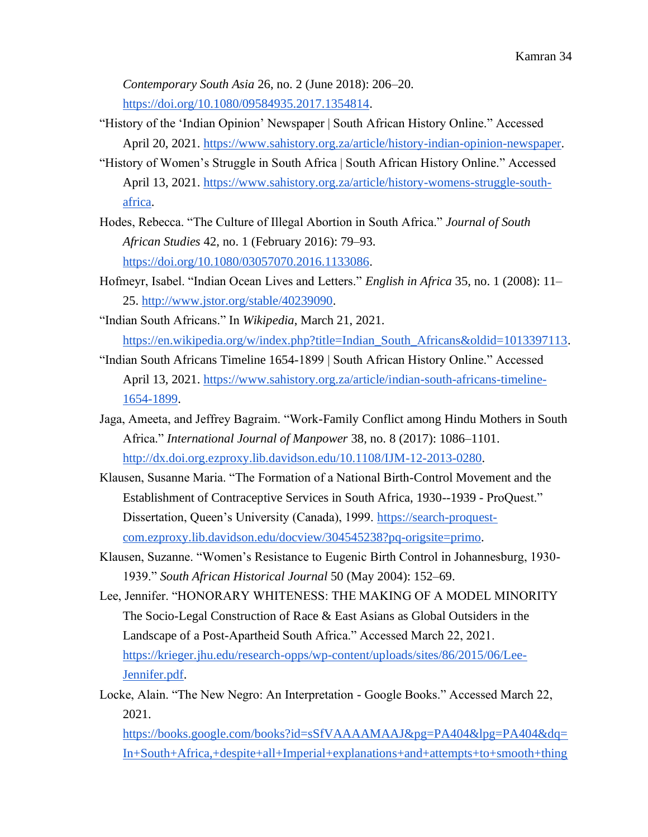*Contemporary South Asia* 26, no. 2 (June 2018): 206–20[.](https://doi.org/10.1080/09584935.2017.1354814) [https://doi.org/10.1080/09584935.2017.1354814.](https://doi.org/10.1080/09584935.2017.1354814)

- "History of the 'Indian Opinion' Newspaper | South African History Online." Accessed April 20, 2021. [https://www.sahistory.org.za/article/history-indian-opinion-newspaper.](https://www.sahistory.org.za/article/history-indian-opinion-newspaper)
- "History of Women's Struggle in South Africa | South African History Online." Accessed April 13, 2021. [https://www.sahistory.org.za/article/history-womens-struggle-south](https://www.sahistory.org.za/article/history-womens-struggle-south-africa)[africa.](https://www.sahistory.org.za/article/history-womens-struggle-south-africa)
- Hodes, Rebecca. "The Culture of Illegal Abortion in South Africa." *Journal of South African Studies* 42, no. 1 (February 2016): 79–93[.](https://doi.org/10.1080/03057070.2016.1133086) [https://doi.org/10.1080/03057070.2016.1133086.](https://doi.org/10.1080/03057070.2016.1133086)
- Hofmeyr, Isabel. "Indian Ocean Lives and Letters." *English in Africa* 35, no. 1 (2008): 11– 25[.](http://www.jstor.org/stable/40239090) [http://www.jstor.org/stable/40239090.](http://www.jstor.org/stable/40239090)
- "Indian South Africans." In *Wikipedia*, March 21, 2021[.](https://en.wikipedia.org/w/index.php?title=Indian_South_Africans&oldid=1013397113)

[https://en.wikipedia.org/w/index.php?title=Indian\\_South\\_Africans&oldid=1013397113.](https://en.wikipedia.org/w/index.php?title=Indian_South_Africans&oldid=1013397113)

- "Indian South Africans Timeline 1654-1899 | South African History Online." Accessed April 13, 2021. [https://www.sahistory.org.za/article/indian-south-africans-timeline-](https://www.sahistory.org.za/article/indian-south-africans-timeline-1654-1899)[1654-1899.](https://www.sahistory.org.za/article/indian-south-africans-timeline-1654-1899)
- Jaga, Ameeta, and Jeffrey Bagraim. "Work-Family Conflict among Hindu Mothers in South Africa." *International Journal of Manpower* 38, no. 8 (2017): 1086–1101[.](http://dx.doi.org.ezproxy.lib.davidson.edu/10.1108/IJM-12-2013-0280) [http://dx.doi.org.ezproxy.lib.davidson.edu/10.1108/IJM-12-2013-0280.](http://dx.doi.org.ezproxy.lib.davidson.edu/10.1108/IJM-12-2013-0280)
- Klausen, Susanne Maria. "The Formation of a National Birth-Control Movement and the Establishment of Contraceptive Services in South Africa, 1930--1939 - ProQuest." Dissertation, Queen's University (Canada), 1999. [https://search-proquest](https://search-proquest-com.ezproxy.lib.davidson.edu/docview/304545238?pq-origsite=primo)[com.ezproxy.lib.davidson.edu/docview/304545238?pq-origsite=primo.](https://search-proquest-com.ezproxy.lib.davidson.edu/docview/304545238?pq-origsite=primo)
- Klausen, Suzanne. "Women's Resistance to Eugenic Birth Control in Johannesburg, 1930- 1939." *South African Historical Journal* 50 (May 2004): 152–69.
- Lee, Jennifer. "HONORARY WHITENESS: THE MAKING OF A MODEL MINORITY The Socio-Legal Construction of Race & East Asians as Global Outsiders in the Landscape of a Post-Apartheid South Africa." Accessed March 22, 2021[.](https://krieger.jhu.edu/research-opps/wp-content/uploads/sites/86/2015/06/Lee-Jennifer.pdf) [https://krieger.jhu.edu/research-opps/wp-content/uploads/sites/86/2015/06/Lee-](https://krieger.jhu.edu/research-opps/wp-content/uploads/sites/86/2015/06/Lee-Jennifer.pdf)[Jennifer.pdf.](https://krieger.jhu.edu/research-opps/wp-content/uploads/sites/86/2015/06/Lee-Jennifer.pdf)
- Locke, Alain. "The New Negro: An Interpretation Google Books." Accessed March 22, 2021[.](https://books.google.com/books?id=sSfVAAAAMAAJ&pg=PA404&lpg=PA404&dq=In+South+Africa,+despite+all+Imperial+explanations+and+attempts+to+smooth+things+out,+Smuts+and+the+Boers+have+taken+firm+ground:+Indians+are+to+be+classed+with+Negroes+in+their+social+and+political+exclusion.+South+Africa+is+to+be+ruled+by+its+minority+of+whites.&source=bl&ots=pPbc3B8ur6&sig=ACfU3U20SjPiDVaPFWQRCCdcl5YteRiBgg&hl=en&sa=X&ved=2ahUKEwiMm83lycTvAhUPQzABHbEtC0sQ6AEwAHoECAQQAw#v=onepage&q=In%20South%20Africa%2C%20despite%20all%20Imperial%20explanations%20and%20attempts%20to%20smooth%20things%20out%2C%20Smuts%20and%20the%20Boers%20have%20taken%20firm%20ground%3A%20Indians%20are%20to%20be%20classed%20with%20Negroes%20in%20their%20social%20and%20political%20exclusion.%20South%20Africa%20is%20to%20be%20ruled%20by%20its%20minority%20of%20whites.&f=false)

[https://books.google.com/books?id=sSfVAAAAMAAJ&pg=PA404&lpg=PA404&dq=](https://books.google.com/books?id=sSfVAAAAMAAJ&pg=PA404&lpg=PA404&dq=In+South+Africa,+despite+all+Imperial+explanations+and+attempts+to+smooth+things+out,+Smuts+and+the+Boers+have+taken+firm+ground:+Indians+are+to+be+classed+with+Negroes+in+their+social+and+political+exclusion.+South+Africa+is+to+be+ruled+by+its+minority+of+whites.&source=bl&ots=pPbc3B8ur6&sig=ACfU3U20SjPiDVaPFWQRCCdcl5YteRiBgg&hl=en&sa=X&ved=2ahUKEwiMm83lycTvAhUPQzABHbEtC0sQ6AEwAHoECAQQAw#v=onepage&q=In%20South%20Africa%2C%20despite%20all%20Imperial%20explanations%20and%20attempts%20to%20smooth%20things%20out%2C%20Smuts%20and%20the%20Boers%20have%20taken%20firm%20ground%3A%20Indians%20are%20to%20be%20classed%20with%20Negroes%20in%20their%20social%20and%20political%20exclusion.%20South%20Africa%20is%20to%20be%20ruled%20by%20its%20minority%20of%20whites.&f=false) [In+South+Africa,+despite+all+Imperial+explanations+and+attempts+to+smooth+thing](https://books.google.com/books?id=sSfVAAAAMAAJ&pg=PA404&lpg=PA404&dq=In+South+Africa,+despite+all+Imperial+explanations+and+attempts+to+smooth+things+out,+Smuts+and+the+Boers+have+taken+firm+ground:+Indians+are+to+be+classed+with+Negroes+in+their+social+and+political+exclusion.+South+Africa+is+to+be+ruled+by+its+minority+of+whites.&source=bl&ots=pPbc3B8ur6&sig=ACfU3U20SjPiDVaPFWQRCCdcl5YteRiBgg&hl=en&sa=X&ved=2ahUKEwiMm83lycTvAhUPQzABHbEtC0sQ6AEwAHoECAQQAw#v=onepage&q=In%20South%20Africa%2C%20despite%20all%20Imperial%20explanations%20and%20attempts%20to%20smooth%20things%20out%2C%20Smuts%20and%20the%20Boers%20have%20taken%20firm%20ground%3A%20Indians%20are%20to%20be%20classed%20with%20Negroes%20in%20their%20social%20and%20political%20exclusion.%20South%20Africa%20is%20to%20be%20ruled%20by%20its%20minority%20of%20whites.&f=false)